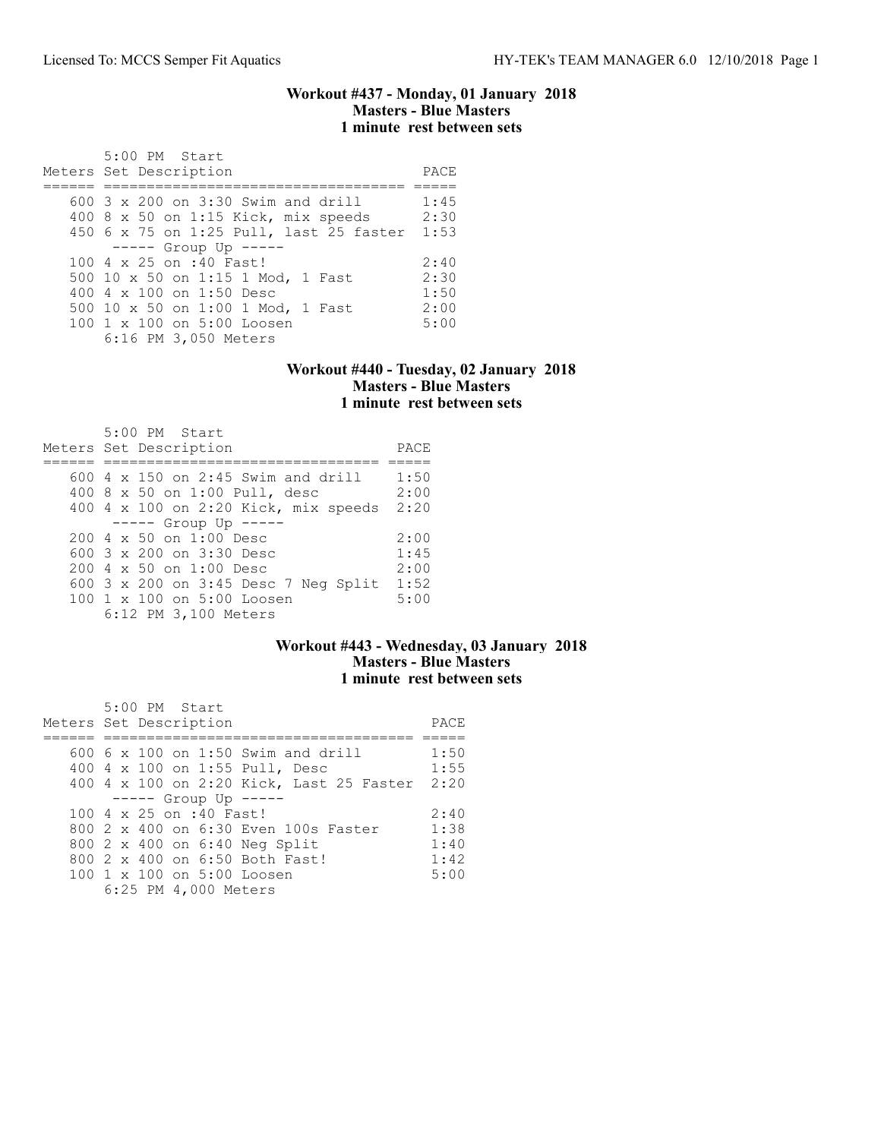### Workout #437 - Monday, 01 January 2018 Masters - Blue Masters 1 minute rest between sets

| 5:00 PM Start                           |      |
|-----------------------------------------|------|
| Meters Set Description                  | PACE |
|                                         |      |
| $600$ 3 x 200 on 3:30 Swim and drill    | 1:45 |
| 400 8 x 50 on 1:15 Kick, mix speeds     | 2:30 |
| 450 6 x 75 on 1:25 Pull, last 25 faster | 1:53 |
| $--- $ Group Up $---$                   |      |
| 100 4 x 25 on :40 Fast!                 | 2:40 |
| 500 10 x 50 on 1:15 1 Mod, 1 Fast       | 2:30 |
| 400 4 x 100 on 1:50 Desc                | 1:50 |
| 500 10 x 50 on 1:00 1 Mod, 1 Fast       | 2:00 |
| $100 \t1 x 100$ on $5:00$ Loosen        | 5:00 |
| 6:16 PM 3,050 Meters                    |      |
|                                         |      |

#### Workout #440 - Tuesday, 02 January 2018 Masters - Blue Masters 1 minute rest between sets

| 5:00 PM Start<br>Meters Set Description   | PACE |
|-------------------------------------------|------|
|                                           |      |
| $600$ 4 x 150 on 2:45 Swim and drill      | 1:50 |
| 400 8 x 50 on 1:00 Pull, desc             | 2:00 |
| 400 4 x 100 on 2:20 Kick, mix speeds      | 2:20 |
| $--- $ Group Up $---$                     |      |
| $200 \text{ } 4 \times 50$ on $1:00$ Desc | 2:00 |
| 600 $3 \times 200$ on $3:30$ Desc         | 1:45 |
| $200 \text{ } 4 \times 50$ on $1:00$ Desc | 2:00 |
| 600 3 x 200 on 3:45 Desc 7 Neg Split      | 1:52 |
| $100 \t1 x 100$ on $5:00$ Loosen          | 5:00 |
| 6:12 PM 3,100 Meters                      |      |

## Workout #443 - Wednesday, 03 January 2018 Masters - Blue Masters 1 minute rest between sets

| 5:00 PM Start                            |      |
|------------------------------------------|------|
| Meters Set Description                   | PACE |
|                                          |      |
| $600\,$ 6 x 100 on 1:50 Swim and drill   | 1:50 |
| 400 4 x 100 on 1:55 Pull, Desc           | 1:55 |
| 400 4 x 100 on 2:20 Kick, Last 25 Faster | 2:20 |
| $--- $ Group Up $---$                    |      |
| 100 4 x 25 on :40 Fast!                  | 2:40 |
| 800 2 x 400 on 6:30 Even 100s Faster     | 1:38 |
| 800 2 x 400 on 6:40 Neg Split            | 1:40 |
| 800 2 x 400 on 6:50 Both Fast!           | 1:42 |
| 100 1 x 100 on 5:00 Loosen               | 5:00 |
| 6:25 PM 4,000 Meters                     |      |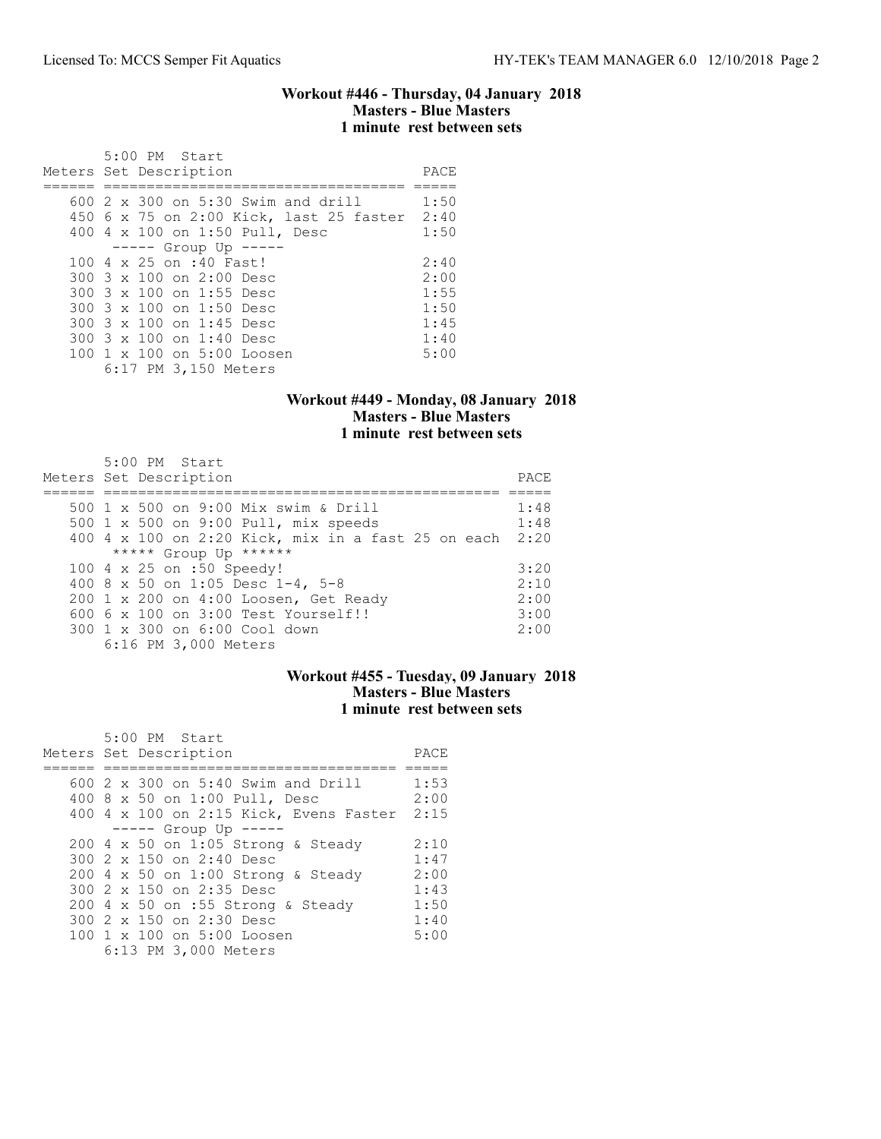### Workout #446 - Thursday, 04 January 2018 Masters - Blue Masters 1 minute rest between sets

|  | 5:00 PM Start                           |      |
|--|-----------------------------------------|------|
|  | Meters Set Description                  | PACE |
|  |                                         |      |
|  | 600 2 x 300 on 5:30 Swim and drill      | 1:50 |
|  | 450 6 x 75 on 2:00 Kick, last 25 faster | 2:40 |
|  | 400 4 x 100 on 1:50 Pull, Desc          | 1:50 |
|  | $--- -$ Group Up $--- -$                |      |
|  | 100 4 x 25 on :40 Fast!                 | 2:40 |
|  | 300 3 x 100 on 2:00 Desc                | 2:00 |
|  | 300 3 x 100 on 1:55 Desc                | 1:55 |
|  | 300 3 x 100 on 1:50 Desc                | 1:50 |
|  | 300 3 x 100 on 1:45 Desc                | 1:45 |
|  | 300 3 x 100 on 1:40 Desc                | 1:40 |
|  | 100 1 x 100 on 5:00 Loosen              | 5:00 |
|  | 6:17 PM 3,150 Meters                    |      |

## Workout #449 - Monday, 08 January 2018 Masters - Blue Masters 1 minute rest between sets

| 5:00 PM Start<br>Meters Set Description                 | PACE. |
|---------------------------------------------------------|-------|
| 500 1 x 500 on 9:00 Mix swim & Drill                    | 1:48  |
| 500 1 x 500 on 9:00 Pull, mix speeds                    | 1:48  |
| 400 4 x 100 on 2:20 Kick, mix in a fast 25 on each 2:20 |       |
| ***** Group Up ******                                   |       |
| 100 4 x 25 on :50 Speedy!                               | 3:20  |
| 400 8 x 50 on 1:05 Desc 1-4, 5-8                        | 2:10  |
| 200 1 x 200 on 4:00 Loosen, Get Ready                   | 2:00  |
| $6006 \times 100$ on $3:00$ Test Yourself!!             | 3:00  |
| 300 1 x 300 on 6:00 Cool down                           | 2:00  |
| 6:16 PM 3,000 Meters                                    |       |

### Workout #455 - Tuesday, 09 January 2018 Masters - Blue Masters 1 minute rest between sets

| 5:00 PM Start                               |      |
|---------------------------------------------|------|
| Meters Set Description                      | PACE |
|                                             |      |
| 600 $2 \times 300$ on $5:40$ Swim and Drill | 1:53 |
| 400 8 x 50 on 1:00 Pull, Desc               | 2:00 |
| 400 4 x 100 on 2:15 Kick, Evens Faster 2:15 |      |
| $--- -$ Group Up $---$                      |      |
| 200 4 x 50 on 1:05 Strong & Steady          | 2:10 |
| 300 2 x 150 on 2:40 Desc                    | 1:47 |
| 200 4 x 50 on 1:00 Strong & Steady          | 2:00 |
| 300 2 x 150 on 2:35 Desc                    | 1:43 |
| $200$ 4 x 50 on :55 Strong & Steady         | 1:50 |
| 300 2 x 150 on 2:30 Desc                    | 1:40 |
| 100 1 x 100 on 5:00 Loosen                  | 5:00 |
| 6:13 PM 3,000 Meters                        |      |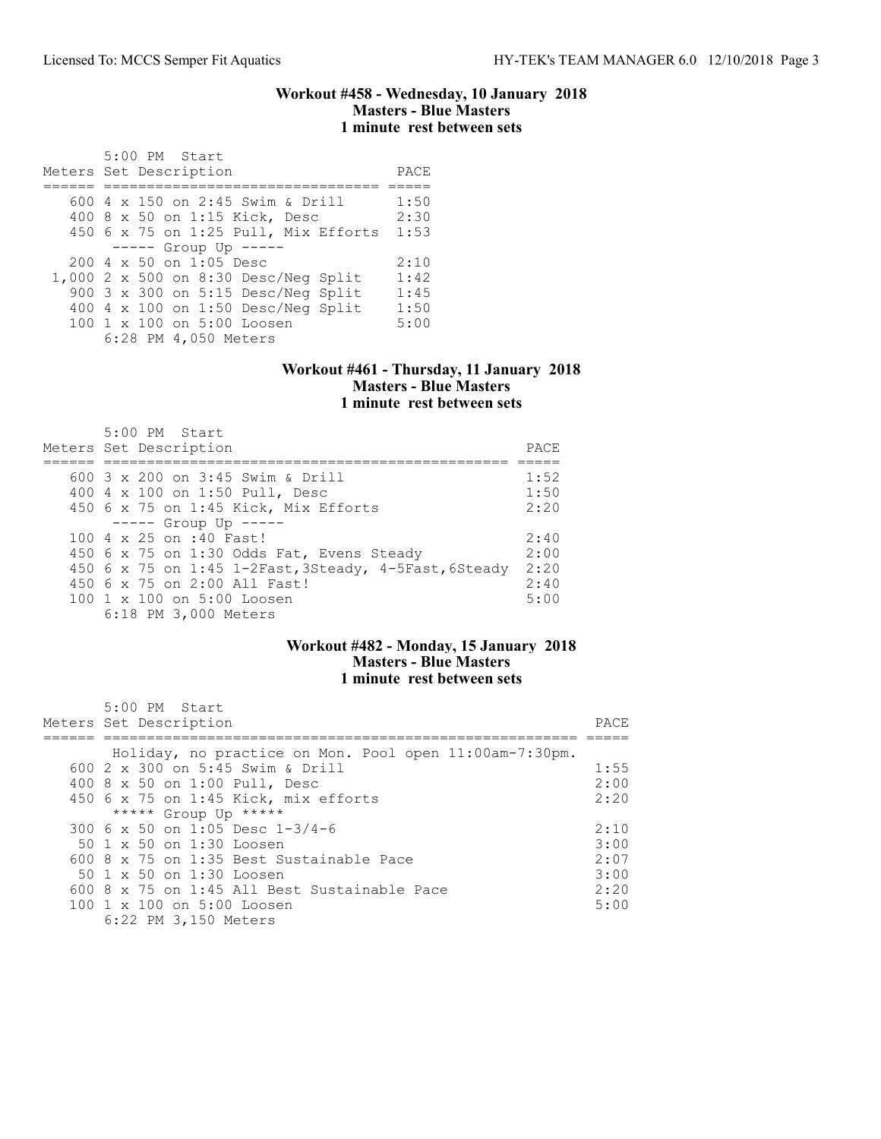#### Workout #458 - Wednesday, 10 January 2018 Masters - Blue Masters 1 minute rest between sets

| 5:00 PM Start<br>Meters Set Description          | PACE |
|--------------------------------------------------|------|
| 600 $4 \times 150$ on 2:45 Swim & Drill          | 1:50 |
| 400 8 x 50 on 1:15 Kick, Desc                    | 2:30 |
| 450 6 x 75 on 1:25 Pull, Mix Efforts             | 1:53 |
| $--- $ Group Up $---$                            |      |
| $200 \text{ } 4 \text{ } \times 50$ on 1:05 Desc | 2:10 |
| 1,000 2 x 500 on 8:30 Desc/Neg Split             | 1:42 |
| 900 3 x 300 on 5:15 Desc/Neg Split               | 1:45 |
| 400 4 x 100 on 1:50 Desc/Neq Split               | 1:50 |
| 100 1 x 100 on 5:00 Loosen                       | 5:00 |
| 6:28 PM 4,050 Meters                             |      |

#### Workout #461 - Thursday, 11 January 2018 Masters - Blue Masters 1 minute rest between sets

| $5:00$ PM Start<br>Meters Set Description             | PACE. |
|-------------------------------------------------------|-------|
| 600 $3 \times 200$ on $3:45$ Swim & Drill             | 1:52  |
| 400 4 x 100 on 1:50 Pull, Desc                        | 1:50  |
| 450 6 x 75 on 1:45 Kick, Mix Efforts                  | 2:20  |
| $---$ Group Up $---$                                  |       |
| 100 4 x 25 on :40 Fast!                               | 2:40  |
| 450 6 x 75 on 1:30 Odds Fat, Evens Steady             | 2:00  |
| 450 6 x 75 on 1:45 1-2Fast, 3Steady, 4-5Fast, 6Steady | 2:20  |
| 450 6 x 75 on 2:00 All Fast!                          | 2:40  |
| 100 1 x 100 on 5:00 Loosen                            | 5:00  |
| 6:18 PM 3,000 Meters                                  |       |

## Workout #482 - Monday, 15 January 2018 Masters - Blue Masters 1 minute rest between sets

| $5:00$ PM Start<br>Meters Set Description              | PACE |
|--------------------------------------------------------|------|
| Holiday, no practice on Mon. Pool open 11:00am-7:30pm. |      |
| 600 2 x 300 on 5:45 Swim & Drill                       | 1:55 |
| 400 8 x 50 on 1:00 Pull, Desc                          | 2:00 |
| 450 6 x 75 on 1:45 Kick, mix efforts                   | 2:20 |
| ***** Group Up *****                                   |      |
| 300 6 x 50 on 1:05 Desc 1-3/4-6                        | 2:10 |
| $50 \t1 x \t50$ on 1:30 Loosen                         | 3:00 |
| $600.8 \times 75$ on 1:35 Best Sustainable Pace        | 2:07 |
| $50 \t1 x 50$ on $1:30$ Loosen                         | 3:00 |
| 600 8 x 75 on 1:45 All Best Sustainable Pace           | 2:20 |
| 100 1 x 100 on 5:00 Loosen                             | 5:00 |
| 6:22 PM 3,150 Meters                                   |      |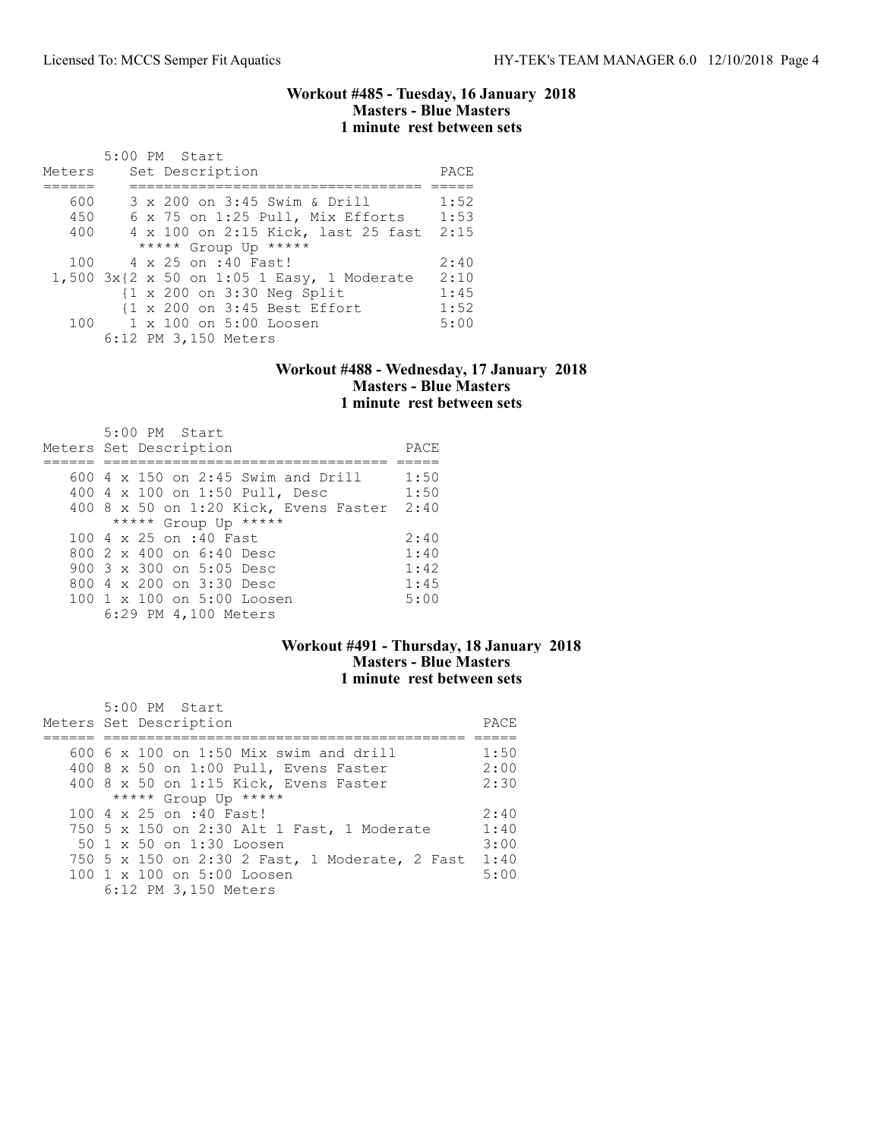#### Workout #485 - Tuesday, 16 January 2018 Masters - Blue Masters 1 minute rest between sets

|        | 5:00 PM Start                                         |      |
|--------|-------------------------------------------------------|------|
| Meters | Set Description                                       | PACE |
|        |                                                       |      |
| 600    | 3 x 200 on 3:45 Swim & Drill                          | 1:52 |
| 450    | 6 x 75 on 1:25 Pull, Mix Efforts                      | 1:53 |
| 400    | 4 x 100 on 2:15 Kick, last 25 fast                    | 2:15 |
|        | ***** Group Up *****                                  |      |
| 100    | 4 x 25 on :40 Fast!                                   | 2:40 |
|        | 1,500 3x{2 x 50 on 1:05 1 Easy, 1 Moderate            | 2:10 |
|        | $\{1 \times 200 \text{ on } 3:30 \text{ Neg Split}\}$ | 1:45 |
|        | {1 x 200 on 3:45 Best Effort                          | 1:52 |
|        | 100 1 x 100 on 5:00 Loosen                            | 5:00 |
|        | 6:12 PM 3,150 Meters                                  |      |

#### Workout #488 - Wednesday, 17 January 2018 Masters - Blue Masters 1 minute rest between sets

| 5:00 PM Start<br>Meters Set Description    | PACE |
|--------------------------------------------|------|
|                                            |      |
| $600$ 4 x 150 on 2:45 Swim and Drill       | 1:50 |
| 400 4 x 100 on 1:50 Pull, Desc             | 1:50 |
| 400 8 x 50 on 1:20 Kick, Evens Faster 2:40 |      |
| ***** Group Up *****                       |      |
| $100.4 \times 25$ on :40 Fast              | 2:40 |
| 800 2 x 400 on 6:40 Desc                   | 1:40 |
| 900 $3 \times 300$ on $5:05$ Desc          | 1:42 |
| 800 $4 \times 200$ on $3:30$ Desc          | 1:45 |
| 100 1 x 100 on 5:00 Loosen                 | 5:00 |
| 6:29 PM 4,100 Meters                       |      |

## Workout #491 - Thursday, 18 January 2018 Masters - Blue Masters 1 minute rest between sets

| 5:00 PM Start<br>Meters Set Description        | PACE |
|------------------------------------------------|------|
|                                                |      |
| $600\,$ 6 x 100 on 1:50 Mix swim and drill     | 1:50 |
| 400 8 x 50 on 1:00 Pull, Evens Faster          | 2:00 |
| 400 8 x 50 on 1:15 Kick, Evens Faster          | 2:30 |
| ***** Group Up *****                           |      |
| 100 4 x 25 on :40 Fast!                        | 2:40 |
| 750 5 x 150 on 2:30 Alt 1 Fast, 1 Moderate     | 1:40 |
| 50 1 x 50 on 1:30 Loosen                       | 3:00 |
| 750 5 x 150 on 2:30 2 Fast, 1 Moderate, 2 Fast | 1:40 |
| $100 \t1 x 100$ on $5:00$ Loosen               | 5:00 |
| 6:12 PM 3,150 Meters                           |      |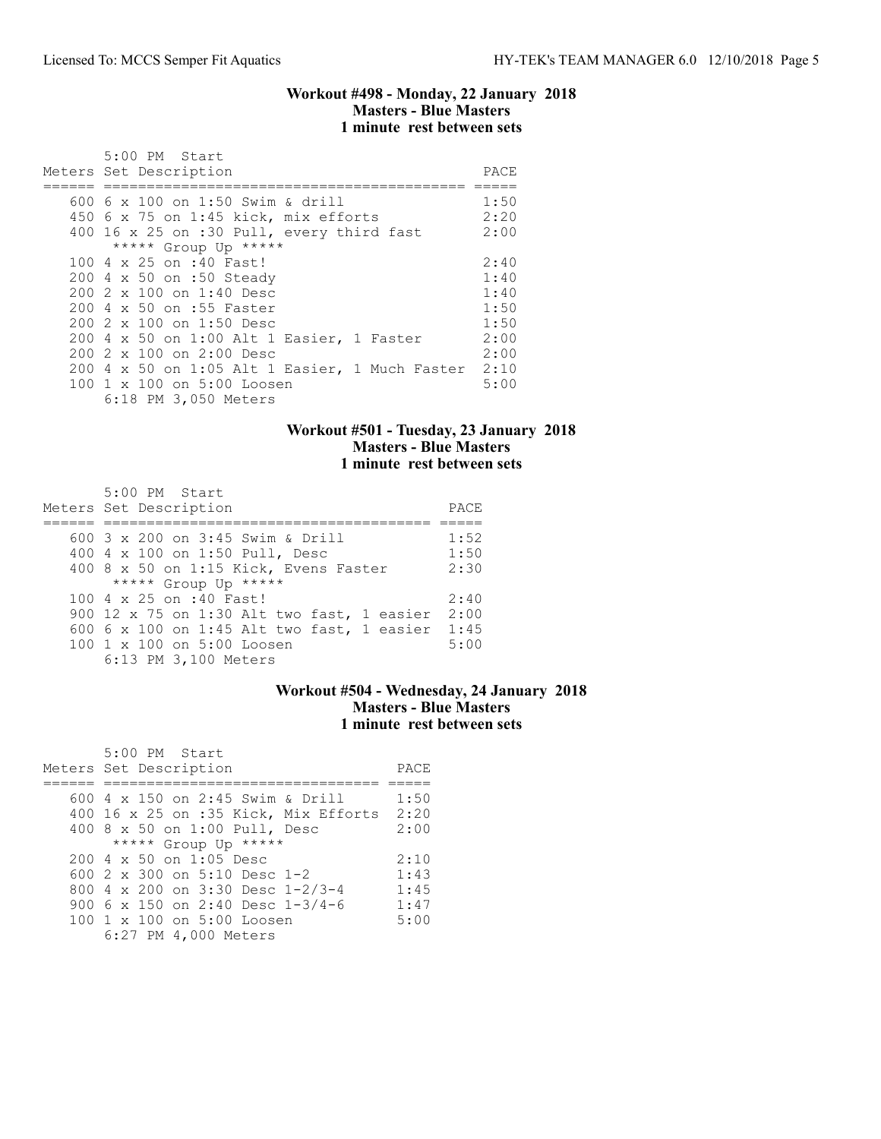#### Workout #498 - Monday, 22 January 2018 Masters - Blue Masters 1 minute rest between sets

| 5:00 PM Start<br>Meters Set Description        |      |  |  |  |  |  |  |  |
|------------------------------------------------|------|--|--|--|--|--|--|--|
| 600 6 x 100 on 1:50 Swim & drill               |      |  |  |  |  |  |  |  |
| 450 6 x 75 on 1:45 kick, mix efforts           | 2:20 |  |  |  |  |  |  |  |
| 400 16 x 25 on :30 Pull, every third fast      | 2:00 |  |  |  |  |  |  |  |
| ***** Group Up *****                           |      |  |  |  |  |  |  |  |
| 100 4 x 25 on :40 Fast!                        | 2:40 |  |  |  |  |  |  |  |
| 200 4 x 50 on :50 Steady                       | 1:40 |  |  |  |  |  |  |  |
| 200 2 x 100 on 1:40 Desc                       | 1:40 |  |  |  |  |  |  |  |
| 200 4 x 50 on :55 Faster                       | 1:50 |  |  |  |  |  |  |  |
| 200 2 x 100 on 1:50 Desc                       | 1:50 |  |  |  |  |  |  |  |
| 200 4 x 50 on 1:00 Alt 1 Easier, 1 Faster      | 2:00 |  |  |  |  |  |  |  |
| 200 2 x 100 on 2:00 Desc                       | 2:00 |  |  |  |  |  |  |  |
| 200 4 x 50 on 1:05 Alt 1 Easier, 1 Much Faster | 2:10 |  |  |  |  |  |  |  |
| 100 1 x 100 on 5:00 Loosen                     | 5:00 |  |  |  |  |  |  |  |
| 6:18 PM 3,050 Meters                           |      |  |  |  |  |  |  |  |

### Workout #501 - Tuesday, 23 January 2018 Masters - Blue Masters 1 minute rest between sets

| 5:00 PM Start                              |      |
|--------------------------------------------|------|
| Meters Set Description                     | PACE |
|                                            |      |
| 600 3 x 200 on 3:45 Swim & Drill           | 1:52 |
| 400 4 x 100 on 1:50 Pull, Desc             | 1:50 |
| 400 8 x 50 on 1:15 Kick, Evens Faster      | 2:30 |
| ***** Group Up *****                       |      |
| 100 4 x 25 on :40 Fast!                    | 2:40 |
| 900 12 x 75 on 1:30 Alt two fast, 1 easier | 2:00 |
| 600 6 x 100 on 1:45 Alt two fast, 1 easier | 1:45 |
| 100 1 x 100 on 5:00 Loosen                 | 5:00 |
| 6:13 PM 3,100 Meters                       |      |

## Workout #504 - Wednesday, 24 January 2018 Masters - Blue Masters 1 minute rest between sets

| 5:00 PM Start<br>Meters Set Description | PACE |
|-----------------------------------------|------|
|                                         |      |
| 600 4 x 150 on 2:45 Swim & Drill        | 1:50 |
| $400$ 16 x 25 on :35 Kick, Mix Efforts  | 2:20 |
| 400 8 x 50 on 1:00 Pull, Desc           | 2:00 |
| ***** Group Up *****                    |      |
| $2004 \times 50$ on 1:05 Desc           | 2:10 |
| 600 2 x 300 on 5:10 Desc 1-2            | 1:43 |
| 800 4 x 200 on 3:30 Desc 1-2/3-4        | 1:45 |
| 900 6 x 150 on 2:40 Desc $1-3/4-6$      | 1:47 |
| 100 1 x 100 on 5:00 Loosen              | 5:00 |
| 6:27 PM 4,000 Meters                    |      |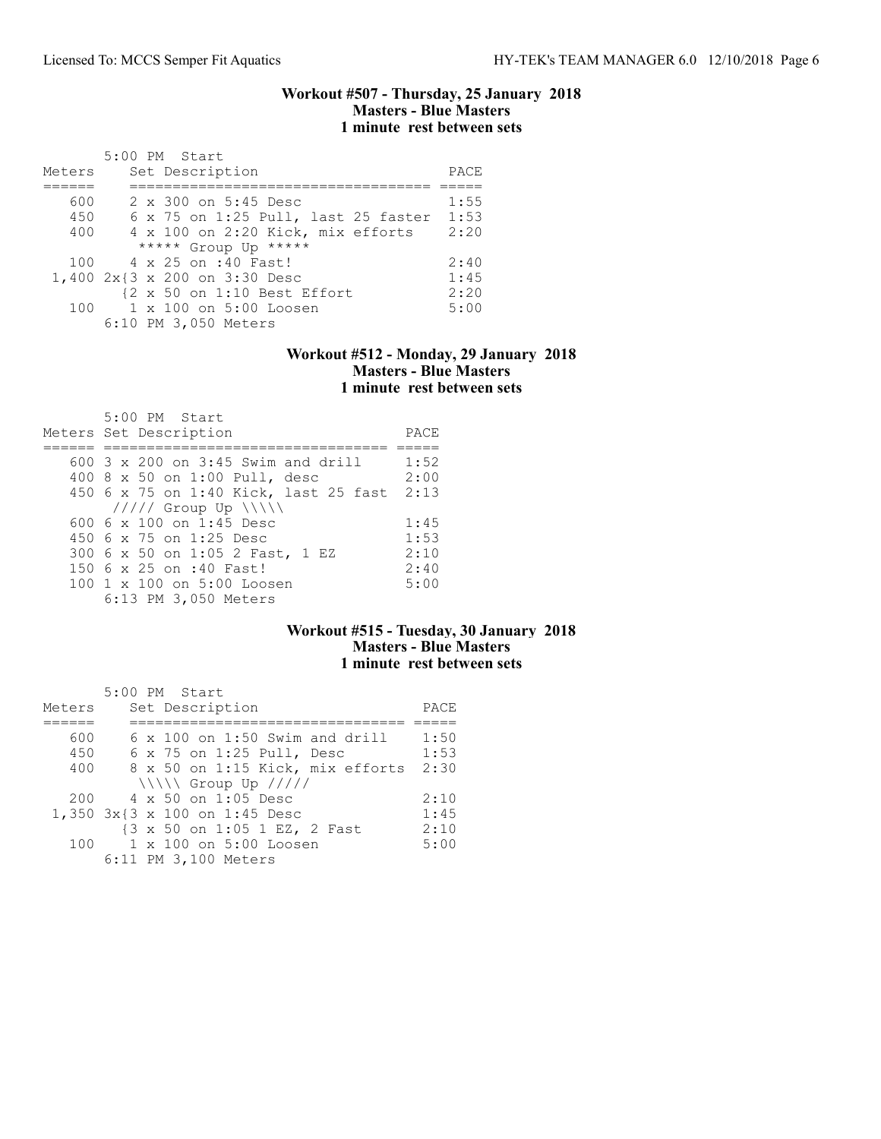#### Workout #507 - Thursday, 25 January 2018 Masters - Blue Masters 1 minute rest between sets

| Meters | $5:00$ PM Start<br>Set Description  | PACE |
|--------|-------------------------------------|------|
|        |                                     |      |
| 600    | 2 x 300 on 5:45 Desc                | 1:55 |
| 450    | 6 x 75 on 1:25 Pull, last 25 faster | 1:53 |
| 400    | 4 x 100 on 2:20 Kick, mix efforts   | 2:20 |
|        | ***** Group Up *****                |      |
| 100    | 4 x 25 on :40 Fast!                 | 2:40 |
|        | 1,400 2x{3 x 200 on 3:30 Desc       | 1:45 |
|        | {2 x 50 on 1:10 Best Effort         | 2:20 |
| 100    | 1 x 100 on 5:00 Loosen              | 5:00 |
|        | 6:10 PM 3,050 Meters                |      |

## Workout #512 - Monday, 29 January 2018 Masters - Blue Masters 1 minute rest between sets

| 5:00 PM Start<br>Meters Set Description | PACE |
|-----------------------------------------|------|
|                                         |      |
| $600$ 3 x 200 on 3:45 Swim and drill    | 1:52 |
| 400 8 x 50 on 1:00 Pull, desc           | 2:00 |
| 450 6 x 75 on 1:40 Kick, last 25 fast   | 2:13 |
| $11111$ Group Up $\{\{\}\}\$            |      |
| 600 6 $\times$ 100 on 1:45 Desc         | 1:45 |
| 450 6 x 75 on 1:25 Desc                 | 1:53 |
| 300 6 x 50 on 1:05 2 Fast, 1 EZ         | 2:10 |
| 150 6 x 25 on :40 Fast!                 | 2:40 |
| 100 1 x 100 on 5:00 Loosen              | 5:00 |
| 6:13 PM 3,050 Meters                    |      |

## Workout #515 - Tuesday, 30 January 2018 Masters - Blue Masters 1 minute rest between sets

|        | 5:00 PM Start                         |      |
|--------|---------------------------------------|------|
| Meters | Set Description                       | PACE |
|        |                                       |      |
| 600    | $6 \times 100$ on 1:50 Swim and drill | 1:50 |
| 450    | 6 x 75 on 1:25 Pull, Desc             | 1:53 |
| 400    | 8 x 50 on 1:15 Kick, mix efforts      | 2:30 |
|        | $\ \ \ \ $ Group Up /////             |      |
| 200    | 4 x 50 on 1:05 Desc                   | 2:10 |
|        | 1,350 3x{3 x 100 on 1:45 Desc         | 1:45 |
|        | {3 x 50 on 1:05 1 EZ, 2 Fast          | 2:10 |
| 100    | 1 x 100 on 5:00 Loosen                | 5:00 |
|        | 6:11 PM 3,100 Meters                  |      |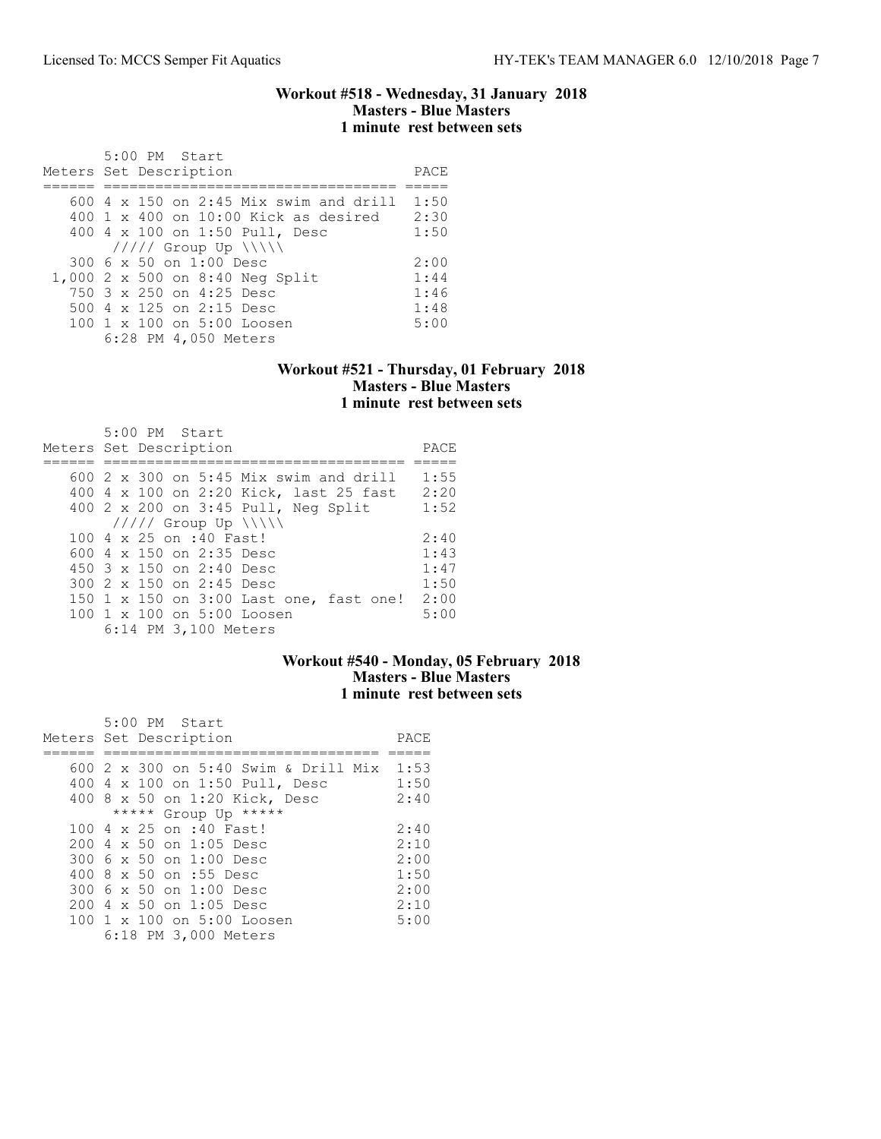#### Workout #518 - Wednesday, 31 January 2018 Masters - Blue Masters 1 minute rest between sets

| 5:00 PM Start<br>Meters Set Description       | PACE |
|-----------------------------------------------|------|
|                                               |      |
| 600 $4 \times 150$ on 2:45 Mix swim and drill | 1:50 |
| $400 \t1 x 400$ on $10:00$ Kick as desired    | 2:30 |
| 400 4 x 100 on 1:50 Pull, Desc                | 1:50 |
| $11111$ Group Up $\ \ $                       |      |
| 300 6 x 50 on 1:00 Desc                       | 2:00 |
| 1,000 2 x 500 on 8:40 Neg Split               | 1:44 |
| 750 3 x 250 on 4:25 Desc                      | 1:46 |
| 500 4 x 125 on 2:15 Desc                      | 1:48 |
| $100 \t1 x 100$ on $5:00$ Loosen              | 5:00 |
| 6:28 PM 4,050 Meters                          |      |

#### Workout #521 - Thursday, 01 February 2018 Masters - Blue Masters 1 minute rest between sets

| $5:00$ PM Start<br>Meters Set Description         | PACE |
|---------------------------------------------------|------|
| $600\,$ 2 $\times$ 300 on 5:45 Mix swim and drill | 1:55 |
|                                                   |      |
| 400 4 x 100 on 2:20 Kick, last 25 fast            | 2:20 |
| 400 2 x 200 on 3:45 Pull, Neg Split               | 1:52 |
| $11111$ Group Up $\{\{\}\}\$                      |      |
| 100 4 x 25 on :40 Fast!                           | 2:40 |
| 600 4 x 150 on 2:35 Desc                          | 1:43 |
| 450 $3 \times 150$ on 2:40 Desc                   | 1:47 |
| 300 2 x 150 on 2:45 Desc                          | 1:50 |
| 150 1 x 150 on 3:00 Last one, fast one!           | 2:00 |
| 100 1 x 100 on 5:00 Loosen                        | 5:00 |
| 6:14 PM 3,100 Meters                              |      |

## Workout #540 - Monday, 05 February 2018 Masters - Blue Masters 1 minute rest between sets

| $5:00$ PM Start                                  |      |
|--------------------------------------------------|------|
| Meters Set Description                           | PACE |
|                                                  |      |
| 600 2 x 300 on 5:40 Swim & Drill Mix 1:53        |      |
| 400 4 x 100 on 1:50 Pull, Desc                   | 1:50 |
| 400 8 x 50 on 1:20 Kick, Desc                    | 2:40 |
| ***** Group Up *****                             |      |
| 100 4 x 25 on :40 Fast!                          | 2:40 |
| $200 \text{ } 4 \text{ } \times 50$ on 1:05 Desc | 2:10 |
| 300 6 x 50 on 1:00 Desc                          | 2:00 |
| 400 8 x 50 on :55 Desc                           | 1:50 |
| 300 6 x 50 on 1:00 Desc                          | 2:00 |
| $200 \text{ } 4 \text{ } \times 50$ on 1:05 Desc | 2:10 |
| 100 1 x 100 on 5:00 Loosen                       | 5:00 |
| 6:18 PM 3,000 Meters                             |      |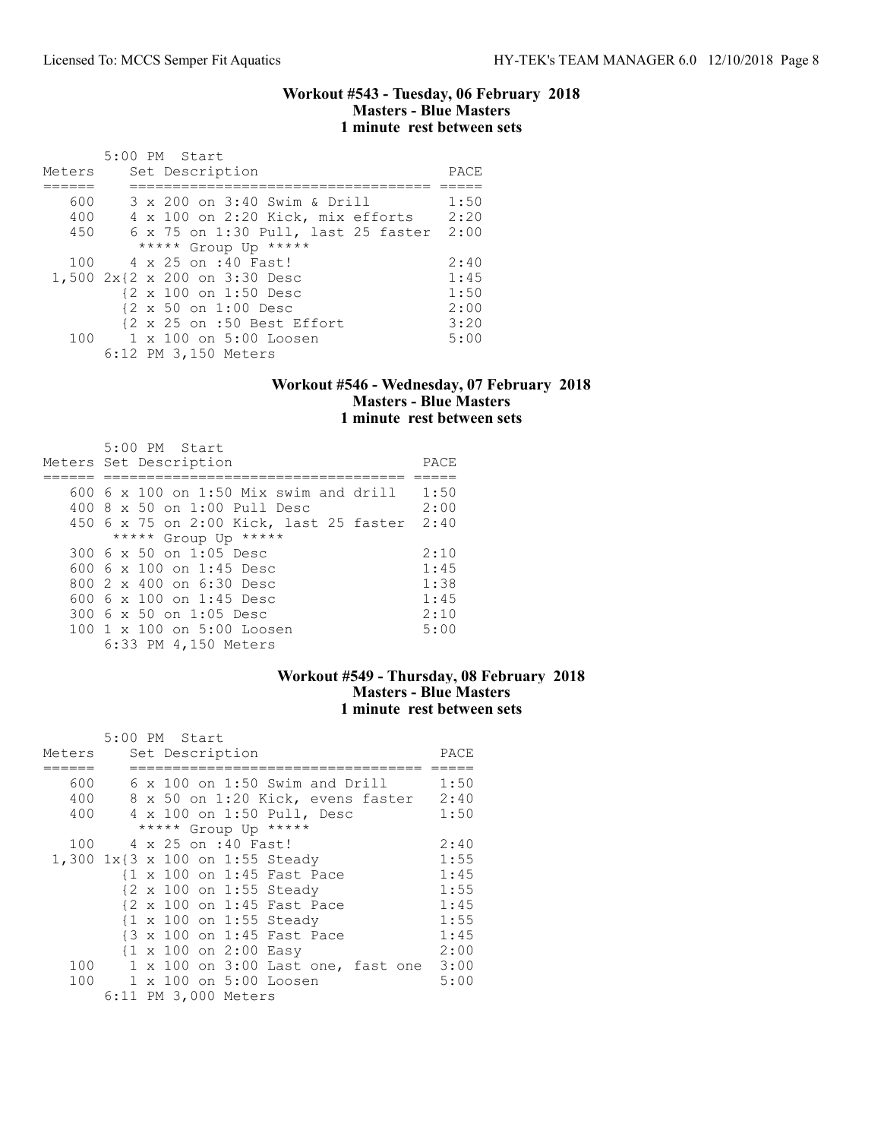#### Workout #543 - Tuesday, 06 February 2018 Masters - Blue Masters 1 minute rest between sets

|        | 5:00 PM Start                            |      |
|--------|------------------------------------------|------|
| Meters | Set Description                          | PACE |
|        |                                          |      |
| 600    | 3 x 200 on 3:40 Swim & Drill             | 1:50 |
| 400    | 4 x 100 on 2:20 Kick, mix efforts        | 2:20 |
| 450    | 6 x 75 on 1:30 Pull, last 25 faster 2:00 |      |
|        | ***** Group Up *****                     |      |
| 100    | 4 x 25 on :40 Fast!                      | 2:40 |
|        | 1,500 2x{2 x 200 on 3:30 Desc            | 1:45 |
|        | {2 x 100 on 1:50 Desc                    | 1:50 |
|        | {2 x 50 on 1:00 Desc                     | 2:00 |
|        | {2 x 25 on :50 Best Effort               | 3:20 |
|        | 100 1 x 100 on 5:00 Loosen               | 5:00 |
|        | 6:12 PM 3,150 Meters                     |      |

### Workout #546 - Wednesday, 07 February 2018 Masters - Blue Masters 1 minute rest between sets

| $5:00$ PM Start<br>Meters Set Description     | PACE |
|-----------------------------------------------|------|
| 600 $6 \times 100$ on 1:50 Mix swim and drill | 1:50 |
| 400 8 x 50 on 1:00 Pull Desc                  | 2:00 |
| 450 6 x 75 on 2:00 Kick, last 25 faster       | 2:40 |
| ***** Group Up *****                          |      |
| 300 6 x 50 on 1:05 Desc                       | 2:10 |
| 600 6 x 100 on 1:45 Desc                      | 1:45 |
| $8002 \times 400$ on $6:30$ Desc              | 1:38 |
| 600 6 $\times$ 100 on 1:45 Desc               | 1:45 |
| 300 6 x 50 on 1:05 Desc                       | 2:10 |
| 100 1 x 100 on 5:00 Loosen                    | 5:00 |
| 6:33 PM 4,150 Meters                          |      |

### Workout #549 - Thursday, 08 February 2018 Masters - Blue Masters 1 minute rest between sets

|                                 | 5:00 PM Start |  |                                                  |  |                                         |      |
|---------------------------------|---------------|--|--------------------------------------------------|--|-----------------------------------------|------|
| Meters                          |               |  | Set Description                                  |  |                                         | PACE |
|                                 |               |  |                                                  |  |                                         |      |
| 600                             |               |  | $6 \times 100$ on 1:50 Swim and Drill            |  |                                         | 1:50 |
| 400                             |               |  |                                                  |  | 8 x 50 on 1:20 Kick, evens faster 2:40  |      |
| 400                             |               |  | 4 x 100 on 1:50 Pull, Desc                       |  |                                         | 1:50 |
|                                 |               |  | ***** Group Up *****                             |  |                                         |      |
| 100                             |               |  | 4 x 25 on :40 Fast!                              |  |                                         | 2:40 |
| 1,300 1x{3 x 100 on 1:55 Steady |               |  |                                                  |  |                                         | 1:55 |
|                                 |               |  | {1 x 100 on 1:45 Fast Pace                       |  |                                         | 1:45 |
|                                 |               |  | {2 x 100 on 1:55 Steady                          |  |                                         | 1:55 |
|                                 |               |  | {2 x 100 on 1:45 Fast Pace                       |  |                                         | 1:45 |
|                                 |               |  | {1 x 100 on 1:55 Steady                          |  |                                         | 1:55 |
|                                 |               |  | {3 x 100 on 1:45 Fast Pace                       |  |                                         | 1:45 |
|                                 |               |  | $\{1 \times 100 \text{ on } 2:00 \text{ Easy}\}$ |  |                                         | 2:00 |
| 100                             |               |  |                                                  |  | 1 x 100 on 3:00 Last one, fast one 3:00 |      |
| 100                             |               |  | 1 x 100 on 5:00 Loosen                           |  |                                         | 5:00 |
|                                 |               |  | 6:11 PM 3,000 Meters                             |  |                                         |      |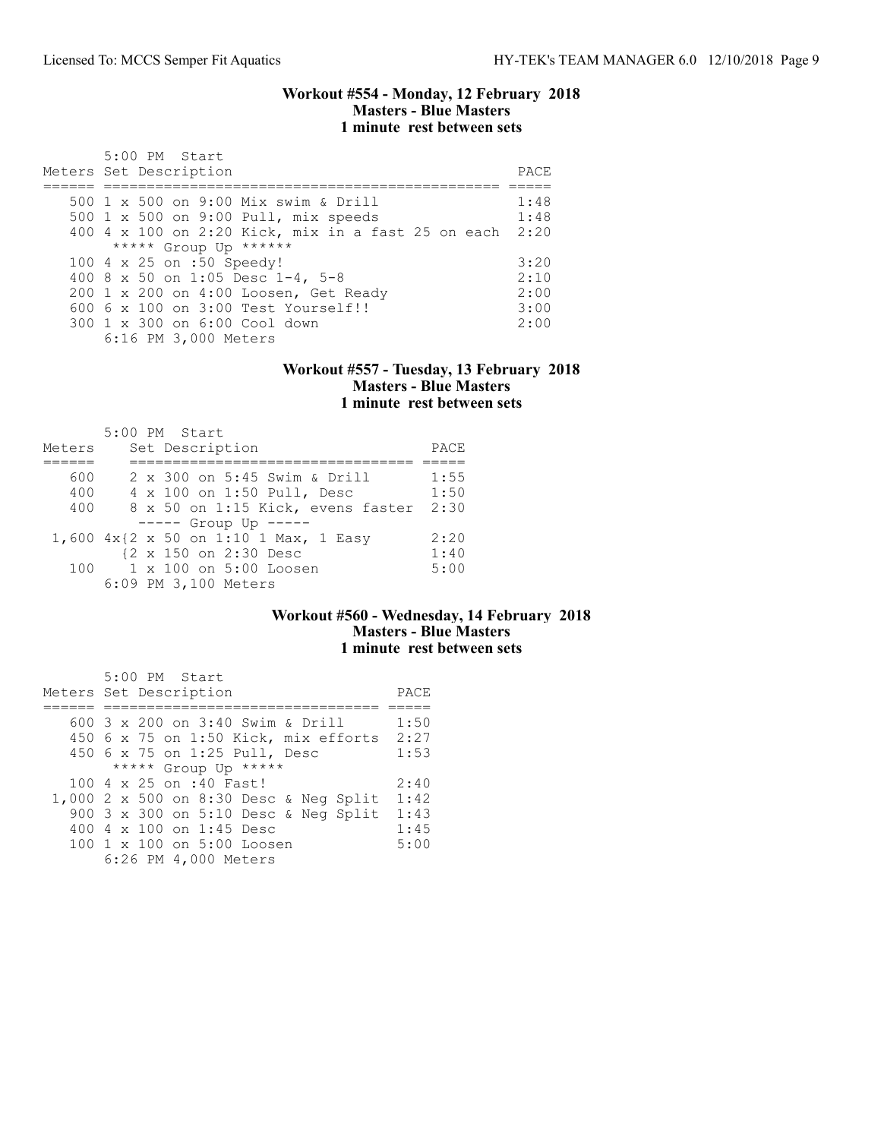#### Workout #554 - Monday, 12 February 2018 Masters - Blue Masters 1 minute rest between sets

| $5:00$ PM Start<br>Meters Set Description               | PACE |
|---------------------------------------------------------|------|
| 500 1 x 500 on 9:00 Mix swim & Drill                    | 1:48 |
| 500 1 x 500 on 9:00 Pull, mix speeds                    | 1:48 |
| 400 4 x 100 on 2:20 Kick, mix in a fast 25 on each 2:20 |      |
| ***** Group Up ******                                   |      |
| 100 4 x 25 on :50 Speedy!                               | 3:20 |
| 400 8 x 50 on 1:05 Desc 1-4, 5-8                        | 2:10 |
| 200 1 x 200 on 4:00 Loosen, Get Ready                   | 2:00 |
| $6006 \times 100$ on $3:00$ Test Yourself!!             | 3:00 |
| 300 1 x 300 on 6:00 Cool down                           | 2:00 |
| 6:16 PM 3,000 Meters                                    |      |

#### Workout #557 - Tuesday, 13 February 2018 Masters - Blue Masters 1 minute rest between sets

|        |  | 5:00 PM Start                         |      |
|--------|--|---------------------------------------|------|
| Meters |  | Set Description                       | PACE |
|        |  |                                       |      |
| 600    |  | 2 x 300 on 5:45 Swim & Drill          | 1:55 |
| 400    |  | 4 x 100 on 1:50 Pull, Desc            | 1:50 |
| 400    |  | 8 x 50 on 1:15 Kick, evens faster     | 2:30 |
|        |  | ----- Group Up -----                  |      |
|        |  | 1,600 4x{2 x 50 on 1:10 1 Max, 1 Easy | 2:20 |
|        |  | {2 x 150 on 2:30 Desc                 | 1:40 |
| 100    |  | 1 x 100 on 5:00 Loosen                | 5:00 |
|        |  | 6:09 PM 3,100 Meters                  |      |

## Workout #560 - Wednesday, 14 February 2018 Masters - Blue Masters 1 minute rest between sets

| 5:00 PM Start                          |      |
|----------------------------------------|------|
| Meters Set Description                 | PACE |
|                                        |      |
| 600 3 x 200 on 3:40 Swim & Drill       | 1:50 |
| $450$ 6 x 75 on 1:50 Kick, mix efforts | 2:27 |
| 450 6 x 75 on 1:25 Pull, Desc          | 1:53 |
| ***** Group Up *****                   |      |
| 100 4 x 25 on :40 Fast!                | 2:40 |
| 1,000 2 x 500 on 8:30 Desc & Neg Split | 1:42 |
| 900 3 x 300 on 5:10 Desc & Neg Split   | 1:43 |
| 400 4 x 100 on 1:45 Desc               | 1:45 |
| 100 1 x 100 on 5:00 Loosen             | 5:00 |
| 6:26 PM 4,000 Meters                   |      |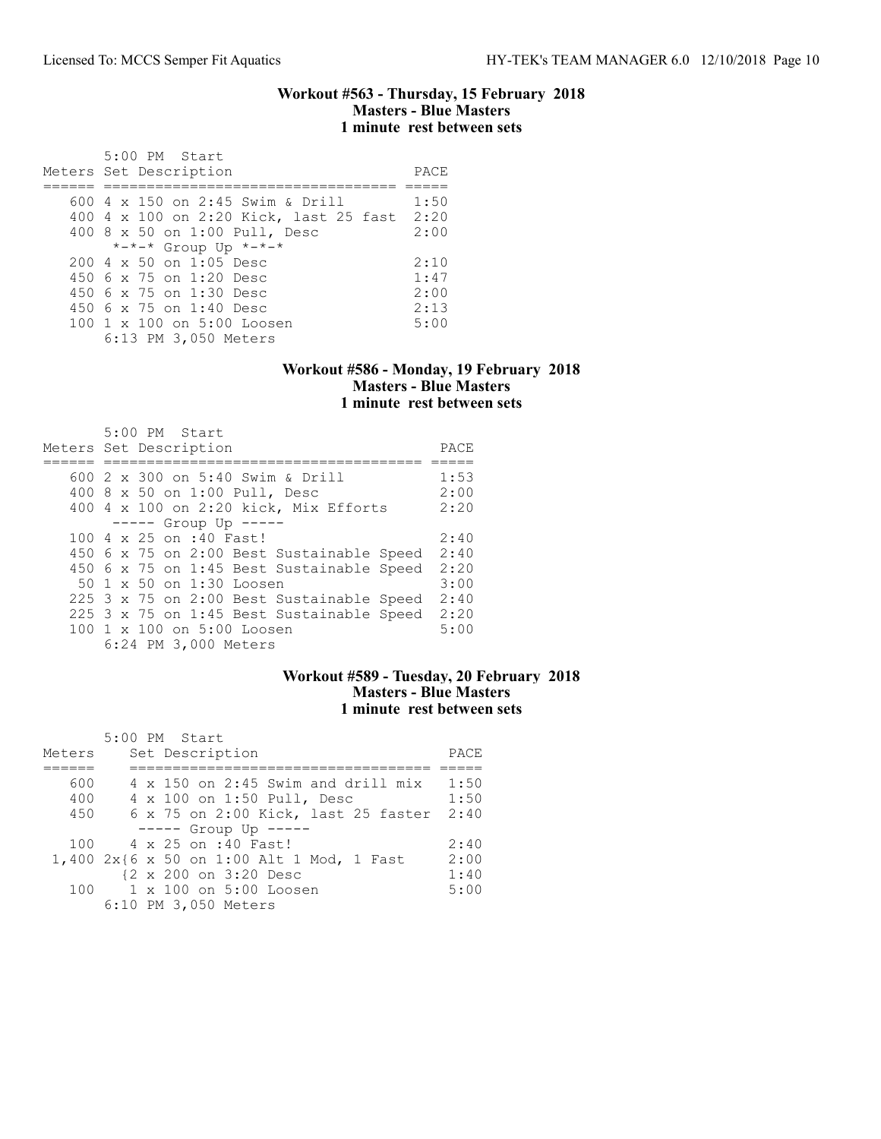#### Workout #563 - Thursday, 15 February 2018 Masters - Blue Masters 1 minute rest between sets

| $5:00$ PM Start<br>Meters Set Description        | PACE |
|--------------------------------------------------|------|
| 600 4 x 150 on 2:45 Swim & Drill                 | 1:50 |
| 400 4 x 100 on 2:20 Kick, last 25 fast           | 2:20 |
| 400 8 x 50 on 1:00 Pull, Desc                    | 2:00 |
| *-*-* Group Up *-*-*                             |      |
| $200 \text{ } 4 \text{ } \times 50$ on 1:05 Desc | 2:10 |
| 450 6 x 75 on 1:20 Desc                          | 1:47 |
| 450 6 x 75 on 1:30 Desc                          | 2:00 |
| $450.6 \times 75$ on 1:40 Desc                   | 2:13 |
| 100 1 x 100 on 5:00 Loosen                       | 5:00 |
| 6:13 PM 3,050 Meters                             |      |

#### Workout #586 - Monday, 19 February 2018 Masters - Blue Masters 1 minute rest between sets

| 5:00 PM Start<br>Meters Set Description   | PACE |
|-------------------------------------------|------|
|                                           |      |
| 600 2 x 300 on 5:40 Swim & Drill          | 1:53 |
|                                           |      |
| 400 8 x 50 on 1:00 Pull, Desc             | 2:00 |
| 400 4 x 100 on 2:20 kick, Mix Efforts     | 2:20 |
| $--- -$ Group Up $--- -$                  |      |
| 100 4 x 25 on :40 Fast!                   | 2:40 |
| 450 6 x 75 on 2:00 Best Sustainable Speed | 2:40 |
| 450 6 x 75 on 1:45 Best Sustainable Speed | 2:20 |
| 50 1 x 50 on 1:30 Loosen                  | 3:00 |
| 225 3 x 75 on 2:00 Best Sustainable Speed | 2:40 |
| 225 3 x 75 on 1:45 Best Sustainable Speed | 2:20 |
| 100 1 x 100 on 5:00 Loosen                | 5:00 |
| 6:24 PM 3,000 Meters                      |      |

### Workout #589 - Tuesday, 20 February 2018 Masters - Blue Masters 1 minute rest between sets

|        | 5:00 PM Start                             |      |
|--------|-------------------------------------------|------|
| Meters | Set Description                           | PACE |
|        |                                           |      |
| 600    | $4 \times 150$ on 2:45 Swim and drill mix | 1:50 |
| 400    | 4 x 100 on 1:50 Pull, Desc                | 1:50 |
| 450    | 6 x 75 on 2:00 Kick, last 25 faster       | 2:40 |
|        | $--- $ Group Up $---$                     |      |
| 100    | 4 x 25 on :40 Fast!                       | 2:40 |
|        | 1,400 2x{6 x 50 on 1:00 Alt 1 Mod, 1 Fast | 2:00 |
|        | {2 x 200 on 3:20 Desc                     | 1:40 |
| 100    | $1 \times 100$ on $5:00$ Loosen           | 5:00 |
|        | 6:10 PM 3,050 Meters                      |      |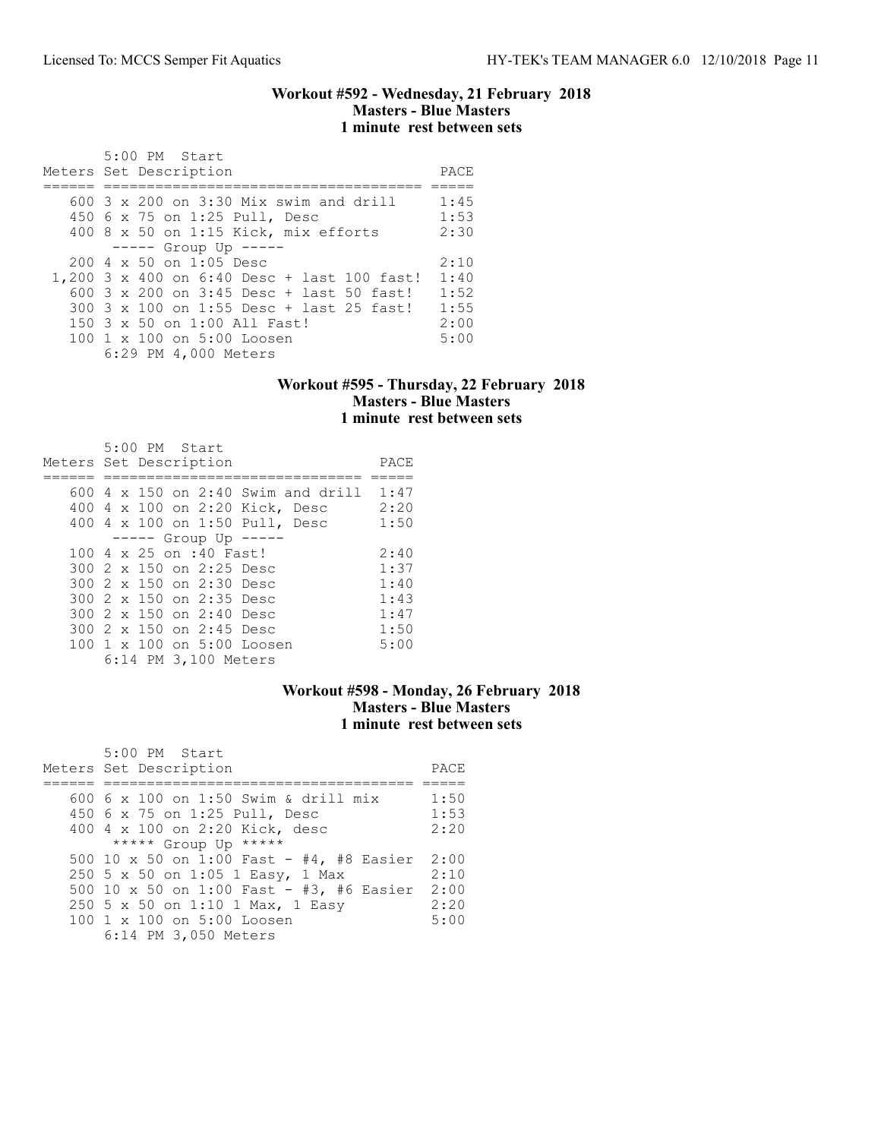### Workout #592 - Wednesday, 21 February 2018 Masters - Blue Masters 1 minute rest between sets

| 5:00 PM Start<br>Meters Set Description          | PACE |
|--------------------------------------------------|------|
|                                                  |      |
| $600.3 \times 200$ on 3:30 Mix swim and drill    | 1:45 |
| 450 6 x 75 on 1:25 Pull, Desc                    | 1:53 |
| 400 8 x 50 on 1:15 Kick, mix efforts             | 2:30 |
| $--- -$ Group Up $--- -$                         |      |
| $200 \text{ } 4 \text{ } \times 50$ on 1:05 Desc | 2:10 |
| 1,200 3 x 400 on 6:40 Desc + last 100 fast!      | 1:40 |
| 600 3 x 200 on 3:45 Desc + last 50 fast!         | 1:52 |
| 300 3 x 100 on 1:55 Desc + last 25 fast!         | 1:55 |
| 150 3 x 50 on 1:00 All Fast!                     | 2:00 |
| 100 1 x 100 on 5:00 Loosen                       | 5:00 |
| 6:29 PM 4,000 Meters                             |      |

### Workout #595 - Thursday, 22 February 2018 Masters - Blue Masters 1 minute rest between sets

| 5:00 PM Start<br>Meters Set Description | PACE |
|-----------------------------------------|------|
| $600$ 4 x 150 on 2:40 Swim and drill    | 1:47 |
|                                         |      |
| 400 4 x 100 on 2:20 Kick, Desc          | 2:20 |
| 400 4 x 100 on 1:50 Pull, Desc          | 1:50 |
| $--- $ Group Up $---$                   |      |
| 100 4 x 25 on :40 Fast!                 | 2:40 |
| 300 2 x 150 on 2:25 Desc                | 1:37 |
| 300 2 x 150 on 2:30 Desc                | 1:40 |
| 300 2 x 150 on 2:35 Desc                | 1:43 |
| 300 2 x 150 on 2:40 Desc                | 1:47 |
| 300 2 x 150 on 2:45 Desc                | 1:50 |
| 100 1 x 100 on 5:00 Loosen              | 5:00 |
| 6:14 PM 3,100 Meters                    |      |

### Workout #598 - Monday, 26 February 2018 Masters - Blue Masters 1 minute rest between sets

| 5:00 PM Start<br>Meters Set Description  | PACE |
|------------------------------------------|------|
|                                          |      |
| 600 6 x 100 on 1:50 Swim & drill mix     | 1:50 |
| 450 6 x 75 on 1:25 Pull, Desc            | 1:53 |
| 400 4 x 100 on 2:20 Kick, desc           | 2:20 |
| ***** Group Up *****                     |      |
| 500 10 x 50 on 1:00 Fast - #4, #8 Easier | 2:00 |
| 250 5 x 50 on 1:05 1 Easy, 1 Max         | 2:10 |
| 500 10 x 50 on 1:00 Fast - #3, #6 Easier | 2:00 |
| 250 5 x 50 on 1:10 1 Max, 1 Easy         | 2:20 |
| 100 1 x 100 on 5:00 Loosen               | 5:00 |
| 6:14 PM 3,050 Meters                     |      |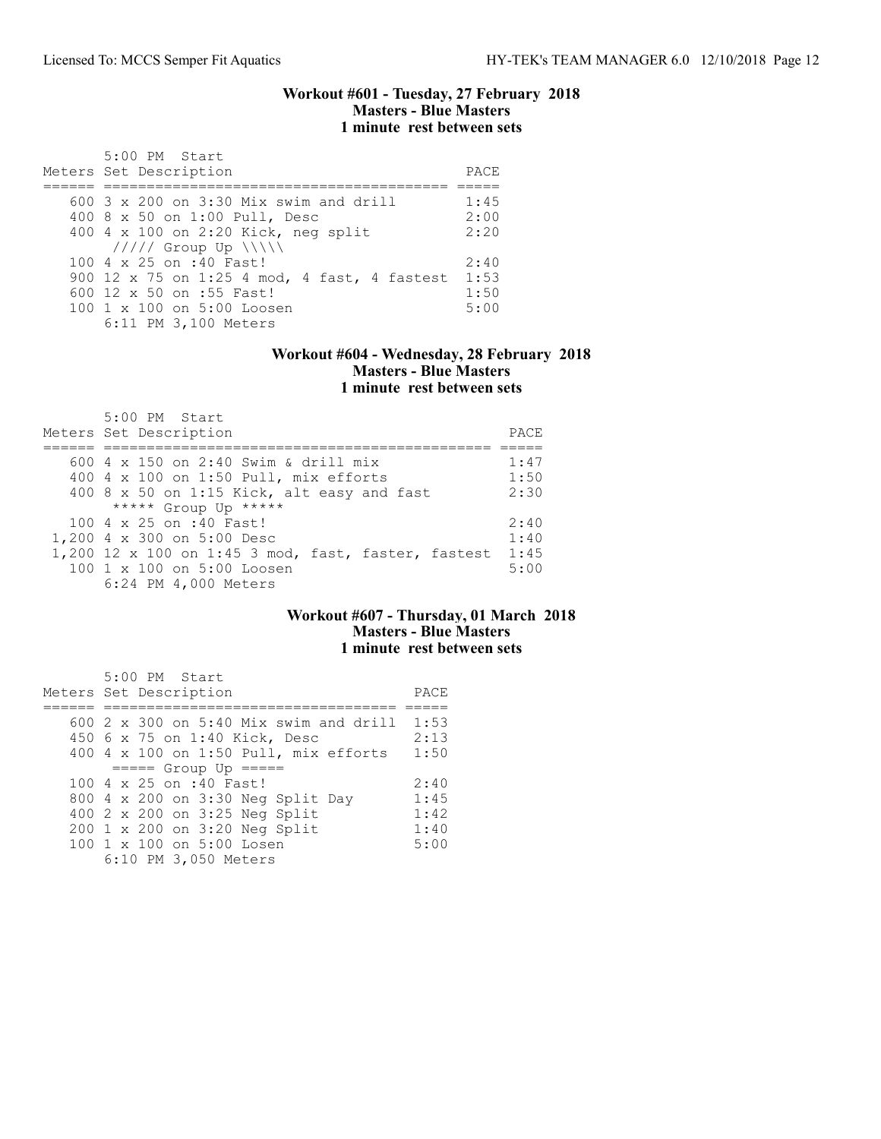#### Workout #601 - Tuesday, 27 February 2018 Masters - Blue Masters 1 minute rest between sets

| $5:00$ PM Start<br>Meters Set Description                                                                                                                                           | PACE                         |
|-------------------------------------------------------------------------------------------------------------------------------------------------------------------------------------|------------------------------|
| $600$ 3 x 200 on 3:30 Mix swim and drill<br>400 8 x 50 on 1:00 Pull, Desc<br>400 4 x 100 on 2:20 Kick, neg split                                                                    | 1:45<br>2:00<br>2:20         |
| $11111$ Group Up $\N\$<br>100 4 x 25 on :40 Fast!<br>900 12 x 75 on 1:25 4 mod, 4 fast, 4 fastest<br>600 12 x 50 on :55 Fast!<br>100 1 x 100 on 5:00 Loosen<br>6:11 PM 3,100 Meters | 2:40<br>1:53<br>1:50<br>5:00 |

### Workout #604 - Wednesday, 28 February 2018 Masters - Blue Masters 1 minute rest between sets

| 5:00 PM Start<br>Meters Set Description               | PACE |
|-------------------------------------------------------|------|
| 600 4 x 150 on 2:40 Swim & drill mix                  | 1:47 |
|                                                       |      |
| 400 4 x 100 on 1:50 Pull, mix efforts                 | 1:50 |
| 400 8 x 50 on 1:15 Kick, alt easy and fast            | 2:30 |
| ***** Group Up *****                                  |      |
| 100 4 x 25 on :40 Fast!                               | 2:40 |
| 1,200 4 x 300 on 5:00 Desc                            | 1:40 |
| $1,200$ 12 x 100 on 1:45 3 mod, fast, faster, fastest | 1:45 |
| 100 1 x 100 on 5:00 Loosen                            | 5:00 |
| 6:24 PM 4,000 Meters                                  |      |

## Workout #607 - Thursday, 01 March 2018 Masters - Blue Masters 1 minute rest between sets

| 5:00 PM Start                            |      |
|------------------------------------------|------|
| Meters Set Description                   | PACE |
|                                          |      |
| $600$ 2 x 300 on 5:40 Mix swim and drill | 1:53 |
| 450 6 x 75 on 1:40 Kick, Desc            | 2:13 |
| 400 4 x 100 on 1:50 Pull, mix efforts    | 1:50 |
| $== == $ Group Up $== == $               |      |
| 100 4 x 25 on :40 Fast!                  | 2:40 |
| 800 4 x 200 on 3:30 Neg Split Day        | 1:45 |
| 400 2 x 200 on 3:25 Neg Split            | 1:42 |
| 200 1 x 200 on 3:20 Neg Split            | 1:40 |
| 100 1 x 100 on 5:00 Losen                | 5:00 |
| 6:10 PM 3,050 Meters                     |      |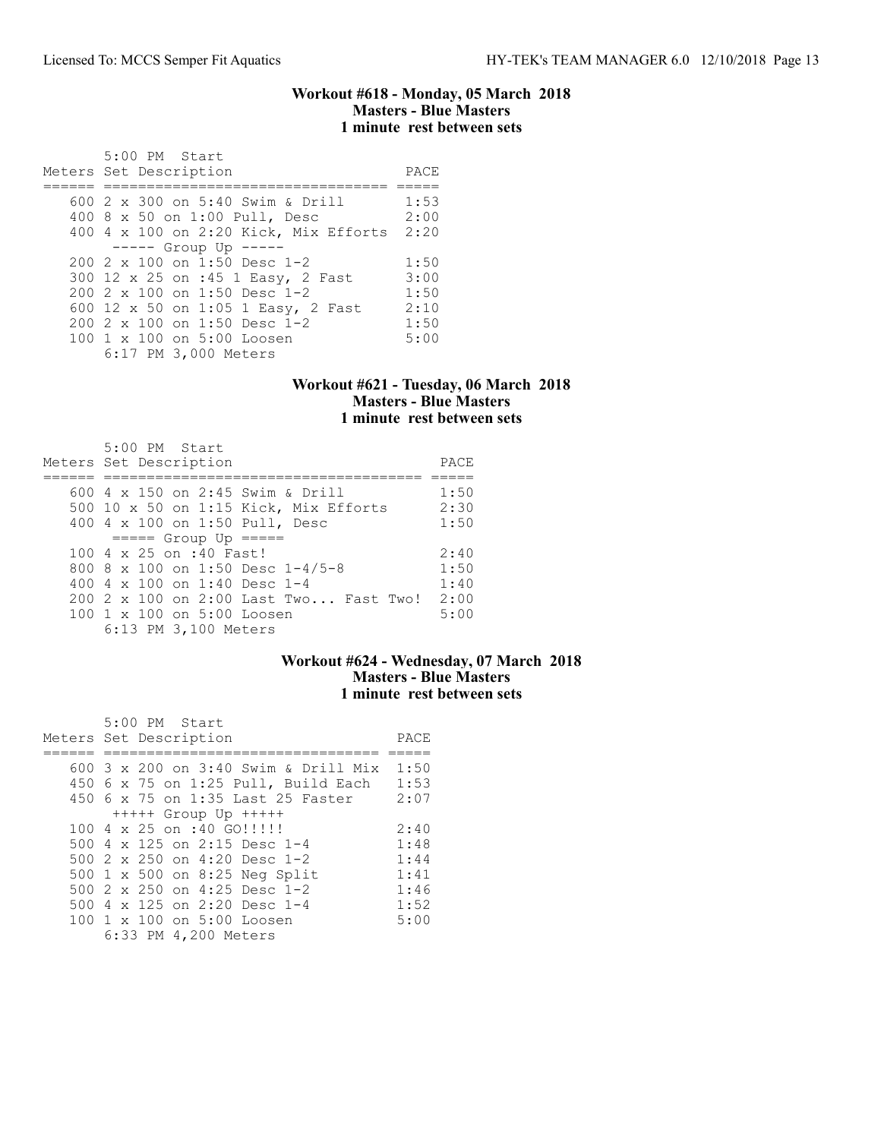#### Workout #618 - Monday, 05 March 2018 Masters - Blue Masters 1 minute rest between sets

| 5:00 PM Start<br>Meters Set Description                                                                                                                                                                                                     | PACE                                         |
|---------------------------------------------------------------------------------------------------------------------------------------------------------------------------------------------------------------------------------------------|----------------------------------------------|
| 600 $2 \times 300$ on 5:40 Swim & Drill<br>400 8 x 50 on 1:00 Pull, Desc<br>400 4 x 100 on 2:20 Kick, Mix Efforts<br>$--- -$ Group Up $---$                                                                                                 | 1:53<br>2:00<br>2:20                         |
| $2002 \times 100$ on 1:50 Desc 1-2<br>300 12 x 25 on :45 1 Easy, 2 Fast<br>$2002 \times 100$ on 1:50 Desc 1-2<br>600 12 x 50 on 1:05 1 Easy, 2 Fast<br>$200$ 2 x 100 on 1:50 Desc 1-2<br>100 1 x 100 on 5:00 Loosen<br>6:17 PM 3,000 Meters | 1:50<br>3:00<br>1:50<br>2:10<br>1:50<br>5:00 |

#### Workout #621 - Tuesday, 06 March 2018 Masters - Blue Masters 1 minute rest between sets

| $5:00$ PM Start<br>Meters Set Description | PACE |
|-------------------------------------------|------|
| 600 $4 \times 150$ on 2:45 Swim & Drill   | 1:50 |
| 500 10 x 50 on 1:15 Kick, Mix Efforts     | 2:30 |
| 400 4 x 100 on 1:50 Pull, Desc            | 1:50 |
| $====$ Group Up $====$                    |      |
| $100.4 \times 25$ on :40 Fast!            | 2:40 |
| 800 8 x 100 on 1:50 Desc $1-4/5-8$        | 1:50 |
| 400 4 $\times$ 100 on 1:40 Desc 1-4       | 1:40 |
| 200 2 x 100 on 2:00 Last Two Fast Two!    | 2:00 |
| $100 \t1 x 100$ on $5:00$ Loosen          | 5:00 |
| 6:13 PM 3,100 Meters                      |      |

## Workout #624 - Wednesday, 07 March 2018 Masters - Blue Masters 1 minute rest between sets

| 5:00 PM Start                        |      |
|--------------------------------------|------|
| Meters Set Description               | PACE |
| 600 3 x 200 on 3:40 Swim & Drill Mix | 1:50 |
| 450 6 x 75 on 1:25 Pull, Build Each  | 1:53 |
| 450 6 x 75 on 1:35 Last 25 Faster    | 2:07 |
| +++++ Group Up +++++                 |      |
| $1004 \times 25$ on :40 GO!!!!!!     | 2:40 |
| 500 4 x 125 on 2:15 Desc 1-4         | 1:48 |
| 500 $2 \times 250$ on 4:20 Desc 1-2  | 1:44 |
| 500 1 x 500 on 8:25 Neg Split        | 1:41 |
| 500 2 x 250 on 4:25 Desc 1-2         | 1:46 |
| 500 4 x 125 on 2:20 Desc 1-4         | 1:52 |
| 100 1 x 100 on 5:00 Loosen           | 5:00 |
| 6:33 PM 4,200 Meters                 |      |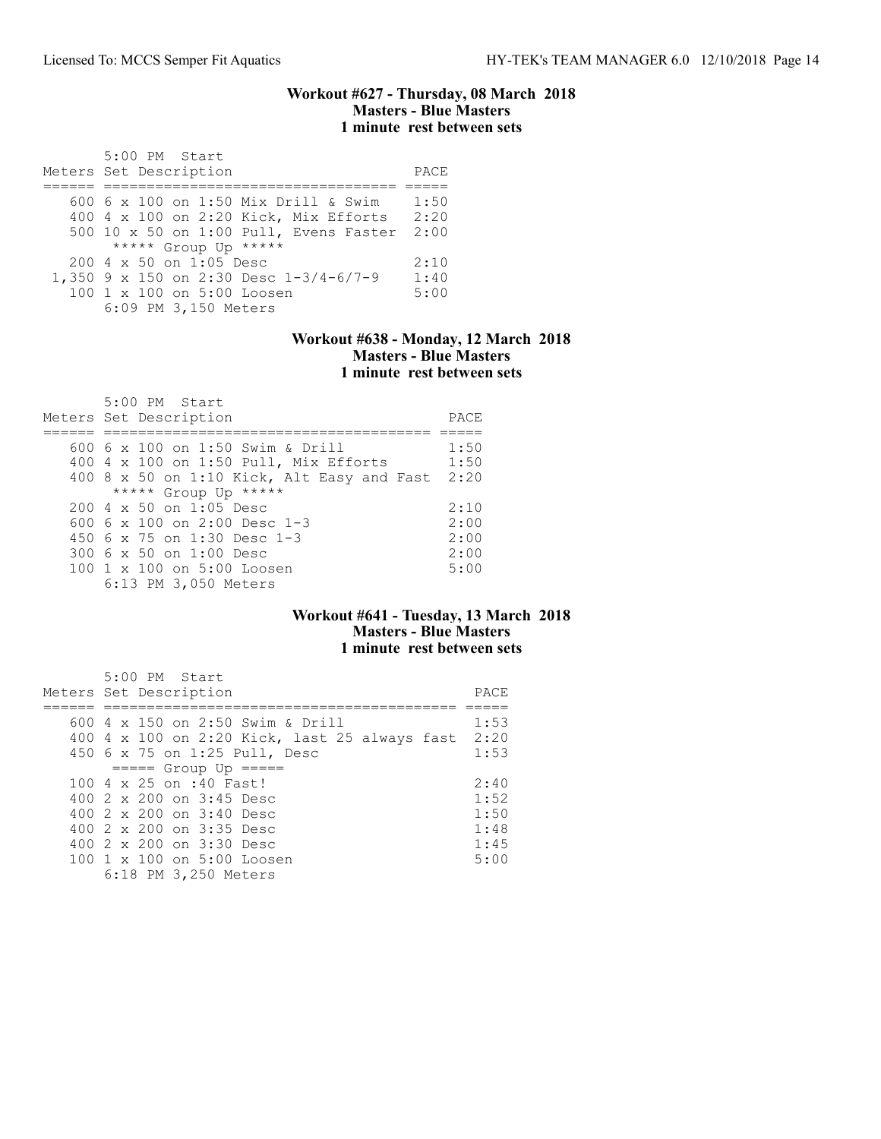#### Workout #627 - Thursday, 08 March 2018 Masters - Blue Masters 1 minute rest between sets

| 5:00 PM Start<br>Meters Set Description                                                                                                         | PACE                 |
|-------------------------------------------------------------------------------------------------------------------------------------------------|----------------------|
| 600 6 x 100 on 1:50 Mix Drill & Swim<br>400 4 x 100 on 2:20 Kick, Mix Efforts<br>500 10 x 50 on 1:00 Pull, Evens Faster<br>***** Group Up ***** | 1:50<br>2:20<br>2:00 |
| $2004 \times 50$ on 1:05 Desc<br>1,350 9 x 150 on 2:30 Desc $1-3/4-6/7-9$<br>100 1 x 100 on 5:00 Loosen<br>6:09 PM 3,150 Meters                 | 2:10<br>1:40<br>5:00 |

### Workout #638 - Monday, 12 March 2018 Masters - Blue Masters 1 minute rest between sets

| $5:00$ PM Start<br>Meters Set Description  | PACE |
|--------------------------------------------|------|
|                                            |      |
| 600 6 x 100 on 1:50 Swim & Drill           | 1:50 |
| 400 4 x 100 on 1:50 Pull, Mix Efforts      | 1:50 |
| 400 8 x 50 on 1:10 Kick, Alt Easy and Fast | 2:20 |
| ***** Group Up *****                       |      |
| $2004 \times 50$ on 1:05 Desc              | 2:10 |
| 600 6 $\times$ 100 on 2:00 Desc 1-3        | 2:00 |
| 450 $6 \times 75$ on 1:30 Desc 1-3         | 2:00 |
| 300 6 x 50 on 1:00 Desc                    | 2:00 |
| 100 1 x 100 on 5:00 Loosen                 | 5:00 |
| 6:13 PM 3,050 Meters                       |      |

## Workout #641 - Tuesday, 13 March 2018 Masters - Blue Masters 1 minute rest between sets

| 5:00 PM Start<br>Meters Set Description            | PACE |
|----------------------------------------------------|------|
| 600 4 x 150 on 2:50 Swim & Drill                   | 1:53 |
| 400 4 x 100 on 2:20 Kick, last 25 always fast 2:20 |      |
| 450 6 x 75 on 1:25 Pull, Desc                      | 1:53 |
| $====$ Group Up $====$                             |      |
| 100 4 x 25 on :40 Fast!                            | 2:40 |
| 400 2 x 200 on 3:45 Desc                           | 1:52 |
| 400 2 x 200 on 3:40 Desc                           | 1:50 |
| 400 2 x 200 on 3:35 Desc                           | 1:48 |
| 400 $2 \times 200$ on $3:30$ Desc                  | 1:45 |
| $100 \t1 x 100$ on $5:00$ Loosen                   | 5:00 |
| 6:18 PM 3,250 Meters                               |      |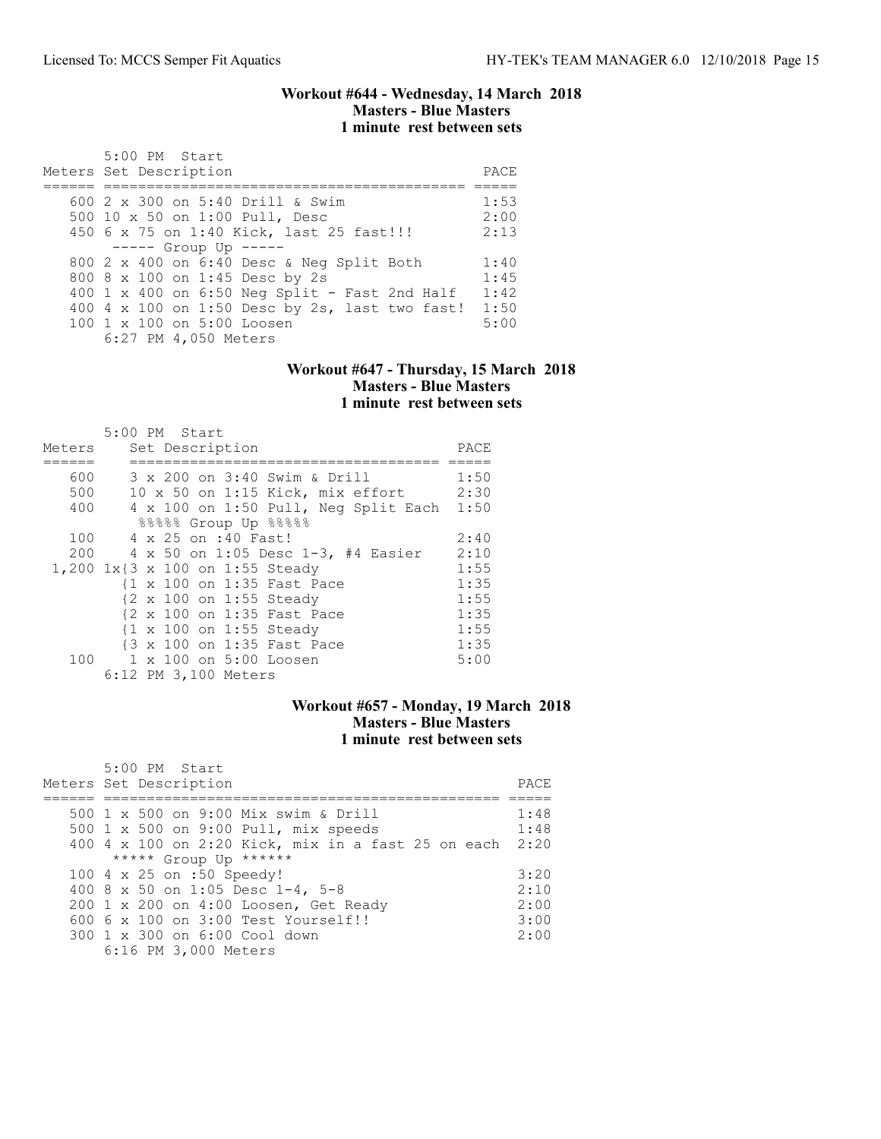#### Workout #644 - Wednesday, 14 March 2018 Masters - Blue Masters 1 minute rest between sets

| 5:00 PM Start<br>Meters Set Description        | PACE |
|------------------------------------------------|------|
| 600 $2 \times 300$ on 5:40 Drill & Swim        | 1:53 |
| 500 10 x 50 on 1:00 Pull, Desc                 | 2:00 |
| 450 6 x 75 on 1:40 Kick, last 25 fast!!!       | 2:13 |
| $---$ Group Up $---$                           |      |
| 800 2 x 400 on 6:40 Desc & Neg Split Both      | 1:40 |
| 800 8 x 100 on 1:45 Desc by 2s                 | 1:45 |
| 400 1 x 400 on 6:50 Neg Split - Fast 2nd Half  | 1:42 |
| 400 4 x 100 on 1:50 Desc by 2s, last two fast! | 1:50 |
| $1001 \times 100$ on $5:00$ Loosen             | 5:00 |
| 6:27 PM 4,050 Meters                           |      |

#### Workout #647 - Thursday, 15 March 2018 Masters - Blue Masters 1 minute rest between sets

|        | 5:00 PM Start                        |      |
|--------|--------------------------------------|------|
| Meters | Set Description                      | PACE |
|        |                                      |      |
| 600    | 3 x 200 on 3:40 Swim & Drill         | 1:50 |
| 500    | 10 x 50 on 1:15 Kick, mix effort     | 2:30 |
| 400    | 4 x 100 on 1:50 Pull, Neg Split Each | 1:50 |
|        | 88888 Group Up 88888                 |      |
| 100    | 4 x 25 on :40 Fast!                  | 2:40 |
| 200    | 4 x 50 on 1:05 Desc 1-3, #4 Easier   | 2:10 |
|        | 1,200 1x{3 x 100 on 1:55 Steady      | 1:55 |
|        | {1 x 100 on 1:35 Fast Pace           | 1:35 |
|        | {2 x 100 on 1:55 Steady              | 1:55 |
|        | {2 x 100 on 1:35 Fast Pace           | 1:35 |
|        | {1 x 100 on 1:55 Steady              | 1:55 |
|        | {3 x 100 on 1:35 Fast Pace           | 1:35 |
|        | 100 1 x 100 on 5:00 Loosen           | 5:00 |
|        | 6:12 PM 3,100 Meters                 |      |

## Workout #657 - Monday, 19 March 2018 Masters - Blue Masters 1 minute rest between sets

| $5:00$ PM Start<br>Meters Set Description          | PACE |
|----------------------------------------------------|------|
| 500 1 x 500 on 9:00 Mix swim & Drill               | 1:48 |
| 500 1 x 500 on 9:00 Pull, mix speeds               | 1:48 |
| 400 4 x 100 on 2:20 Kick, mix in a fast 25 on each | 2:20 |
| ***** Group Up ******                              |      |
| 100 4 x 25 on :50 Speedy!                          | 3:20 |
| 400 8 x 50 on 1:05 Desc 1-4, 5-8                   | 2:10 |
| 200 1 x 200 on 4:00 Loosen, Get Ready              | 2:00 |
| $6006 \times 100$ on $3:00$ Test Yourself!!        | 3:00 |
| 300 1 x 300 on 6:00 Cool down                      | 2:00 |
| 6:16 PM 3,000 Meters                               |      |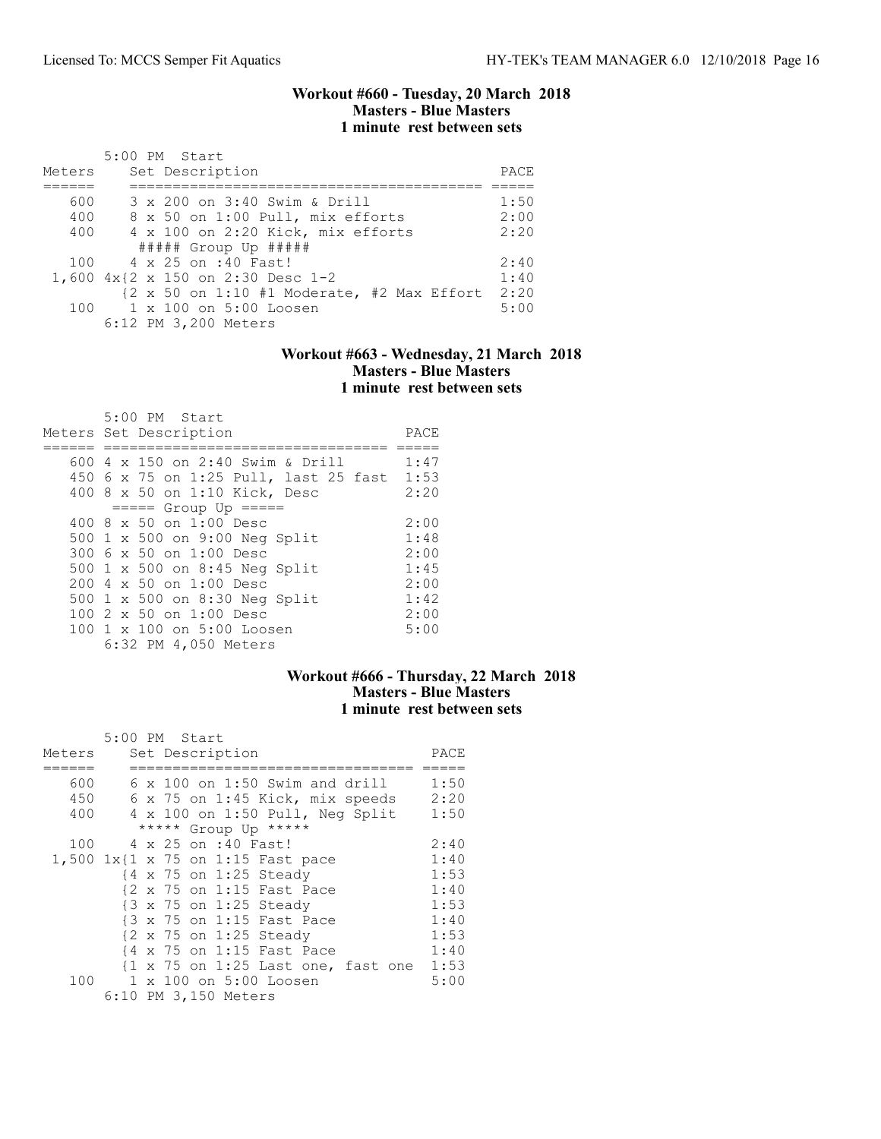#### Workout #660 - Tuesday, 20 March 2018 Masters - Blue Masters 1 minute rest between sets

| Meters | 5:00 PM Start<br>Set Description                   | PACE |
|--------|----------------------------------------------------|------|
|        |                                                    |      |
| 600    | 3 x 200 on 3:40 Swim & Drill                       | 1:50 |
| 400    | 8 x 50 on 1:00 Pull, mix efforts                   | 2:00 |
| 400    | 4 x 100 on 2:20 Kick, mix efforts                  | 2:20 |
|        | ##### Group Up #####                               |      |
|        | 100 4 x 25 on :40 Fast!                            | 2:40 |
|        | 1,600 4x{2 x 150 on 2:30 Desc 1-2                  | 1:40 |
|        | ${2 \times 50}$ on 1:10 #1 Moderate, #2 Max Effort | 2:20 |
|        | 100 1 x 100 on 5:00 Loosen                         | 5:00 |
|        | 6:12 PM 3,200 Meters                               |      |

### Workout #663 - Wednesday, 21 March 2018 Masters - Blue Masters 1 minute rest between sets

| 5:00 PM Start<br>Meters Set Description | PACE |
|-----------------------------------------|------|
| 600 $4 \times 150$ on 2:40 Swim & Drill | 1:47 |
| 450 6 x 75 on 1:25 Pull, last 25 fast   | 1:53 |
|                                         |      |
| 400 8 x 50 on 1:10 Kick, Desc           | 2:20 |
| $====$ Group Up $====$                  |      |
| $400.8 \times 50$ on 1:00 Desc          | 2:00 |
| 500 1 x 500 on 9:00 Neg Split           | 1:48 |
| 300 6 x 50 on 1:00 Desc                 | 2:00 |
| 500 1 x 500 on 8:45 Neg Split           | 1:45 |
| 200 4 x 50 on 1:00 Desc                 | 2:00 |
| 500 1 x 500 on 8:30 Neg Split           | 1:42 |
| $1002 \times 50$ on $1:00$ Desc         | 2:00 |
| 100 1 x 100 on 5:00 Loosen              | 5:00 |
| 6:32 PM 4,050 Meters                    |      |

### Workout #666 - Thursday, 22 March 2018 Masters - Blue Masters 1 minute rest between sets

|        | 5:00 PM Start                                                 |      |
|--------|---------------------------------------------------------------|------|
| Meters | Set Description                                               | PACE |
|        |                                                               |      |
| 600    | $6 \times 100$ on 1:50 Swim and drill                         | 1:50 |
| 450    | 6 x 75 on 1:45 Kick, mix speeds                               | 2:20 |
| 400    | 4 x 100 on 1:50 Pull, Neg Split                               | 1:50 |
|        | ***** Group Up *****                                          |      |
| 100    | 4 x 25 on :40 Fast!                                           | 2:40 |
|        | 1,500 $1x$ {1 x 75 on 1:15 Fast pace                          | 1:40 |
|        | {4 x 75 on 1:25 Steady                                        | 1:53 |
|        | {2 x 75 on 1:15 Fast Pace                                     | 1:40 |
|        | {3 x 75 on 1:25 Steady                                        | 1:53 |
|        | {3 x 75 on 1:15 Fast Pace                                     | 1:40 |
|        | {2 x 75 on 1:25 Steady                                        | 1:53 |
|        | {4 x 75 on 1:15 Fast Pace                                     | 1:40 |
|        | $\{1 \times 75 \text{ on } 1:25 \text{ Last one, fast one}\}$ | 1:53 |
| 100    | 1 x 100 on 5:00 Loosen                                        | 5:00 |
|        | 6:10 PM 3,150 Meters                                          |      |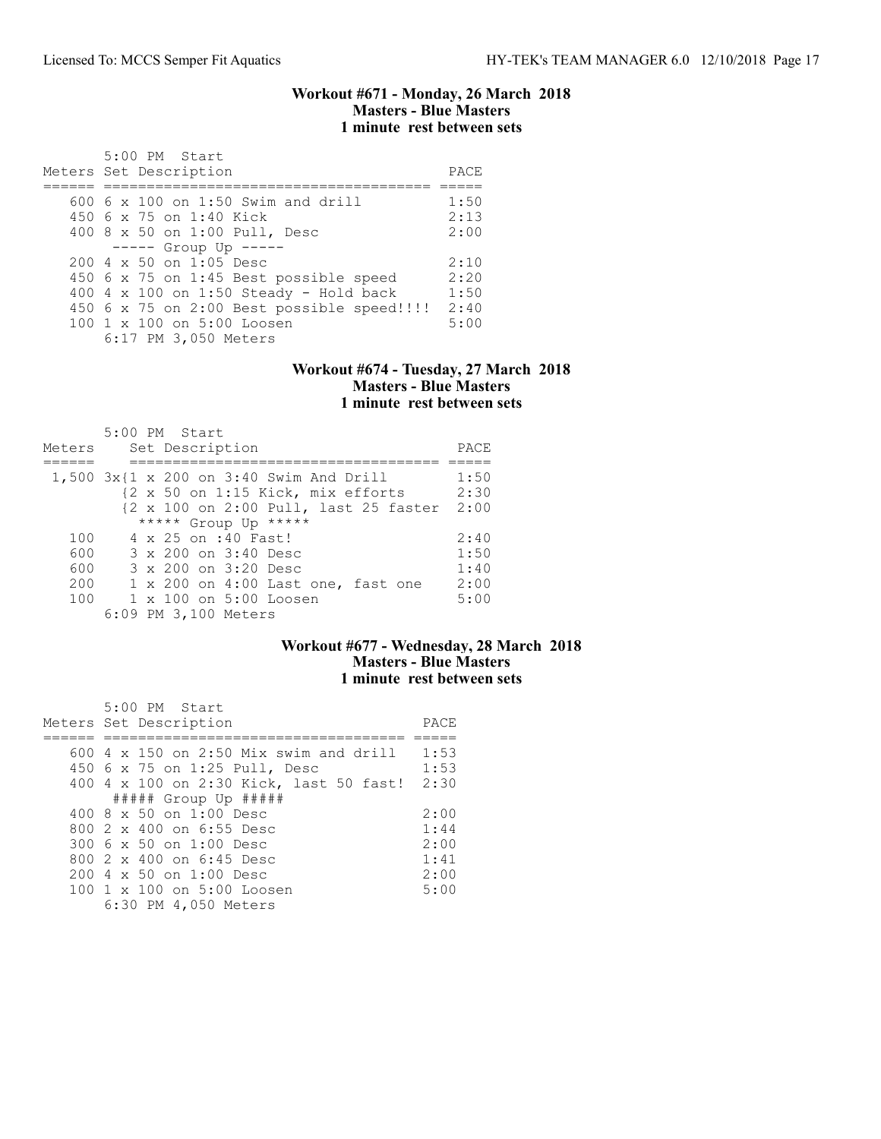#### Workout #671 - Monday, 26 March 2018 Masters - Blue Masters 1 minute rest between sets

| $5:00$ PM Start<br>Meters Set Description        | PACE |
|--------------------------------------------------|------|
|                                                  |      |
| $600\,$ 6 x 100 on 1:50 Swim and drill           | 1:50 |
| 450 6 x 75 on 1:40 Kick                          | 2:13 |
| 400 8 x 50 on 1:00 Pull, Desc                    | 2:00 |
| $--- $ Group Up $---$                            |      |
| $200 \text{ } 4 \text{ } \times 50$ on 1:05 Desc | 2:10 |
| 450 6 x 75 on 1:45 Best possible speed           | 2:20 |
| 400 4 x 100 on 1:50 Steady - Hold back           | 1:50 |
| 450 6 x 75 on 2:00 Best possible speed!!!!!      | 2:40 |
| $1001 \times 100$ on $5:00$ Loosen               | 5:00 |
| 6:17 PM 3,050 Meters                             |      |

#### Workout #674 - Tuesday, 27 March 2018 Masters - Blue Masters 1 minute rest between sets

|        | $5:00$ PM Start                              |      |
|--------|----------------------------------------------|------|
| Meters | Set Description                              | PACE |
|        |                                              |      |
|        | $1,500$ $3x$ {1 x 200 on 3:40 Swim And Drill | 1:50 |
|        | {2 x 50 on 1:15 Kick, mix efforts            | 2:30 |
|        | {2 x 100 on 2:00 Pull, last 25 faster        | 2:00 |
|        | ***** Group Up *****                         |      |
| 100    | 4 x 25 on :40 Fast!                          | 2:40 |
| 600    | 3 x 200 on 3:40 Desc                         | 1:50 |
| 600    | 3 x 200 on 3:20 Desc                         | 1:40 |
| 200    | 1 x 200 on 4:00 Last one, fast one           | 2:00 |
| 100    | $1 \times 100$ on $5:00$ Loosen              | 5:00 |
|        | 6:09 PM 3,100 Meters                         |      |

## Workout #677 - Wednesday, 28 March 2018 Masters - Blue Masters 1 minute rest between sets

| $5:00$ PM Start<br>Meters Set Description | PACE |
|-------------------------------------------|------|
|                                           |      |
|                                           |      |
| $600$ 4 x 150 on 2:50 Mix swim and drill  | 1:53 |
| 450 6 x 75 on 1:25 Pull, Desc             | 1:53 |
| 400 4 x 100 on 2:30 Kick, last 50 fast!   | 2:30 |
| $\#$ #### Group Up #####                  |      |
| $400.8 \times 50$ on 1:00 Desc            | 2:00 |
| 800 2 x 400 on 6:55 Desc                  | 1:44 |
| 300 6 x 50 on 1:00 Desc                   | 2:00 |
| 800 2 x 400 on 6:45 Desc                  | 1:41 |
| $200 \text{ } 4 \times 50$ on $1:00$ Desc | 2:00 |
| 100 1 x 100 on 5:00 Loosen                | 5:00 |
| 6:30 PM 4,050 Meters                      |      |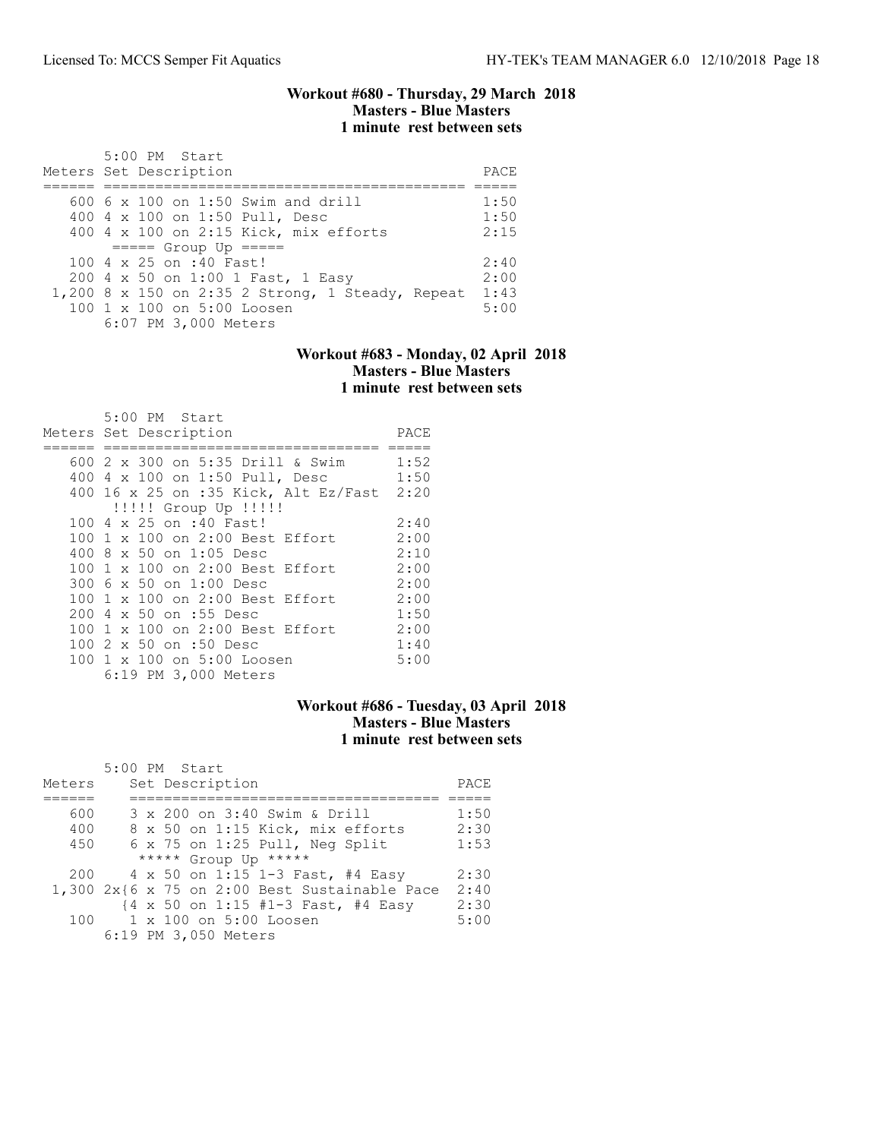#### Workout #680 - Thursday, 29 March 2018 Masters - Blue Masters 1 minute rest between sets

| 5:00 PM Start<br>Meters Set Description          | PACE |
|--------------------------------------------------|------|
|                                                  |      |
| 600 6 x 100 on 1:50 Swim and drill               | 1:50 |
| 400 4 x 100 on 1:50 Pull, Desc                   | 1:50 |
| 400 4 x 100 on 2:15 Kick, mix efforts            | 2:15 |
| $====$ Group Up $====$                           |      |
| 100 4 x 25 on :40 Fast!                          | 2:40 |
| 200 4 x 50 on 1:00 1 Fast, 1 Easy                | 2:00 |
| 1,200 8 x 150 on 2:35 2 Strong, 1 Steady, Repeat | 1:43 |
| 100 1 x 100 on 5:00 Loosen                       | 5:00 |
| 6:07 PM 3,000 Meters                             |      |

### Workout #683 - Monday, 02 April 2018 Masters - Blue Masters 1 minute rest between sets

| 5:00 PM Start                             |      |
|-------------------------------------------|------|
| Meters Set Description                    | PACE |
|                                           |      |
| 600 2 x 300 on 5:35 Drill & Swim          | 1:52 |
| 400 4 x 100 on 1:50 Pull, Desc            | 1:50 |
| 400 16 x 25 on :35 Kick, Alt Ez/Fast 2:20 |      |
| !!!!! Group Up !!!!!                      |      |
| 100 4 x 25 on :40 Fast!                   | 2:40 |
| 100 1 x 100 on 2:00 Best Effort           | 2:00 |
| 400 8 x 50 on 1:05 Desc                   | 2:10 |
| 100 1 x 100 on 2:00 Best Effort           | 2:00 |
| 300 6 x 50 on 1:00 Desc                   | 2:00 |
| 100 1 x 100 on 2:00 Best Effort           | 2:00 |
| 200 4 x 50 on :55 Desc                    | 1:50 |
| 100 1 x 100 on 2:00 Best Effort           | 2:00 |
| 100 2 x 50 on :50 Desc                    | 1:40 |
| 100 1 x 100 on 5:00 Loosen                | 5:00 |
| 6:19 PM 3,000 Meters                      |      |

# Workout #686 - Tuesday, 03 April 2018 Masters - Blue Masters 1 minute rest between sets

|        | 5:00 PM Start                                   |      |
|--------|-------------------------------------------------|------|
| Meters | Set Description                                 | PACE |
|        |                                                 |      |
| 600    | 3 x 200 on 3:40 Swim & Drill                    | 1:50 |
| 400    | 8 x 50 on 1:15 Kick, mix efforts                | 2:30 |
| 450    | $6 \times 75$ on 1:25 Pull, Neq Split           | 1:53 |
|        | ***** Group Up *****                            |      |
| 200    | 4 x 50 on 1:15 1-3 Fast, #4 Easy                | 2:30 |
|        | $1,300$ 2x{6 x 75 on 2:00 Best Sustainable Pace | 2:40 |
|        | {4 x 50 on 1:15 #1-3 Fast, #4 Easy              | 2:30 |
| 100    | 1 x 100 on 5:00 Loosen                          | 5:00 |
|        | 6:19 PM 3,050 Meters                            |      |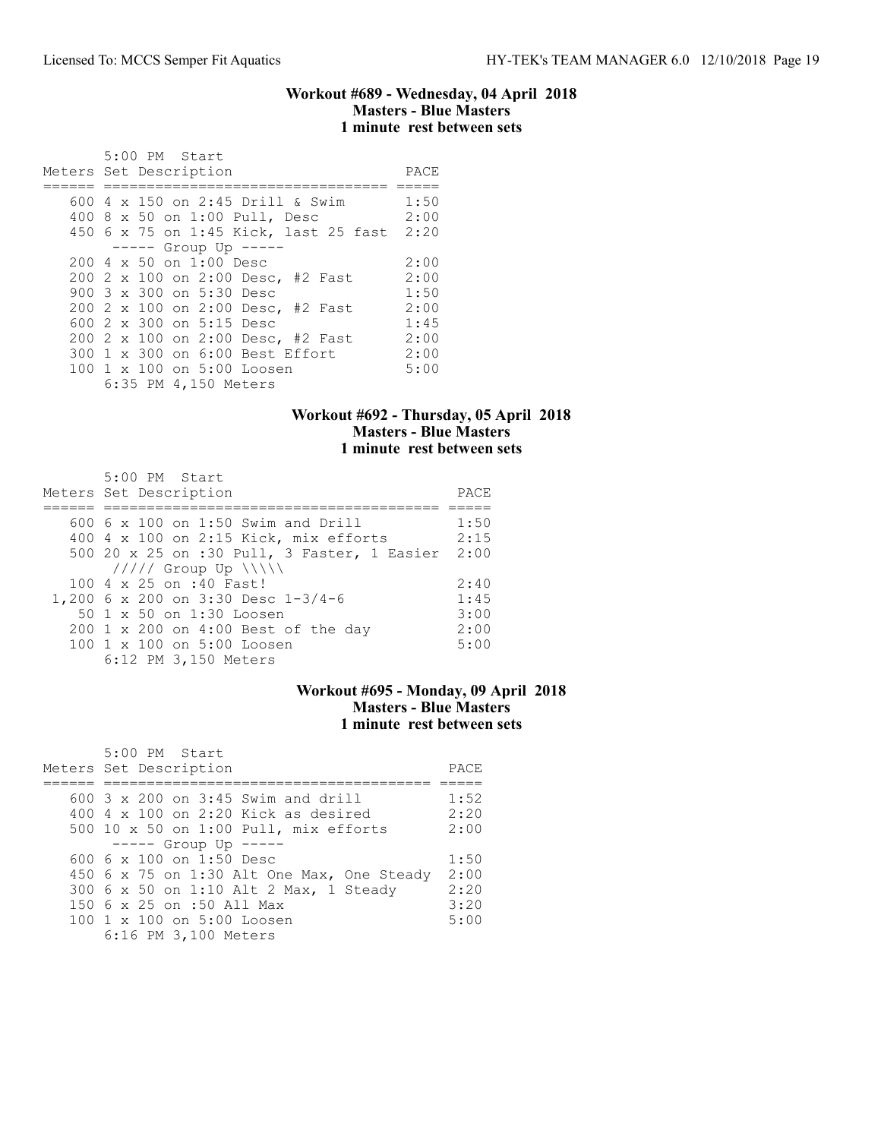### Workout #689 - Wednesday, 04 April 2018 Masters - Blue Masters 1 minute rest between sets

| 5:00 PM Start<br>Meters Set Description | PACE |
|-----------------------------------------|------|
| 600 $4 \times 150$ on 2:45 Drill & Swim | 1:50 |
| 400 8 x 50 on 1:00 Pull, Desc           | 2:00 |
|                                         |      |
| 450 6 x 75 on 1:45 Kick, last 25 fast   | 2:20 |
| $--- -$ Group Up $---$                  |      |
| $2004 \times 50$ on $1:00$ Desc         | 2:00 |
| 200 2 x 100 on 2:00 Desc, #2 Fast       | 2:00 |
| 900 3 x 300 on 5:30 Desc                | 1:50 |
| 200 2 x 100 on 2:00 Desc, #2 Fast       | 2:00 |
| 600 $2 \times 300$ on $5:15$ Desc       | 1:45 |
| 200 2 x 100 on 2:00 Desc, #2 Fast       | 2:00 |
| 300 1 x 300 on 6:00 Best Effort         | 2:00 |
| 100 1 x 100 on 5:00 Loosen              | 5:00 |
| 6:35 PM 4,150 Meters                    |      |

## Workout #692 - Thursday, 05 April 2018 Masters - Blue Masters 1 minute rest between sets

| $5:00$ PM Start<br>Meters Set Description   | PACE |
|---------------------------------------------|------|
| 600 6 x 100 on 1:50 Swim and Drill          | 1:50 |
| 400 4 x 100 on 2:15 Kick, mix efforts       | 2:15 |
| 500 20 x 25 on :30 Pull, 3 Faster, 1 Easier | 2:00 |
| $11111$ Group Up $\ \ \ \ $                 |      |
| 100 4 x 25 on :40 Fast!                     | 2:40 |
| 1,200 6 x 200 on 3:30 Desc 1-3/4-6          | 1:45 |
| 50 1 x 50 on 1:30 Loosen                    | 3:00 |
| 200 1 x 200 on 4:00 Best of the day         | 2:00 |
| 100 1 x 100 on 5:00 Loosen                  | 5:00 |
| 6:12 PM 3,150 Meters                        |      |

## Workout #695 - Monday, 09 April 2018 Masters - Blue Masters 1 minute rest between sets

| 5:00 PM Start<br>Meters Set Description     | PACE |
|---------------------------------------------|------|
|                                             |      |
| $600-3 \times 200$ on $3:45$ Swim and drill | 1:52 |
| 400 $4 \times 100$ on 2:20 Kick as desired  | 2:20 |
| 500 10 x 50 on 1:00 Pull, mix efforts       | 2:00 |
| $--- $ Group Up $---$                       |      |
| 600 6 $\times$ 100 on 1:50 Desc             | 1:50 |
| 450 6 x 75 on 1:30 Alt One Max, One Steady  | 2:00 |
| 300 6 x 50 on 1:10 Alt 2 Max, 1 Steady      | 2:20 |
| 150 6 x 25 on :50 All Max                   | 3:20 |
| 100 1 x 100 on 5:00 Loosen                  | 5:00 |
| 6:16 PM 3,100 Meters                        |      |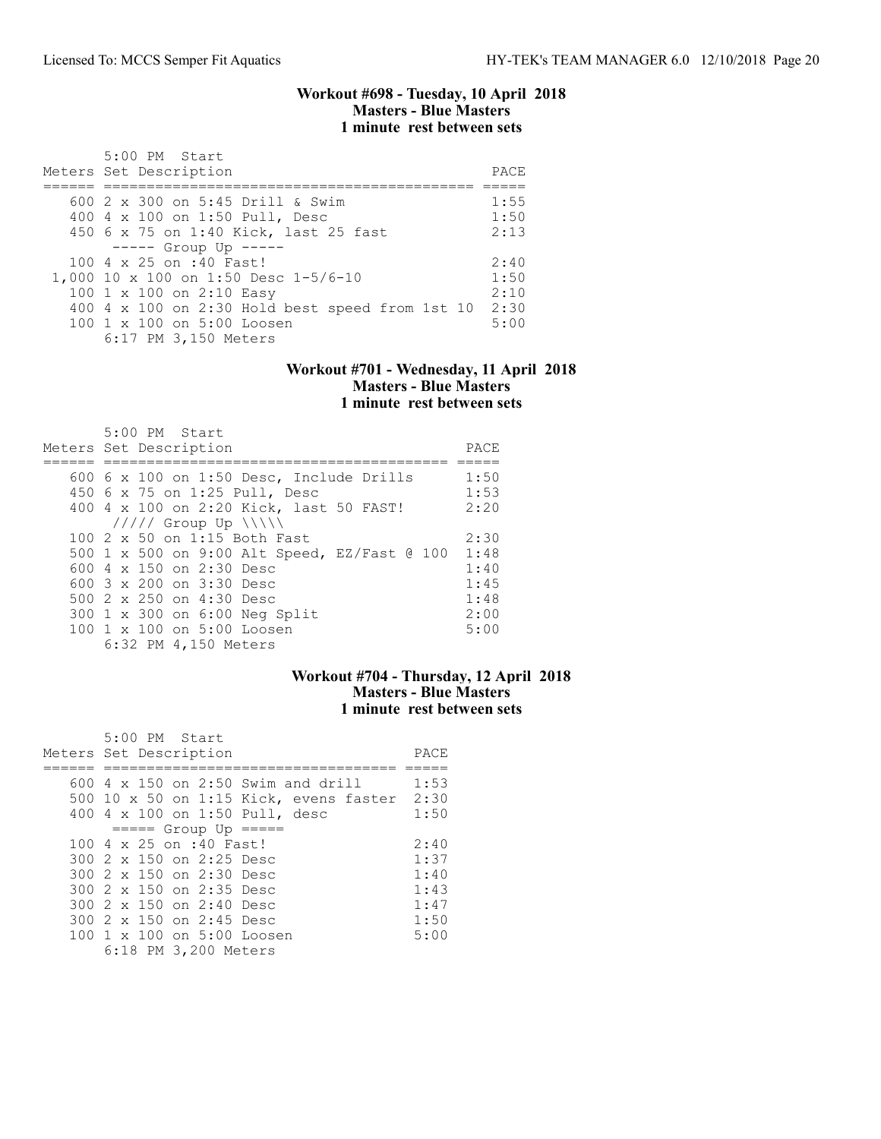#### Workout #698 - Tuesday, 10 April 2018 Masters - Blue Masters 1 minute rest between sets

| 5:00 PM Start<br>Meters Set Description                                                                                                                                                                                        | PACE                                 |
|--------------------------------------------------------------------------------------------------------------------------------------------------------------------------------------------------------------------------------|--------------------------------------|
| 600 $2 \times 300$ on 5:45 Drill & Swim<br>400 4 x 100 on 1:50 Pull, Desc<br>450 6 x 75 on 1:40 Kick, last 25 fast                                                                                                             | 1:55<br>1:50<br>2:13                 |
| $--- -$ Group Up $---$<br>100 4 x 25 on :40 Fast!<br>1,000 10 x 100 on 1:50 Desc 1-5/6-10<br>100 1 x 100 on 2:10 Easy<br>400 4 x 100 on 2:30 Hold best speed from 1st 10<br>100 1 x 100 on 5:00 Loosen<br>6:17 PM 3,150 Meters | 2:40<br>1:50<br>2:10<br>2:30<br>5:00 |

#### Workout #701 - Wednesday, 11 April 2018 Masters - Blue Masters 1 minute rest between sets

| 5:00 PM Start                                   |      |
|-------------------------------------------------|------|
| Meters Set Description                          | PACE |
|                                                 |      |
| 600 $6 \times 100$ on 1:50 Desc, Include Drills | 1:50 |
| 450 6 x 75 on 1:25 Pull, Desc                   | 1:53 |
| 400 4 x 100 on 2:20 Kick, last 50 FAST!         | 2:20 |
| $11111$ Group Up $\{\{\}\}\$                    |      |
| 100 2 x 50 on 1:15 Both Fast                    | 2:30 |
| 500 1 x 500 on 9:00 Alt Speed, EZ/Fast @ 100    | 1:48 |
| 600 4 x 150 on 2:30 Desc                        | 1:40 |
| 600 3 x 200 on 3:30 Desc                        | 1:45 |
| 500 2 x 250 on 4:30 Desc                        | 1:48 |
| 300 1 x 300 on 6:00 Neg Split                   | 2:00 |
| 100 1 x 100 on 5:00 Loosen                      | 5:00 |
| 6:32 PM 4,150 Meters                            |      |

### Workout #704 - Thursday, 12 April 2018 Masters - Blue Masters 1 minute rest between sets

| 5:00 PM Start                               |      |
|---------------------------------------------|------|
| Meters Set Description                      | PACE |
|                                             |      |
| $600$ 4 x 150 on 2:50 Swim and drill        | 1:53 |
| 500 10 x 50 on 1:15 Kick, evens faster 2:30 |      |
| 400 4 x 100 on 1:50 Pull, desc              | 1:50 |
| $== == $ Group Up $== == $                  |      |
| 100 4 x 25 on :40 Fast!                     | 2:40 |
| 300 2 x 150 on 2:25 Desc                    | 1:37 |
| 300 2 x 150 on 2:30 Desc                    | 1:40 |
| 300 2 x 150 on 2:35 Desc                    | 1:43 |
| 300 2 x 150 on 2:40 Desc                    | 1:47 |
| 300 2 x 150 on 2:45 Desc                    | 1:50 |
| 100 1 x 100 on 5:00 Loosen                  | 5:00 |
| 6:18 PM 3,200 Meters                        |      |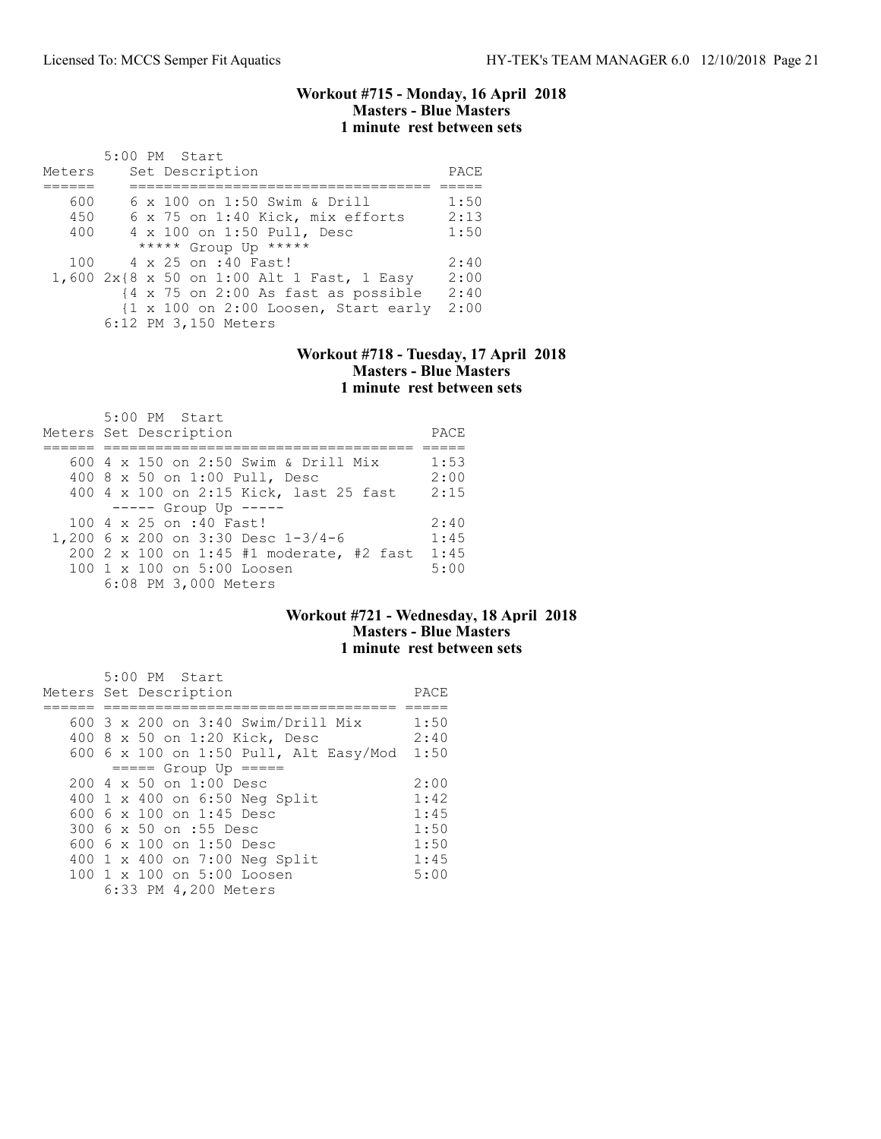### Workout #715 - Monday, 16 April 2018 Masters - Blue Masters 1 minute rest between sets

| Meters | $5:00$ PM Start<br>Set Description                                     | PACE |
|--------|------------------------------------------------------------------------|------|
|        |                                                                        |      |
| 600    | 6 x 100 on 1:50 Swim & Drill                                           | 1:50 |
| 450    | 6 x 75 on 1:40 Kick, mix efforts                                       | 2:13 |
| 400    | 4 x 100 on 1:50 Pull, Desc                                             | 1:50 |
|        | ***** Group Up *****                                                   |      |
| 100    | 4 x 25 on :40 Fast!                                                    | 2:40 |
|        | 1,600 2x{8 x 50 on 1:00 Alt 1 Fast, 1 Easy                             | 2:00 |
|        | {4 x 75 on 2:00 As fast as possible                                    | 2:40 |
|        | $\{1 \times 100 \text{ on } 2:00 \text{ Loosen}, \text{Start early}\}$ | 2:00 |
|        | 6:12 PM 3,150 Meters                                                   |      |

### Workout #718 - Tuesday, 17 April 2018 Masters - Blue Masters 1 minute rest between sets

| 5:00 PM Start<br>Meters Set Description  | PACE  |
|------------------------------------------|-------|
| 600 4 x 150 on 2:50 Swim & Drill Mix     | 1:53  |
| 400 8 x 50 on 1:00 Pull, Desc            | 2:00  |
| 400 4 x 100 on 2:15 Kick, last 25 fast   | 2:15  |
| $--- $ Group Up $---$                    |       |
| $100.4 \times 25$ on :40 Fast!           | 2:40  |
| 1,200 6 x 200 on 3:30 Desc 1-3/4-6       | 1:4.5 |
| 200 2 x 100 on 1:45 #1 moderate, #2 fast | 1:45  |
| 100 1 x 100 on 5:00 Loosen               | 5:00  |
| 6:08 PM 3,000 Meters                     |       |

## Workout #721 - Wednesday, 18 April 2018 Masters - Blue Masters 1 minute rest between sets

| 5:00 PM Start                             |                                        |      |
|-------------------------------------------|----------------------------------------|------|
| Meters Set Description                    |                                        | PACE |
|                                           |                                        |      |
|                                           | 600 3 x 200 on 3:40 Swim/Drill Mix     | 1:50 |
|                                           | 400 8 x 50 on 1:20 Kick, Desc          | 2:40 |
|                                           | 600 6 x 100 on 1:50 Pull, Alt Easy/Mod | 1:50 |
|                                           | $== == $ Group Up $== == $             |      |
| $200 \text{ } 4 \times 50$ on $1:00$ Desc |                                        | 2:00 |
|                                           | 400 1 x 400 on 6:50 Neg Split          | 1:42 |
| 600 6 $\times$ 100 on 1:45 Desc           |                                        | 1:45 |
| 300 6 x 50 on :55 Desc                    |                                        | 1:50 |
| 600 6 x 100 on 1:50 Desc                  |                                        | 1:50 |
|                                           | 400 1 x 400 on 7:00 Neg Split          | 1:45 |
|                                           | 100 1 x 100 on 5:00 Loosen             | 5:00 |
| 6:33 PM 4,200 Meters                      |                                        |      |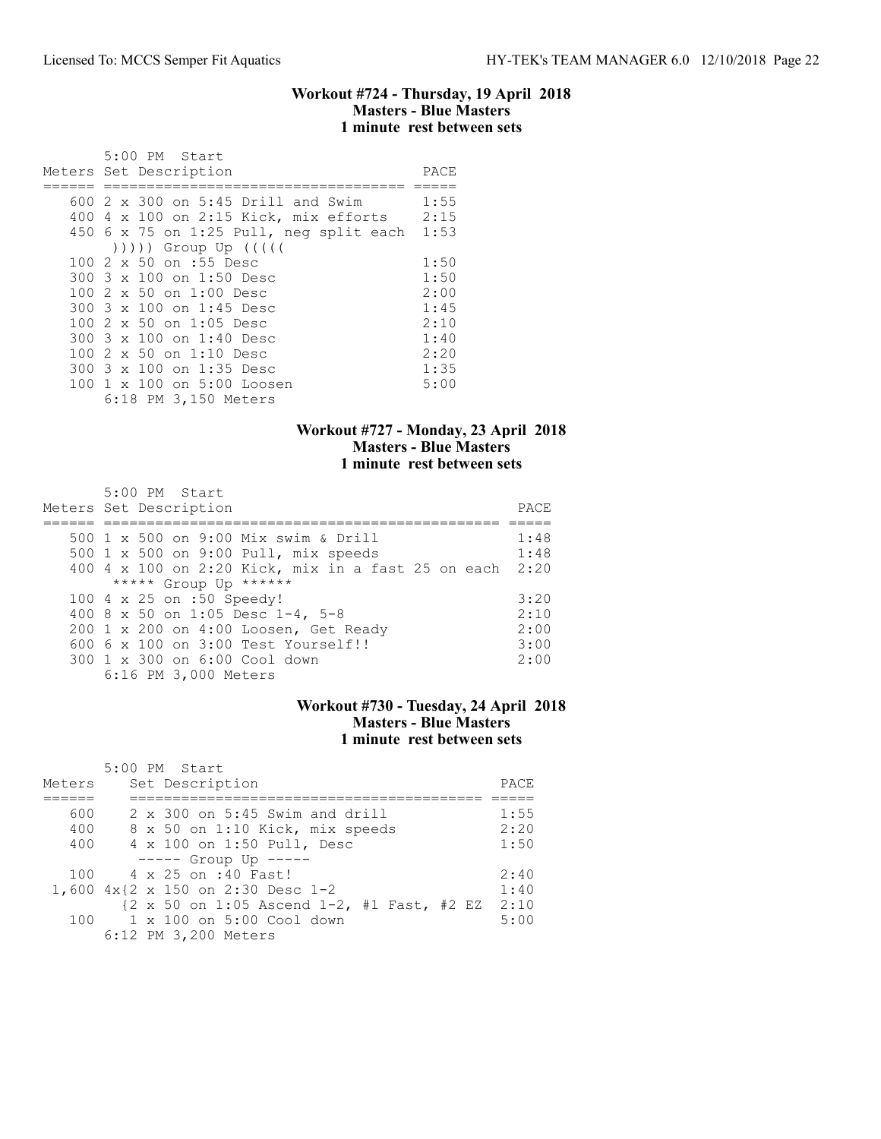### Workout #724 - Thursday, 19 April 2018 Masters - Blue Masters 1 minute rest between sets

| $5:00$ PM Start                             |      |
|---------------------------------------------|------|
| Meters Set Description                      | PACE |
|                                             |      |
| 600 $2 \times 300$ on $5:45$ Drill and Swim | 1:55 |
| 400 4 x 100 on 2:15 Kick, mix efforts 2:15  |      |
| $450$ 6 x 75 on 1:25 Pull, neg split each   | 1:53 |
| $( ) )$ ) ) Group Up $( ( )$                |      |
| 100 2 x 50 on :55 Desc                      | 1:50 |
| 300 3 x 100 on 1:50 Desc                    | 1:50 |
| 100 2 x 50 on 1:00 Desc                     | 2:00 |
| 300 3 x 100 on 1:45 Desc                    | 1:45 |
| 100 2 x 50 on 1:05 Desc                     | 2:10 |
| 300 3 x 100 on 1:40 Desc                    | 1:40 |
| 100 2 x 50 on 1:10 Desc                     | 2:20 |
| 300 3 x 100 on 1:35 Desc                    | 1:35 |
| 100 1 x 100 on 5:00 Loosen                  | 5:00 |
| 6:18 PM 3,150 Meters                        |      |

### Workout #727 - Monday, 23 April 2018 Masters - Blue Masters 1 minute rest between sets

| 5:00 PM Start                                           |      |
|---------------------------------------------------------|------|
| Meters Set Description                                  | PACE |
|                                                         |      |
| 500 1 x 500 on 9:00 Mix swim & Drill                    | 1:48 |
| 500 1 x 500 on 9:00 Pull, mix speeds                    | 1:48 |
| 400 4 x 100 on 2:20 Kick, mix in a fast 25 on each 2:20 |      |
| ***** Group Up ******                                   |      |
| 100 4 x 25 on :50 Speedy!                               | 3:20 |
| 400 8 x 50 on 1:05 Desc 1-4, 5-8                        | 2:10 |
| 200 1 x 200 on 4:00 Loosen, Get Ready                   | 2:00 |
| $6006 \times 100$ on $3:00$ Test Yourself!!             | 3:00 |
| 300 1 x 300 on 6:00 Cool down                           | 2:00 |
| 6:16 PM 3,000 Meters                                    |      |

## Workout #730 - Tuesday, 24 April 2018 Masters - Blue Masters 1 minute rest between sets

| Meters | 5:00 PM Start<br>Set Description                                      | PACE |
|--------|-----------------------------------------------------------------------|------|
|        |                                                                       |      |
| 600    | $2 \times 300$ on $5:45$ Swim and drill                               | 1:55 |
| 400    | 8 x 50 on 1:10 Kick, mix speeds                                       | 2:20 |
| 400    | 4 x 100 on 1:50 Pull, Desc                                            | 1:50 |
|        | $--- $ Group Up $---$                                                 |      |
|        | 100 4 x 25 on :40 Fast!                                               | 2:40 |
|        | 1,600 4x{2 x 150 on 2:30 Desc 1-2                                     | 1:40 |
|        | $\{2 \times 50 \text{ on } 1:05 \text{ Ascend } 1-2$ , #1 Fast, #2 EZ | 2:10 |
|        | 100 1 x 100 on 5:00 Cool down                                         | 5:00 |
|        | 6:12 PM 3,200 Meters                                                  |      |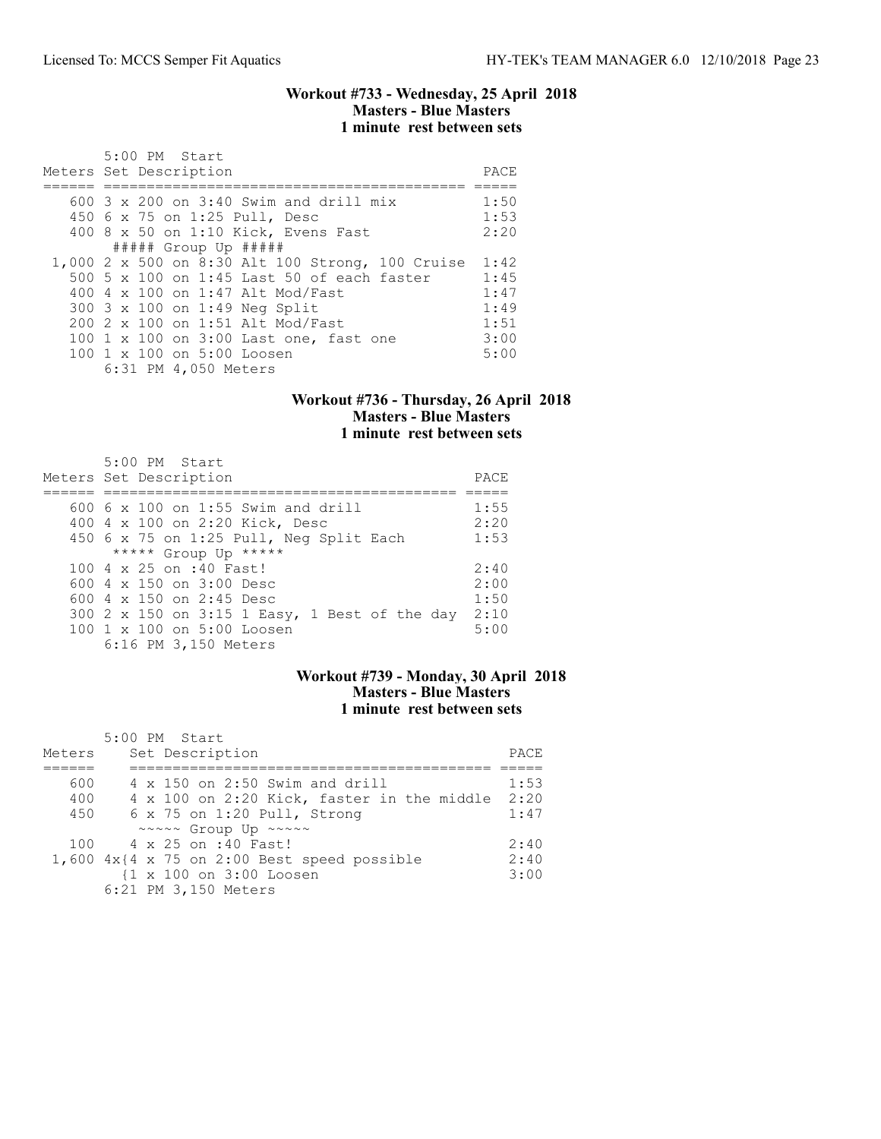### Workout #733 - Wednesday, 25 April 2018 Masters - Blue Masters 1 minute rest between sets

| 5:00 PM Start<br>Meters Set Description          | PACE |
|--------------------------------------------------|------|
| 600 $3 \times 200$ on $3:40$ Swim and drill mix  | 1:50 |
|                                                  |      |
| 450 6 x 75 on 1:25 Pull, Desc                    | 1:53 |
| 400 8 x 50 on 1:10 Kick, Evens Fast              | 2:20 |
| $\#$ #### Group Up #####                         |      |
| 1,000 2 x 500 on 8:30 Alt 100 Strong, 100 Cruise | 1:42 |
| 500 5 x 100 on 1:45 Last 50 of each faster       | 1:45 |
| 400 4 x 100 on 1:47 Alt Mod/Fast                 | 1:47 |
| 300 3 x 100 on 1:49 Neg Split                    | 1:49 |
| 200 2 x 100 on 1:51 Alt Mod/Fast                 | 1:51 |
| 100 1 x 100 on 3:00 Last one, fast one           | 3:00 |
| 100 1 x 100 on 5:00 Loosen                       | 5:00 |
| 6:31 PM 4,050 Meters                             |      |

## Workout #736 - Thursday, 26 April 2018 Masters - Blue Masters 1 minute rest between sets

| 5:00 PM Start                                 |      |
|-----------------------------------------------|------|
| Meters Set Description                        | PACE |
|                                               |      |
| $600\,$ 6 x 100 on 1:55 Swim and drill        | 1:55 |
| 400 4 x 100 on 2:20 Kick, Desc                | 2:20 |
| 450 6 x 75 on 1:25 Pull, Neg Split Each       | 1:53 |
| ***** Group Up *****                          |      |
| 100 4 x 25 on :40 Fast!                       | 2:40 |
| 600 4 x 150 on 3:00 Desc                      | 2:00 |
| 600 $4 \times 150$ on 2:45 Desc               | 1:50 |
| 300 2 x 150 on 3:15 1 Easy, 1 Best of the day | 2:10 |
| 100 1 x 100 on 5:00 Loosen                    | 5:00 |
| 6:16 PM 3,150 Meters                          |      |

## Workout #739 - Monday, 30 April 2018 Masters - Blue Masters 1 minute rest between sets

|        | 5:00 PM Start                                             |      |
|--------|-----------------------------------------------------------|------|
| Meters | Set Description                                           | PACE |
|        |                                                           |      |
| 600    | 4 x 150 on 2:50 Swim and drill                            | 1:53 |
| 400    | 4 x 100 on 2:20 Kick, faster in the middle                | 2:20 |
| 450    | $6 \times 75$ on 1:20 Pull, Strong                        | 1:47 |
|        | $\sim$ $\sim$ $\sim$ Group Up $\sim$ $\sim$ $\sim$ $\sim$ |      |
| 100    | 4 x 25 on :40 Fast!                                       | 2:40 |
|        | 1,600 $4x$ {4 x 75 on 2:00 Best speed possible            | 2:40 |
|        | {1 x 100 on 3:00 Loosen                                   | 3:00 |
|        | 6:21 PM 3,150 Meters                                      |      |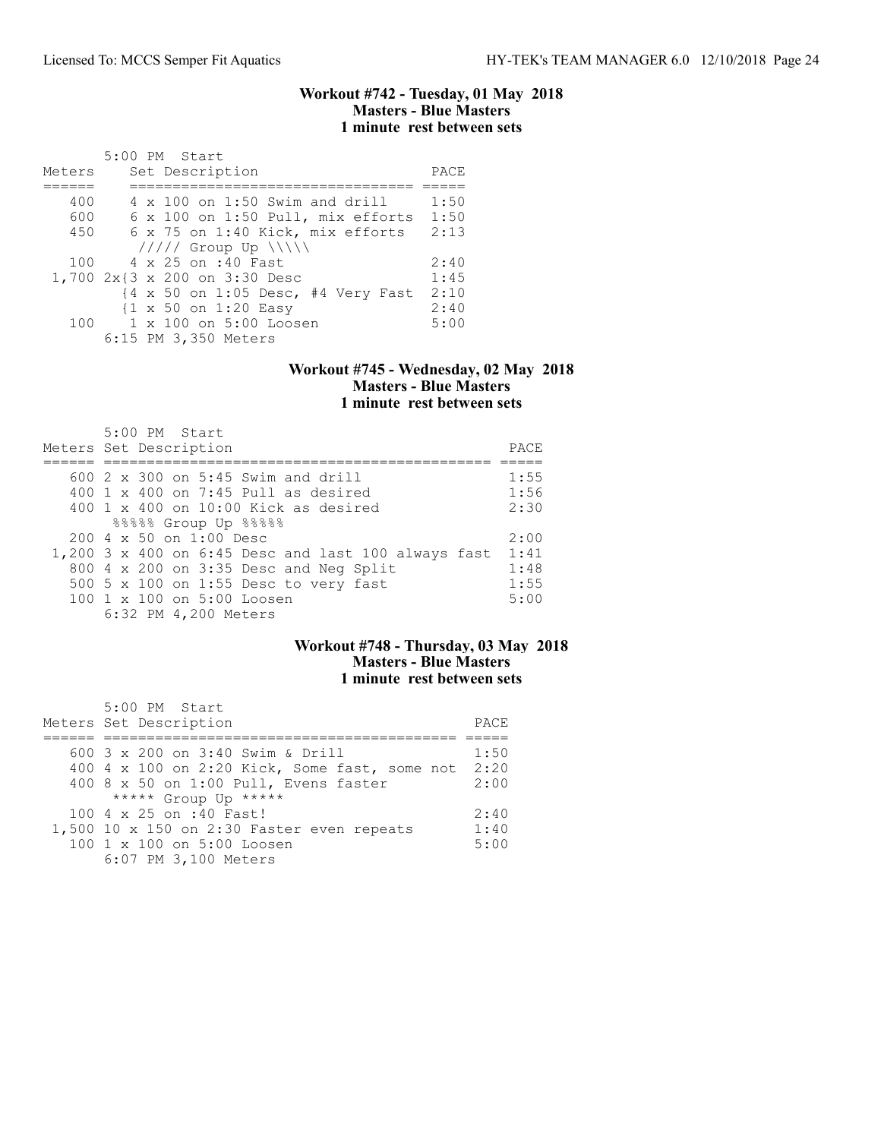### Workout #742 - Tuesday, 01 May 2018 Masters - Blue Masters 1 minute rest between sets

|         | $5:00$ PM Start                                 |      |
|---------|-------------------------------------------------|------|
| Meters  | Set Description                                 | PACE |
|         |                                                 |      |
| 400     | $4 \times 100$ on 1:50 Swim and drill           | 1:50 |
| 600     | 6 x 100 on 1:50 Pull, mix efforts               | 1:50 |
| 450     | 6 x 75 on 1:40 Kick, mix efforts                | 2:13 |
|         | $11111$ Group Up $\N\$                          |      |
| 100     | 4 x 25 on :40 Fast                              | 2:40 |
|         | 1,700 2x{3 x 200 on 3:30 Desc                   | 1:45 |
|         | {4 x 50 on 1:05 Desc, #4 Very Fast              | 2:10 |
|         | $\{1 \times 50 \text{ on } 1:20 \text{ Easy}\}$ | 2:40 |
| $100 -$ | 1 x 100 on 5:00 Loosen                          | 5:00 |
|         | 6:15 PM 3,350 Meters                            |      |

#### Workout #745 - Wednesday, 02 May 2018 Masters - Blue Masters 1 minute rest between sets

| 5:00 PM Start<br>Meters Set Description             | PACE |
|-----------------------------------------------------|------|
| 600 2 x 300 on 5:45 Swim and drill                  | 1:55 |
| 400 $1 \times 400$ on 7:45 Pull as desired          | 1:56 |
| 400 $1 \times 400$ on 10:00 Kick as desired         | 2:30 |
| 88888 Group Up 88888                                |      |
| 200 4 x 50 on 1:00 Desc                             | 2:00 |
| 1,200 3 x 400 on 6:45 Desc and last 100 always fast | 1:41 |
| 800 4 x 200 on 3:35 Desc and Neg Split              | 1:48 |
| 500 5 x 100 on 1:55 Desc to very fast               | 1:55 |
| 100 1 x 100 on 5:00 Loosen                          | 5:00 |
| 6:32 PM 4,200 Meters                                |      |

# Workout #748 - Thursday, 03 May 2018 Masters - Blue Masters 1 minute rest between sets

| 5:00 PM Start<br>Meters Set Description                                                                                                                     | PACE                 |
|-------------------------------------------------------------------------------------------------------------------------------------------------------------|----------------------|
| 600 $3 \times 200$ on $3:40$ Swim & Drill<br>400 4 x 100 on 2:20 Kick, Some fast, some not<br>400 8 x 50 on 1:00 Pull, Evens faster<br>***** Group Up ***** | 1:50<br>2:20<br>2:00 |
| 100 4 x 25 on :40 Fast!<br>1,500 10 x 150 on 2:30 Faster even repeats<br>100 1 x 100 on 5:00 Loosen<br>6:07 PM 3,100 Meters                                 | 2:40<br>1:40<br>5:00 |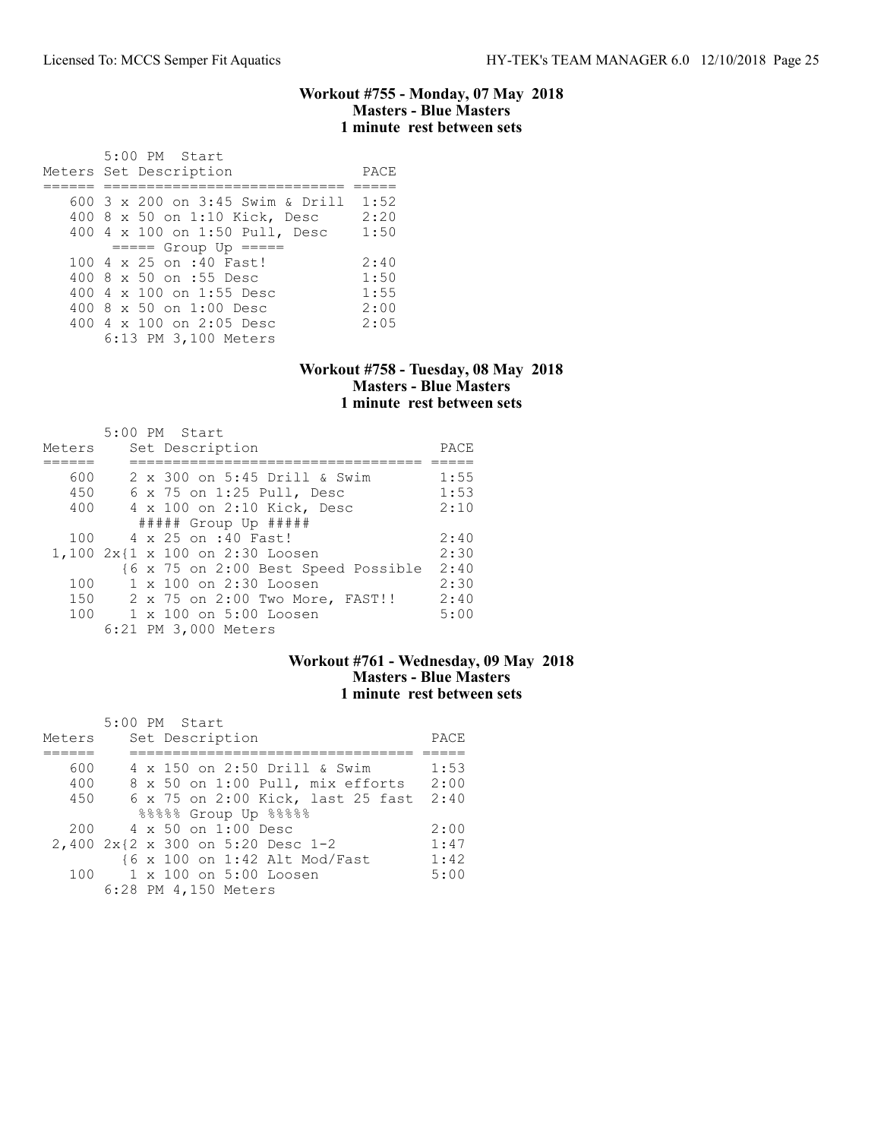### Workout #755 - Monday, 07 May 2018 Masters - Blue Masters 1 minute rest between sets

 5:00 PM Start Meters Set Description PACE ====== ============================ ===== 600 3 x 200 on 3:45 Swim & Drill 1:52 400 8 x 50 on 1:10 Kick, Desc 2:20 400 4 x 100 on 1:50 Pull, Desc 1:50 ===== Group Up ===== 100 4 x 25 on :40 Fast! 2:40 400 8 x 50 on :55 Desc 1:50 400 4 x 100 on 1:55 Desc 1:55 400 8 x 50 on 1:00 Desc 2:00 400 4 x 100 on 2:05 Desc 2:05 6:13 PM 3,100 Meters

### Workout #758 - Tuesday, 08 May 2018 Masters - Blue Masters 1 minute rest between sets

|        | 5:00 PM Start                       |      |
|--------|-------------------------------------|------|
| Meters | Set Description                     | PACE |
|        |                                     |      |
| 600    | 2 x 300 on 5:45 Drill & Swim        | 1:55 |
| 450    | $6 \times 75$ on 1:25 Pull, Desc    | 1:53 |
| 400    | 4 x 100 on 2:10 Kick, Desc          | 2:10 |
|        | $\#$ #### Group Up $\#$ ####        |      |
| 100    | 4 x 25 on :40 Fast!                 | 2:40 |
|        | 1,100 2x{1 x 100 on 2:30 Loosen     | 2:30 |
|        | {6 x 75 on 2:00 Best Speed Possible | 2:40 |
| 100    | 1 x 100 on 2:30 Loosen              | 2:30 |
| 150    | 2 x 75 on 2:00 Two More, FAST!!     | 2:40 |
| 100    | 1 x 100 on 5:00 Loosen              | 5:00 |
|        | 6:21 PM 3,000 Meters                |      |

### Workout #761 - Wednesday, 09 May 2018 Masters - Blue Masters 1 minute rest between sets

|        | 5:00 PM Start                     |      |
|--------|-----------------------------------|------|
| Meters | Set Description                   | PACE |
|        |                                   |      |
| 600    | 4 x 150 on 2:50 Drill & Swim      | 1:53 |
| 400    | 8 x 50 on 1:00 Pull, mix efforts  | 2:00 |
| 450    | 6 x 75 on 2:00 Kick, last 25 fast | 2:40 |
|        | 88888 Group Up 88888              |      |
| 200    | 4 x 50 on 1:00 Desc               | 2:00 |
|        | 2,400 2x{2 x 300 on 5:20 Desc 1-2 | 1:47 |
|        | {6 x 100 on 1:42 Alt Mod/Fast     | 1:42 |
| 100    | 1 x 100 on 5:00 Loosen            | 5:00 |
|        | 6:28 PM 4,150 Meters              |      |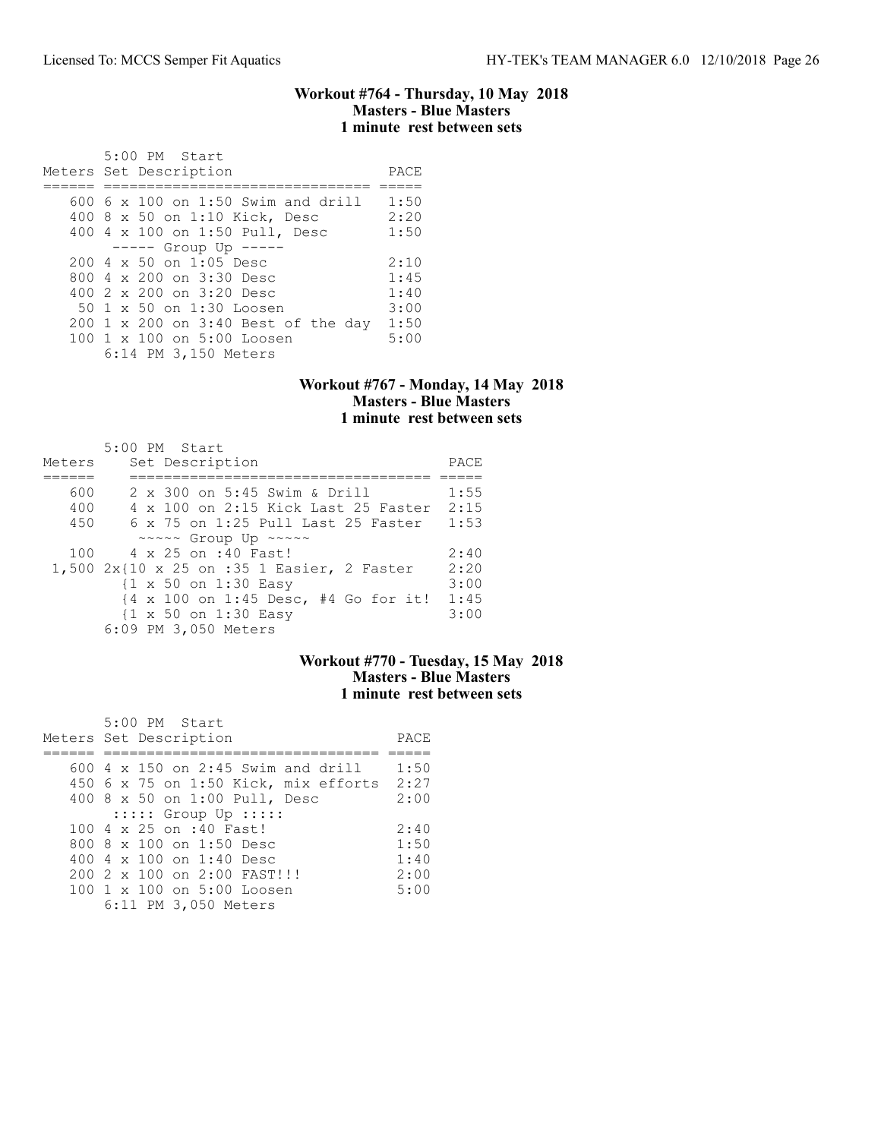#### Workout #764 - Thursday, 10 May 2018 Masters - Blue Masters 1 minute rest between sets

| 5:00 PM Start<br>Meters Set Description          | PACE |
|--------------------------------------------------|------|
|                                                  |      |
| $600.6 \times 100$ on 1:50 Swim and drill        | 1:50 |
| 400 8 x 50 on 1:10 Kick, Desc                    | 2:20 |
| 400 4 x 100 on 1:50 Pull, Desc                   | 1:50 |
| ----- Group Up -----                             |      |
| $200 \text{ } 4 \text{ } \times 50$ on 1:05 Desc | 2:10 |
| 800 4 x 200 on 3:30 Desc                         | 1:45 |
| 400 2 x 200 on 3:20 Desc                         | 1:40 |
| 50 1 x 50 on 1:30 Loosen                         | 3:00 |
| 200 1 x 200 on 3:40 Best of the day              | 1:50 |
| 100 1 x 100 on 5:00 Loosen                       | 5:00 |
| 6:14 PM 3,150 Meters                             |      |

### Workout #767 - Monday, 14 May 2018 Masters - Blue Masters 1 minute rest between sets

|        | 5:00 PM Start                                        |      |
|--------|------------------------------------------------------|------|
| Meters | Set Description                                      | PACE |
|        |                                                      |      |
| 600    | 2 x 300 on 5:45 Swim & Drill                         | 1:55 |
| 400    | 4 x 100 on 2:15 Kick Last 25 Faster                  | 2:15 |
| 450    | 6 x 75 on 1:25 Pull Last 25 Faster                   | 1:53 |
|        | $\sim \sim \sim \sim$ Group Up $\sim \sim \sim \sim$ |      |
| 100    | 4 x 25 on :40 Fast!                                  | 2:40 |
|        | 1,500 2x{10 x 25 on :35 1 Easier, 2 Faster           | 2:20 |
|        | $\{1 \times 50 \text{ on } 1:30 \text{ Easy}\}$      | 3:00 |
|        | {4 x 100 on 1:45 Desc, #4 Go for it!                 | 1:45 |
|        | $\{1 \times 50 \text{ on } 1:30 \text{ Easy}\}$      | 3:00 |
|        | 6:09 PM 3,050 Meters                                 |      |

## Workout #770 - Tuesday, 15 May 2018 Masters - Blue Masters 1 minute rest between sets

| 5:00 PM Start                             |      |
|-------------------------------------------|------|
| Meters Set Description                    | PACE |
|                                           |      |
| $600$ 4 x 150 on 2:45 Swim and drill      | 1:50 |
| 450 6 x 75 on 1:50 Kick, mix efforts 2:27 |      |
| 400 8 x 50 on 1:00 Pull, Desc             | 2:00 |
| $:::::$ Group Up $:::::$                  |      |
| 100 4 x 25 on :40 Fast!                   | 2:40 |
| 800 8 x 100 on 1:50 Desc                  | 1:50 |
| 400 4 x 100 on 1:40 Desc                  | 1:40 |
| 200 2 x 100 on 2:00 FAST!!!               | 2:00 |
| 100 1 x 100 on 5:00 Loosen                | 5:00 |
| 6:11 PM 3,050 Meters                      |      |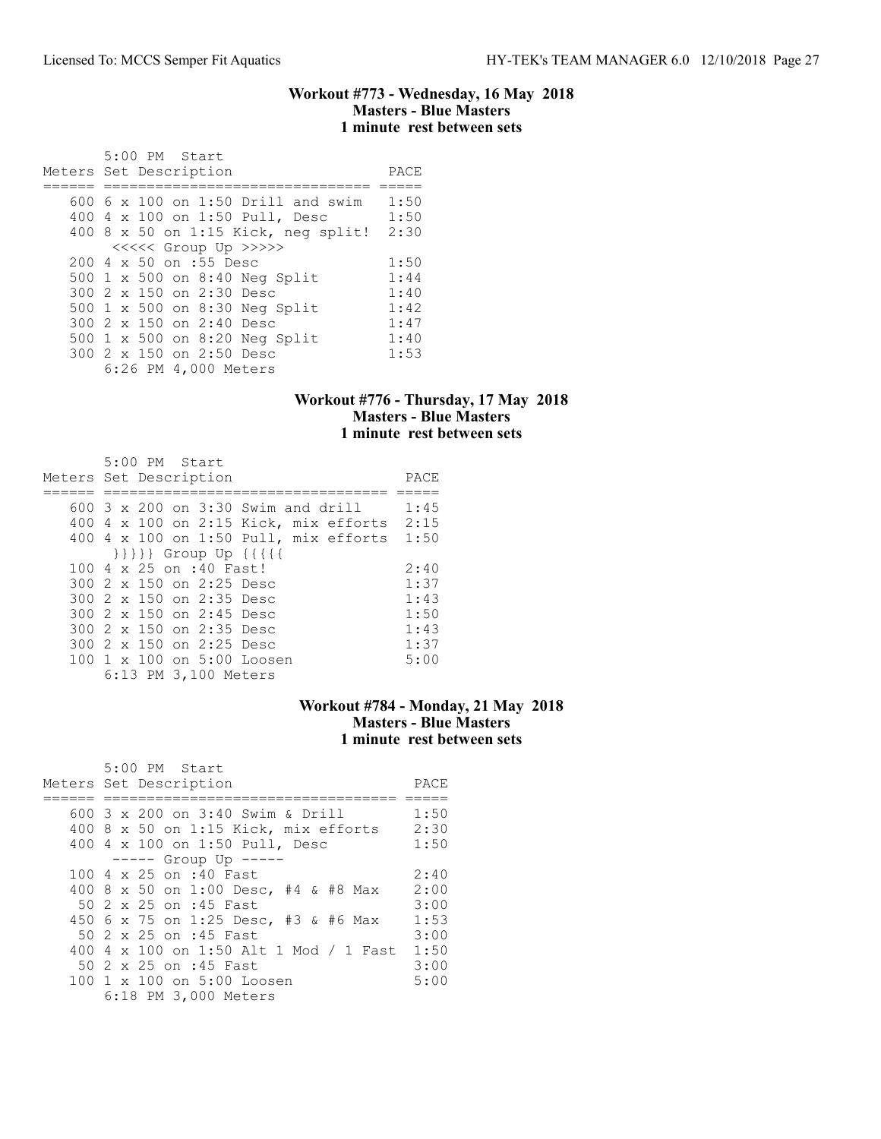#### Workout #773 - Wednesday, 16 May 2018 Masters - Blue Masters 1 minute rest between sets

| 5:00 PM Start                             |      |
|-------------------------------------------|------|
| Meters Set Description                    | PACE |
|                                           |      |
| 600 6 $\times$ 100 on 1:50 Drill and swim | 1:50 |
| 400 4 x 100 on 1:50 Pull, Desc            | 1:50 |
| 400 8 x 50 on 1:15 Kick, neg split!       | 2:30 |
| <<<<<< Group Up >>>>>                     |      |
| 200 4 x 50 on :55 Desc                    | 1:50 |
| 500 1 x 500 on 8:40 Neg Split             | 1:44 |
| 300 2 x 150 on 2:30 Desc                  | 1:40 |
| 500 1 x 500 on 8:30 Neg Split             | 1:42 |
| 300 2 x 150 on 2:40 Desc                  | 1:47 |
| 500 1 x 500 on 8:20 Neg Split             | 1:40 |
| 300 2 x 150 on 2:50 Desc                  | 1:53 |
| 6:26 PM 4,000 Meters                      |      |

## Workout #776 - Thursday, 17 May 2018 Masters - Blue Masters 1 minute rest between sets

| 5:00 PM Start                                    |      |
|--------------------------------------------------|------|
| Meters Set Description                           | PACE |
|                                                  |      |
| 600 3 x 200 on 3:30 Swim and drill               | 1:45 |
| 400 4 x 100 on 2:15 Kick, mix efforts            | 2:15 |
| 400 4 x 100 on 1:50 Pull, mix efforts 1:50       |      |
| $\{\{\{\{\}\}\}\}$ Group Up $\{\{\{\{\{\}\}\}\}$ |      |
| 100 4 x 25 on :40 Fast!                          | 2:40 |
| 300 2 x 150 on 2:25 Desc                         | 1:37 |
| 300 2 x 150 on 2:35 Desc                         | 1:43 |
| 300 2 x 150 on 2:45 Desc                         | 1:50 |
| 300 2 x 150 on 2:35 Desc                         | 1:43 |
| 300 2 x 150 on 2:25 Desc                         | 1:37 |
| 100 1 x 100 on 5:00 Loosen                       | 5:00 |
| 6:13 PM 3,100 Meters                             |      |

# Workout #784 - Monday, 21 May 2018 Masters - Blue Masters 1 minute rest between sets

| 5:00 PM Start                          |      |
|----------------------------------------|------|
| Meters Set Description                 | PACE |
|                                        |      |
| 600 3 x 200 on 3:40 Swim & Drill       | 1:50 |
| $400$ 8 x 50 on 1:15 Kick, mix efforts | 2:30 |
| 400 4 x 100 on 1:50 Pull, Desc         | 1:50 |
| ----- Group Up -----                   |      |
| 100 4 x 25 on :40 Fast                 | 2:40 |
| 400 8 x 50 on 1:00 Desc, #4 & #8 Max   | 2:00 |
| 50 2 x 25 on :45 Fast                  | 3:00 |
| 450 6 x 75 on 1:25 Desc, #3 & #6 Max   | 1:53 |
| 50 2 x 25 on :45 Fast                  | 3:00 |
| 400 4 x 100 on 1:50 Alt 1 Mod / 1 Fast | 1:50 |
| 50 2 x 25 on :45 Fast                  | 3:00 |
| 100 1 x 100 on 5:00 Loosen             | 5:00 |
| 6:18 PM 3,000 Meters                   |      |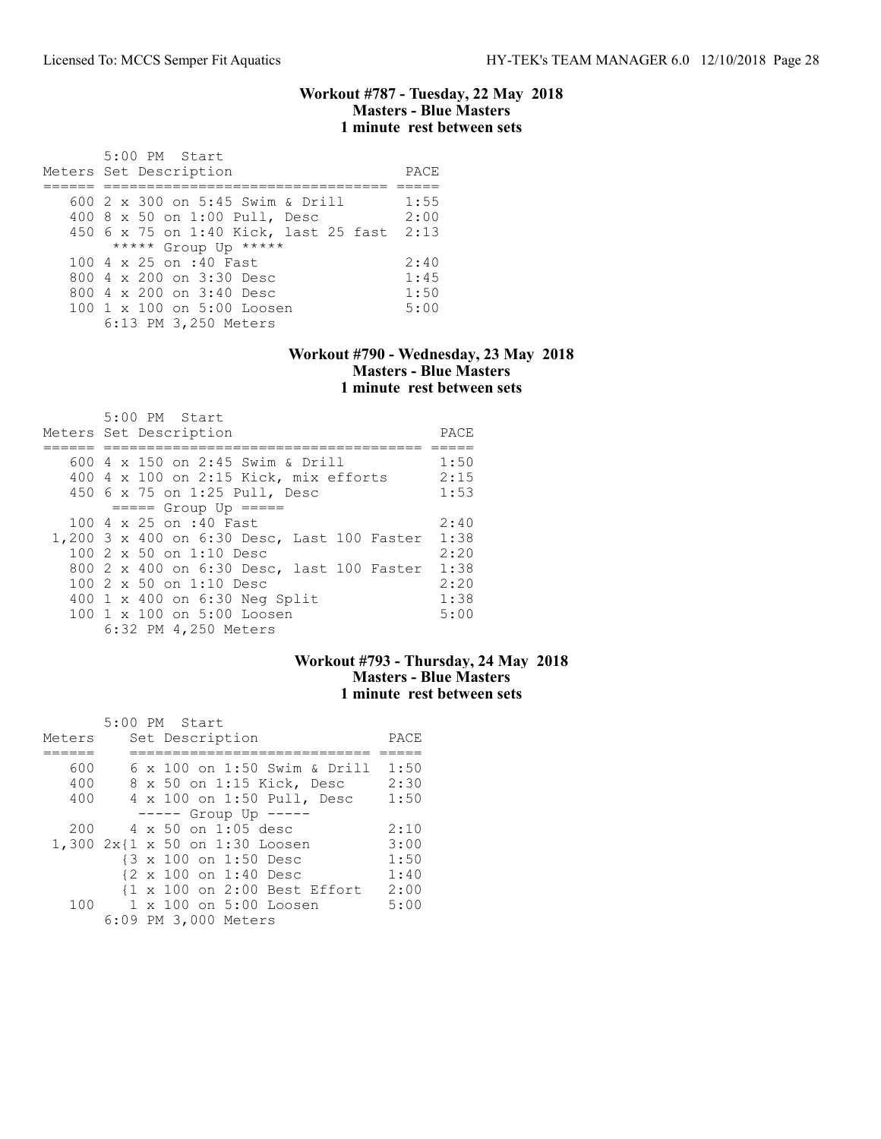### Workout #787 - Tuesday, 22 May 2018 Masters - Blue Masters 1 minute rest between sets

| $5:00$ PM Start<br>Meters Set Description                         | PACE         |
|-------------------------------------------------------------------|--------------|
| 600 2 x 300 on 5:45 Swim & Drill<br>400 8 x 50 on 1:00 Pull, Desc | 1:55<br>2:00 |
| 450 6 x 75 on 1:40 Kick, last 25 fast<br>***** Group Up *****     | 2:13         |
| 100 4 x 25 on :40 Fast                                            | 2:40         |
| 800 $4 \times 200$ on $3:30$ Desc                                 | 1:45         |
| 800 $4 \times 200$ on $3:40$ Desc                                 | 1:50         |
| $100 \t1 x 100$ on $5:00$ Loosen<br>6:13 PM 3,250 Meters          | 5:00         |

### Workout #790 - Wednesday, 23 May 2018 Masters - Blue Masters 1 minute rest between sets

| 5:00 PM Start                               |      |
|---------------------------------------------|------|
| Meters Set Description                      | PACE |
|                                             |      |
| 600 4 x 150 on 2:45 Swim & Drill            | 1:50 |
| 400 4 x 100 on 2:15 Kick, mix efforts       | 2:15 |
| 450 6 x 75 on 1:25 Pull, Desc               | 1:53 |
| $== == $ Group Up $== == $                  |      |
| 100 4 x 25 on :40 Fast                      | 2:40 |
| 1,200 3 x 400 on 6:30 Desc, Last 100 Faster | 1:38 |
| $1002 \times 50$ on $1:10$ Desc             | 2:20 |
| 800 2 x 400 on 6:30 Desc, last 100 Faster   | 1:38 |
| $1002 \times 50$ on $1:10$ Desc             | 2:20 |
| 400 1 x 400 on 6:30 Neg Split               | 1:38 |
| 100 1 x 100 on 5:00 Loosen                  | 5:00 |
| 6:32 PM 4,250 Meters                        |      |

### Workout #793 - Thursday, 24 May 2018 Masters - Blue Masters 1 minute rest between sets

|        | 5:00 PM Start                  |      |
|--------|--------------------------------|------|
| Meters | Set Description                | PACE |
|        |                                |      |
| 600    | 6 x 100 on 1:50 Swim & Drill   | 1:50 |
| 400    | 8 x 50 on 1:15 Kick, Desc      | 2:30 |
| 400    | 4 x 100 on 1:50 Pull, Desc     | 1:50 |
|        | ----- Group Up -----           |      |
| 200    | 4 x 50 on 1:05 desc            | 2:10 |
|        | 1,300 2x{1 x 50 on 1:30 Loosen | 3:00 |
|        | {3 x 100 on 1:50 Desc          | 1:50 |
|        | {2 x 100 on 1:40 Desc          | 1:40 |
|        | {1 x 100 on 2:00 Best Effort   | 2:00 |
| 100    | 1 x 100 on 5:00 Loosen         | 5:00 |
|        | 6:09 PM 3,000 Meters           |      |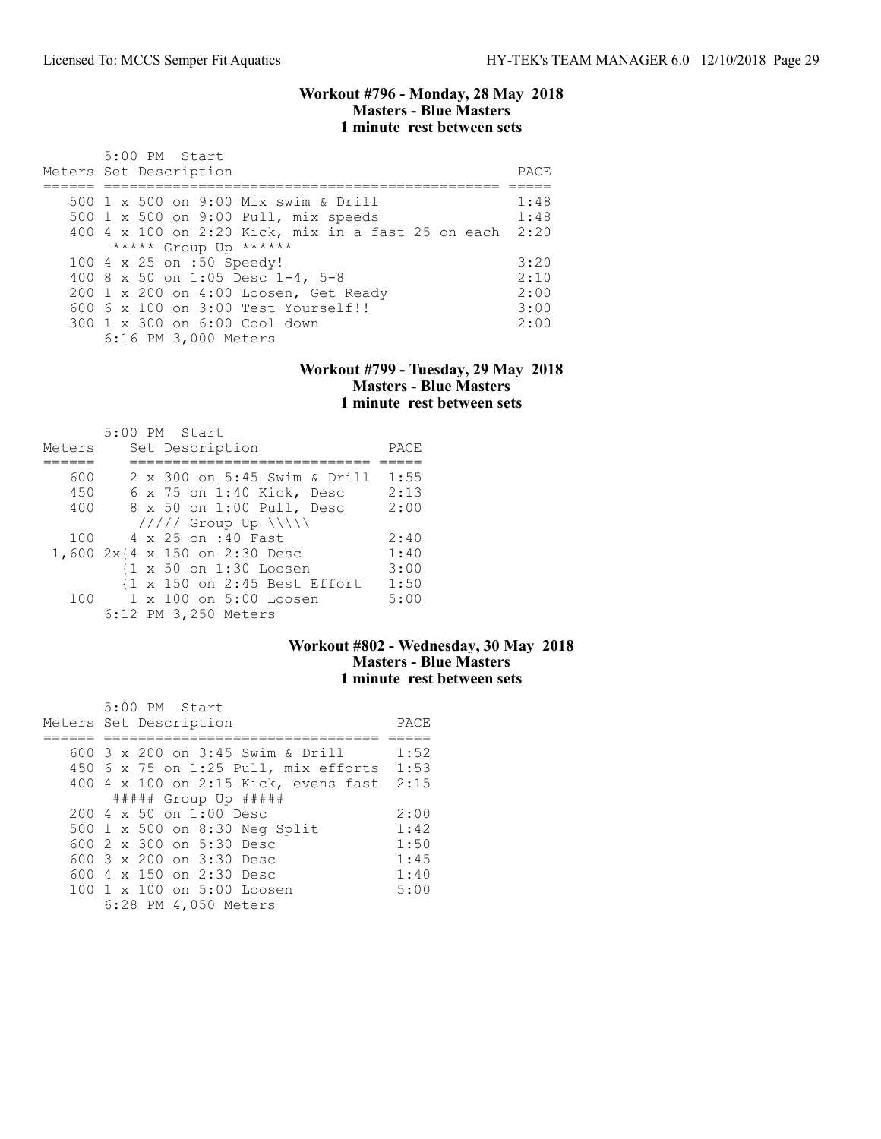### Workout #796 - Monday, 28 May 2018 Masters - Blue Masters 1 minute rest between sets

| 5:00 PM Start<br>Meters Set Description                 | PACE. |
|---------------------------------------------------------|-------|
| 500 1 x 500 on 9:00 Mix swim & Drill                    | 1:48  |
| 500 1 x 500 on 9:00 Pull, mix speeds                    | 1:48  |
| 400 4 x 100 on 2:20 Kick, mix in a fast 25 on each 2:20 |       |
| ***** Group Up ******                                   |       |
| 100 4 x 25 on :50 Speedy!                               | 3:20  |
| 400 8 x 50 on 1:05 Desc 1-4, 5-8                        | 2:10  |
| 200 1 x 200 on 4:00 Loosen, Get Ready                   | 2:00  |
| $6006 \times 100$ on $3:00$ Test Yourself!!             | 3:00  |
| 300 1 x 300 on 6:00 Cool down                           | 2:00  |
| 6:16 PM 3,000 Meters                                    |       |

#### Workout #799 - Tuesday, 29 May 2018 Masters - Blue Masters 1 minute rest between sets

| Meters | $5:00$ PM Start<br>Set Description | PACE |
|--------|------------------------------------|------|
|        |                                    |      |
| 600    | 2 x 300 on 5:45 Swim & Drill       | 1:55 |
| 450    | 6 x 75 on 1:40 Kick, Desc          | 2:13 |
| 400    | 8 x 50 on 1:00 Pull, Desc          | 2:00 |
|        | $11111$ Group Up $\N\$             |      |
| 100    | 4 x 25 on :40 Fast                 | 2:40 |
|        | 1,600 2x{4 x 150 on 2:30 Desc      | 1:40 |
|        | {1 x 50 on 1:30 Loosen             | 3:00 |
|        | {1 x 150 on 2:45 Best Effort       | 1:50 |
| 100    | $1 \times 100$ on $5:00$ Loosen    | 5:00 |
|        | 6:12 PM 3,250 Meters               |      |

# Workout #802 - Wednesday, 30 May 2018 Masters - Blue Masters 1 minute rest between sets

| 5:00 PM Start<br>Meters Set Description     | PACE |
|---------------------------------------------|------|
| 600 3 x 200 on 3:45 Swim & Drill            | 1:52 |
| 450 $6 \times 75$ on 1:25 Pull, mix efforts | 1:53 |
| 400 4 x 100 on 2:15 Kick, evens fast 2:15   |      |
| $\#$ #### Group Up $\#$ ####                |      |
| $200 \text{ } 4 \times 50$ on $1:00$ Desc   | 2:00 |
| 500 1 x 500 on 8:30 Neg Split               | 1:42 |
| 600 $2 \times 300$ on $5:30$ Desc           | 1:50 |
| 600 $3 \times 200$ on $3:30$ Desc           | 1:45 |
| 600 $4 \times 150$ on 2:30 Desc             | 1:40 |
| 100 1 x 100 on 5:00 Loosen                  | 5:00 |
| 6:28 PM 4,050 Meters                        |      |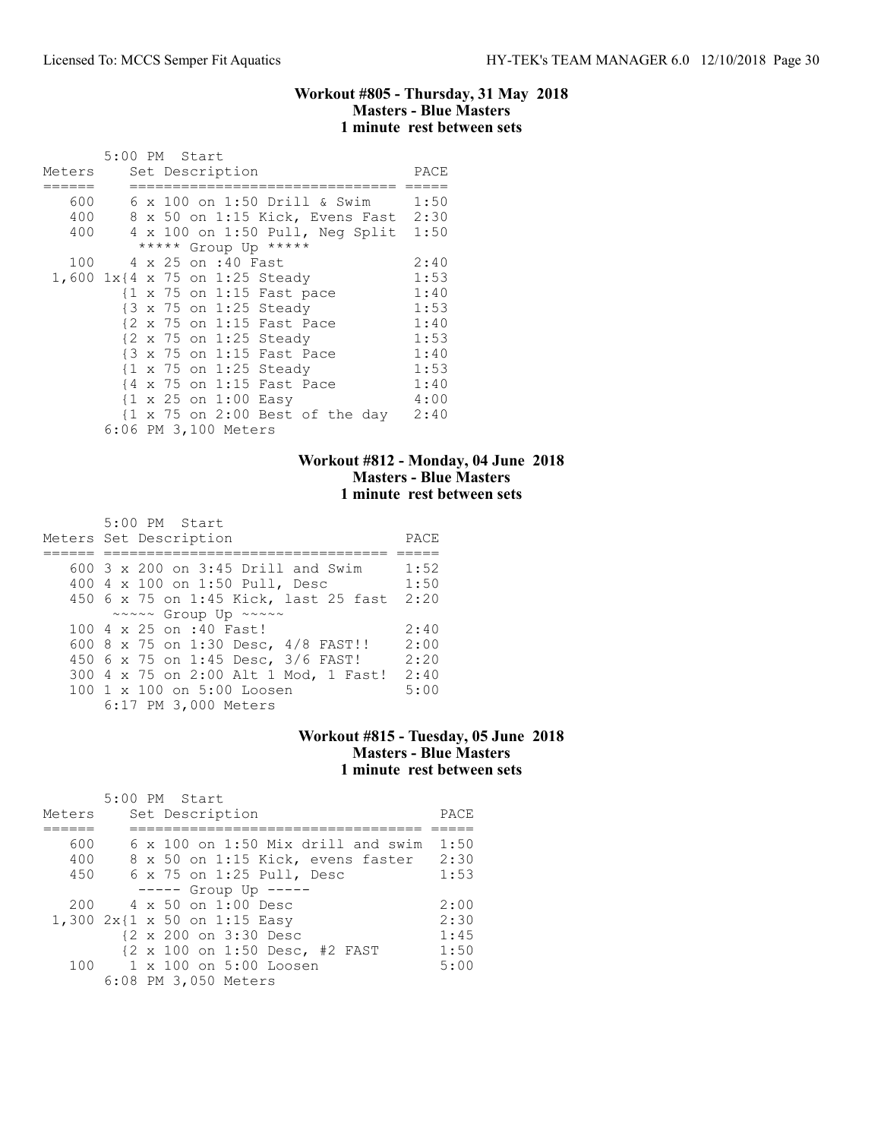### Workout #805 - Thursday, 31 May 2018 Masters - Blue Masters 1 minute rest between sets

|                                   | 5:00 PM Start |  |                                                   |  |                                 |                                      |
|-----------------------------------|---------------|--|---------------------------------------------------|--|---------------------------------|--------------------------------------|
| Meters                            |               |  | Set Description                                   |  |                                 | PACE                                 |
| 600                               |               |  |                                                   |  |                                 | 6 x 100 on 1:50 Drill & Swim 1:50    |
| 400                               |               |  |                                                   |  |                                 | 8 x 50 on 1:15 Kick, Evens Fast 2:30 |
| 400                               |               |  |                                                   |  | 4 x 100 on 1:50 Pull, Neg Split | 1:50                                 |
|                                   |               |  | ***** Group Up *****                              |  |                                 |                                      |
| 100                               |               |  | 4 x 25 on :40 Fast                                |  |                                 | 2:40                                 |
| 1,600 $1x$ {4 x 75 on 1:25 Steady |               |  |                                                   |  |                                 | 1:53                                 |
|                                   |               |  | {1 x 75 on 1:15 Fast pace                         |  |                                 | 1:40                                 |
|                                   |               |  | {3 x 75 on 1:25 Steady                            |  |                                 | 1:53                                 |
|                                   |               |  | {2 x 75 on 1:15 Fast Pace                         |  |                                 | 1:40                                 |
|                                   |               |  | {2 x 75 on 1:25 Steady                            |  |                                 | 1:53                                 |
|                                   |               |  | {3 x 75 on 1:15 Fast Pace                         |  |                                 | 1:40                                 |
|                                   |               |  | $\{1 \times 75 \text{ on } 1:25 \text{ Steady}\}$ |  |                                 | 1:53                                 |
|                                   | { 4           |  | x 75 on 1:15 Fast Pace                            |  |                                 | 1:40                                 |
|                                   |               |  | $\{1 \times 25 \text{ on } 1:00 \text{ Easy}\}$   |  |                                 | 4:00                                 |
|                                   |               |  |                                                   |  |                                 | {1 x 75 on 2:00 Best of the day 2:40 |
|                                   |               |  | 6:06 PM 3,100 Meters                              |  |                                 |                                      |

# Workout #812 - Monday, 04 June 2018 Masters - Blue Masters 1 minute rest between sets

| $5:00$ PM Start<br>Meters Set Description   | PACE |
|---------------------------------------------|------|
| 600 $3 \times 200$ on $3:45$ Drill and Swim | 1:52 |
| 400 4 x 100 on 1:50 Pull, Desc              | 1:50 |
| 450 6 x 75 on 1:45 Kick, last 25 fast       | 2:20 |
| ~~~~~ Group Up ~~~~~                        |      |
| 100 4 x 25 on :40 Fast!                     | 2:40 |
| 600 8 x 75 on 1:30 Desc, 4/8 FAST!!         | 2:00 |
| 450 6 x 75 on 1:45 Desc, 3/6 FAST!          | 2:20 |
| 300 4 x 75 on 2:00 Alt 1 Mod, 1 Fast!       | 2:40 |
| 100 1 x 100 on 5:00 Loosen                  | 5:00 |
| 6:17 PM 3,000 Meters                        |      |

## Workout #815 - Tuesday, 05 June 2018 Masters - Blue Masters 1 minute rest between sets

| Meters | $5:00$ PM Start<br>Set Description        | PACE |
|--------|-------------------------------------------|------|
| 600    | $6 \times 100$ on 1:50 Mix drill and swim | 1:50 |
| 400    | 8 x 50 on 1:15 Kick, evens faster         | 2:30 |
| 450    | $6 \times 75$ on 1:25 Pull, Desc          | 1:53 |
|        | $--- $ Group Up $---$                     |      |
| 200    | 4 x 50 on 1:00 Desc                       | 2:00 |
|        | 1,300 2x{1 x 50 on 1:15 Easy              | 2:30 |
|        | {2 x 200 on 3:30 Desc                     | 1:45 |
|        | {2 x 100 on 1:50 Desc, #2 FAST            | 1:50 |
|        | 100 1 x 100 on 5:00 Loosen                | 5:00 |
|        | 6:08 PM 3,050 Meters                      |      |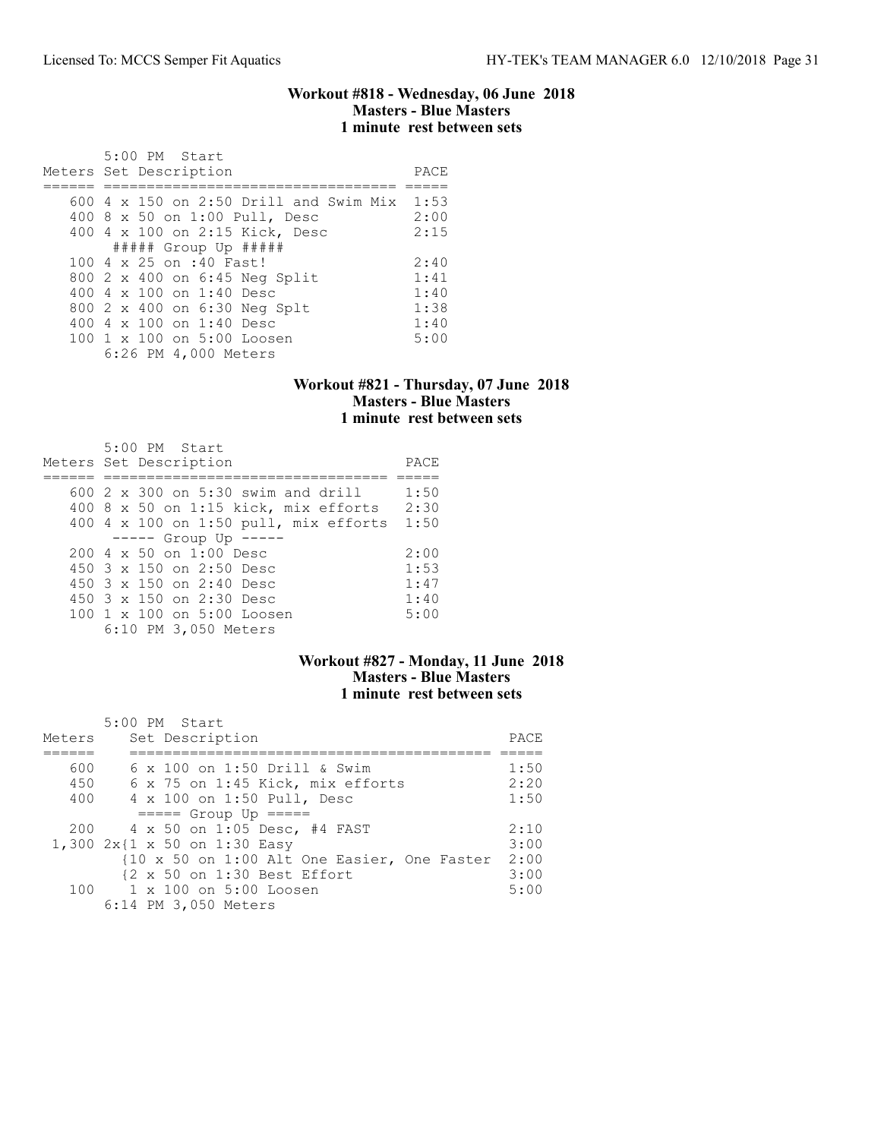#### Workout #818 - Wednesday, 06 June 2018 Masters - Blue Masters 1 minute rest between sets

| 5:00 PM Start<br>Meters Set Description       | PACE |
|-----------------------------------------------|------|
| 600 $4 \times 150$ on 2:50 Drill and Swim Mix | 1:53 |
| 400 8 x 50 on 1:00 Pull, Desc                 | 2:00 |
| 400 4 x 100 on 2:15 Kick, Desc                | 2:15 |
| $\#$ #### Group Up $\#$ ####                  |      |
| 100 4 x 25 on :40 Fast!                       | 2:40 |
| 800 2 x 400 on 6:45 Neg Split                 | 1:41 |
| 400 4 x 100 on 1:40 Desc                      | 1:40 |
| 800 2 x 400 on 6:30 Neg Splt                  | 1:38 |
| 400 4 x 100 on 1:40 Desc                      | 1:40 |
| 100 1 x 100 on 5:00 Loosen                    | 5:00 |
| 6:26 PM 4,000 Meters                          |      |

## Workout #821 - Thursday, 07 June 2018 Masters - Blue Masters 1 minute rest between sets

| 5:00 PM Start<br>Meters Set Description | PACE |
|-----------------------------------------|------|
| $600\,2\,$ x 300 on 5:30 swim and drill | 1:50 |
| $400$ 8 x 50 on 1:15 kick, mix efforts  | 2:30 |
| 400 4 x 100 on 1:50 pull, mix efforts   | 1:50 |
| $--- $ Group Up $---$                   |      |
| $200.4 \times 50$ on 1:00 Desc          | 2:00 |
| 450 $3 \times 150$ on 2:50 Desc         | 1:53 |
| 450 3 x 150 on 2:40 Desc                | 1:47 |
| 450 $3 \times 150$ on 2:30 Desc         | 1:40 |
| 100 1 x 100 on 5:00 Loosen              | 5:00 |
| 6:10 PM 3,050 Meters                    |      |

## Workout #827 - Monday, 11 June 2018 Masters - Blue Masters 1 minute rest between sets

| Meters | 5:00 PM Start<br>Set Description            | PACE |
|--------|---------------------------------------------|------|
| 600    | $6 \times 100$ on 1:50 Drill & Swim         | 1:50 |
|        |                                             |      |
| 450    | 6 x 75 on 1:45 Kick, mix efforts            | 2:20 |
| 400    | 4 x 100 on 1:50 Pull, Desc                  | 1:50 |
|        | $====$ Group Up $====$                      |      |
| 200    | 4 x 50 on 1:05 Desc, #4 FAST                | 2:10 |
|        | 1,300 2x{1 x 50 on 1:30 Easy                | 3:00 |
|        | {10 x 50 on 1:00 Alt One Easier, One Faster | 2:00 |
|        | {2 x 50 on 1:30 Best Effort                 | 3:00 |
|        | 100 1 x 100 on 5:00 Loosen                  | 5:00 |
|        | 6:14 PM 3,050 Meters                        |      |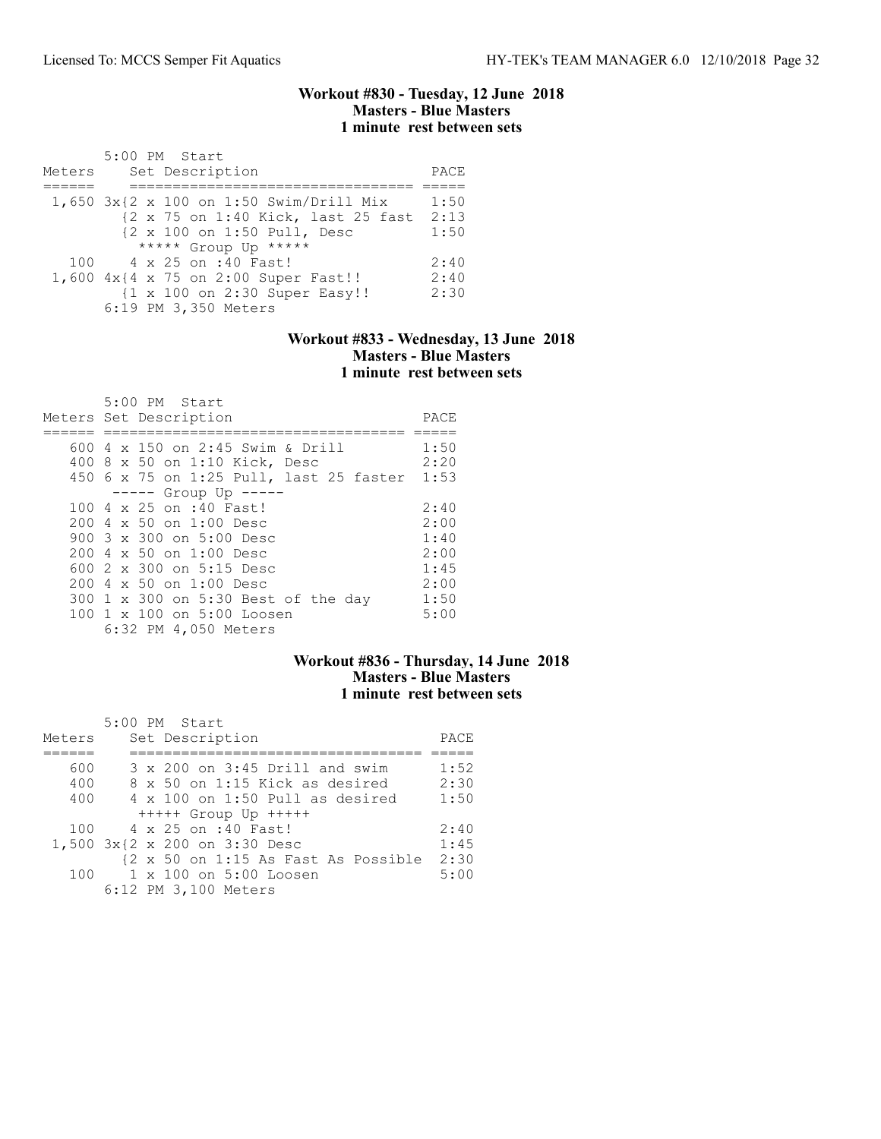#### Workout #830 - Tuesday, 12 June 2018 Masters - Blue Masters 1 minute rest between sets

|        | 5:00 PM Start                           |      |
|--------|-----------------------------------------|------|
| Meters | Set Description                         | PACE |
|        |                                         |      |
|        | 1,650 3x{2 x 100 on 1:50 Swim/Drill Mix | 1:50 |
|        | {2 x 75 on 1:40 Kick, last 25 fast      | 2:13 |
|        | {2 x 100 on 1:50 Pull, Desc             | 1:50 |
|        | ***** Group Up *****                    |      |
|        | 100 4 x 25 on :40 Fast!                 | 2:40 |
|        | 1,600 4x{4 x 75 on 2:00 Super Fast!!    | 2:40 |
|        | {1 x 100 on 2:30 Super Easy!!           | 2:30 |
|        | 6:19 PM 3,350 Meters                    |      |

#### Workout #833 - Wednesday, 13 June 2018 Masters - Blue Masters 1 minute rest between sets

| 5:00 PM Start                                |      |
|----------------------------------------------|------|
| Meters Set Description                       | PACE |
|                                              |      |
| 600 $4 \times 150$ on 2:45 Swim & Drill      | 1:50 |
| 400 8 x 50 on 1:10 Kick, Desc                | 2:20 |
| 450 6 x 75 on 1:25 Pull, last 25 faster 1:53 |      |
| $--- $ Group Up $---$                        |      |
| 100 4 x 25 on :40 Fast!                      | 2:40 |
| 200 4 x 50 on 1:00 Desc                      | 2:00 |
| 900 $3 \times 300$ on $5:00$ Desc            | 1:40 |
| $2004 \times 50$ on $1:00$ Desc              | 2:00 |
| 600 $2 \times 300$ on $5:15$ Desc            | 1:45 |
| $200 \text{ } 4 \times 50$ on $1:00$ Desc    | 2:00 |
| 300 1 x 300 on 5:30 Best of the day          | 1:50 |
| 100 1 x 100 on 5:00 Loosen                   | 5:00 |
| 6:32 PM 4,050 Meters                         |      |

## Workout #836 - Thursday, 14 June 2018 Masters - Blue Masters 1 minute rest between sets

|        | 5:00 PM Start                       |      |
|--------|-------------------------------------|------|
| Meters | Set Description                     | PACE |
|        |                                     |      |
| 600    | 3 x 200 on 3:45 Drill and swim      | 1:52 |
| 400    | 8 x 50 on 1:15 Kick as desired      | 2:30 |
| 400    | 4 x 100 on 1:50 Pull as desired     | 1:50 |
|        | $++++$ Group Up $++++$              |      |
| 100    | 4 x 25 on :40 Fast!                 | 2:40 |
|        | 1,500 3x{2 x 200 on 3:30 Desc       | 1:45 |
|        | {2 x 50 on 1:15 As Fast As Possible | 2:30 |
| 100    | 1 x 100 on 5:00 Loosen              | 5:00 |
|        | 6:12 PM 3,100 Meters                |      |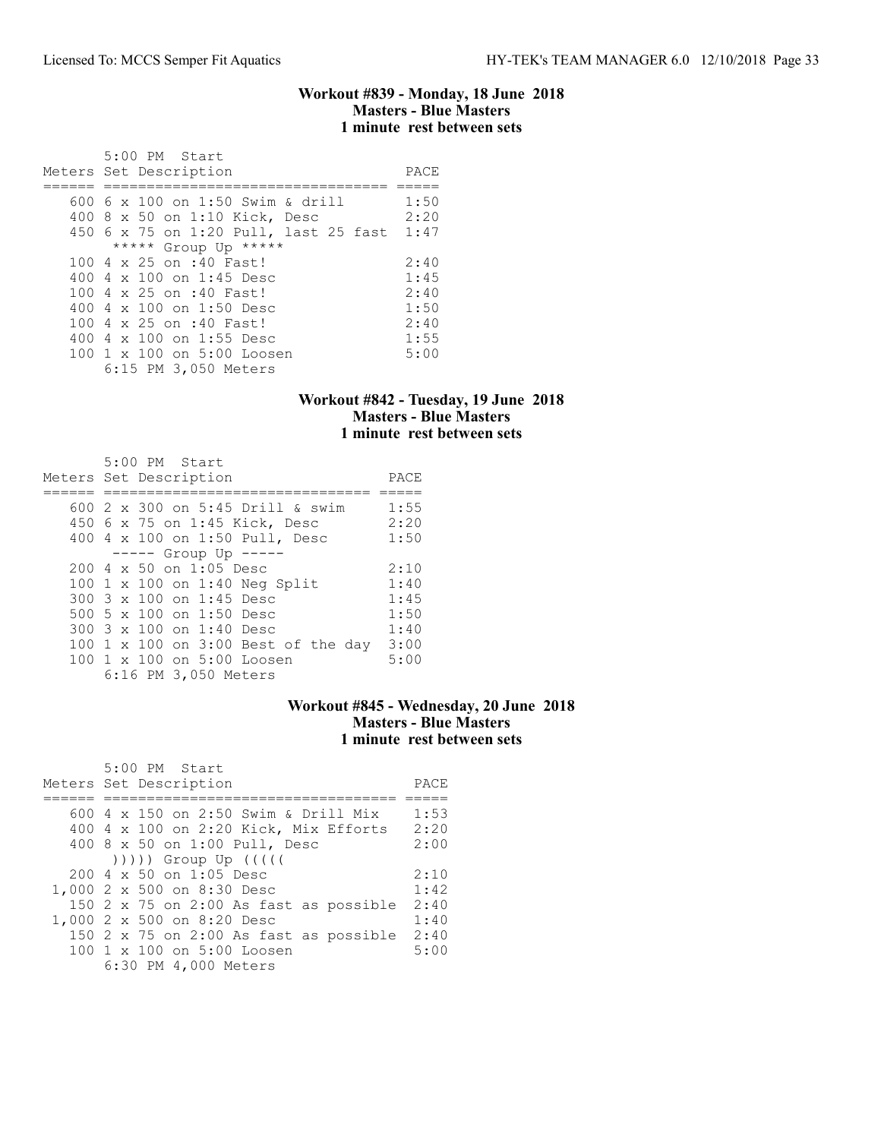#### Workout #839 - Monday, 18 June 2018 Masters - Blue Masters 1 minute rest between sets

| $5:00$ PM Start<br>Meters Set Description | PACE |
|-------------------------------------------|------|
| 600 6 x 100 on 1:50 Swim & drill          | 1:50 |
| 400 8 x 50 on 1:10 Kick, Desc             | 2:20 |
| 450 6 x 75 on 1:20 Pull, last 25 fast     | 1:47 |
| ***** Group Up *****                      |      |
| 100 4 x 25 on :40 Fast!                   | 2:40 |
| 400 4 x 100 on 1:45 Desc                  | 1:45 |
| 100 4 x 25 on :40 Fast!                   | 2:40 |
| 400 4 x 100 on 1:50 Desc                  | 1:50 |
| 100 4 x 25 on :40 Fast!                   | 2:40 |
| 400 4 $\times$ 100 on 1:55 Desc           | 1:55 |
| 100 1 x 100 on 5:00 Loosen                | 5:00 |
| 6:15 PM 3,050 Meters                      |      |

### Workout #842 - Tuesday, 19 June 2018 Masters - Blue Masters 1 minute rest between sets

| 5:00 PM Start<br>Meters Set Description                                                                                                                                                                                                                             | PACE                                                 |
|---------------------------------------------------------------------------------------------------------------------------------------------------------------------------------------------------------------------------------------------------------------------|------------------------------------------------------|
| 600 2 x 300 on 5:45 Drill & swim<br>450 6 x 75 on 1:45 Kick, Desc<br>400 4 x 100 on 1:50 Pull, Desc                                                                                                                                                                 | 1:55<br>2:20<br>1:50                                 |
| $--- -$ Group Up $---$<br>200 4 x 50 on 1:05 Desc<br>100 1 x 100 on 1:40 Neg Split<br>300 3 x 100 on 1:45 Desc<br>500 5 x 100 on 1:50 Desc<br>300 3 x 100 on 1:40 Desc<br>100 1 x 100 on 3:00 Best of the day<br>100 1 x 100 on 5:00 Loosen<br>6:16 PM 3,050 Meters | 2:10<br>1:40<br>1:45<br>1:50<br>1:40<br>3:00<br>5:00 |

# Workout #845 - Wednesday, 20 June 2018 Masters - Blue Masters 1 minute rest between sets

| 5:00 PM Start<br>Meters Set Description          | PACE |
|--------------------------------------------------|------|
|                                                  |      |
| 600 4 x 150 on 2:50 Swim & Drill Mix             | 1:53 |
| 400 4 x 100 on 2:20 Kick, Mix Efforts            | 2:20 |
| 400 8 x 50 on 1:00 Pull, Desc                    | 2:00 |
| $( ) )$ ))) Group Up $( ( )$                     |      |
| $200 \text{ } 4 \text{ } \times 50$ on 1:05 Desc | 2:10 |
| 1,000 2 x 500 on 8:30 Desc                       | 1:42 |
| 150 $2 \times 75$ on 2:00 As fast as possible    | 2:40 |
| 1,000 2 x 500 on 8:20 Desc                       | 1:40 |
| 150 2 x 75 on 2:00 As fast as possible           | 2:40 |
| $100 \t1 x 100$ on $5:00$ Loosen                 | 5:00 |
| 6:30 PM 4,000 Meters                             |      |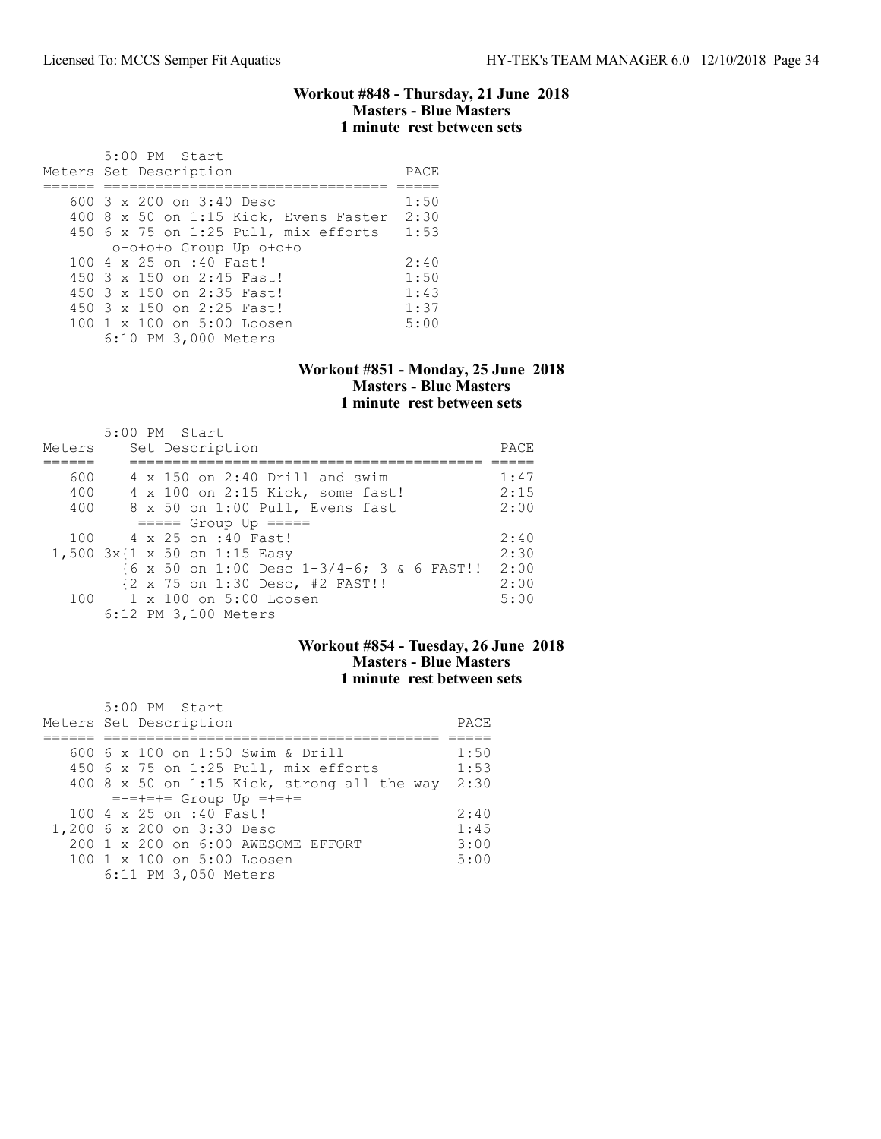#### Workout #848 - Thursday, 21 June 2018 Masters - Blue Masters 1 minute rest between sets

| 5:00 PM Start<br>Meters Set Description | PACE |
|-----------------------------------------|------|
| 600 $3 \times 200$ on $3:40$ Desc       | 1:50 |
| 400 8 x 50 on 1:15 Kick, Evens Faster   | 2:30 |
| $450$ 6 x 75 on 1:25 Pull, mix efforts  | 1:53 |
| otototo Group Up ototo                  |      |
| $100.4 \times 25$ on :40 Fast!          | 2:40 |
| 450 3 x 150 on 2:45 Fast!               | 1:50 |
| 450 3 x 150 on 2:35 Fast!               | 1:43 |
| 450 3 x 150 on 2:25 Fast!               | 1:37 |
| 100 1 x 100 on 5:00 Loosen              | 5:00 |
| 6:10 PM 3,000 Meters                    |      |

#### Workout #851 - Monday, 25 June 2018 Masters - Blue Masters 1 minute rest between sets

|        | 5:00 PM Start                              |      |
|--------|--------------------------------------------|------|
| Meters | Set Description                            | PACE |
|        |                                            |      |
| 600    | $4 \times 150$ on 2:40 Drill and swim      | 1:47 |
| 400    | 4 x 100 on 2:15 Kick, some fast!           | 2:15 |
| 400    | 8 x 50 on 1:00 Pull, Evens fast            | 2:00 |
|        | $====$ Group Up $====$                     |      |
|        | 100 4 x 25 on :40 Fast!                    | 2:40 |
|        | 1,500 3x{1 x 50 on 1:15 Easy               | 2:30 |
|        | {6 x 50 on 1:00 Desc 1-3/4-6; 3 & 6 FAST!! | 2:00 |
|        | {2 x 75 on 1:30 Desc, #2 FAST!!            | 2:00 |
|        | $100 \t 1 \times 100$ on $5:00$ Loosen     | 5:00 |
|        | 6:12 PM 3,100 Meters                       |      |

## Workout #854 - Tuesday, 26 June 2018 Masters - Blue Masters 1 minute rest between sets

| $5:00$ PM Start<br>Meters Set Description            | PACE |
|------------------------------------------------------|------|
| 600 6 x 100 on 1:50 Swim & Drill                     | 1:50 |
| 450 6 x 75 on 1:25 Pull, mix efforts                 | 1:53 |
| 400 8 x 50 on 1:15 Kick, strong all the way          | 2:30 |
| $=+=+==$ Group Up $=+=+=$                            |      |
| 100 4 x 25 on :40 Fast!                              | 2:40 |
| 1,200 6 x 200 on 3:30 Desc                           | 1:45 |
| $200 \text{ } 1 \times 200$ on $6:00$ AWESOME EFFORT | 3:00 |
| 100 1 x 100 on 5:00 Loosen                           | 5:00 |
| 6:11 PM 3,050 Meters                                 |      |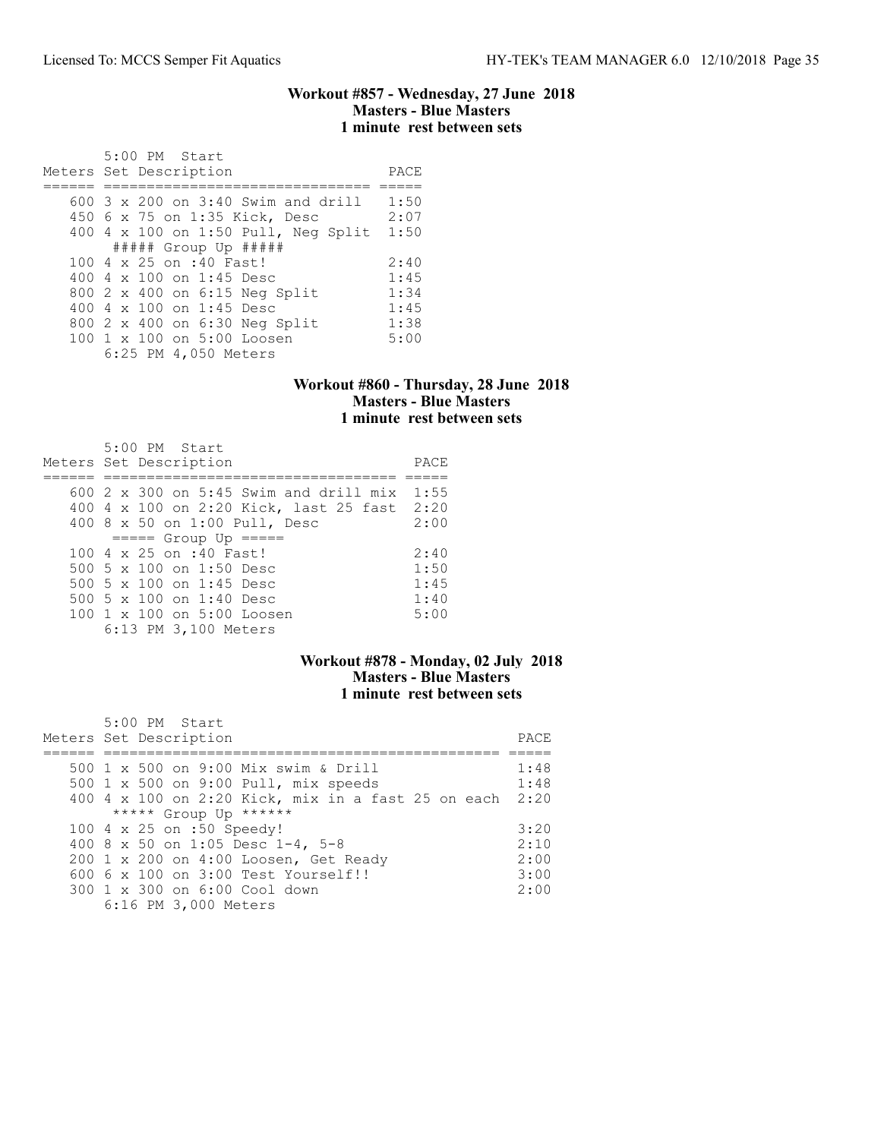#### Workout #857 - Wednesday, 27 June 2018 Masters - Blue Masters 1 minute rest between sets

| 5:00 PM Start<br>Meters Set Description | PACE |
|-----------------------------------------|------|
| $600$ 3 x 200 on 3:40 Swim and drill    | 1:50 |
|                                         |      |
| 450 6 x 75 on 1:35 Kick, Desc           | 2:07 |
| 400 4 x 100 on 1:50 Pull, Neg Split     | 1:50 |
| $\#$ #### Group Up #####                |      |
| 100 4 x 25 on :40 Fast!                 | 2:40 |
| 400 4 x 100 on 1:45 Desc                | 1:45 |
| 800 2 x 400 on 6:15 Neg Split           | 1:34 |
| 400 4 x 100 on 1:45 Desc                | 1:45 |
| 800 2 x 400 on 6:30 Neg Split           | 1:38 |
| 100 1 x 100 on 5:00 Loosen              | 5:00 |
| 6:25 PM 4,050 Meters                    |      |

### Workout #860 - Thursday, 28 June 2018 Masters - Blue Masters 1 minute rest between sets

| $5:00$ PM Start<br>Meters Set Description         | PACE |
|---------------------------------------------------|------|
| $600\,$ 2 $\times$ 300 on 5:45 Swim and drill mix | 1:55 |
| 400 4 x 100 on 2:20 Kick, last 25 fast 2:20       |      |
| 400 8 x 50 on 1:00 Pull, Desc                     | 2:00 |
| $====$ Group Up $====$                            |      |
| $100.4 \times 25$ on :40 Fast!                    | 2:40 |
| 500 5 x 100 on 1:50 Desc                          | 1:50 |
| 500 5 x 100 on 1:45 Desc                          | 1:45 |
| 500 5 $\times$ 100 on 1:40 Desc                   | 1:40 |
| 100 1 x 100 on 5:00 Loosen                        | 5:00 |
| 6:13 PM 3,100 Meters                              |      |

## Workout #878 - Monday, 02 July 2018 Masters - Blue Masters 1 minute rest between sets

| 5:00 PM Start                                           |       |
|---------------------------------------------------------|-------|
| Meters Set Description                                  | PACE. |
|                                                         |       |
| 500 1 x 500 on 9:00 Mix swim & Drill                    | 1:48  |
| 500 1 x 500 on 9:00 Pull, mix speeds                    | 1:48  |
| 400 4 x 100 on 2:20 Kick, mix in a fast 25 on each 2:20 |       |
| ***** Group Up ******                                   |       |
| 100 4 x 25 on :50 Speedy!                               | 3:20  |
| 400 8 x 50 on 1:05 Desc 1-4, 5-8                        | 2:10  |
| 200 1 x 200 on 4:00 Loosen, Get Ready                   | 2:00  |
| $6006 \times 100$ on $3:00$ Test Yourself!!             | 3:00  |
| 300 1 x 300 on 6:00 Cool down                           | 2:00  |
| 6:16 PM 3,000 Meters                                    |       |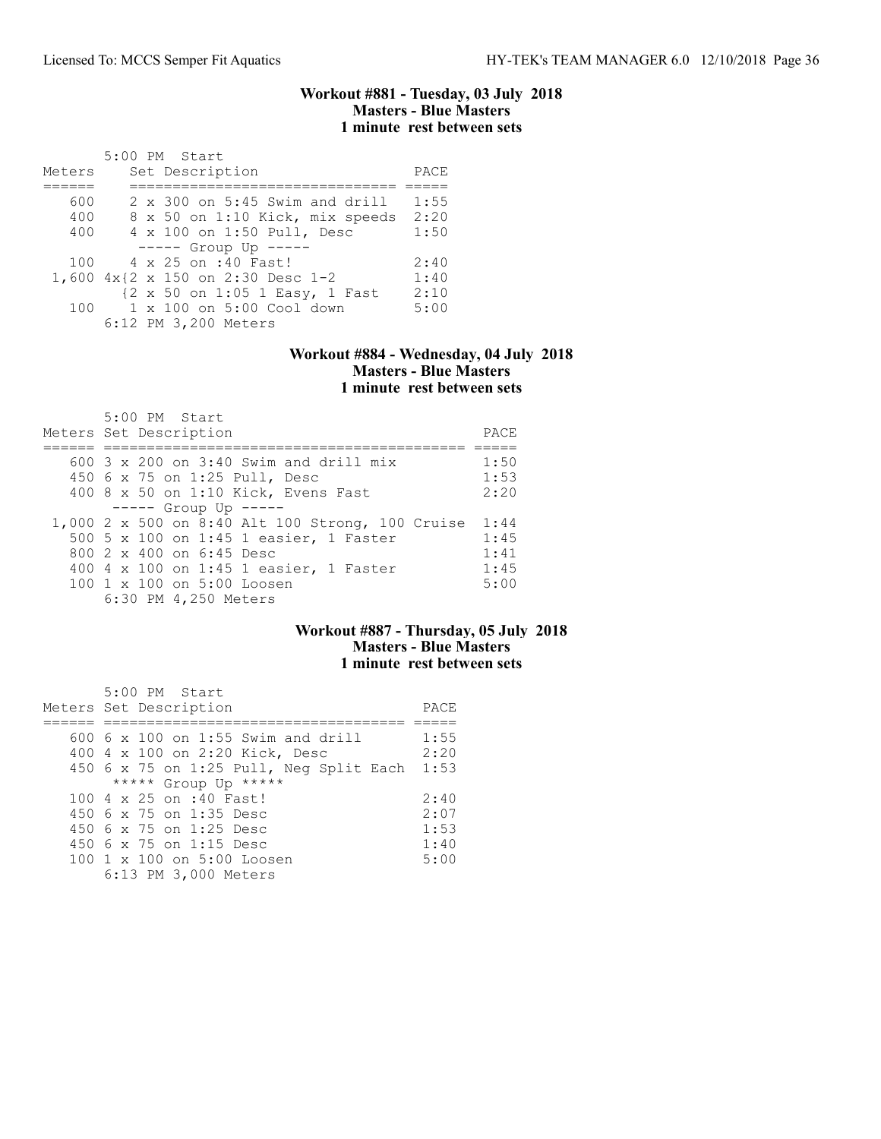#### Workout #881 - Tuesday, 03 July 2018 Masters - Blue Masters 1 minute rest between sets

|        |  | 5:00 PM Start                         |      |
|--------|--|---------------------------------------|------|
| Meters |  | Set Description                       | PACE |
|        |  |                                       |      |
| 600    |  | $2 \times 300$ on 5:45 Swim and drill | 1:55 |
| 400    |  | 8 x 50 on 1:10 Kick, mix speeds       | 2:20 |
| 400    |  | 4 x 100 on 1:50 Pull, Desc            | 1:50 |
|        |  | $---$ Group Up $---$                  |      |
| 100    |  | 4 x 25 on :40 Fast!                   | 2:40 |
|        |  | 1,600 4x{2 x 150 on 2:30 Desc 1-2     | 1:40 |
|        |  | {2 x 50 on 1:05 1 Easy, 1 Fast        | 2:10 |
| 100    |  | 1 x 100 on 5:00 Cool down             | 5:00 |
|        |  | 6:12 PM 3,200 Meters                  |      |

### Workout #884 - Wednesday, 04 July 2018 Masters - Blue Masters 1 minute rest between sets

| 5:00 PM Start<br>Meters Set Description                                          | PACE         |
|----------------------------------------------------------------------------------|--------------|
| 600 $3 \times 200$ on $3:40$ Swim and drill mix<br>450 6 x 75 on 1:25 Pull, Desc | 1:50<br>1:53 |
| 400 8 x 50 on 1:10 Kick, Evens Fast                                              | 2:20         |
| $---$ Group Up $---$                                                             |              |
| 1,000 2 x 500 on 8:40 Alt 100 Strong, 100 Cruise                                 | 1:44         |
| 500 5 x 100 on 1:45 1 easier, 1 Faster                                           | 1:45         |
| 800 2 x 400 on 6:45 Desc                                                         | 1:41         |
| 400 4 x 100 on 1:45 1 easier, 1 Faster                                           | 1:45         |
| $100 \t1 x 100$ on $5:00$ Loosen                                                 | 5:00         |
| 6:30 PM 4,250 Meters                                                             |              |

## Workout #887 - Thursday, 05 July 2018 Masters - Blue Masters 1 minute rest between sets

| 5:00 PM Start                           |      |
|-----------------------------------------|------|
| Meters Set Description                  | PACE |
|                                         |      |
| $600\,$ 6 x 100 on 1:55 Swim and drill  | 1:55 |
| 400 4 x 100 on 2:20 Kick, Desc          | 2:20 |
| 450 6 x 75 on 1:25 Pull, Neg Split Each | 1:53 |
| ***** Group Up *****                    |      |
| 100 4 x 25 on :40 Fast!                 | 2:40 |
| 450 6 x 75 on 1:35 Desc                 | 2:07 |
| 450 6 x 75 on 1:25 Desc                 | 1:53 |
| 450 6 x 75 on 1:15 Desc                 | 1:40 |
| 100 1 x 100 on 5:00 Loosen              | 5:00 |
| 6:13 PM 3,000 Meters                    |      |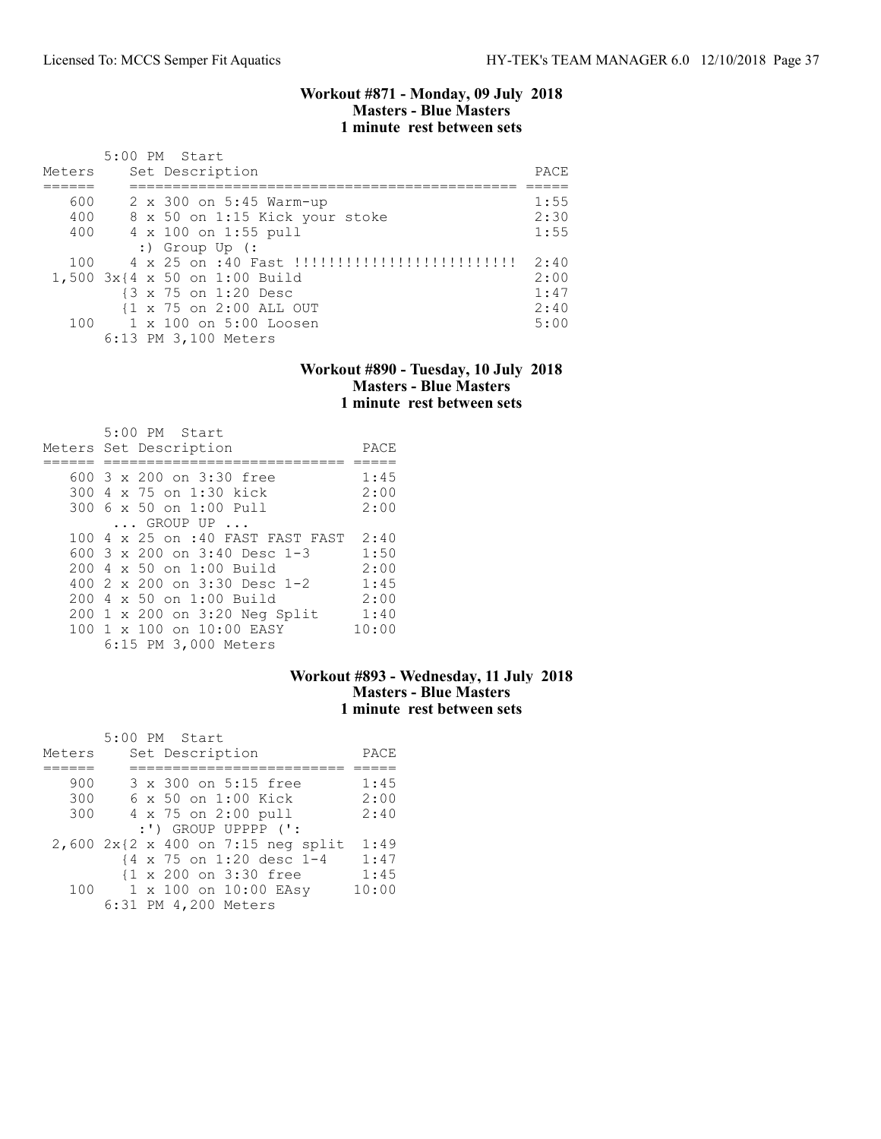#### Workout #871 - Monday, 09 July 2018 Masters - Blue Masters 1 minute rest between sets

|        | 5:00 PM Start                     |      |
|--------|-----------------------------------|------|
| Meters | Set Description                   | PACE |
|        |                                   |      |
| 600    | 2 x 300 on 5:45 Warm-up           | 1:55 |
| 400    | 8 x 50 on 1:15 Kick your stoke    | 2:30 |
| 400    | 4 x 100 on 1:55 pull              | 1:55 |
|        | $:$ Group Up $(:$                 |      |
| 100    | 4 x 25 on :40 Fast !!!!!!!!!!!!!! | 2:40 |
|        | 1,500 3x{4 x 50 on 1:00 Build     | 2:00 |
|        | {3 x 75 on 1:20 Desc              | 1:47 |
|        | {1 x 75 on 2:00 ALL OUT           | 2:40 |
|        | 100 1 x 100 on 5:00 Loosen        | 5:00 |
|        | 6:13 PM 3,100 Meters              |      |

### Workout #890 - Tuesday, 10 July 2018 Masters - Blue Masters 1 minute rest between sets

| $5:00$ PM Start                       |       |
|---------------------------------------|-------|
| Meters Set Description                | PACE  |
|                                       |       |
| 600 3 x 200 on 3:30 free              | 1:45  |
| 300 4 x 75 on 1:30 kick               | 2:00  |
| 300 6 x 50 on 1:00 Pull               | 2:00  |
| $\ldots$ GROUP UP $\ldots$            |       |
| 100 4 x 25 on :40 FAST FAST FAST      | 2:40  |
| 600 $3 \times 200$ on $3:40$ Desc 1-3 | 1:50  |
| $200 \, 4 \times 50$ on $1:00$ Build  | 2:00  |
| 400 $2 \times 200$ on $3:30$ Desc 1-2 | 1:45  |
| $200 \, 4 \times 50$ on $1:00$ Build  | 2:00  |
| 200 1 x 200 on 3:20 Neg Split         | 1:40  |
| 100 1 x 100 on 10:00 EASY             | 10:00 |
| 6:15 PM 3,000 Meters                  |       |

## Workout #893 - Wednesday, 11 July 2018 Masters - Blue Masters 1 minute rest between sets

|        | 5:00 PM Start                      |       |
|--------|------------------------------------|-------|
| Meters | Set Description                    | PACE  |
|        |                                    |       |
| 900    | 3 x 300 on 5:15 free               | 1:45  |
| 300    | 6 x 50 on 1:00 Kick                | 2:00  |
| 300    | 4 x 75 on 2:00 pull                | 2:40  |
|        | $:')$ GROUP UPPPP $('.')$          |       |
|        | 2,600 2x{2 x 400 on 7:15 neg split | 1:49  |
|        | {4 x 75 on 1:20 desc 1-4           | 1:47  |
|        | {1 x 200 on 3:30 free              | 1:45  |
|        | 100 1 x 100 on 10:00 EASV          | 10:00 |
|        | 6:31 PM 4,200 Meters               |       |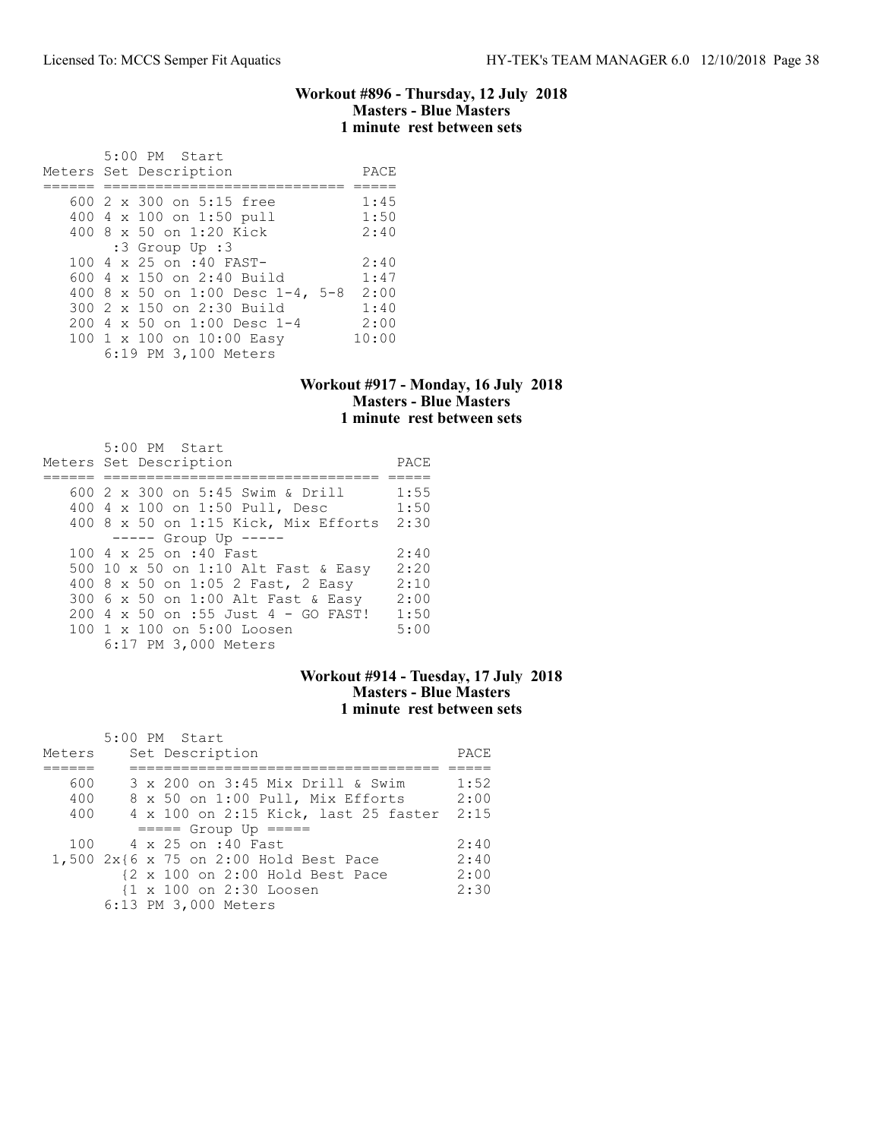#### Workout #896 - Thursday, 12 July 2018 Masters - Blue Masters 1 minute rest between sets

| 5:00 PM Start<br>Meters Set Description | PACE  |
|-----------------------------------------|-------|
|                                         |       |
| 600 $2 \times 300$ on $5:15$ free       | 1:45  |
| 400 4 x 100 on 1:50 pull                | 1:50  |
| 400 8 x 50 on 1:20 Kick                 | 2:40  |
| $:3$ Group Up $:3$                      |       |
| 100 4 x 25 on :40 FAST-                 | 2:40  |
| 600 $4 \times 150$ on 2:40 Build        | 1:47  |
| 400 8 x 50 on 1:00 Desc 1-4, 5-8        | 2:00  |
| 300 2 x 150 on 2:30 Build               | 1:40  |
| $2004 \times 50$ on 1:00 Desc 1-4       | 2:00  |
| 100 1 x 100 on 10:00 Easy               | 10:00 |
| 6:19 PM 3,100 Meters                    |       |

## Workout #917 - Monday, 16 July 2018 Masters - Blue Masters 1 minute rest between sets

| $5:00$ PM Start<br>Meters Set Description | PACE |
|-------------------------------------------|------|
|                                           |      |
| 600 2 x 300 on 5:45 Swim & Drill          | 1:55 |
| 400 4 x 100 on 1:50 Pull, Desc            | 1:50 |
| 400 8 x 50 on 1:15 Kick, Mix Efforts      | 2:30 |
| $--- $ Group Up $---$                     |      |
| 100 4 x 25 on :40 Fast                    | 2:40 |
| 500 10 x 50 on 1:10 Alt Fast & Easy       | 2:20 |
| 400 8 x 50 on 1:05 2 Fast, 2 Easy         | 2:10 |
| 300 6 x 50 on 1:00 Alt Fast & Easy        | 2:00 |
| 200 4 x 50 on :55 Just 4 - GO FAST!       | 1:50 |
| 100 1 x 100 on 5:00 Loosen                | 5:00 |
| 6:17 PM 3,000 Meters                      |      |

#### Workout #914 - Tuesday, 17 July 2018 Masters - Blue Masters 1 minute rest between sets

|        |  | 5:00 PM Start                          |      |
|--------|--|----------------------------------------|------|
| Meters |  | Set Description                        | PACE |
|        |  |                                        |      |
| 600    |  | 3 x 200 on 3:45 Mix Drill & Swim       | 1:52 |
| 400    |  | 8 x 50 on 1:00 Pull, Mix Efforts       | 2:00 |
| 400    |  | 4 x 100 on 2:15 Kick, last 25 faster   | 2:15 |
|        |  | $====$ Group Up $====$                 |      |
| 100    |  | 4 x 25 on :40 Fast                     | 2:40 |
|        |  | 1,500 2x{6 x 75 on 2:00 Hold Best Pace | 2:40 |
|        |  | {2 x 100 on 2:00 Hold Best Pace        | 2:00 |
|        |  | {1 x 100 on 2:30 Loosen                | 2:30 |
|        |  | 6:13 PM 3,000 Meters                   |      |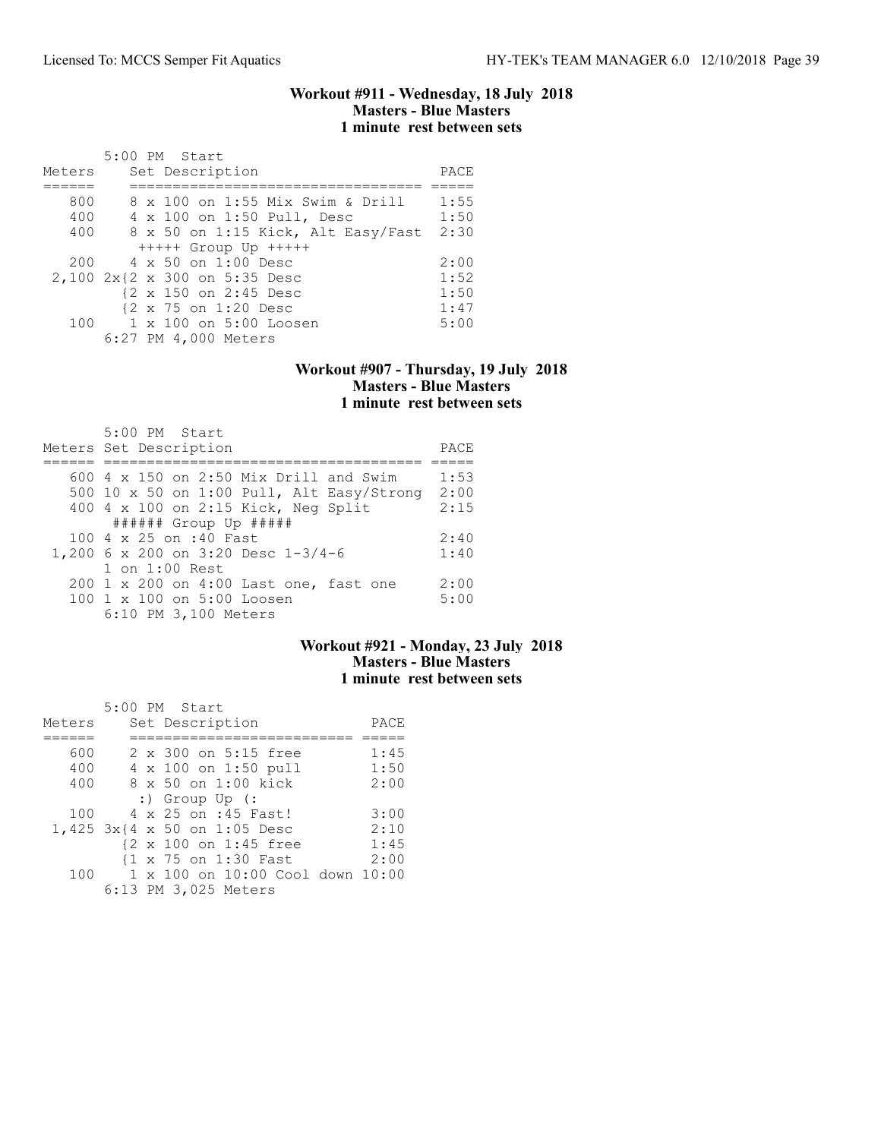#### Workout #911 - Wednesday, 18 July 2018 Masters - Blue Masters 1 minute rest between sets

|        | 5:00 PM Start                      |      |
|--------|------------------------------------|------|
| Meters | Set Description                    | PACE |
|        |                                    |      |
| 800    | 8 x 100 on 1:55 Mix Swim & Drill   | 1:55 |
| 400    | 4 x 100 on 1:50 Pull, Desc         | 1:50 |
| 400    | 8 x 50 on 1:15 Kick, Alt Easy/Fast | 2:30 |
|        | $++++$ Group Up $++++$             |      |
| 200    | 4 x 50 on 1:00 Desc                | 2:00 |
|        | 2,100 2x{2 x 300 on 5:35 Desc      | 1:52 |
|        | {2 x 150 on 2:45 Desc              | 1:50 |
|        | {2 x 75 on 1:20 Desc               | 1:47 |
|        | 100 1 x 100 on 5:00 Loosen         | 5:00 |
|        | 6:27 PM 4,000 Meters               |      |

#### Workout #907 - Thursday, 19 July 2018 Masters - Blue Masters 1 minute rest between sets

| $5:00$ PM Start<br>Meters Set Description | PACE |
|-------------------------------------------|------|
| 600 4 x 150 on 2:50 Mix Drill and Swim    | 1:53 |
| 500 10 x 50 on 1:00 Pull, Alt Easy/Strong | 2:00 |
| 400 4 x 100 on 2:15 Kick, Neg Split       | 2:15 |
| $\#$ ##### Group Up #####                 |      |
| 100 4 x 25 on :40 Fast                    | 2:40 |
| 1,200 6 x 200 on 3:20 Desc 1-3/4-6        | 1:40 |
| $1$ on $1:00$ Rest                        |      |
| 200 1 x 200 on 4:00 Last one, fast one    | 2:00 |
| 100 1 x 100 on 5:00 Loosen                | 5:00 |
| 6:10 PM 3,100 Meters                      |      |

## Workout #921 - Monday, 23 July 2018 Masters - Blue Masters 1 minute rest between sets

| Meters | $5:00$ PM Start<br>Set Description | PACE |
|--------|------------------------------------|------|
|        |                                    |      |
| 600    | 2 x 300 on 5:15 free               | 1:45 |
| 400    | 4 x 100 on 1:50 pull               | 1:50 |
| 400    | 8 x 50 on 1:00 kick                | 2:00 |
|        | $:$ Group Up (:                    |      |
| 100    | 4 x 25 on :45 Fast!                | 3:00 |
|        | 1,425 3x{4 x 50 on 1:05 Desc       | 2:10 |
|        | {2 x 100 on 1:45 free              | 1:45 |
|        | {1 x 75 on 1:30 Fast               | 2:00 |
| 100    | 1 x 100 on 10:00 Cool down 10:00   |      |
|        | 6:13 PM 3,025 Meters               |      |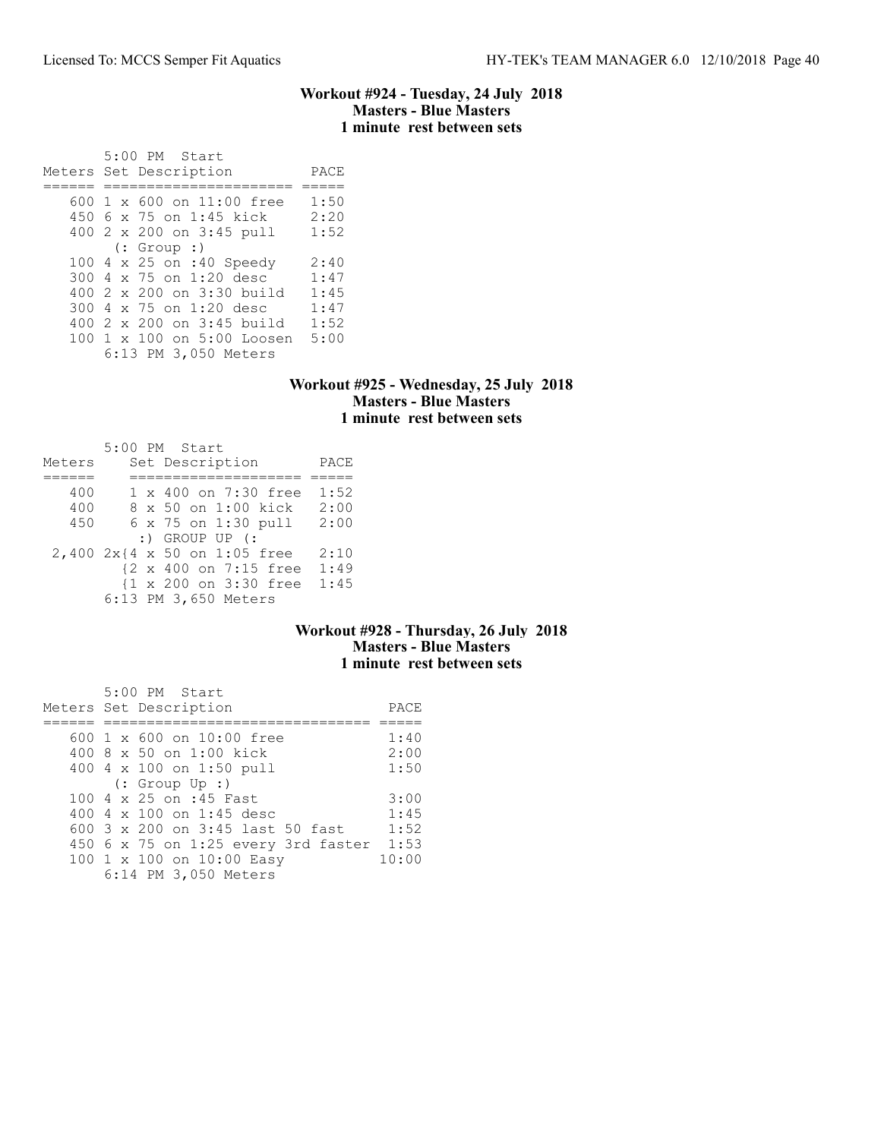### Workout #924 - Tuesday, 24 July 2018 Masters - Blue Masters 1 minute rest between sets

 5:00 PM Start Meters Set Description PACE ====== ====================== ===== 600 1 x 600 on 11:00 free 1:50 450 6 x 75 on 1:45 kick 2:20 400 2 x 200 on 3:45 pull 1:52 (: Group :) 100 4 x 25 on :40 Speedy 2:40 300 4 x 75 on 1:20 desc 1:47 400 2 x 200 on 3:30 build 1:45 300 4 x 75 on 1:20 desc 1:47 400 2 x 200 on 3:45 build 1:52 100 1 x 100 on 5:00 Loosen 5:00 6:13 PM 3,050 Meters

#### Workout #925 - Wednesday, 25 July 2018 Masters - Blue Masters 1 minute rest between sets

|        | 5:00 PM Start                |      |
|--------|------------------------------|------|
| Meters | Set Description              | PACE |
|        |                              |      |
| 400    | 1 x 400 on 7:30 free         | 1:52 |
| 400    | 8 x 50 on 1:00 kick          | 2:00 |
| 450    | 6 x 75 on 1:30 pull          | 2:00 |
|        | $:$ GROUP UP $($             |      |
|        | 2,400 2x{4 x 50 on 1:05 free | 2:10 |
|        | {2 x 400 on 7:15 free        | 1:49 |
|        | {1 x 200 on 3:30 free        | 1:45 |
|        | 6:13 PM 3,650 Meters         |      |

### Workout #928 - Thursday, 26 July 2018 Masters - Blue Masters 1 minute rest between sets

| 5:00 PM Start                       |       |
|-------------------------------------|-------|
| Meters Set Description              | PACE  |
|                                     |       |
| 600 $1 \times 600$ on $10:00$ free  | 1:40  |
| 400 8 x 50 on 1:00 kick             | 2:00  |
| 400 4 x 100 on 1:50 pull            | 1:50  |
| $(:$ Group Up $:$ )                 |       |
| 100 4 x 25 on :45 Fast              | 3:00  |
| 400 4 x 100 on 1:45 desc            | 1:45  |
| 600 3 x 200 on 3:45 last 50 fast    | 1:52  |
| 450 6 x 75 on 1:25 every 3rd faster | 1:53  |
| 100 1 x 100 on 10:00 Easy           | 10:00 |
| 6:14 PM 3,050 Meters                |       |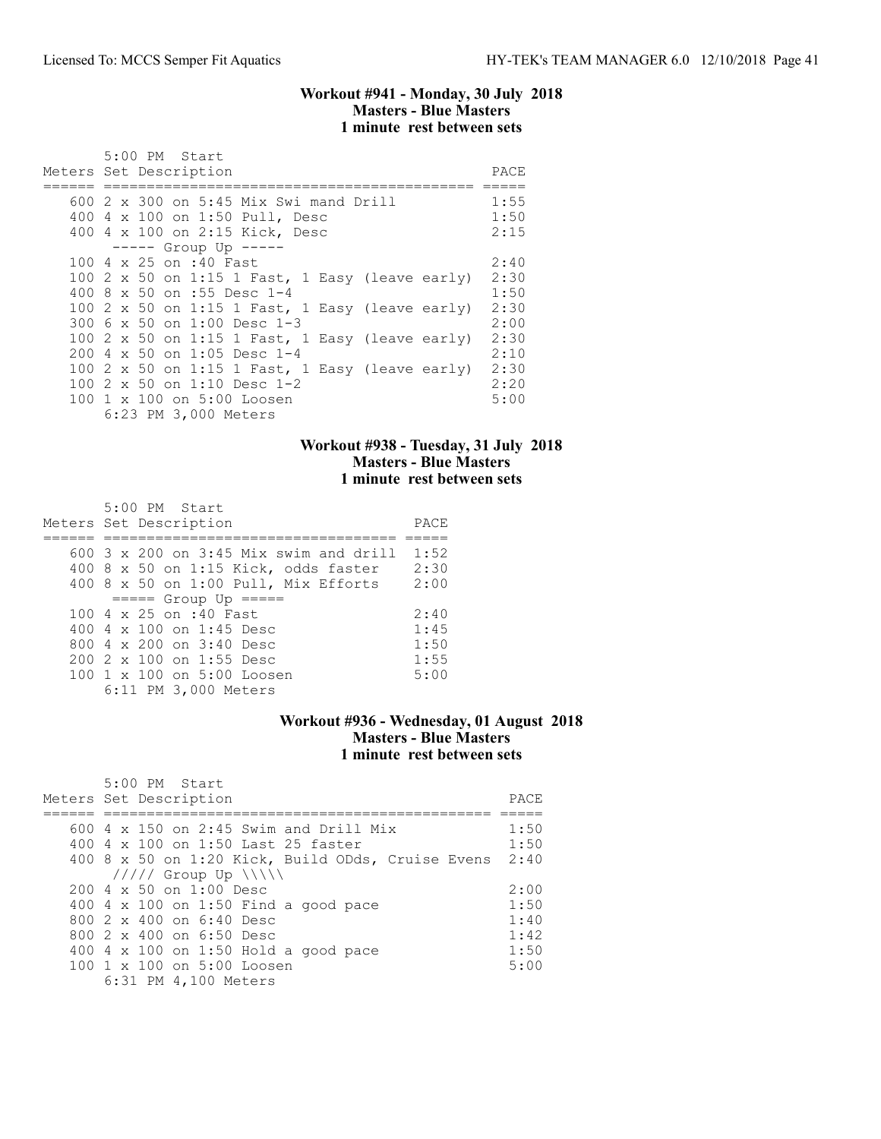### Workout #941 - Monday, 30 July 2018 Masters - Blue Masters 1 minute rest between sets

| 5:00 PM Start                                                                                              |                      |
|------------------------------------------------------------------------------------------------------------|----------------------|
| Meters Set Description                                                                                     | PACE                 |
| 600 2 x 300 on 5:45 Mix Swi mand Drill<br>400 4 x 100 on 1:50 Pull, Desc<br>400 4 x 100 on 2:15 Kick, Desc | 1:55<br>1:50<br>2:15 |
| $--- $ Group Up $---$                                                                                      |                      |
| 100 4 x 25 on :40 Fast                                                                                     | 2:40                 |
| 100 2 x 50 on 1:15 1 Fast, 1 Easy (leave early)                                                            | 2:30                 |
| 400 8 x 50 on :55 Desc 1-4                                                                                 | 1:50                 |
| 100 2 x 50 on 1:15 1 Fast, 1 Easy (leave early)                                                            | 2:30                 |
| 300 $6 \times 50$ on 1:00 Desc 1-3                                                                         | 2:00                 |
| 100 2 x 50 on 1:15 1 Fast, 1 Easy (leave early)                                                            | 2:30                 |
| 200 4 x 50 on 1:05 Desc 1-4                                                                                | 2:10                 |
| 100 2 x 50 on 1:15 1 Fast, 1 Easy (leave early)                                                            | 2:30                 |
| 100 2 x 50 on 1:10 Desc 1-2                                                                                | 2:20                 |
| 100 1 x 100 on 5:00 Loosen                                                                                 | 5:00                 |
| 6:23 PM 3,000 Meters                                                                                       |                      |

### Workout #938 - Tuesday, 31 July 2018 Masters - Blue Masters 1 minute rest between sets

| 5:00 PM Start<br>Meters Set Description  | PACE |
|------------------------------------------|------|
|                                          |      |
| $600$ 3 x 200 on 3:45 Mix swim and drill | 1:52 |
| 400 8 x 50 on 1:15 Kick, odds faster     | 2:30 |
| 400 8 x 50 on 1:00 Pull, Mix Efforts     | 2:00 |
| $====$ Group Up $====$                   |      |
| 100 4 x 25 on :40 Fast                   | 2:40 |
| 400 4 $\times$ 100 on 1:45 Desc          | 1:45 |
| 800 $4 \times 200$ on $3:40$ Desc        | 1:50 |
| 200 2 x 100 on 1:55 Desc                 | 1:55 |
| 100 1 x 100 on 5:00 Loosen               | 5:00 |
| 6:11 PM 3,000 Meters                     |      |

## Workout #936 - Wednesday, 01 August 2018 Masters - Blue Masters 1 minute rest between sets

| $5:00$ PM Start<br>Meters Set Description              | PACE. |
|--------------------------------------------------------|-------|
| $600\,4\,$ x 150 on 2:45 Swim and Drill Mix            | 1:50  |
| 400 4 x 100 on 1:50 Last 25 faster                     | 1:50  |
| 400 8 x 50 on 1:20 Kick, Build ODds, Cruise Evens 2:40 |       |
| $11111$ Group Up $\ \ $                                |       |
| $200 \text{ } 4 \times 50$ on $1:00$ Desc              | 2:00  |
| 400 $4 \times 100$ on 1:50 Find a good pace            | 1:50  |
| 800 2 x 400 on 6:40 Desc                               | 1:40  |
| 800 2 x 400 on 6:50 Desc                               | 1:42  |
| 400 4 x 100 on 1:50 Hold a good pace                   | 1:50  |
| $100 \t1 x 100$ on $5:00$ Loosen                       | 5:00  |
| 6:31 PM 4,100 Meters                                   |       |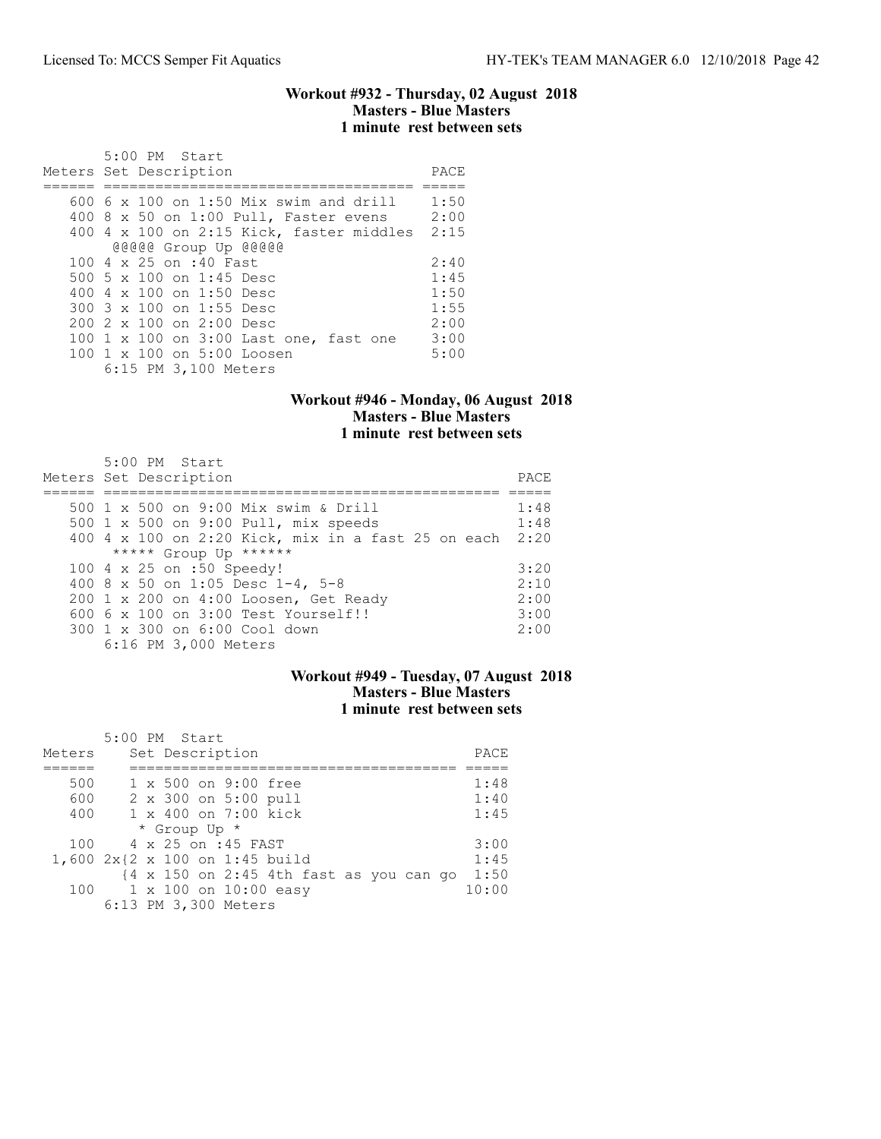### Workout #932 - Thursday, 02 August 2018 Masters - Blue Masters 1 minute rest between sets

| 5:00 PM Start<br>Meters Set Description  | PACE |
|------------------------------------------|------|
|                                          |      |
| 600 6 x 100 on 1:50 Mix swim and drill   | 1:50 |
| 400 8 x 50 on 1:00 Pull, Faster evens    | 2:00 |
| 400 4 x 100 on 2:15 Kick, faster middles | 2:15 |
| @@@@@ Group Up @@@@@                     |      |
| 100 4 x 25 on :40 Fast                   | 2:40 |
| 500 5 x 100 on 1:45 Desc                 | 1:45 |
| 400 $4 \times 100$ on 1:50 Desc          | 1:50 |
| 300 3 x 100 on 1:55 Desc                 | 1:55 |
| $2002 \times 100$ on $2:00$ Desc         | 2:00 |
| 100 1 x 100 on 3:00 Last one, fast one   | 3:00 |
| 100 1 x 100 on 5:00 Loosen               | 5:00 |
| 6:15 PM 3,100 Meters                     |      |

## Workout #946 - Monday, 06 August 2018 Masters - Blue Masters 1 minute rest between sets

| 5:00 PM Start<br>Meters Set Description                 | PACE. |
|---------------------------------------------------------|-------|
| 500 1 x 500 on 9:00 Mix swim & Drill                    | 1:48  |
| 500 1 x 500 on 9:00 Pull, mix speeds                    | 1:48  |
| 400 4 x 100 on 2:20 Kick, mix in a fast 25 on each 2:20 |       |
| ***** Group Up ******                                   |       |
| 100 4 x 25 on :50 Speedy!                               | 3:20  |
| 400 8 x 50 on 1:05 Desc 1-4, 5-8                        | 2:10  |
| 200 1 x 200 on 4:00 Loosen, Get Ready                   | 2:00  |
| $6006 \times 100$ on $3:00$ Test Yourself!!             | 3:00  |
| 300 1 x 300 on 6:00 Cool down                           | 2:00  |
| 6:16 PM 3,000 Meters                                    |       |

### Workout #949 - Tuesday, 07 August 2018 Masters - Blue Masters 1 minute rest between sets

|        | 5:00 PM Start                                                     |       |
|--------|-------------------------------------------------------------------|-------|
| Meters | Set Description                                                   | PACE  |
|        |                                                                   |       |
| 500    | 1 x 500 on 9:00 free                                              | 1:48  |
| 600    | 2 x 300 on 5:00 pull                                              | 1:40  |
| 400    | 1 x 400 on 7:00 kick                                              | 1:45  |
|        | * Group Up *                                                      |       |
| 100    | 4 x 25 on :45 FAST                                                | 3:00  |
|        | 1,600 2x{2 x 100 on 1:45 build                                    | 1:45  |
|        | $\{4 \times 150 \text{ on } 2:45 \text{ 4th fast as you can go}\$ | 1:50  |
|        | 100 1 x 100 on 10:00 easy                                         | 10:00 |
|        | 6:13 PM 3,300 Meters                                              |       |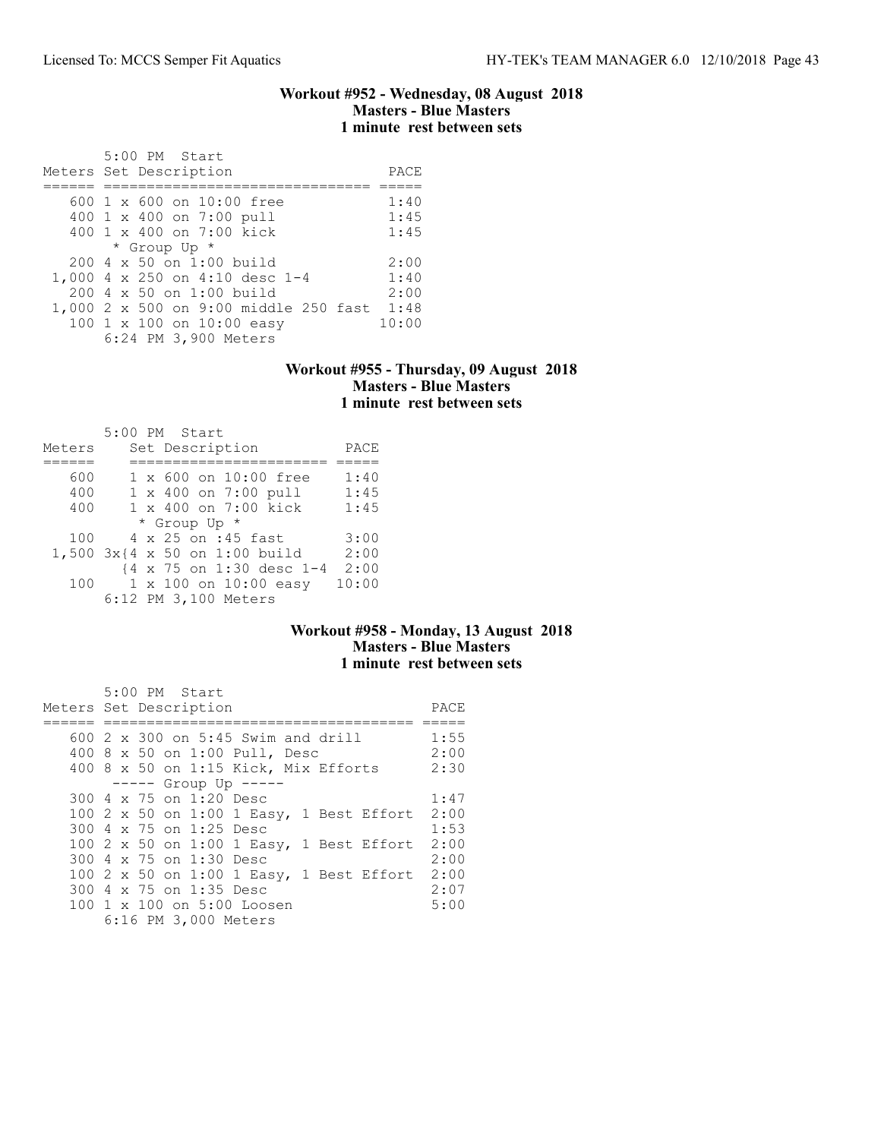#### Workout #952 - Wednesday, 08 August 2018 Masters - Blue Masters 1 minute rest between sets

| 5:00 PM Start                                         |       |
|-------------------------------------------------------|-------|
| Meters Set Description                                | PACE  |
|                                                       |       |
| $600 \text{ 1 x } 600 \text{ on } 10:00 \text{ free}$ | 1:40  |
| 400 1 x 400 on 7:00 pull                              | 1:45  |
| 400 1 x 400 on 7:00 kick                              | 1:45  |
| * Group Up *                                          |       |
| $200 \, 4 \times 50$ on 1:00 build                    | 2:00  |
| 1,000 4 x 250 on 4:10 desc 1-4                        | 1:40  |
| $200 \, 4 \times 50$ on 1:00 build                    | 2:00  |
| 1,000 2 x 500 on 9:00 middle 250 fast 1:48            |       |
| 100 1 x 100 on 10:00 easy                             | 10:00 |
| 6:24 PM 3,900 Meters                                  |       |

### Workout #955 - Thursday, 09 August 2018 Masters - Blue Masters 1 minute rest between sets

|        |  | 5:00 PM Start                 |       |
|--------|--|-------------------------------|-------|
| Meters |  | Set Description               | PACE  |
|        |  |                               |       |
| 600    |  | 1 x 600 on 10:00 free         | 1:40  |
| 400    |  | 1 x 400 on 7:00 pull          | 1:45  |
| 400    |  | 1 x 400 on 7:00 kick          | 1:45  |
|        |  | * Group Up *                  |       |
| 100    |  | 4 x 25 on :45 fast            | 3:00  |
|        |  | 1,500 3x{4 x 50 on 1:00 build | 2:00  |
|        |  | {4 x 75 on 1:30 desc 1-4      | 2:00  |
| 100    |  | 1 x 100 on 10:00 easy         | 10:00 |
|        |  | 6:12 PM 3,100 Meters          |       |

## Workout #958 - Monday, 13 August 2018 Masters - Blue Masters 1 minute rest between sets

|                        |  |  | 5:00 PM Start                             |  |  |                                          |      |
|------------------------|--|--|-------------------------------------------|--|--|------------------------------------------|------|
| Meters Set Description |  |  |                                           |  |  |                                          | PACE |
|                        |  |  |                                           |  |  |                                          |      |
|                        |  |  | 600 $2 \times 300$ on 5:45 Swim and drill |  |  |                                          | 1:55 |
|                        |  |  | 400 8 x 50 on 1:00 Pull, Desc             |  |  |                                          | 2:00 |
|                        |  |  | 400 8 x 50 on 1:15 Kick, Mix Efforts      |  |  |                                          | 2:30 |
|                        |  |  | $--- $ Group Up $---$                     |  |  |                                          |      |
|                        |  |  | 300 4 x 75 on 1:20 Desc                   |  |  |                                          | 1:47 |
|                        |  |  |                                           |  |  | 100 2 x 50 on 1:00 1 Easy, 1 Best Effort | 2:00 |
|                        |  |  | 300 4 x 75 on 1:25 Desc                   |  |  |                                          | 1:53 |
|                        |  |  |                                           |  |  | 100 2 x 50 on 1:00 1 Easy, 1 Best Effort | 2:00 |
|                        |  |  | 300 4 x 75 on 1:30 Desc                   |  |  |                                          | 2:00 |
|                        |  |  |                                           |  |  | 100 2 x 50 on 1:00 1 Easy, 1 Best Effort | 2:00 |
|                        |  |  | 300 4 x 75 on 1:35 Desc                   |  |  |                                          | 2:07 |
|                        |  |  | 100 1 x 100 on 5:00 Loosen                |  |  |                                          | 5:00 |
|                        |  |  | 6:16 PM 3,000 Meters                      |  |  |                                          |      |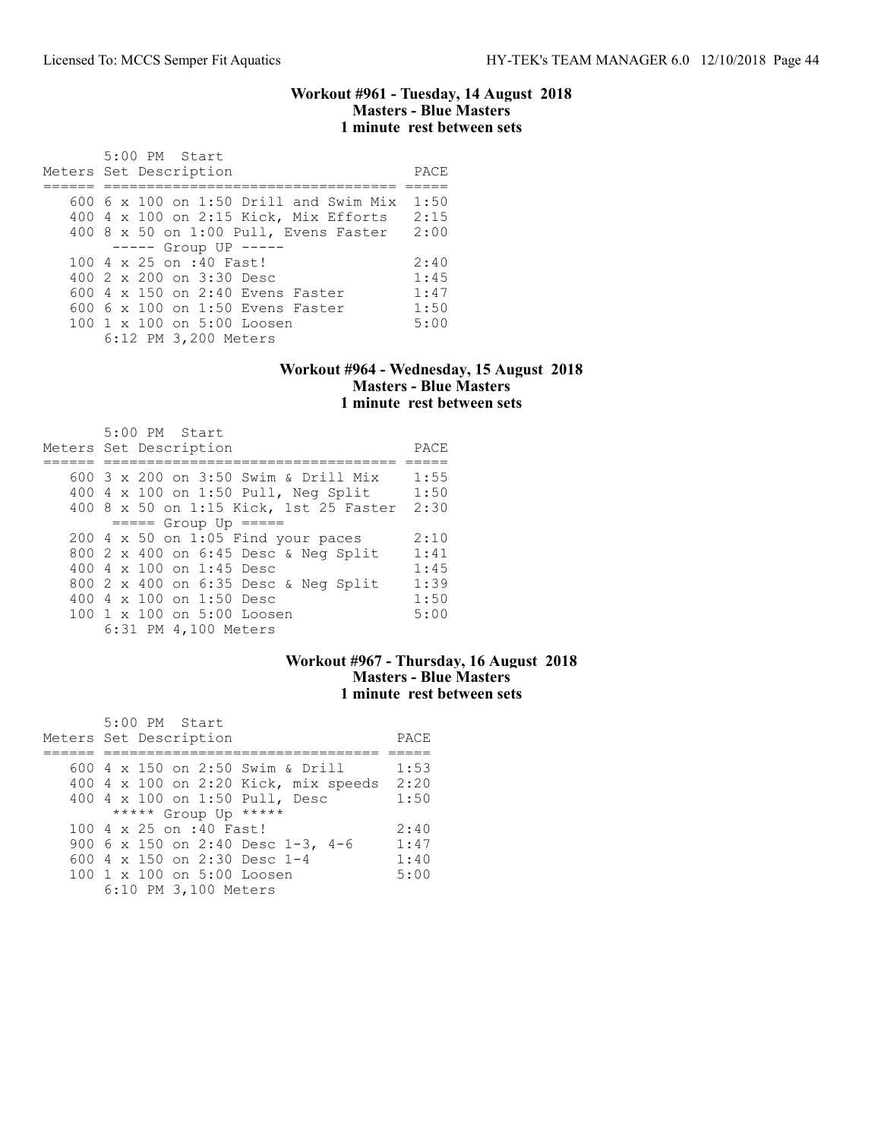#### Workout #961 - Tuesday, 14 August 2018 Masters - Blue Masters 1 minute rest between sets

| 5:00 PM Start<br>Meters Set Description       | PACE |
|-----------------------------------------------|------|
|                                               |      |
| 600 $6 \times 100$ on 1:50 Drill and Swim Mix | 1:50 |
| 400 4 x 100 on 2:15 Kick, Mix Efforts         | 2:15 |
| 400 8 x 50 on 1:00 Pull, Evens Faster         | 2:00 |
| $---$ Group UP $---$                          |      |
| 100 4 x 25 on :40 Fast!                       | 2:40 |
| 400 2 x 200 on 3:30 Desc                      | 1:45 |
| 600 $4 \times 150$ on 2:40 Evens Faster       | 1:47 |
| $6006 \times 100$ on 1:50 Evens Faster        | 1:50 |
| 100 1 x 100 on 5:00 Loosen                    | 5:00 |
| 6:12 PM 3,200 Meters                          |      |

### Workout #964 - Wednesday, 15 August 2018 Masters - Blue Masters 1 minute rest between sets

| 5:00 PM Start<br>Meters Set Description | PACE |
|-----------------------------------------|------|
| 600 3 x 200 on 3:50 Swim & Drill Mix    | 1:55 |
| 400 4 x 100 on 1:50 Pull, Neg Split     | 1:50 |
| 400 8 x 50 on 1:15 Kick, 1st 25 Faster  | 2:30 |
| $====$ Group Up $====$                  |      |
| $200$ 4 x 50 on 1:05 Find your paces    | 2:10 |
| 800 2 x 400 on 6:45 Desc & Neg Split    | 1:41 |
| 400 4 $\times$ 100 on 1:45 Desc         | 1:45 |
| 800 2 x 400 on 6:35 Desc & Neg Split    | 1:39 |
| 400 4 x 100 on 1:50 Desc                | 1:50 |
| 100 1 x 100 on 5:00 Loosen              | 5:00 |
| 6:31 PM 4,100 Meters                    |      |

## Workout #967 - Thursday, 16 August 2018 Masters - Blue Masters 1 minute rest between sets

| 5:00 PM Start                        |      |
|--------------------------------------|------|
| Meters Set Description               | PACE |
|                                      |      |
| 600 4 x 150 on 2:50 Swim & Drill     | 1:53 |
| 400 4 x 100 on 2:20 Kick, mix speeds | 2:20 |
| 400 4 x 100 on 1:50 Pull, Desc       | 1:50 |
| ***** Group Up *****                 |      |
| 100 4 x 25 on :40 Fast!              | 2:40 |
| 900 6 x 150 on 2:40 Desc 1-3, 4-6    | 1:47 |
| 600 4 x 150 on 2:30 Desc 1-4         | 1:40 |
| 100 1 x 100 on 5:00 Loosen           | 5:00 |
| 6:10 PM 3,100 Meters                 |      |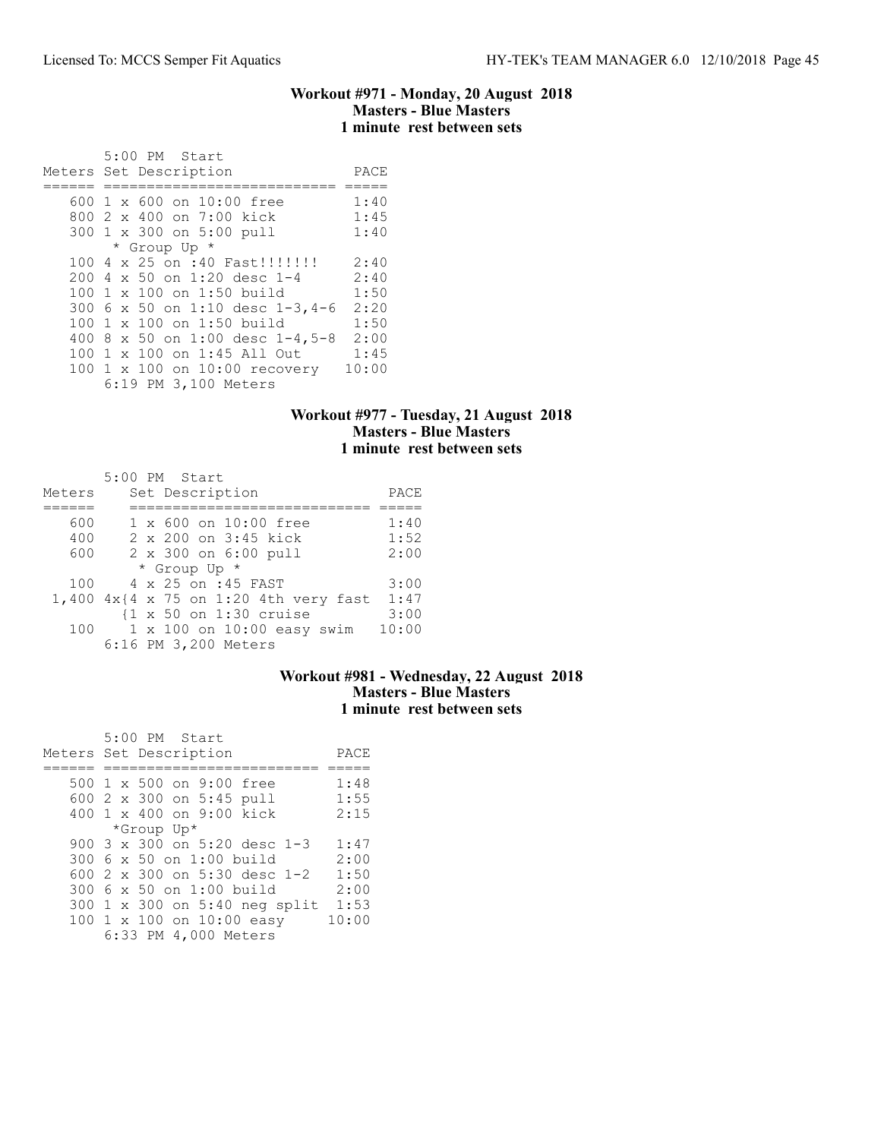#### Workout #971 - Monday, 20 August 2018 Masters - Blue Masters 1 minute rest between sets

|  | $5:00$ PM Start                 |       |
|--|---------------------------------|-------|
|  | Meters Set Description          | PACE  |
|  |                                 |       |
|  | 600 1 x 600 on 10:00 free       | 1:40  |
|  | 800 2 x 400 on 7:00 kick        | 1:45  |
|  | 300 1 x 300 on 5:00 pull        | 1:40  |
|  | * Group Up *                    |       |
|  | 100 4 x 25 on :40 Fast!!!!!!!!  | 2:40  |
|  | 200 4 x 50 on 1:20 desc 1-4     | 2:40  |
|  | 100 1 x 100 on 1:50 build       | 1:50  |
|  | 300 6 x 50 on 1:10 desc 1-3,4-6 | 2:20  |
|  | 100 1 x 100 on 1:50 build       | 1:50  |
|  | 400 8 x 50 on 1:00 desc 1-4,5-8 | 2:00  |
|  | 100 1 x 100 on 1:45 All Out     | 1:45  |
|  | 100 1 x 100 on 10:00 recovery   | 10:00 |
|  | 6:19 PM 3,100 Meters            |       |

## Workout #977 - Tuesday, 21 August 2018 Masters - Blue Masters 1 minute rest between sets

| Meters | $5:00$ PM Start<br>Set Description |                                                 | PACE  |
|--------|------------------------------------|-------------------------------------------------|-------|
|        |                                    |                                                 |       |
| 600    |                                    | 1 x 600 on 10:00 free                           | 1:40  |
| 400    |                                    | 2 x 200 on 3:45 kick                            | 1:52  |
| 600    |                                    | 2 x 300 on 6:00 pull                            | 2:00  |
|        | * Group Up *                       |                                                 |       |
| 100    |                                    | 4 x 25 on :45 FAST                              | 3:00  |
|        |                                    | 1,400 $4x$ {4 x 75 on 1:20 4th very fast        | 1:47  |
|        |                                    | $\{1 \times 50 \text{ on } 1:30 \text{ cruise}$ | 3:00  |
| 100    |                                    | $1 \times 100$ on $10:00$ easy swim             | 10:00 |
|        | 6:16 PM 3,200 Meters               |                                                 |       |

### Workout #981 - Wednesday, 22 August 2018 Masters - Blue Masters 1 minute rest between sets

| $5:00$ PM Start               |       |
|-------------------------------|-------|
| Meters Set Description        | PACE  |
|                               |       |
| 500 1 x 500 on 9:00 free      | 1:48  |
| 600 2 x 300 on 5:45 pull      | 1:55  |
| 400 1 x 400 on 9:00 kick      | 2:15  |
| *Group Up*                    |       |
| 900 3 x 300 on 5:20 desc 1-3  | 1:47  |
| 300 6 x 50 on 1:00 build      | 2:00  |
| 600 2 x 300 on 5:30 desc 1-2  | 1:50  |
| 300 6 x 50 on 1:00 build      | 2:00  |
| 300 1 x 300 on 5:40 neg split | 1:53  |
| 100 1 x 100 on 10:00 easy     | 10:00 |
| 6:33 PM 4,000 Meters          |       |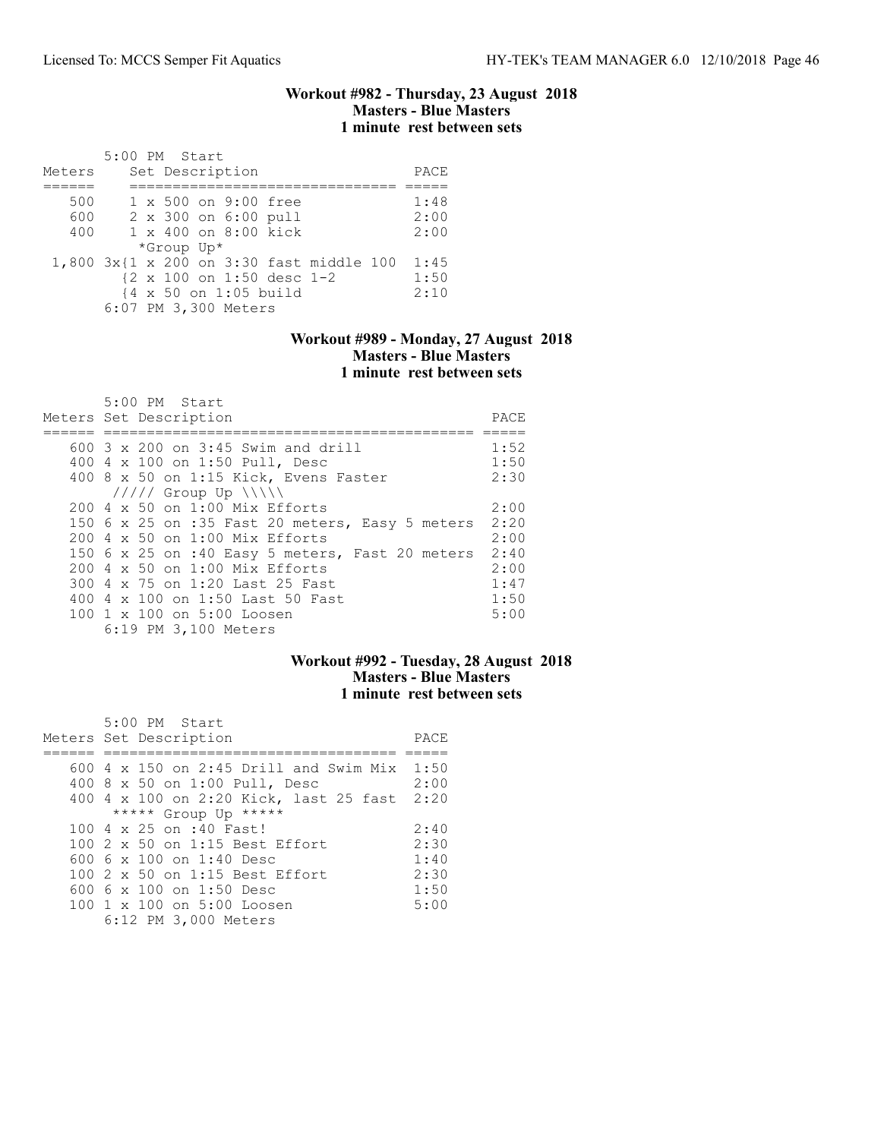#### Workout #982 - Thursday, 23 August 2018 Masters - Blue Masters 1 minute rest between sets

|        | 5:00 PM Start |            |                       |                           |                                          |      |
|--------|---------------|------------|-----------------------|---------------------------|------------------------------------------|------|
| Meters |               |            | Set Description       |                           |                                          | PACE |
|        |               |            |                       |                           |                                          |      |
| 500    |               |            | 1 x 500 on 9:00 free  |                           |                                          | 1:48 |
| 600    |               |            | 2 x 300 on 6:00 pull  |                           |                                          | 2:00 |
| 400    |               |            | 1 x 400 on 8:00 kick  |                           |                                          | 2:00 |
|        |               | *Group Up* |                       |                           |                                          |      |
|        |               |            |                       |                           | 1,800 3x{1 x 200 on 3:30 fast middle 100 | 1:45 |
|        |               |            |                       | {2 x 100 on 1:50 desc 1-2 |                                          | 1:50 |
|        |               |            | {4 x 50 on 1:05 build |                           |                                          | 2:10 |
|        |               |            | 6:07 PM 3,300 Meters  |                           |                                          |      |

### Workout #989 - Monday, 27 August 2018 Masters - Blue Masters 1 minute rest between sets

| $5:00$ PM Start                                 |      |
|-------------------------------------------------|------|
| Meters Set Description                          | PACE |
|                                                 |      |
| 600 3 x 200 on 3:45 Swim and drill              | 1:52 |
| 400 4 x 100 on 1:50 Pull, Desc                  | 1:50 |
| 400 8 x 50 on 1:15 Kick, Evens Faster           | 2:30 |
| $11111$ Group Up $\{\{\}\}\$                    |      |
| 200 4 x 50 on 1:00 Mix Efforts                  | 2:00 |
| 150 6 x 25 on :35 Fast 20 meters, Easy 5 meters | 2:20 |
| 200 4 x 50 on 1:00 Mix Efforts                  | 2:00 |
| 150 6 x 25 on :40 Easy 5 meters, Fast 20 meters | 2:40 |
| 200 4 x 50 on 1:00 Mix Efforts                  | 2:00 |
| 300 4 x 75 on 1:20 Last 25 Fast                 | 1:47 |
| 400 4 x 100 on 1:50 Last 50 Fast                | 1:50 |
| 100 1 x 100 on 5:00 Loosen                      | 5:00 |
| 6:19 PM 3,100 Meters                            |      |

## Workout #992 - Tuesday, 28 August 2018 Masters - Blue Masters 1 minute rest between sets

| 5:00 PM Start                               |      |
|---------------------------------------------|------|
| Meters Set Description                      | PACE |
|                                             |      |
| 600 4 x 150 on 2:45 Drill and Swim Mix 1:50 |      |
| 400 8 x 50 on 1:00 Pull, Desc               | 2:00 |
| 400 4 x 100 on 2:20 Kick, last 25 fast 2:20 |      |
| ***** Group Up *****                        |      |
| 100 4 x 25 on :40 Fast!                     | 2:40 |
| 100 2 x 50 on 1:15 Best Effort              | 2:30 |
| 600 6 $\times$ 100 on 1:40 Desc             | 1:40 |
| 100 2 x 50 on 1:15 Best Effort              | 2:30 |
| 600 6 $\times$ 100 on 1:50 Desc             | 1:50 |
| 100 1 x 100 on 5:00 Loosen                  | 5:00 |
| 6:12 PM 3,000 Meters                        |      |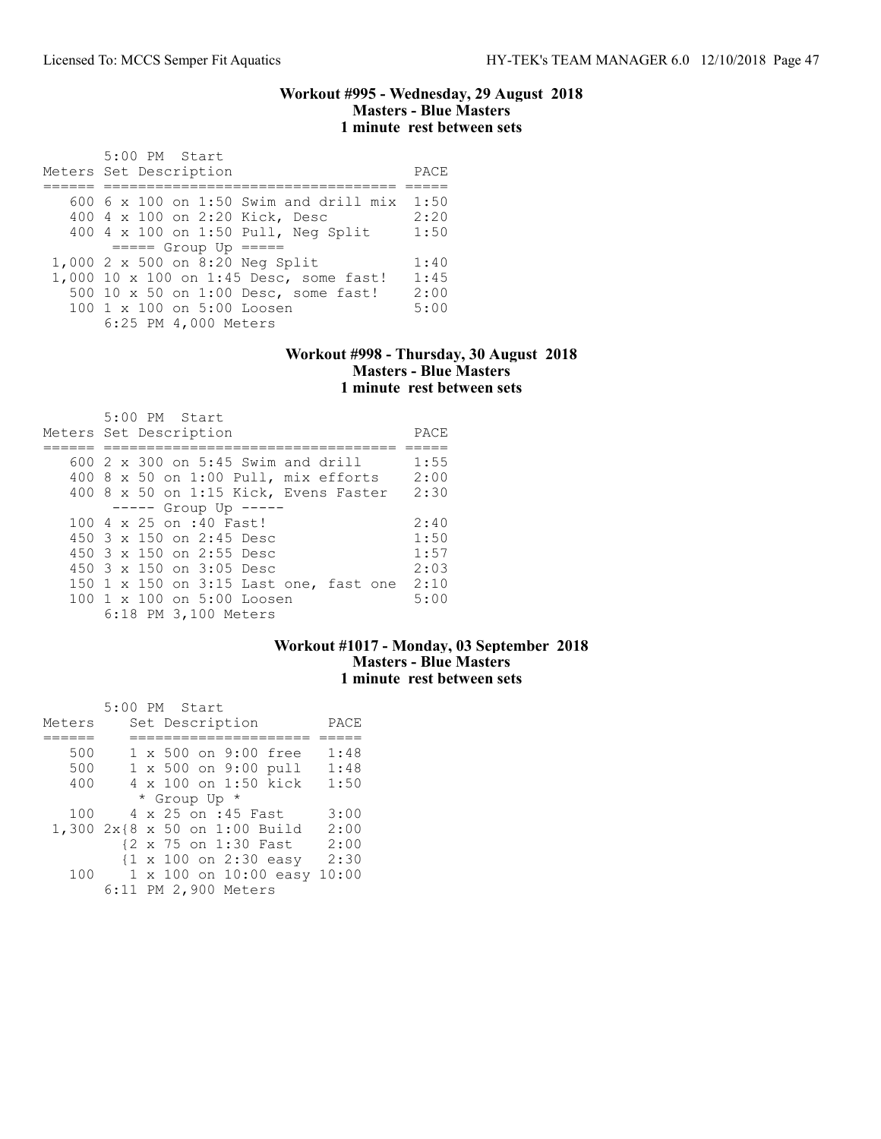#### Workout #995 - Wednesday, 29 August 2018 Masters - Blue Masters 1 minute rest between sets

| $5:00$ PM Start<br>Meters Set Description | PACE |
|-------------------------------------------|------|
| 600 6 x 100 on 1:50 Swim and drill mix    | 1:50 |
| 400 4 x 100 on 2:20 Kick, Desc            | 2:20 |
| 400 4 x 100 on 1:50 Pull, Neg Split       | 1:50 |
| $====$ Group Up $====$                    |      |
| 1,000 2 x 500 on 8:20 Neg Split           | 1:40 |
| 1,000 10 x 100 on 1:45 Desc, some fast!   | 1:45 |
| 500 10 x 50 on 1:00 Desc, some fast!      | 2:00 |
| $100 \t1 x 100$ on $5:00$ Loosen          | 5:00 |
| 6:25 PM 4,000 Meters                      |      |

### Workout #998 - Thursday, 30 August 2018 Masters - Blue Masters 1 minute rest between sets

| $5:00$ PM Start<br>Meters Set Description | PACE |
|-------------------------------------------|------|
|                                           |      |
| $600\,2\,$ x 300 on 5:45 Swim and drill   | 1:55 |
| $400$ 8 x 50 on 1:00 Pull, mix efforts    | 2:00 |
| 400 8 x 50 on 1:15 Kick, Evens Faster     | 2:30 |
| $--- $ Group Up $---$                     |      |
| 100 4 x 25 on :40 Fast!                   | 2:40 |
| 450 3 x 150 on 2:45 Desc                  | 1:50 |
| 450 3 x 150 on 2:55 Desc                  | 1:57 |
| 450 $3 \times 150$ on $3:05$ Desc         | 2:03 |
| 150 1 x 150 on 3:15 Last one, fast one    | 2:10 |
| 100 1 x 100 on 5:00 Loosen                | 5:00 |
| 6:18 PM 3,100 Meters                      |      |

# Workout #1017 - Monday, 03 September 2018 Masters - Blue Masters 1 minute rest between sets

|        |  | 5:00 PM Start                                    |       |
|--------|--|--------------------------------------------------|-------|
| Meters |  | Set Description                                  | PACE  |
|        |  |                                                  |       |
| 500    |  | 1 x 500 on 9:00 free                             | 1:48  |
| 500    |  | 1 x 500 on 9:00 pull                             | 1:48  |
| 400    |  | 4 x 100 on 1:50 kick                             | 1:50  |
|        |  | * Group Up *                                     |       |
| 100    |  | 4 x 25 on :45 Fast                               | 3:00  |
|        |  | 1,300 2x{8 x 50 on 1:00 Build                    | 2:00  |
|        |  | {2 x 75 on 1:30 Fast                             | 2:00  |
|        |  | $\{1 \times 100 \text{ on } 2:30 \text{ easy}\}$ | 2:30  |
| 100    |  | 1 x 100 on 10:00 easy                            | 10:00 |
|        |  | 6:11 PM 2,900 Meters                             |       |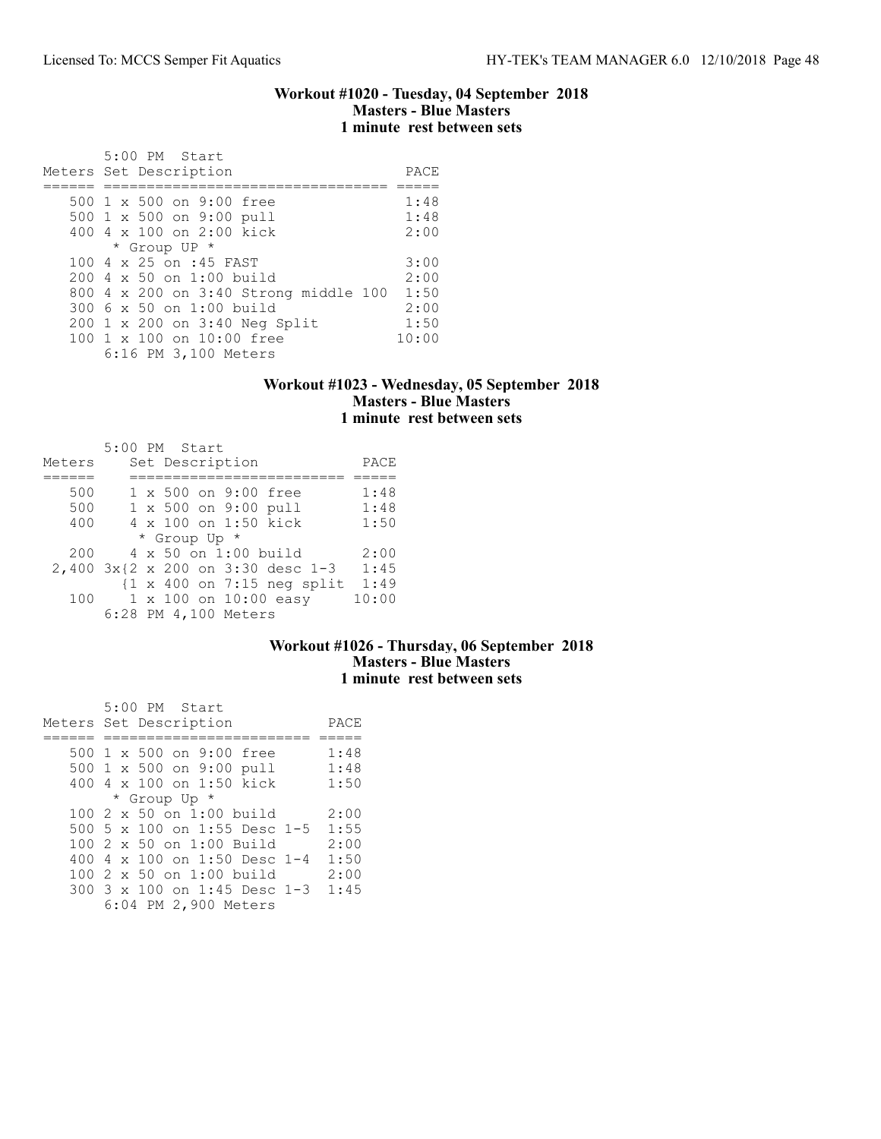#### Workout #1020 - Tuesday, 04 September 2018 Masters - Blue Masters 1 minute rest between sets

| 5:00 PM Start<br>Meters Set Description | PACE  |
|-----------------------------------------|-------|
|                                         |       |
| 500 1 x 500 on 9:00 free                | 1:48  |
| 500 1 x 500 on 9:00 pull                | 1:48  |
| 400 4 x 100 on 2:00 kick                | 2:00  |
| * Group UP *                            |       |
| 100 4 x 25 on :45 FAST                  | 3:00  |
| $200 \, 4 \times 50$ on 1:00 build      | 2:00  |
| 800 4 x 200 on 3:40 Strong middle 100   | 1:50  |
| 300 6 x 50 on 1:00 build                | 2:00  |
| 200 1 x 200 on 3:40 Neg Split           | 1:50  |
| 100 1 x 100 on 10:00 free               | 10:00 |
| 6:16 PM 3,100 Meters                    |       |

### Workout #1023 - Wednesday, 05 September 2018 Masters - Blue Masters 1 minute rest between sets

|        | $5:00$ PM Start                                       |       |
|--------|-------------------------------------------------------|-------|
| Meters | Set Description                                       | PACE  |
|        |                                                       |       |
| 500    | 1 x 500 on 9:00 free                                  | 1:48  |
| 500    | 1 x 500 on 9:00 pull                                  | 1:48  |
| 400    | 4 x 100 on 1:50 kick                                  | 1:50  |
|        | * Group Up *                                          |       |
| 200    | $4 \times 50$ on 1:00 build                           | 2:00  |
|        | 2,400 3x{2 x 200 on 3:30 desc 1-3                     | 1:45  |
|        | $\{1 \times 400 \text{ on } 7:15 \text{ neg split}\}$ | 1:49  |
| 100    | 1 x 100 on 10:00 easy                                 | 10:00 |
|        | 6:28 PM 4,100 Meters                                  |       |

## Workout #1026 - Thursday, 06 September 2018 Masters - Blue Masters 1 minute rest between sets

|  | 5:00 PM Start                       |      |
|--|-------------------------------------|------|
|  | Meters Set Description              | PACE |
|  |                                     |      |
|  | 500 1 x 500 on 9:00 free            | 1:48 |
|  | 500 1 x 500 on 9:00 pull            | 1:48 |
|  | 400 4 x 100 on 1:50 kick            | 1:50 |
|  | * Group Up *                        |      |
|  | $1002 \times 50$ on 1:00 build      | 2:00 |
|  | 500 5 x 100 on 1:55 Desc 1-5        | 1:55 |
|  | 100 2 x 50 on 1:00 Build            | 2:00 |
|  | 400 4 $\times$ 100 on 1:50 Desc 1-4 | 1:50 |
|  | 100 2 x 50 on 1:00 build            | 2:00 |
|  | 300 3 x 100 on 1:45 Desc 1-3        | 1:45 |
|  | 6:04 PM 2,900 Meters                |      |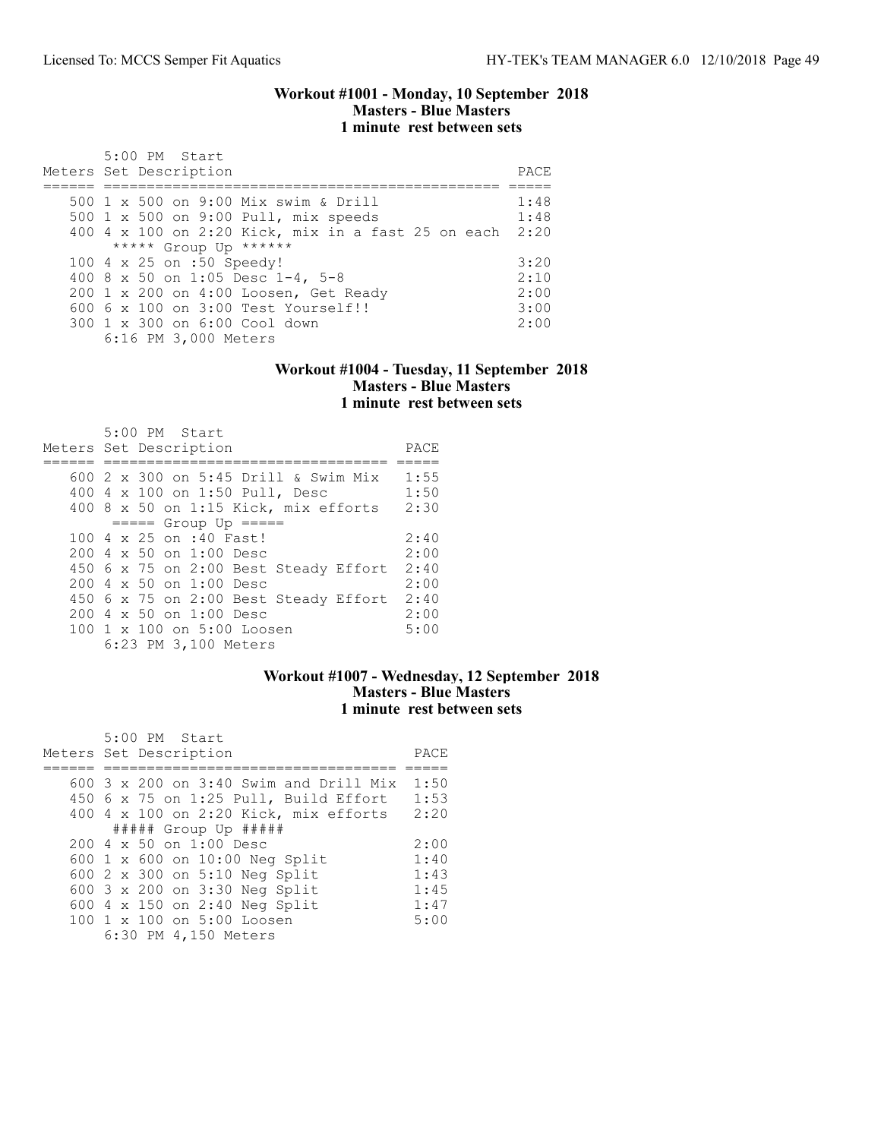#### Workout #1001 - Monday, 10 September 2018 Masters - Blue Masters 1 minute rest between sets

| 5:00 PM Start<br>Meters Set Description                 | PACE |
|---------------------------------------------------------|------|
| 500 1 x 500 on 9:00 Mix swim & Drill                    | 1:48 |
| 500 1 x 500 on 9:00 Pull, mix speeds                    | 1:48 |
| 400 4 x 100 on 2:20 Kick, mix in a fast 25 on each 2:20 |      |
| ***** Group Up ******                                   |      |
| 100 4 x 25 on :50 Speedy!                               | 3:20 |
| 400 8 x 50 on 1:05 Desc 1-4, 5-8                        | 2:10 |
| 200 1 x 200 on 4:00 Loosen, Get Ready                   | 2:00 |
| $6006 \times 100$ on $3:00$ Test Yourself!!             | 3:00 |
| 300 1 x 300 on 6:00 Cool down                           | 2:00 |
| 6:16 PM 3,000 Meters                                    |      |

#### Workout #1004 - Tuesday, 11 September 2018 Masters - Blue Masters 1 minute rest between sets

| 5:00 PM Start<br>Meters Set Description   | PACE |
|-------------------------------------------|------|
|                                           |      |
| 600 2 x 300 on 5:45 Drill & Swim Mix      | 1:55 |
| 400 4 x 100 on 1:50 Pull, Desc            | 1:50 |
| 400 8 x 50 on 1:15 Kick, mix efforts      | 2:30 |
| $== == $ Group Up $== == $                |      |
| 100 4 x 25 on :40 Fast!                   | 2:40 |
| $200 \text{ } 4 \times 50$ on $1:00$ Desc | 2:00 |
| 450 6 x 75 on 2:00 Best Steady Effort     | 2:40 |
| $200 \text{ } 4 \times 50$ on $1:00$ Desc | 2:00 |
| 450 6 x 75 on 2:00 Best Steady Effort     | 2:40 |
| $200 \text{ } 4 \times 50$ on $1:00$ Desc | 2:00 |
| 100 1 x 100 on 5:00 Loosen                | 5:00 |
| 6:23 PM 3,100 Meters                      |      |

### Workout #1007 - Wednesday, 12 September 2018 Masters - Blue Masters 1 minute rest between sets

| 5:00 PM Start                                   |      |
|-------------------------------------------------|------|
| Meters Set Description                          | PACE |
|                                                 |      |
| 600 $3 \times 200$ on $3:40$ Swim and Drill Mix | 1:50 |
| 450 6 x 75 on 1:25 Pull, Build Effort           | 1:53 |
| 400 4 x 100 on 2:20 Kick, mix efforts           | 2:20 |
| $\#$ #### Group Up $\#$ ####                    |      |
| $200 \text{ } 4 \times 50$ on $1:00$ Desc       | 2:00 |
| 600 1 x 600 on 10:00 Neg Split                  | 1:40 |
| 600 2 x 300 on 5:10 Neg Split                   | 1:43 |
| 600 3 x 200 on 3:30 Neg Split                   | 1:45 |
| 600 4 x 150 on 2:40 Neg Split                   | 1:47 |
| 100 1 x 100 on 5:00 Loosen                      | 5:00 |
| 6:30 PM 4,150 Meters                            |      |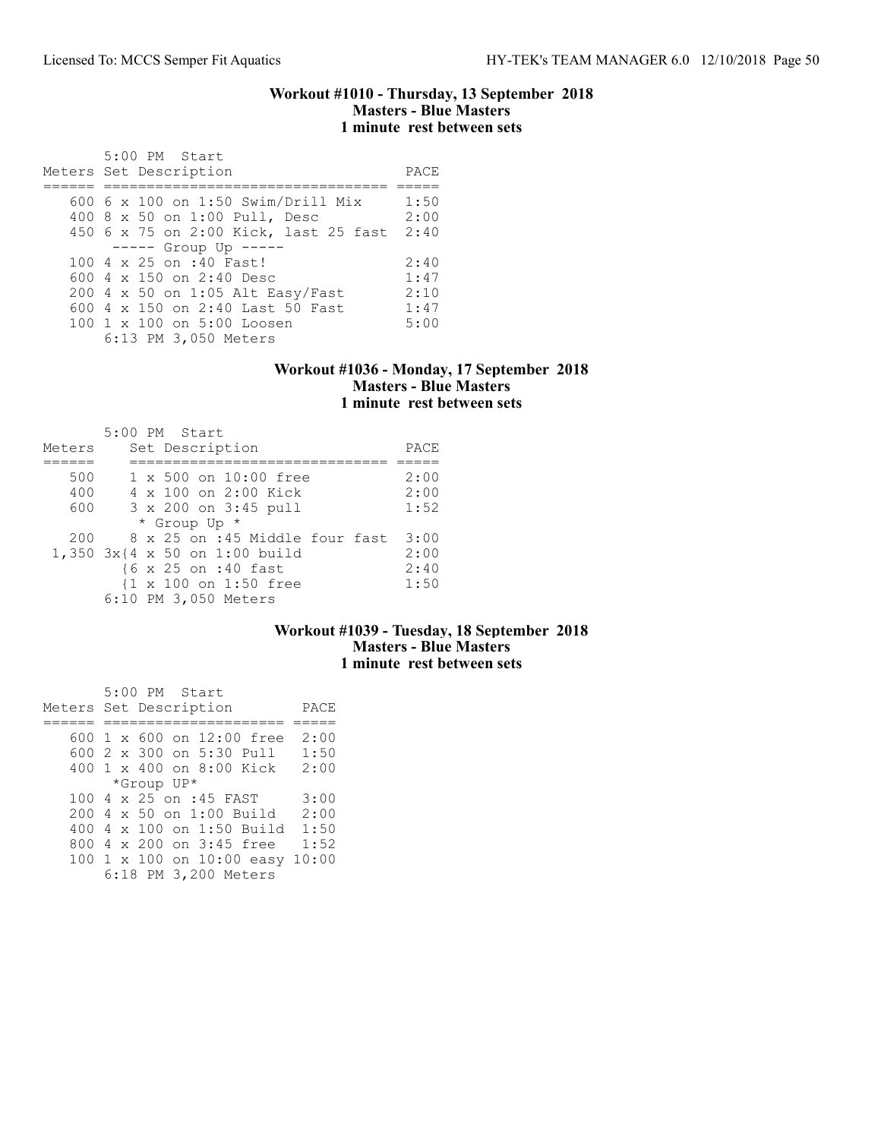#### Workout #1010 - Thursday, 13 September 2018 Masters - Blue Masters 1 minute rest between sets

| 5:00 PM Start<br>Meters Set Description | PACE |
|-----------------------------------------|------|
|                                         |      |
| 600 6 x 100 on 1:50 Swim/Drill Mix      | 1:50 |
| 400 8 x 50 on 1:00 Pull, Desc           | 2:00 |
| 450 6 x 75 on 2:00 Kick, last 25 fast   | 2:40 |
| $--- $ Group Up $---$                   |      |
| 100 4 x 25 on :40 Fast!                 | 2:40 |
| 600 $4 \times 150$ on 2:40 Desc         | 1:47 |
| 200 4 x 50 on 1:05 Alt Easy/Fast        | 2:10 |
| 600 4 x 150 on 2:40 Last 50 Fast        | 1:47 |
| 100 1 x 100 on 5:00 Loosen              | 5:00 |
| 6:13 PM 3,050 Meters                    |      |

#### Workout #1036 - Monday, 17 September 2018 Masters - Blue Masters 1 minute rest between sets

| Meters | 5:00 PM Start<br>Set Description                 | PACE |
|--------|--------------------------------------------------|------|
|        |                                                  |      |
| 500    | 1 x 500 on 10:00 free                            | 2:00 |
| 400    | 4 x 100 on 2:00 Kick                             | 2:00 |
| 600    | 3 x 200 on 3:45 pull                             | 1:52 |
|        | * Group Up *                                     |      |
| 200    | 8 x 25 on :45 Middle four fast                   | 3:00 |
|        | 1,350 3x{4 x 50 on 1:00 build                    | 2:00 |
|        | {6 x 25 on :40 fast                              | 2:40 |
|        | $\{1 \times 100 \text{ on } 1:50 \text{ free}\}$ | 1:50 |
|        | 6:10 PM 3,050 Meters                             |      |

## Workout #1039 - Tuesday, 18 September 2018 Masters - Blue Masters 1 minute rest between sets

|  | 5:00 PM Start                   |      |
|--|---------------------------------|------|
|  | Meters Set Description          | PACE |
|  |                                 |      |
|  | 600 1 x 600 on 12:00 free       | 2:00 |
|  | 600 2 x 300 on 5:30 Pull        | 1:50 |
|  | 400 1 x 400 on 8:00 Kick 2:00   |      |
|  | *Group UP*                      |      |
|  | 100 4 x 25 on :45 FAST          | 3:00 |
|  | 200 4 x 50 on 1:00 Build        | 2:00 |
|  | 400 4 x 100 on 1:50 Build       | 1:50 |
|  | 800 4 x 200 on 3:45 free        | 1:52 |
|  | 100 1 x 100 on 10:00 easy 10:00 |      |
|  | 6:18 PM 3,200 Meters            |      |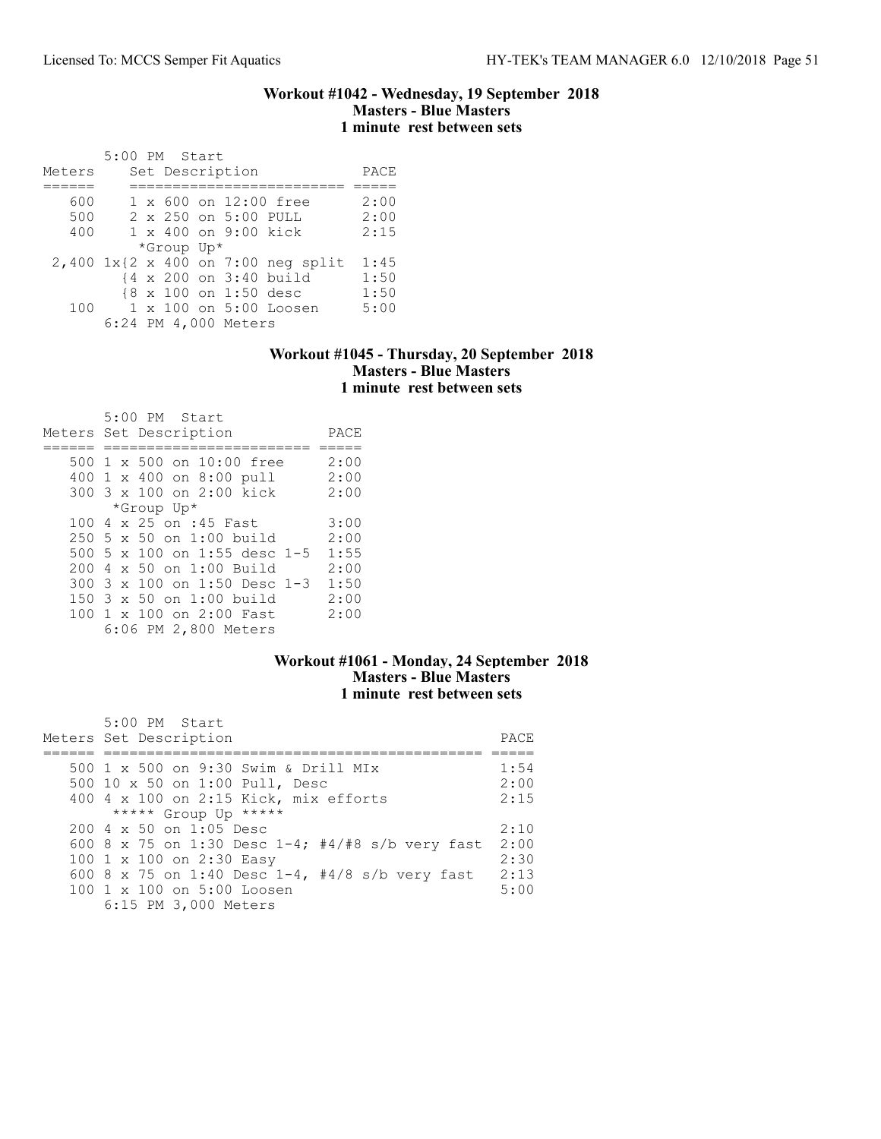#### Workout #1042 - Wednesday, 19 September 2018 Masters - Blue Masters 1 minute rest between sets

|        | 5:00 PM Start |            |                       |                                    |      |
|--------|---------------|------------|-----------------------|------------------------------------|------|
| Meters |               |            | Set Description       |                                    | PACE |
|        |               |            |                       |                                    |      |
| 600    |               |            |                       | 1 x 600 on 12:00 free              | 2:00 |
| 500    |               |            | 2 x 250 on 5:00 PULL  |                                    | 2:00 |
| 400    |               |            | 1 x 400 on 9:00 kick  |                                    | 2:15 |
|        |               | *Group Up* |                       |                                    |      |
|        |               |            |                       | 2,400 1x{2 x 400 on 7:00 neg split | 1:45 |
|        |               |            |                       | {4 x 200 on 3:40 build             | 1:50 |
|        |               |            | {8 x 100 on 1:50 desc |                                    | 1:50 |
| 100    |               |            |                       | 1 x 100 on 5:00 Loosen             | 5:00 |
|        |               |            | 6:24 PM 4,000 Meters  |                                    |      |

### Workout #1045 - Thursday, 20 September 2018 Masters - Blue Masters 1 minute rest between sets

|  | 5:00 PM Start<br>Meters Set Description | PACE |
|--|-----------------------------------------|------|
|  | 500 1 x 500 on 10:00 free               | 2:00 |
|  | 400 1 x 400 on 8:00 pull                | 2:00 |
|  |                                         |      |
|  | 300 3 x 100 on 2:00 kick                | 2:00 |
|  | *Group Up*                              |      |
|  | 100 4 x 25 on :45 Fast                  | 3:00 |
|  | $250\,5\,x\,50\,$ on $1:00\,$ build     | 2:00 |
|  | 500 5 x 100 on 1:55 desc 1-5            | 1:55 |
|  | 200 4 x 50 on 1:00 Build                | 2:00 |
|  | 300 3 x 100 on 1:50 Desc 1-3            | 1:50 |
|  | 150 3 x 50 on 1:00 build                | 2:00 |
|  | 100 1 x 100 on 2:00 Fast                | 2:00 |
|  | 6:06 PM 2,800 Meters                    |      |

## Workout #1061 - Monday, 24 September 2018 Masters - Blue Masters 1 minute rest between sets

| 5:00 PM Start                                       |      |
|-----------------------------------------------------|------|
| Meters Set Description                              | PACE |
|                                                     |      |
| 500 1 x 500 on 9:30 Swim & Drill MIx                | 1:54 |
| 500 10 x 50 on 1:00 Pull, Desc                      | 2:00 |
| 400 4 x 100 on 2:15 Kick, mix efforts               | 2:15 |
| ***** Group Up *****                                |      |
| $200 \text{ } 4 \text{ } \times 50$ on 1:05 Desc    | 2:10 |
| 600 8 x 75 on 1:30 Desc $1-4$ ; #4/#8 s/b very fast | 2:00 |
| 100 1 x 100 on 2:30 Easy                            | 2:30 |
| 600 8 x 75 on 1:40 Desc 1-4, #4/8 s/b very fast     | 2:13 |
| 100 1 x 100 on 5:00 Loosen                          | 5:00 |
| 6:15 PM 3,000 Meters                                |      |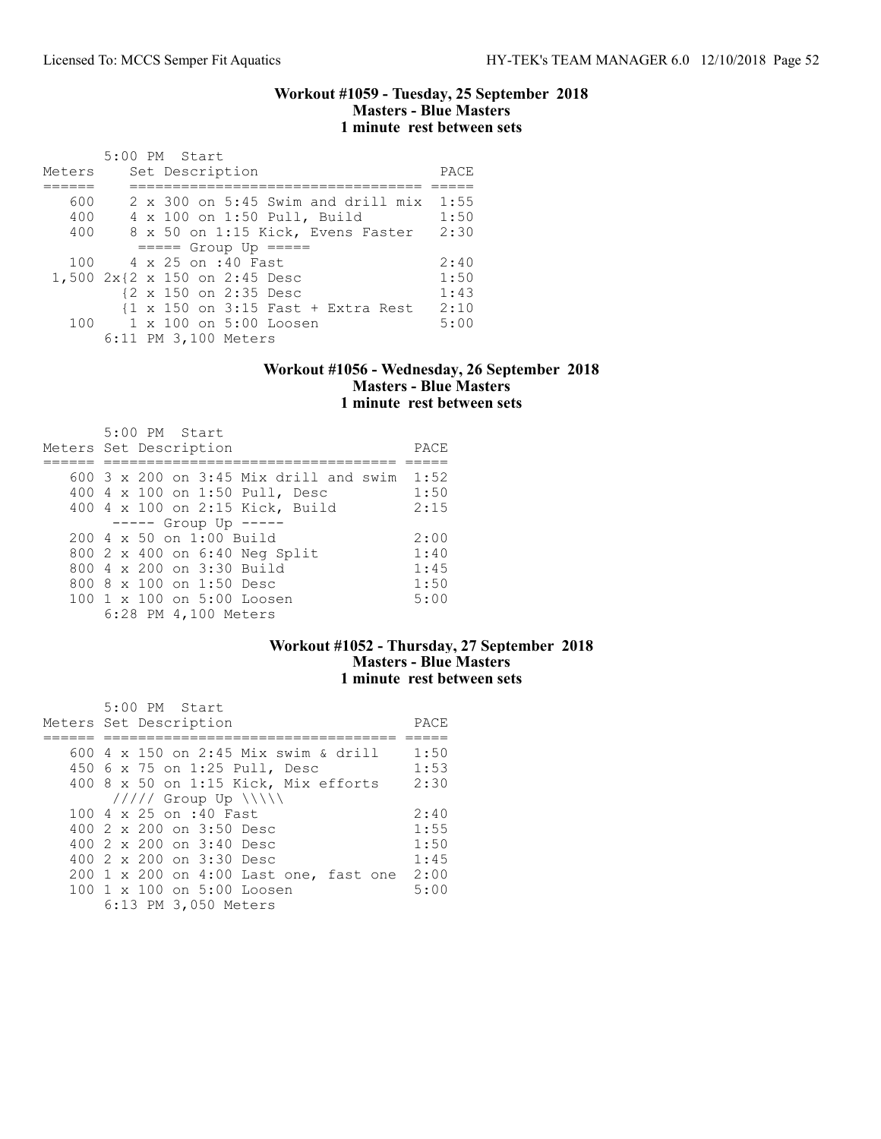#### Workout #1059 - Tuesday, 25 September 2018 Masters - Blue Masters 1 minute rest between sets

|        |  | 5:00 PM Start                                                          |      |
|--------|--|------------------------------------------------------------------------|------|
| Meters |  | Set Description                                                        | PACE |
|        |  |                                                                        |      |
| 600    |  | 2 x 300 on 5:45 Swim and drill mix 1:55                                |      |
| 400    |  | 4 x 100 on 1:50 Pull, Build                                            | 1:50 |
| 400    |  | 8 x 50 on 1:15 Kick, Evens Faster                                      | 2:30 |
|        |  | $====$ Group Up $====$                                                 |      |
| 100    |  | 4 x 25 on :40 Fast                                                     | 2:40 |
|        |  | 1,500 2x{2 x 150 on 2:45 Desc                                          | 1:50 |
|        |  | {2 x 150 on 2:35 Desc                                                  | 1:43 |
|        |  | $\{1 \times 150 \text{ on } 3:15 \text{ Fast } + \text{ Extra Rest}\}$ | 2:10 |
|        |  | 100 1 x 100 on 5:00 Loosen                                             | 5:00 |
|        |  | 6:11 PM 3,100 Meters                                                   |      |

### Workout #1056 - Wednesday, 26 September 2018 Masters - Blue Masters 1 minute rest between sets

| 5:00 PM Start<br>Meters Set Description         | PACE |
|-------------------------------------------------|------|
| 600 $3 \times 200$ on $3:45$ Mix drill and swim | 1:52 |
| 400 4 x 100 on 1:50 Pull, Desc                  | 1:50 |
| 400 4 x 100 on 2:15 Kick, Build                 | 2:15 |
| $--- $ Group Up $---$                           |      |
| $200 \, 4 \times 50$ on $1:00$ Build            | 2:00 |
| 800 2 x 400 on 6:40 Neg Split                   | 1:40 |
| 800 4 x 200 on 3:30 Build                       | 1:45 |
| 800 8 x 100 on 1:50 Desc                        | 1:50 |
| $1001 \times 100$ on $5:00$ Loosen              | 5:00 |
| 6:28 PM 4,100 Meters                            |      |

## Workout #1052 - Thursday, 27 September 2018 Masters - Blue Masters 1 minute rest between sets

| 5:00 PM Start                          |      |
|----------------------------------------|------|
| Meters Set Description                 | PACE |
|                                        |      |
| 600 4 x 150 on 2:45 Mix swim & drill   | 1:50 |
| 450 6 x 75 on 1:25 Pull, Desc          | 1:53 |
| 400 8 x 50 on 1:15 Kick, Mix efforts   | 2:30 |
| $11111$ Group Up $\ \ $                |      |
| 100 4 x 25 on :40 Fast                 | 2:40 |
| 400 2 x 200 on 3:50 Desc               | 1:55 |
| 400 $2 \times 200$ on $3:40$ Desc      | 1:50 |
| 400 2 x 200 on 3:30 Desc               | 1:45 |
| 200 1 x 200 on 4:00 Last one, fast one | 2:00 |
| 100 1 x 100 on 5:00 Loosen             | 5:00 |
| 6:13 PM 3,050 Meters                   |      |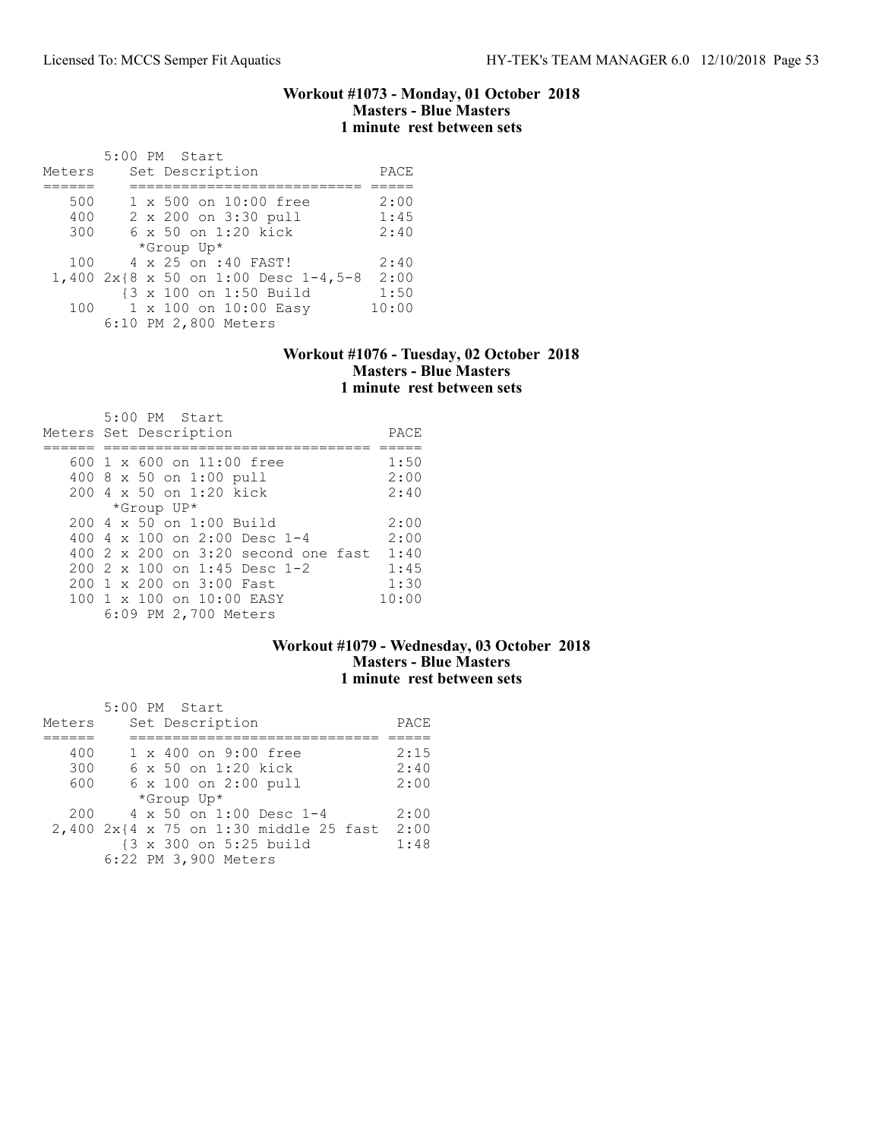#### Workout #1073 - Monday, 01 October 2018 Masters - Blue Masters 1 minute rest between sets

| Meters |  | 5:00 PM Start<br>Set Description     | PACE  |
|--------|--|--------------------------------------|-------|
|        |  |                                      |       |
| 500    |  | 1 x 500 on 10:00 free                | 2:00  |
| 400    |  | 2 x 200 on 3:30 pull                 | 1:45  |
| 300    |  | $6 \times 50$ on 1:20 kick           | 2:40  |
|        |  | *Group Up*                           |       |
| 100    |  | 4 x 25 on :40 FAST!                  | 2:40  |
|        |  | 1,400 2x{8 x 50 on 1:00 Desc 1-4,5-8 | 2:00  |
|        |  | {3 x 100 on 1:50 Build               | 1:50  |
| 100    |  | 1 x 100 on 10:00 Easy                | 10:00 |
|        |  | 6:10 PM 2,800 Meters                 |       |

### Workout #1076 - Tuesday, 02 October 2018 Masters - Blue Masters 1 minute rest between sets

| $5:00$ PM Start<br>Meters Set Description             | PACE  |
|-------------------------------------------------------|-------|
| $600 \text{ 1 x } 600 \text{ on } 11:00 \text{ free}$ | 1:50  |
| 400 8 x 50 on 1:00 pull                               | 2:00  |
| 200 4 x 50 on 1:20 kick                               | 2:40  |
| *Group UP*                                            |       |
| $200 \text{ } 4 \text{ } \times 50$ on $1:00$ Build   | 2:00  |
| 400 4 $\times$ 100 on 2:00 Desc 1-4                   | 2:00  |
| 400 2 x 200 on 3:20 second one fast                   | 1:40  |
| $2002 \times 100$ on 1:45 Desc 1-2                    | 1:45  |
| 200 1 x 200 on 3:00 Fast                              | 1:30  |
| 100 1 x 100 on 10:00 EASY                             | 10:00 |
| 6:09 PM 2,700 Meters                                  |       |

## Workout #1079 - Wednesday, 03 October 2018 Masters - Blue Masters 1 minute rest between sets

|        |  | 5:00 PM Start                          |      |
|--------|--|----------------------------------------|------|
| Meters |  | Set Description                        | PACE |
|        |  |                                        |      |
| 400    |  | 1 x 400 on 9:00 free                   | 2:15 |
| 300    |  | 6 x 50 on 1:20 kick                    | 2:40 |
| 600    |  | 6 x 100 on 2:00 pull                   | 2:00 |
|        |  | *Group Up*                             |      |
| 200    |  | 4 x 50 on 1:00 Desc 1-4                | 2:00 |
|        |  | 2,400 2x{4 x 75 on 1:30 middle 25 fast | 2:00 |
|        |  | {3 x 300 on 5:25 build                 | 1:48 |
|        |  | 6:22 PM 3,900 Meters                   |      |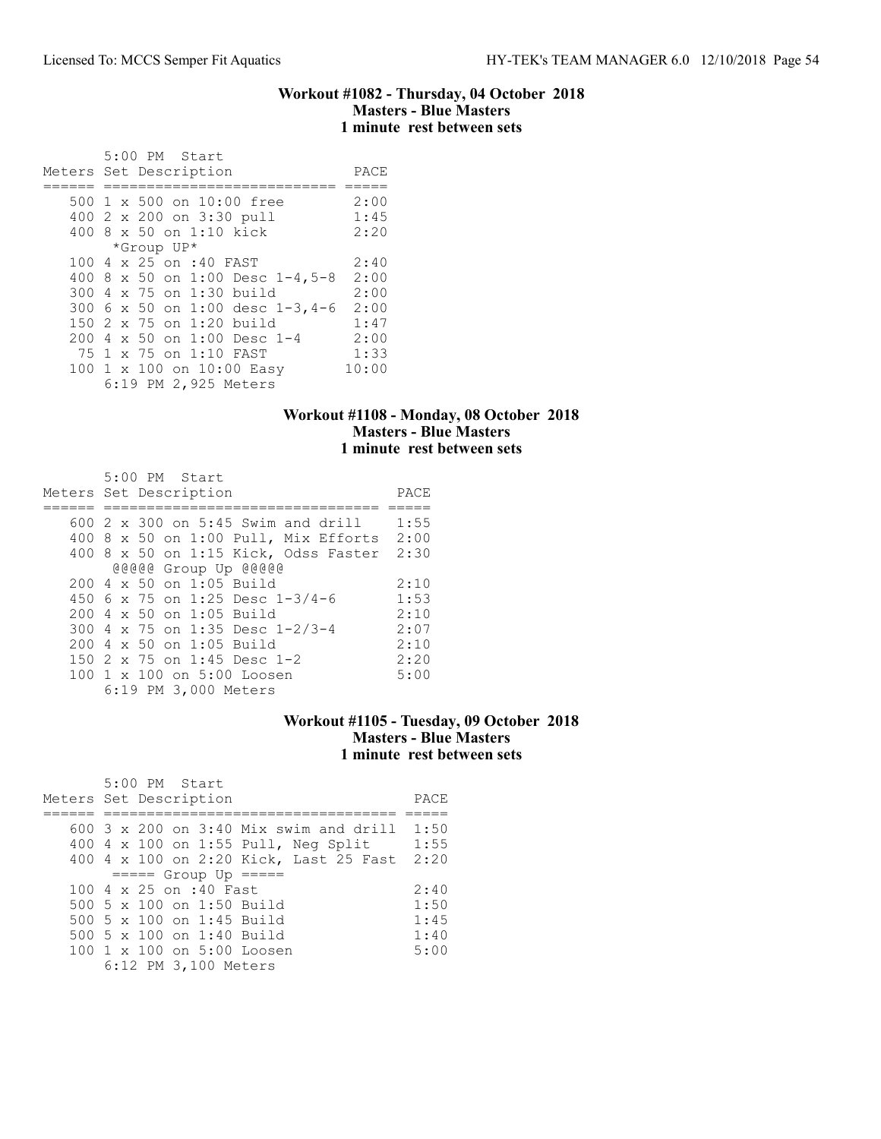#### Workout #1082 - Thursday, 04 October 2018 Masters - Blue Masters 1 minute rest between sets

|  | 5:00 PM Start                   |       |
|--|---------------------------------|-------|
|  | Meters Set Description          | PACE  |
|  |                                 |       |
|  | 500 1 x 500 on 10:00 free       | 2:00  |
|  | 400 2 x 200 on 3:30 pull        | 1:45  |
|  | 400 8 x 50 on 1:10 kick         | 2:20  |
|  | *Group UP*                      |       |
|  | 100 4 x 25 on :40 FAST          | 2:40  |
|  | 400 8 x 50 on 1:00 Desc 1-4,5-8 | 2:00  |
|  | 300 4 x 75 on 1:30 build        | 2:00  |
|  | 300 6 x 50 on 1:00 desc 1-3,4-6 | 2:00  |
|  | 150 2 x 75 on 1:20 build        | 1:47  |
|  | 200 4 x 50 on 1:00 Desc 1-4     | 2:00  |
|  | 75 1 x 75 on 1:10 FAST          | 1:33  |
|  | 100 1 x 100 on 10:00 Easy       | 10:00 |
|  | 6:19 PM 2,925 Meters            |       |

## Workout #1108 - Monday, 08 October 2018 Masters - Blue Masters 1 minute rest between sets

| $5:00$ PM Start<br>Meters Set Description         | PACE |
|---------------------------------------------------|------|
| $600\,$ 2 $\times$ 300 on 5:45 Swim and drill     | 1:55 |
|                                                   |      |
| $400$ 8 x 50 on 1:00 Pull, Mix Efforts            | 2:00 |
| 400 8 x 50 on 1:15 Kick, Odss Faster 2:30         |      |
| @@@@@ Group Up @@@@@                              |      |
| 200 4 x 50 on 1:05 Build                          | 2:10 |
| 450 6 x 75 on 1:25 Desc $1-3/4-6$                 | 1:53 |
| 200 4 x 50 on 1:05 Build                          | 2:10 |
| 300 4 x 75 on 1:35 Desc 1-2/3-4                   | 2:07 |
| $200 \text{ } 4 \text{ } \times 50$ on 1:05 Build | 2:10 |
| 150 2 x 75 on 1:45 Desc 1-2                       | 2:20 |
| 100 1 x 100 on 5:00 Loosen                        | 5:00 |
| 6:19 PM 3,000 Meters                              |      |

### Workout #1105 - Tuesday, 09 October 2018 Masters - Blue Masters 1 minute rest between sets

| 5:00 PM Start<br>Meters Set Description                | PACE |
|--------------------------------------------------------|------|
|                                                        |      |
| 600 $3 \times 200$ on $3:40$ Mix swim and drill $1:50$ |      |
| 400 4 x 100 on 1:55 Pull, Neg Split                    | 1:55 |
| 400 4 x 100 on 2:20 Kick, Last 25 Fast                 | 2:20 |
| $====$ Group Up $====$                                 |      |
| 100 4 x 25 on :40 Fast                                 | 2:40 |
| 500 5 x 100 on 1:50 Build                              | 1:50 |
| 500 5 x 100 on 1:45 Build                              | 1:45 |
| 500 5 $\times$ 100 on 1:40 Build                       | 1:40 |
| 100 1 x 100 on 5:00 Loosen                             | 5:00 |
| 6:12 PM 3,100 Meters                                   |      |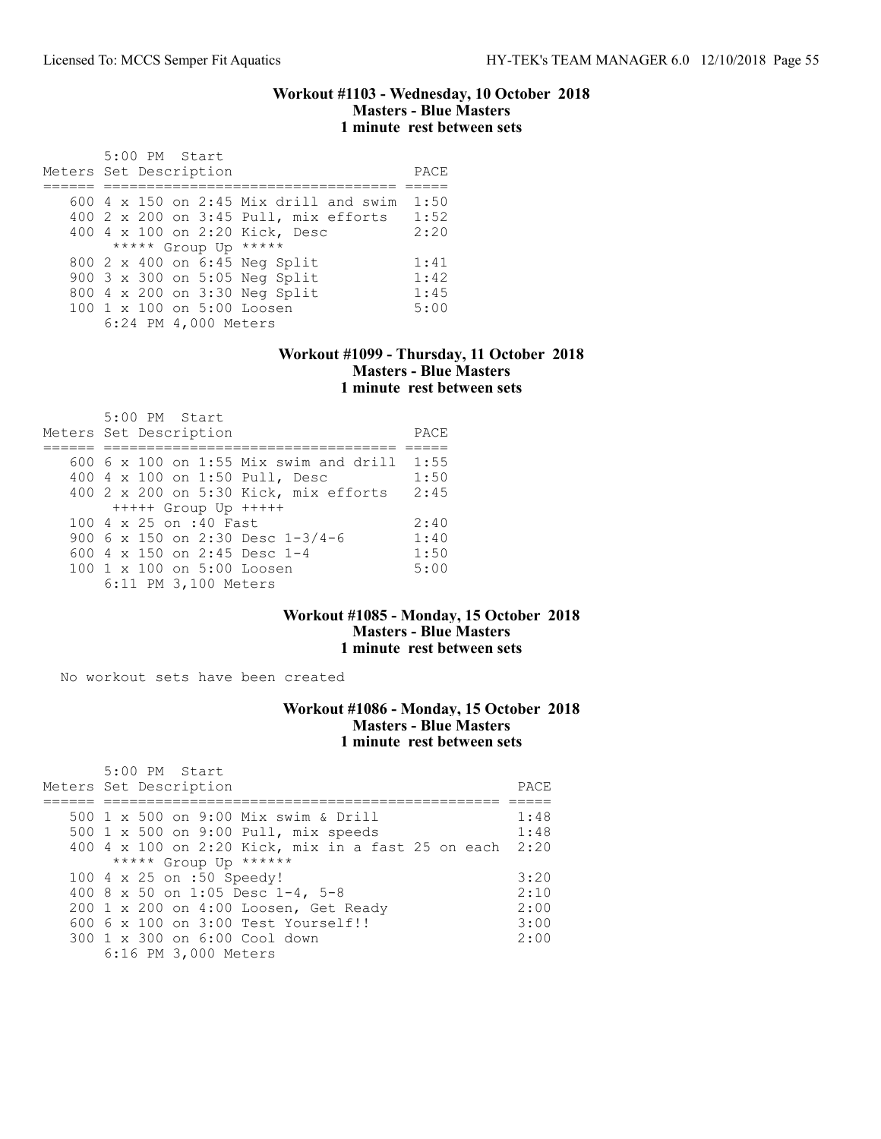#### Workout #1103 - Wednesday, 10 October 2018 Masters - Blue Masters 1 minute rest between sets

| 5:00 PM Start                                 |      |
|-----------------------------------------------|------|
| Meters Set Description                        | PACE |
|                                               |      |
| 600 $4 \times 150$ on 2:45 Mix drill and swim | 1:50 |
| 400 2 x 200 on 3:45 Pull, mix efforts         | 1:52 |
| 400 4 x 100 on 2:20 Kick, Desc                | 2:20 |
| ***** Group Up *****                          |      |
| 800 2 x 400 on 6:45 Neg Split                 | 1:41 |
| 900 3 x 300 on 5:05 Neg Split                 | 1:42 |
| 800 4 x 200 on 3:30 Neg Split                 | 1:45 |
| $100 \t 1 \t x \t 100$ on $5:00$ Loosen       | 5:00 |
| 6:24 PM 4,000 Meters                          |      |

### Workout #1099 - Thursday, 11 October 2018 Masters - Blue Masters 1 minute rest between sets

| 5:00 PM Start<br>Meters Set Description  | PACE |
|------------------------------------------|------|
|                                          |      |
| $600$ 6 x 100 on 1:55 Mix swim and drill | 1:55 |
| 400 4 x 100 on 1:50 Pull, Desc           | 1:50 |
| 400 2 x 200 on 5:30 Kick, mix efforts    | 2:45 |
| $++++$ Group Up $++++$                   |      |
| 100 4 x 25 on :40 Fast                   | 2:40 |
| 900 6 x 150 on 2:30 Desc 1-3/4-6         | 1:40 |
| 600 4 x 150 on 2:45 Desc 1-4             | 1:50 |
| 100 1 x 100 on 5:00 Loosen               | 5:00 |
| 6:11 PM 3,100 Meters                     |      |

### Workout #1085 - Monday, 15 October 2018 Masters - Blue Masters 1 minute rest between sets

No workout sets have been created

## Workout #1086 - Monday, 15 October 2018 Masters - Blue Masters 1 minute rest between sets

| $5:00$ PM Start<br>Meters Set Description          | PACE |
|----------------------------------------------------|------|
| 500 1 x 500 on 9:00 Mix swim & Drill               | 1:48 |
| 500 1 x 500 on 9:00 Pull, mix speeds               | 1:48 |
| 400 4 x 100 on 2:20 Kick, mix in a fast 25 on each | 2:20 |
| ***** Group Up ******                              |      |
| 100 4 x 25 on :50 Speedy!                          | 3:20 |
| 400 8 x 50 on 1:05 Desc 1-4, 5-8                   | 2:10 |
| 200 1 x 200 on 4:00 Loosen, Get Ready              | 2:00 |
| 600 6 x 100 on 3:00 Test Yourself!!                | 3:00 |
| 300 1 x 300 on 6:00 Cool down                      | 2:00 |
| 6:16 PM 3,000 Meters                               |      |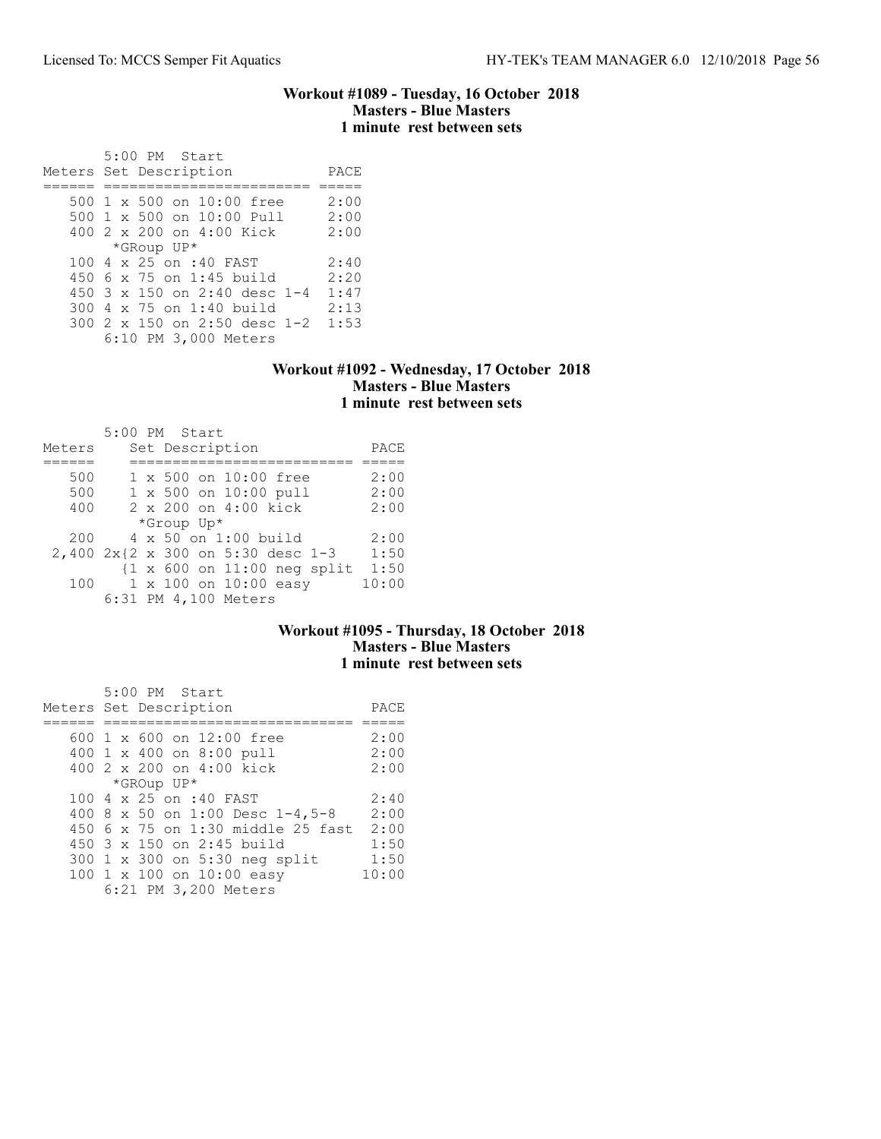### Workout #1089 - Tuesday, 16 October 2018 Masters - Blue Masters 1 minute rest between sets

 5:00 PM Start Meters Set Description PACE ====== ======================== ===== 500 1 x 500 on 10:00 free 2:00 500 1 x 500 on 10:00 Pull 2:00 400 2 x 200 on 4:00 Kick 2:00 \*GRoup UP\* 100 4 x 25 on :40 FAST 2:40 450 6 x 75 on 1:45 build 2:20 450 3 x 150 on 2:40 desc 1-4 1:47 300 4 x 75 on 1:40 build 2:13 300 2 x 150 on 2:50 desc 1-2 1:53 6:10 PM 3,000 Meters

#### Workout #1092 - Wednesday, 17 October 2018 Masters - Blue Masters 1 minute rest between sets

|        |  | 5:00 PM Start                         |       |
|--------|--|---------------------------------------|-------|
| Meters |  | Set Description                       | PACE  |
|        |  |                                       |       |
| 500    |  | 1 x 500 on 10:00 free                 | 2:00  |
| 500    |  | 1 x 500 on 10:00 pull                 | 2:00  |
| 400    |  | 2 x 200 on 4:00 kick                  | 2:00  |
|        |  | *Group Up*                            |       |
| 200    |  | 4 x 50 on 1:00 build                  | 2:00  |
|        |  | 2,400 2x{2 x 300 on 5:30 desc 1-3     | 1:50  |
|        |  | $\{1 \times 600$ on $11:00$ neg split | 1:50  |
| 100    |  | 1 x 100 on 10:00 easy                 | 10:00 |
|        |  | 6:31 PM 4,100 Meters                  |       |

### Workout #1095 - Thursday, 18 October 2018 Masters - Blue Masters 1 minute rest between sets

| 5:00 PM Start                     |       |
|-----------------------------------|-------|
| Meters Set Description            | PACE  |
|                                   |       |
| 600 1 x 600 on 12:00 free         | 2:00  |
| 400 1 x 400 on 8:00 pull          | 2:00  |
| 400 2 x 200 on 4:00 kick          | 2:00  |
| *GROup UP*                        |       |
| 100 4 x 25 on :40 FAST            | 2:40  |
| 400 8 x 50 on 1:00 Desc 1-4,5-8   | 2:00  |
| 450 6 x 75 on 1:30 middle 25 fast | 2:00  |
| $450.3 \times 150$ on 2:45 build  | 1:50  |
| 300 1 x 300 on 5:30 neg split     | 1:50  |
| 100 1 x 100 on 10:00 easy         | 10:00 |
| 6:21 PM 3,200 Meters              |       |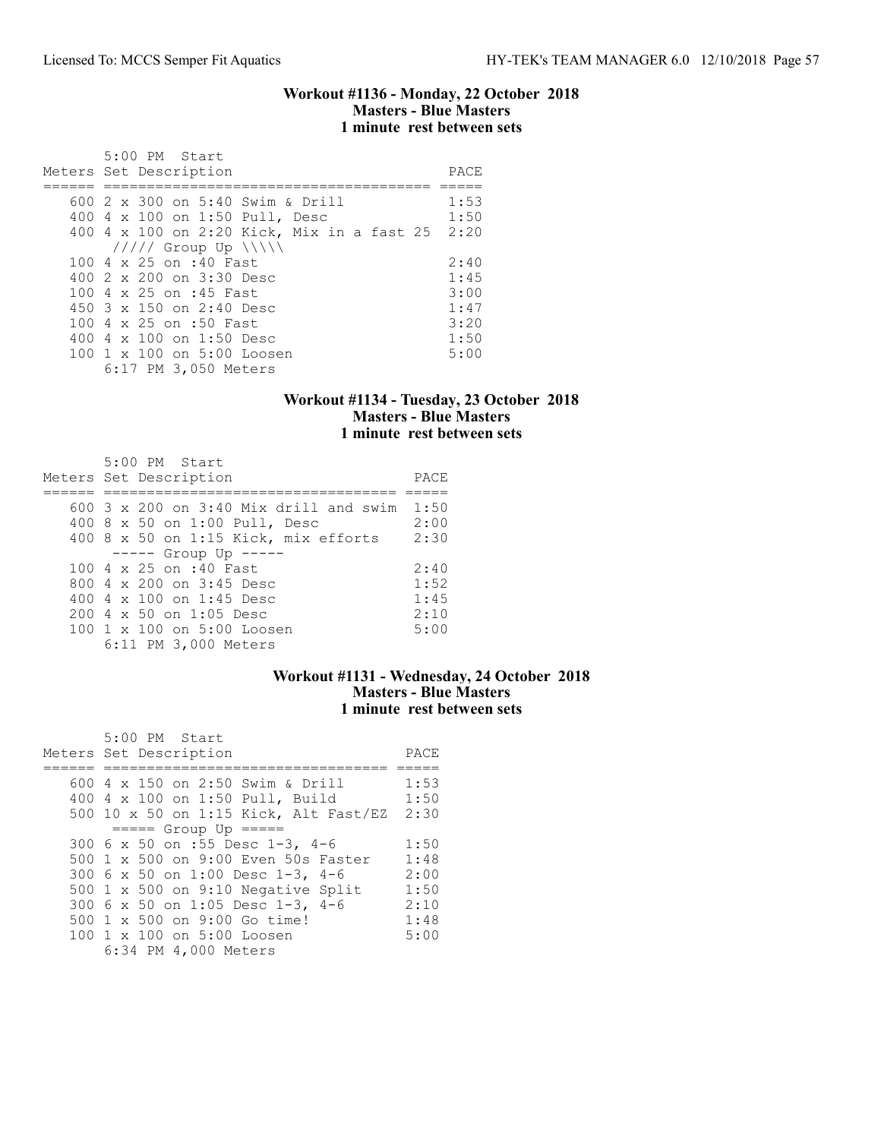#### Workout #1136 - Monday, 22 October 2018 Masters - Blue Masters 1 minute rest between sets

| 5:00 PM Start                                   |      |
|-------------------------------------------------|------|
| Meters Set Description                          | PACE |
|                                                 |      |
| 600 2 x 300 on 5:40 Swim & Drill                | 1:53 |
| 400 4 x 100 on 1:50 Pull, Desc                  | 1:50 |
| 400 4 x 100 on 2:20 Kick, Mix in a fast 25 2:20 |      |
| $11111$ Group Up $\{\{\}\}\$                    |      |
| 100 4 x 25 on :40 Fast                          | 2:40 |
| 400 $2 \times 200$ on $3:30$ Desc               | 1:45 |
| 100 4 x 25 on :45 Fast                          | 3:00 |
| 450 $3 \times 150$ on 2:40 Desc                 | 1:47 |
| 100 4 x 25 on :50 Fast                          | 3:20 |
| 400 4 x 100 on 1:50 Desc                        | 1:50 |
| 100 1 x 100 on 5:00 Loosen                      | 5:00 |
| 6:17 PM 3,050 Meters                            |      |

## Workout #1134 - Tuesday, 23 October 2018 Masters - Blue Masters 1 minute rest between sets

| $5:00$ PM Start<br>Meters Set Description        | PACE |
|--------------------------------------------------|------|
| $600.3 \times 200$ on $3:40$ Mix drill and swim  | 1:50 |
| 400 8 x 50 on 1:00 Pull, Desc                    | 2:00 |
| 400 8 x 50 on 1:15 Kick, mix efforts             | 2:30 |
| $--- $ Group Up $---$                            |      |
| 100 4 x 25 on :40 Fast                           | 2:40 |
| 800 $4 \times 200$ on $3:45$ Desc                | 1:52 |
| 400 4 $\times$ 100 on 1:45 Desc                  | 1:45 |
| $200 \text{ } 4 \text{ } \times 50$ on 1:05 Desc | 2:10 |
| 100 1 x 100 on 5:00 Loosen                       | 5:00 |
| 6:11 PM 3,000 Meters                             |      |

### Workout #1131 - Wednesday, 24 October 2018 Masters - Blue Masters 1 minute rest between sets

| 5:00 PM Start<br>Meters Set Description   | PACE |
|-------------------------------------------|------|
|                                           |      |
|                                           |      |
| 600 4 x 150 on 2:50 Swim & Drill          | 1:53 |
| 400 4 x 100 on 1:50 Pull, Build           | 1:50 |
| 500 10 x 50 on 1:15 Kick, Alt Fast/EZ     | 2:30 |
| $== == $ Group Up $== == $                |      |
| 300 6 x 50 on :55 Desc 1-3, 4-6           | 1:50 |
| 500 1 x 500 on 9:00 Even 50s Faster       | 1:48 |
| 300 6 x 50 on 1:00 Desc 1-3, 4-6          | 2:00 |
| 500 $1 \times 500$ on 9:10 Negative Split | 1:50 |
| 300 6 x 50 on 1:05 Desc 1-3, 4-6          | 2:10 |
| 500 1 x 500 on 9:00 Go time!              | 1:48 |
| 100 1 x 100 on 5:00 Loosen                | 5:00 |
| 6:34 PM 4,000 Meters                      |      |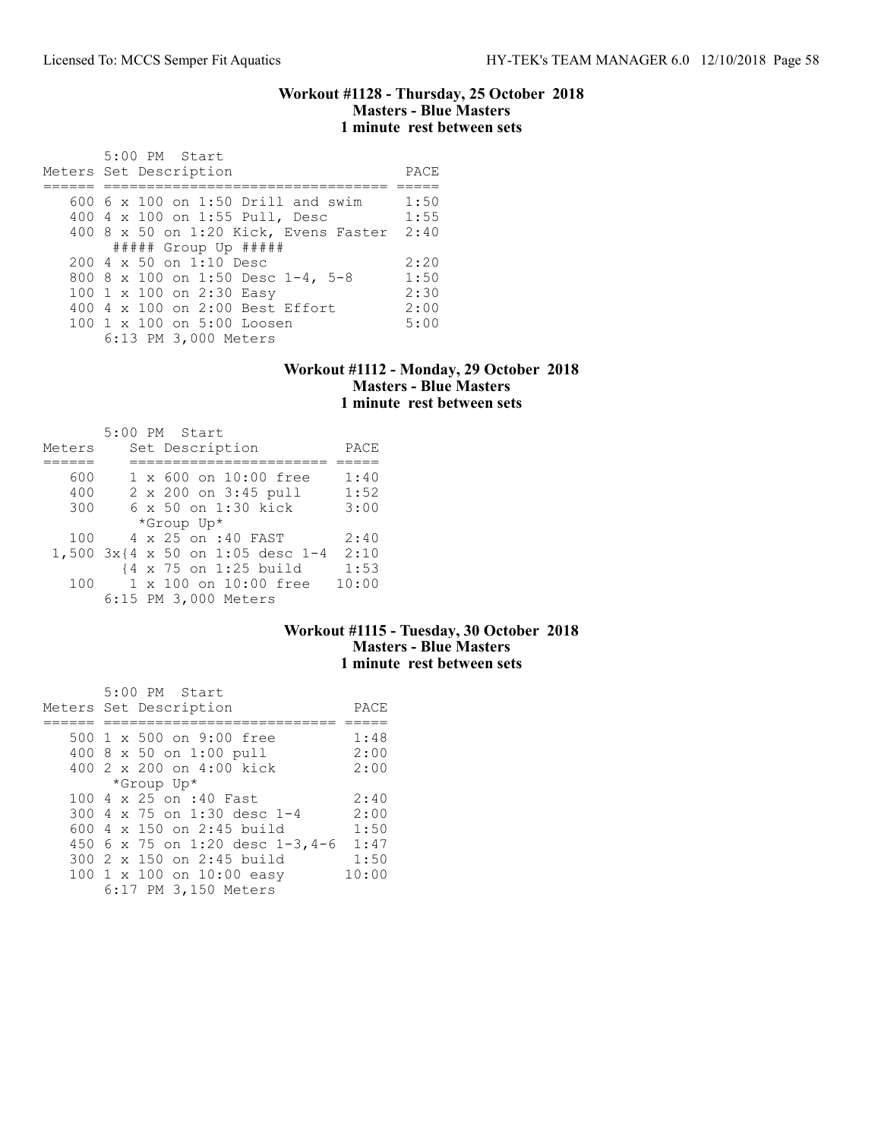#### Workout #1128 - Thursday, 25 October 2018 Masters - Blue Masters 1 minute rest between sets

| 5:00 PM Start<br>Meters Set Description | PACE |
|-----------------------------------------|------|
|                                         |      |
| $600\,$ 6 x 100 on 1:50 Drill and swim  | 1:50 |
| 400 4 x 100 on 1:55 Pull, Desc          | 1:55 |
| 400 8 x 50 on 1:20 Kick, Evens Faster   | 2:40 |
| $\#$ #### Group Up $\#$ ####            |      |
| 200 4 x 50 on 1:10 Desc                 | 2:20 |
| 800 8 x 100 on 1:50 Desc 1-4, 5-8       | 1:50 |
| 100 1 x 100 on 2:30 Easy                | 2:30 |
| 400 4 x 100 on 2:00 Best Effort         | 2:00 |
| 100 1 x 100 on 5:00 Loosen              | 5:00 |
| 6:13 PM 3,000 Meters                    |      |

#### Workout #1112 - Monday, 29 October 2018 Masters - Blue Masters 1 minute rest between sets

|        |  | 5:00 PM Start                    |       |
|--------|--|----------------------------------|-------|
| Meters |  | Set Description                  | PACE  |
|        |  |                                  |       |
| 600    |  | 1 x 600 on 10:00 free            | 1:40  |
| 400    |  | 2 x 200 on 3:45 pull             | 1:52  |
| 300    |  | 6 x 50 on 1:30 kick              | 3:00  |
|        |  | *Group Up*                       |       |
| 100    |  | 4 x 25 on :40 FAST               | 2:40  |
|        |  | 1,500 3x{4 x 50 on 1:05 desc 1-4 | 2:10  |
|        |  | {4 x 75 on 1:25 build            | 1:53  |
| 100    |  | $1 \times 100$ on $10:00$ free   | 10:00 |
|        |  | 6:15 PM 3,000 Meters             |       |

## Workout #1115 - Tuesday, 30 October 2018 Masters - Blue Masters 1 minute rest between sets

| 5:00 PM Start                   |       |
|---------------------------------|-------|
| Meters Set Description          | PACE  |
|                                 |       |
| 500 1 x 500 on 9:00 free        | 1:48  |
| 400 8 x 50 on 1:00 pull         | 2:00  |
| 400 2 x 200 on 4:00 kick        | 2:00  |
| *Group Up*                      |       |
| 100 4 x 25 on :40 Fast          | 2:40  |
| 300 4 x 75 on 1:30 desc 1-4     | 2:00  |
| 600 4 x 150 on 2:45 build       | 1:50  |
| 450 6 x 75 on 1:20 desc 1-3,4-6 | 1:47  |
| 300 2 x 150 on 2:45 build       | 1:50  |
| 100 1 x 100 on 10:00 easy       | 10:00 |
| 6:17 PM 3,150 Meters            |       |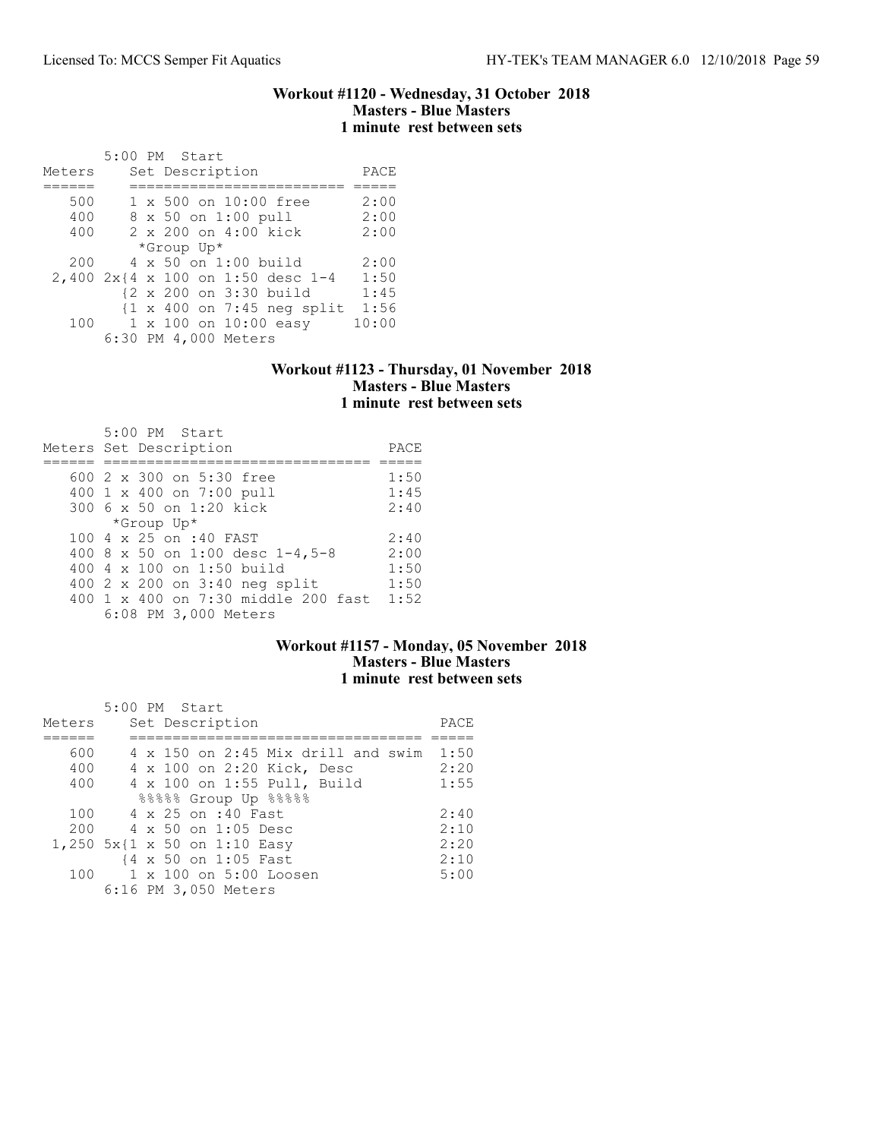#### Workout #1120 - Wednesday, 31 October 2018 Masters - Blue Masters 1 minute rest between sets

|        | 5:00 PM Start                                         |       |
|--------|-------------------------------------------------------|-------|
| Meters | Set Description                                       | PACE  |
|        |                                                       |       |
| 500    | 1 x 500 on 10:00 free                                 | 2:00  |
| 400    | 8 x 50 on 1:00 pull                                   | 2:00  |
| 400    | 2 x 200 on 4:00 kick                                  | 2:00  |
|        | *Group Up*                                            |       |
| 200    | 4 x 50 on 1:00 build                                  | 2:00  |
|        | 2,400 2x{4 x 100 on 1:50 desc 1-4                     | 1:50  |
|        | {2 x 200 on 3:30 build                                | 1:45  |
|        | $\{1 \times 400 \text{ on } 7:45 \text{ neg split}\}$ | 1:56  |
| 100    | 1 x 100 on 10:00 easy                                 | 10:00 |
|        | 6:30 PM 4,000 Meters                                  |       |

### Workout #1123 - Thursday, 01 November 2018 Masters - Blue Masters 1 minute rest between sets

| 5:00 PM Start<br>Meters Set Description | PACE |
|-----------------------------------------|------|
| 600 2 x 300 on 5:30 free                | 1:50 |
| 400 1 x 400 on 7:00 pull                | 1:45 |
| 300 6 x 50 on 1:20 kick                 | 2:40 |
| *Group Up*                              |      |
| 100 4 x 25 on :40 FAST                  | 2:40 |
| 400 8 x 50 on 1:00 desc 1-4,5-8         | 2:00 |
| 400 4 x 100 on 1:50 build               | 1:50 |
| 400 2 x 200 on 3:40 neg split           | 1:50 |
| 400 1 x 400 on 7:30 middle 200 fast     | 1:52 |
| 6:08 PM 3,000 Meters                    |      |

## Workout #1157 - Monday, 05 November 2018 Masters - Blue Masters 1 minute rest between sets

| Meters | $5:00$ PM Start<br>Set Description        | PACE |
|--------|-------------------------------------------|------|
|        |                                           |      |
| 600    | $4 \times 150$ on 2:45 Mix drill and swim | 1:50 |
| 400    | 4 x 100 on 2:20 Kick, Desc                | 2:20 |
| 400    | 4 x 100 on 1:55 Pull, Build               | 1:55 |
|        | 88888 Group Up 88888                      |      |
| 100    | 4 x 25 on :40 Fast                        | 2:40 |
| 200    | $4 \times 50$ on 1:05 Desc                | 2:10 |
|        | 1,250 5x{1 x 50 on 1:10 Easy              | 2:20 |
|        | {4 x 50 on 1:05 Fast                      | 2:10 |
| 100    | 1 x 100 on 5:00 Loosen                    | 5:00 |
|        | 6:16 PM 3,050 Meters                      |      |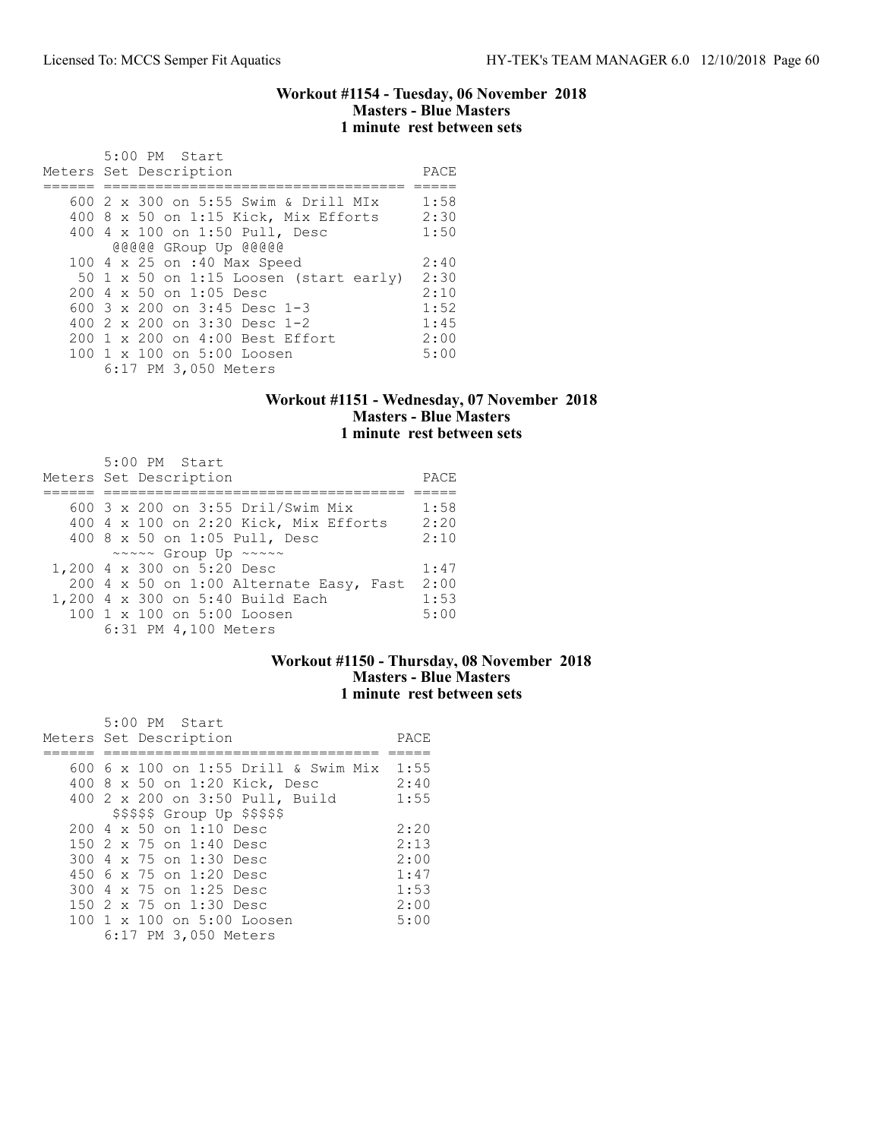#### Workout #1154 - Tuesday, 06 November 2018 Masters - Blue Masters 1 minute rest between sets

| 5:00 PM Start                          |      |
|----------------------------------------|------|
| Meters Set Description                 | PACE |
|                                        |      |
| 600 2 x 300 on 5:55 Swim & Drill MIx   | 1:58 |
| 400 8 x 50 on 1:15 Kick, Mix Efforts   | 2:30 |
| 400 4 x 100 on 1:50 Pull, Desc         | 1:50 |
| @@@@@ GRoup Up @@@@@                   |      |
| 100 4 x 25 on :40 Max Speed            | 2:40 |
| 50 1 x 50 on 1:15 Loosen (start early) | 2:30 |
| 200 4 x 50 on 1:05 Desc                | 2:10 |
| 600 $3 \times 200$ on $3:45$ Desc 1-3  | 1:52 |
| 400 $2 \times 200$ on $3:30$ Desc 1-2  | 1:45 |
| 200 1 x 200 on 4:00 Best Effort        | 2:00 |
| 100 1 x 100 on 5:00 Loosen             | 5:00 |
| 6:17 PM 3,050 Meters                   |      |

## Workout #1151 - Wednesday, 07 November 2018 Masters - Blue Masters 1 minute rest between sets

| 5:00 PM Start                           |      |
|-----------------------------------------|------|
| Meters Set Description                  | PACE |
|                                         |      |
| 600 3 x 200 on 3:55 Dril/Swim Mix       | 1:58 |
| 400 4 x 100 on 2:20 Kick, Mix Efforts   | 2:20 |
| 400 8 x 50 on 1:05 Pull, Desc           | 2:10 |
| ~~~~~ Group Up ~~~~~                    |      |
| 1,200 4 x 300 on 5:20 Desc              | 1:47 |
| 200 4 x 50 on 1:00 Alternate Easy, Fast | 2:00 |
| 1,200 4 x 300 on 5:40 Build Each        | 1:53 |
| 100 1 x 100 on 5:00 Loosen              | 5:00 |
| 6:31 PM 4,100 Meters                    |      |

## Workout #1150 - Thursday, 08 November 2018 Masters - Blue Masters 1 minute rest between sets

| 5:00 PM Start                           |      |
|-----------------------------------------|------|
| Meters Set Description                  | PACE |
|                                         |      |
| 600 6 x 100 on 1:55 Drill & Swim Mix    | 1:55 |
| 400 8 x 50 on 1:20 Kick, Desc           | 2:40 |
| 400 2 x 200 on 3:50 Pull, Build         | 1:55 |
| \$\$\$\$\$ Group Up \$\$\$\$\$          |      |
| $200 \text{ } 4 \times 50$ on 1:10 Desc | 2:20 |
| 150 2 x 75 on 1:40 Desc                 | 2:13 |
| 300 4 x 75 on 1:30 Desc                 | 2:00 |
| 450 6 x 75 on 1:20 Desc                 | 1:47 |
| 300 4 x 75 on 1:25 Desc                 | 1:53 |
| 150 2 x 75 on 1:30 Desc                 | 2:00 |
| 100 1 x 100 on 5:00 Loosen              | 5:00 |
| 6:17 PM 3,050 Meters                    |      |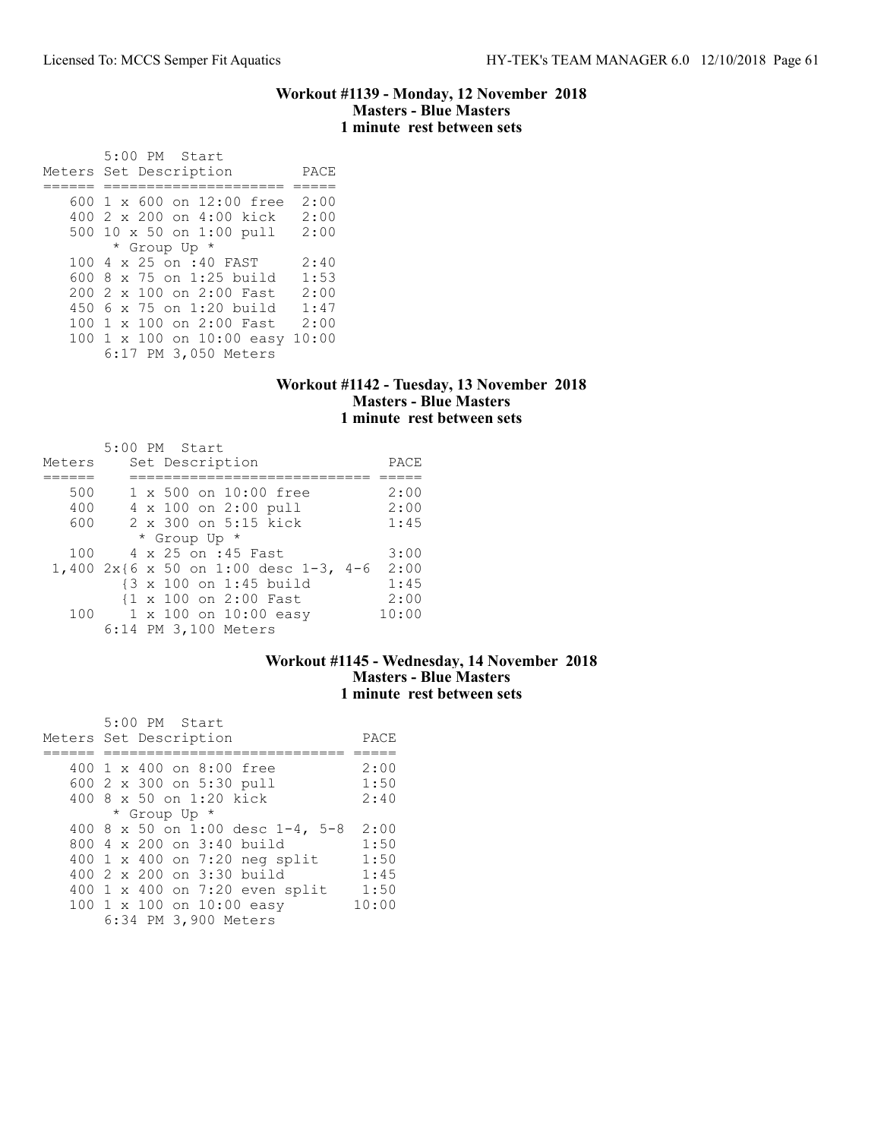### Workout #1139 - Monday, 12 November 2018 Masters - Blue Masters 1 minute rest between sets

 5:00 PM Start Meters Set Description PACE ====== ===================== ===== 600 1 x 600 on 12:00 free 2:00 400 2 x 200 on 4:00 kick 2:00 500 10 x 50 on 1:00 pull 2:00 \* Group Up \* 100 4 x 25 on :40 FAST 2:40 600 8 x 75 on 1:25 build 1:53 200 2 x 100 on 2:00 Fast 2:00 450 6 x 75 on 1:20 build 1:47 100 1 x 100 on 2:00 Fast 2:00 100 1 x 100 on 10:00 easy 10:00 6:17 PM 3,050 Meters

#### Workout #1142 - Tuesday, 13 November 2018 Masters - Blue Masters 1 minute rest between sets

| Meters |  | 5:00 PM Start<br>Set Description               | PACE  |
|--------|--|------------------------------------------------|-------|
|        |  |                                                |       |
| 500    |  | 1 x 500 on 10:00 free                          | 2:00  |
| 400    |  | 4 x 100 on 2:00 pull                           | 2:00  |
| 600    |  | 2 x 300 on 5:15 kick                           | 1:45  |
|        |  | * Group Up *                                   |       |
| 100    |  | 4 x 25 on :45 Fast                             | 3:00  |
|        |  | $1,400$ 2x{6 x 50 on 1:00 desc 1-3,<br>$4 - 6$ | 2:00  |
|        |  | {3 x 100 on 1:45 build                         | 1:45  |
|        |  | {1 x 100 on 2:00 Fast                          | 2:00  |
| 100    |  | 1 x 100 on 10:00 easy                          | 10:00 |
|        |  | 6:14 PM 3,100 Meters                           |       |

### Workout #1145 - Wednesday, 14 November 2018 Masters - Blue Masters 1 minute rest between sets

| 5:00 PM Start             |                                  |       |
|---------------------------|----------------------------------|-------|
| Meters Set Description    |                                  | PACE  |
|                           |                                  |       |
| 400 1 x 400 on 8:00 free  |                                  | 2:00  |
| 600 2 x 300 on 5:30 pull  |                                  | 1:50  |
| 400 8 x 50 on 1:20 kick   |                                  | 2:40  |
| * Group Up *              |                                  |       |
|                           | 400 8 x 50 on 1:00 desc 1-4, 5-8 | 2:00  |
| 800 4 x 200 on 3:40 build |                                  | 1:50  |
|                           | 400 1 x 400 on 7:20 neg split    | 1:50  |
| 400 2 x 200 on 3:30 build |                                  | 1:45  |
|                           | 400 1 x 400 on 7:20 even split   | 1:50  |
| 100 1 x 100 on 10:00 easy |                                  | 10:00 |
| 6:34 PM 3,900 Meters      |                                  |       |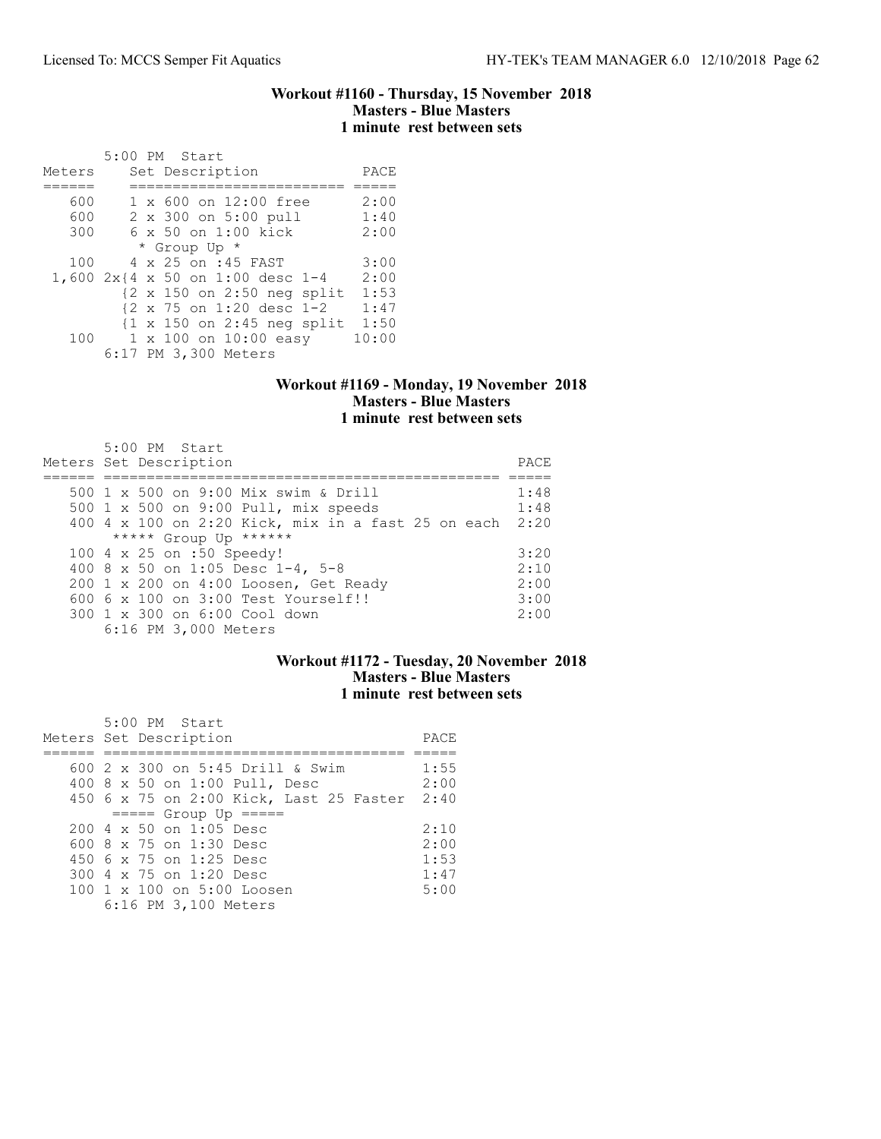#### Workout #1160 - Thursday, 15 November 2018 Masters - Blue Masters 1 minute rest between sets

| Meters | 5:00 PM Start<br>Set Description                      | PACE  |
|--------|-------------------------------------------------------|-------|
|        |                                                       |       |
| 600    | $1 \times 600$ on $12:00$ free                        | 2:00  |
| 600    | 2 x 300 on 5:00 pull                                  | 1:40  |
| 300    | $6 \times 50$ on 1:00 kick                            | 2:00  |
|        | * Group Up *                                          |       |
| 100    | 4 x 25 on :45 FAST                                    | 3:00  |
|        | 1,600 2x{4 x 50 on 1:00 desc 1-4                      | 2:00  |
|        | $\{2 \times 150 \text{ on } 2:50 \text{ neg split}\}$ | 1:53  |
|        | {2 x 75 on 1:20 desc 1-2                              | 1:47  |
|        | $\{1 \times 150 \text{ on } 2:45 \text{ neg split}\}$ | 1:50  |
| 100    | $1 \times 100$ on $10:00$ easy                        | 10:00 |
|        | 6:17 PM 3,300 Meters                                  |       |

### Workout #1169 - Monday, 19 November 2018 Masters - Blue Masters 1 minute rest between sets

| 5:00 PM Start<br>Meters Set Description                 | PACE |
|---------------------------------------------------------|------|
| 500 1 x 500 on 9:00 Mix swim & Drill                    | 1:48 |
| 500 1 x 500 on 9:00 Pull, mix speeds                    | 1:48 |
| 400 4 x 100 on 2:20 Kick, mix in a fast 25 on each 2:20 |      |
| ***** Group Up ******                                   |      |
| 100 4 x 25 on :50 Speedy!                               | 3:20 |
| 400 8 x 50 on 1:05 Desc 1-4, 5-8                        | 2:10 |
| 200 1 x 200 on 4:00 Loosen, Get Ready                   | 2:00 |
| 600 6 x 100 on 3:00 Test Yourself!!                     | 3:00 |
| 300 1 x 300 on 6:00 Cool down                           | 2:00 |
| 6:16 PM 3,000 Meters                                    |      |

## Workout #1172 - Tuesday, 20 November 2018 Masters - Blue Masters 1 minute rest between sets

|  | 5:00 PM Start                                    |      |
|--|--------------------------------------------------|------|
|  | Meters Set Description                           | PACE |
|  |                                                  |      |
|  | 600 2 x 300 on 5:45 Drill & Swim                 | 1:55 |
|  | 400 8 x 50 on 1:00 Pull, Desc                    | 2:00 |
|  | 450 6 x 75 on 2:00 Kick, Last 25 Faster 2:40     |      |
|  | $====$ Group Up $====$                           |      |
|  | $200 \text{ } 4 \text{ } \times 50$ on 1:05 Desc | 2:10 |
|  | 600 8 $\times$ 75 on 1:30 Desc                   | 2:00 |
|  | 450 6 x 75 on 1:25 Desc                          | 1:53 |
|  | 300 4 x 75 on 1:20 Desc                          | 1:47 |
|  | 100 1 x 100 on 5:00 Loosen                       | 5:00 |
|  | 6:16 PM 3,100 Meters                             |      |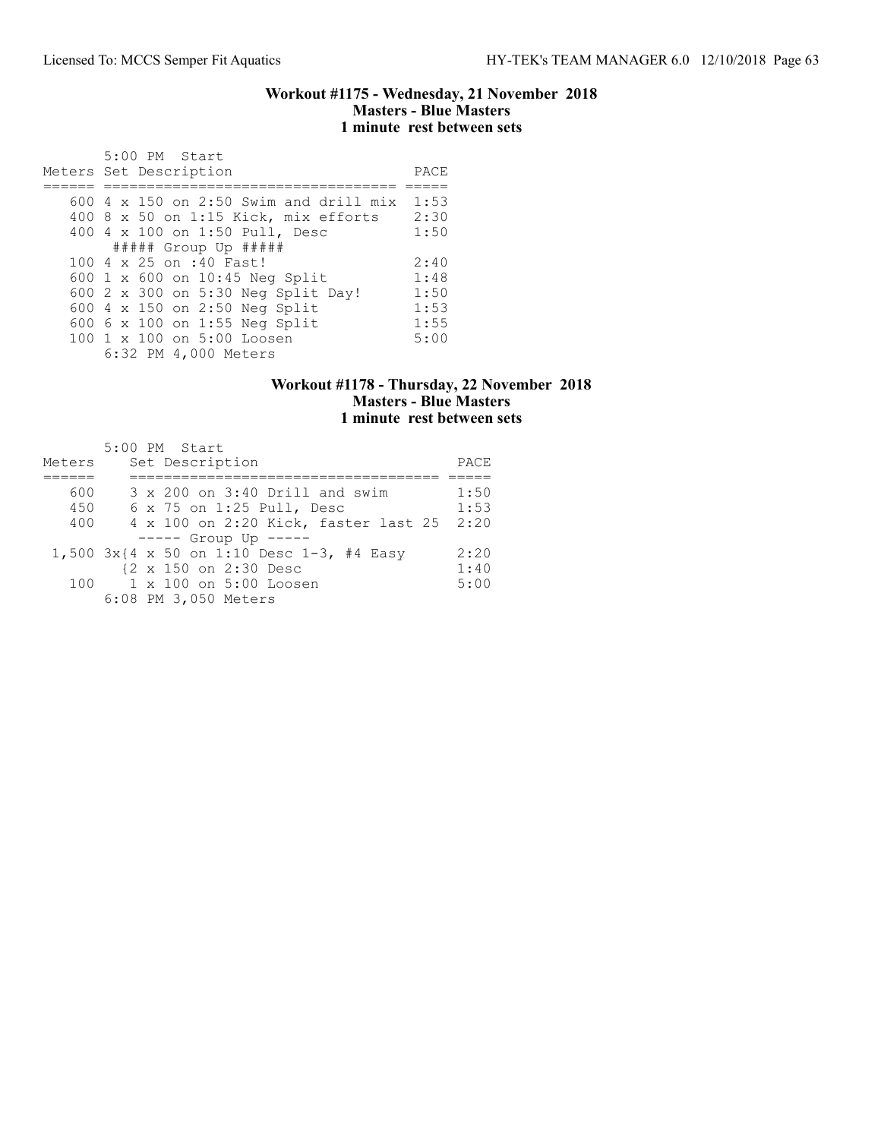#### Workout #1175 - Wednesday, 21 November 2018 Masters - Blue Masters 1 minute rest between sets

| $5:00$ PM Start<br>Meters Set Description   | PACE |
|---------------------------------------------|------|
| $600\,4\,$ x 150 on 2:50 Swim and drill mix | 1:53 |
| 400 8 x 50 on 1:15 Kick, mix efforts        | 2:30 |
| 400 4 x 100 on 1:50 Pull, Desc              | 1:50 |
| $\#$ #### Group Up $\#$ ####                |      |
| 100 4 x 25 on :40 Fast!                     | 2:40 |
| 600 1 x 600 on 10:45 Neg Split              | 1:48 |
| 600 2 x 300 on 5:30 Neg Split Day!          | 1:50 |
| 600 4 x 150 on 2:50 Neg Split               | 1:53 |
| 600 6 x 100 on 1:55 Neg Split               | 1:55 |
| 100 1 x 100 on 5:00 Loosen                  | 5:00 |
| 6:32 PM 4,000 Meters                        |      |

### Workout #1178 - Thursday, 22 November 2018 Masters - Blue Masters 1 minute rest between sets

| Meters |  | 5:00 PM Start<br>Set Description          | PACE |
|--------|--|-------------------------------------------|------|
|        |  |                                           |      |
| 600    |  | 3 x 200 on 3:40 Drill and swim            | 1:50 |
| 450    |  | $6 \times 75$ on 1:25 Pull, Desc          | 1:53 |
| 400    |  | 4 x 100 on 2:20 Kick, faster last 25      | 2:20 |
|        |  | $--- $ Group Up $---$                     |      |
|        |  | 1,500 3x{4 x 50 on 1:10 Desc 1-3, #4 Easy | 2:20 |
|        |  | {2 x 150 on 2:30 Desc                     | 1:40 |
| 100    |  | 1 x 100 on 5:00 Loosen                    | 5:00 |
|        |  | 6:08 PM 3,050 Meters                      |      |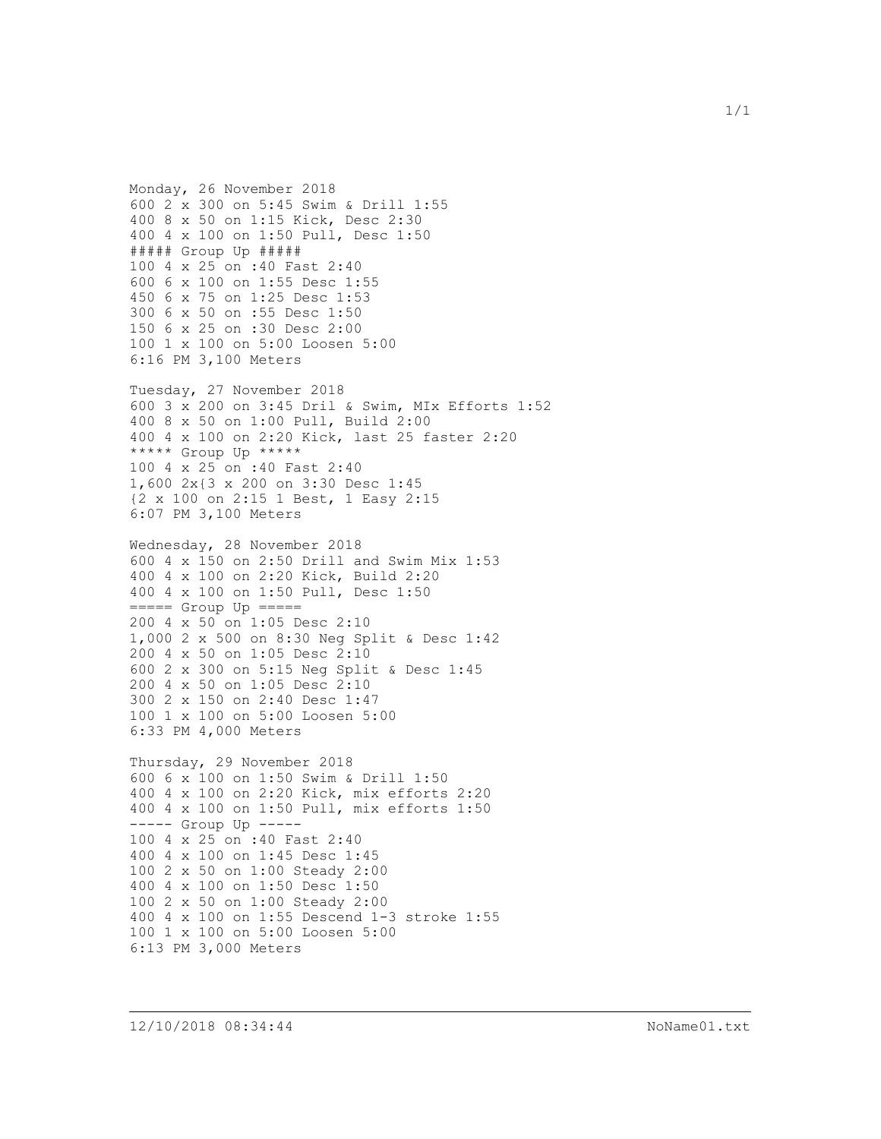Monday, 26 November 2018 600 2 x 300 on 5:45 Swim & Drill 1:55 400 8 x 50 on 1:15 Kick, Desc 2:30 400 4 x 100 on 1:50 Pull, Desc 1:50 ##### Group Up ##### 100 4 x 25 on :40 Fast 2:40 600 6 x 100 on 1:55 Desc 1:55 450 6 x 75 on 1:25 Desc 1:53 300 6 x 50 on :55 Desc 1:50 150 6 x 25 on :30 Desc 2:00 100 1 x 100 on 5:00 Loosen 5:00 6:16 PM 3,100 Meters

Tuesday, 27 November 2018 600 3 x 200 on 3:45 Dril & Swim, MIx Efforts 1:52 400 8 x 50 on 1:00 Pull, Build 2:00 400 4 x 100 on 2:20 Kick, last 25 faster 2:20 \*\*\*\*\* Group Up \*\*\*\*\* 100 4 x 25 on :40 Fast 2:40 1,600 2x{3 x 200 on 3:30 Desc 1:45 {2 x 100 on 2:15 1 Best, 1 Easy 2:15 6:07 PM 3,100 Meters

Wednesday, 28 November 2018 600 4 x 150 on 2:50 Drill and Swim Mix 1:53 400 4 x 100 on 2:20 Kick, Build 2:20 400 4 x 100 on 1:50 Pull, Desc 1:50 ===== Group Up ===== 200 4 x 50 on 1:05 Desc 2:10 1,000 2 x 500 on 8:30 Neg Split & Desc 1:42 200 4 x 50 on 1:05 Desc 2:10 600 2 x 300 on 5:15 Neg Split & Desc 1:45 200 4 x 50 on 1:05 Desc 2:10 300 2 x 150 on 2:40 Desc 1:47 100 1 x 100 on 5:00 Loosen 5:00 6:33 PM 4,000 Meters

Thursday, 29 November 2018 600 6 x 100 on 1:50 Swim & Drill 1:50 400 4 x 100 on 2:20 Kick, mix efforts 2:20 400 4 x 100 on 1:50 Pull, mix efforts 1:50 ----- Group Up ----- 100 4 x 25 on :40 Fast 2:40 400 4 x 100 on 1:45 Desc 1:45 100 2 x 50 on 1:00 Steady 2:00 400 4 x 100 on 1:50 Desc 1:50 100 2 x 50 on 1:00 Steady 2:00 400 4 x 100 on 1:55 Descend 1-3 stroke 1:55 100 1 x 100 on 5:00 Loosen 5:00 6:13 PM 3,000 Meters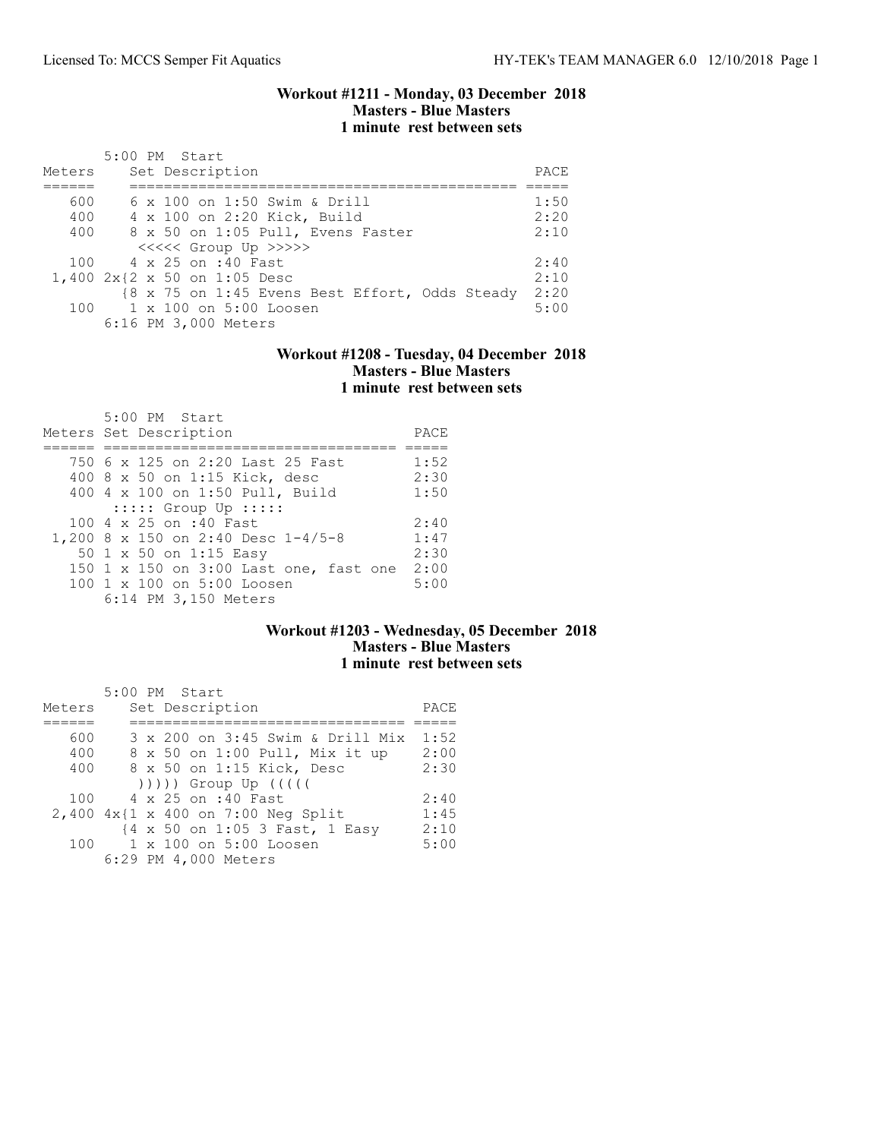#### Workout #1211 - Monday, 03 December 2018 Masters - Blue Masters 1 minute rest between sets

| Meters | 5:00 PM Start<br>Set Description               | PACE |
|--------|------------------------------------------------|------|
| 600    | 6 x 100 on 1:50 Swim & Drill                   | 1:50 |
| 400    | 4 x 100 on 2:20 Kick, Build                    | 2:20 |
| 400    | 8 x 50 on 1:05 Pull, Evens Faster              | 2:10 |
|        | <<<<<< Group Up >>>>>                          |      |
|        | 100 4 x 25 on :40 Fast                         | 2:40 |
|        | 1,400 2x{2 x 50 on 1:05 Desc                   | 2:10 |
|        | {8 x 75 on 1:45 Evens Best Effort, Odds Steady | 2:20 |
|        | 100 1 x 100 on 5:00 Loosen                     | 5:00 |
|        | 6:16 PM 3,000 Meters                           |      |

### Workout #1208 - Tuesday, 04 December 2018 Masters - Blue Masters 1 minute rest between sets

| 5:00 PM Start<br>Meters Set Description | PACE |
|-----------------------------------------|------|
|                                         |      |
| 750 6 x 125 on 2:20 Last 25 Fast        | 1:52 |
| 400 8 x 50 on 1:15 Kick, desc           | 2:30 |
| 400 4 x 100 on 1:50 Pull, Build         | 1:50 |
| $::::::$ Group Up $:::::$               |      |
| 100 4 x 25 on :40 Fast                  | 2:40 |
| 1,200 8 x 150 on 2:40 Desc 1-4/5-8      | 1:47 |
| 50 1 x 50 on 1:15 Easy                  | 2:30 |
| 150 1 x 150 on 3:00 Last one, fast one  | 2:00 |
| 100 1 x 100 on 5:00 Loosen              | 5:00 |
| 6:14 PM 3,150 Meters                    |      |

## Workout #1203 - Wednesday, 05 December 2018 Masters - Blue Masters 1 minute rest between sets

|        | 5:00 PM Start                      |      |
|--------|------------------------------------|------|
| Meters | Set Description                    | PACE |
|        |                                    |      |
| 600    | 3 x 200 on 3:45 Swim & Drill Mix   | 1:52 |
| 400    | 8 x 50 on 1:00 Pull, Mix it up     | 2:00 |
| 400    | 8 x 50 on 1:15 Kick, Desc          | 2:30 |
|        |                                    |      |
| 100    | 4 x 25 on :40 Fast                 | 2:40 |
|        | 2,400 4x{1 x 400 on 7:00 Neg Split | 1:45 |
|        | {4 x 50 on 1:05 3 Fast, 1 Easy     | 2:10 |
| 100    | 1 x 100 on 5:00 Loosen             | 5:00 |
|        | 6:29 PM 4,000 Meters               |      |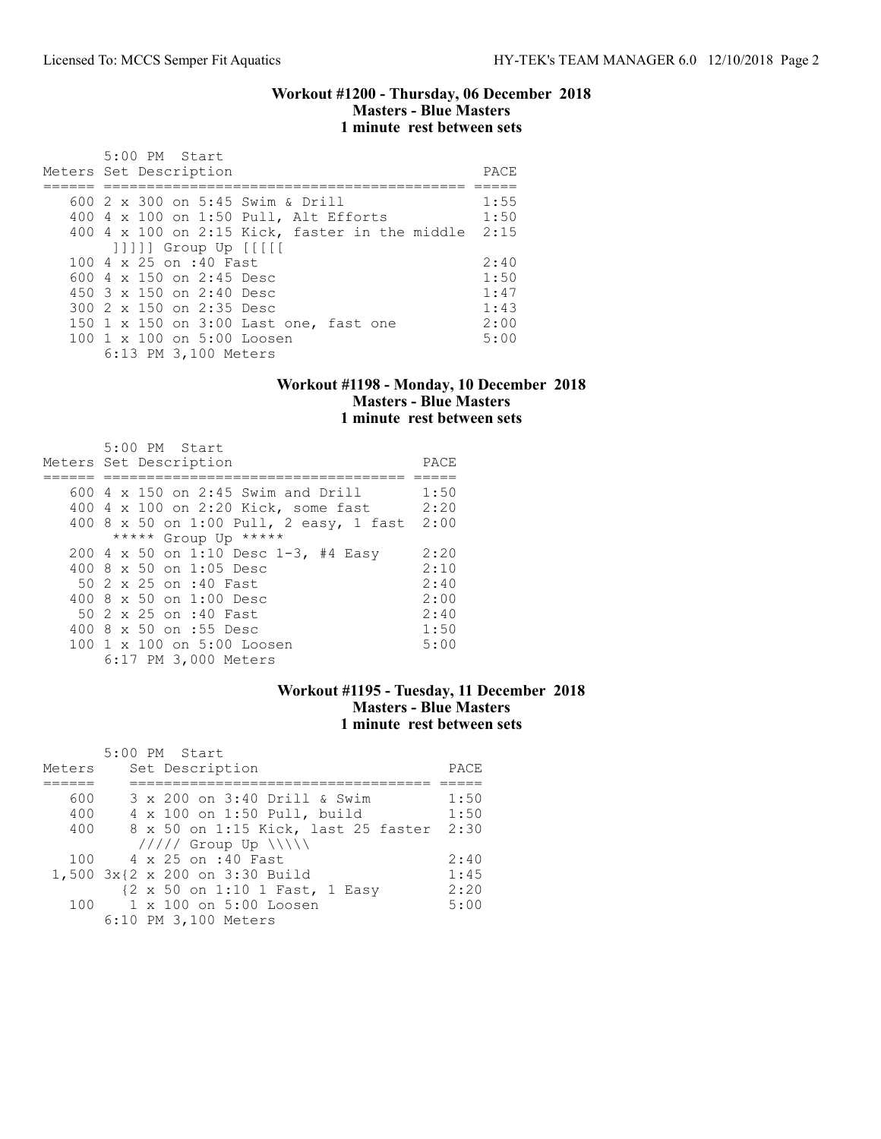#### Workout #1200 - Thursday, 06 December 2018 Masters - Blue Masters 1 minute rest between sets

| $5:00$ PM Start<br>Meters Set Description           | PACE |
|-----------------------------------------------------|------|
| 600 2 x 300 on 5:45 Swim & Drill                    | 1:55 |
| 400 4 x 100 on 1:50 Pull, Alt Efforts               | 1:50 |
| 400 4 x 100 on 2:15 Kick, faster in the middle 2:15 |      |
| $ 1111 $ Group Up $ 111 $                           |      |
| 100 4 x 25 on :40 Fast                              | 2:40 |
| 600 $4 \times 150$ on 2:45 Desc                     | 1:50 |
| 450 $3 \times 150$ on 2:40 Desc                     | 1:47 |
| 300 2 x 150 on 2:35 Desc                            | 1:43 |
| 150 1 x 150 on 3:00 Last one, fast one              | 2:00 |
| $100 \t1 x 100$ on $5:00$ Loosen                    | 5:00 |
| 6:13 PM 3,100 Meters                                |      |

### Workout #1198 - Monday, 10 December 2018 Masters - Blue Masters 1 minute rest between sets

| $5:00$ PM Start<br>Meters Set Description | PACE |
|-------------------------------------------|------|
| 600 $4 \times 150$ on 2:45 Swim and Drill | 1:50 |
| 400 4 x 100 on 2:20 Kick, some fast       | 2:20 |
| 400 8 x 50 on 1:00 Pull, 2 easy, 1 fast   | 2:00 |
| ***** Group Up *****                      |      |
| 200 4 x 50 on 1:10 Desc 1-3, #4 Easy      | 2:20 |
| 400 $8 \times 50$ on 1:05 Desc            | 2:10 |
| 50 2 x 25 on :40 Fast                     | 2:40 |
| 400 $8 \times 50$ on 1:00 Desc            | 2:00 |
| 50 2 x 25 on :40 Fast                     | 2:40 |
| 400 8 x 50 on :55 Desc                    | 1:50 |
| 100 1 x 100 on 5:00 Loosen                | 5:00 |
| 6:17 PM 3,000 Meters                      |      |

### Workout #1195 - Tuesday, 11 December 2018 Masters - Blue Masters 1 minute rest between sets

|        | 5:00 PM Start                       |      |
|--------|-------------------------------------|------|
| Meters | Set Description                     | PACE |
|        |                                     |      |
| 600    | 3 x 200 on 3:40 Drill & Swim        | 1:50 |
| 400    | 4 x 100 on 1:50 Pull, build         | 1:50 |
| 400    | 8 x 50 on 1:15 Kick, last 25 faster | 2:30 |
|        | $11111$ Group Up $\ \ $             |      |
| 100    | 4 x 25 on :40 Fast                  | 2:40 |
|        | 1,500 3x{2 x 200 on 3:30 Build      | 1:45 |
|        | {2 x 50 on 1:10 1 Fast, 1 Easy      | 2:20 |
| 100    | 1 x 100 on 5:00 Loosen              | 5:00 |
|        | 6:10 PM 3,100 Meters                |      |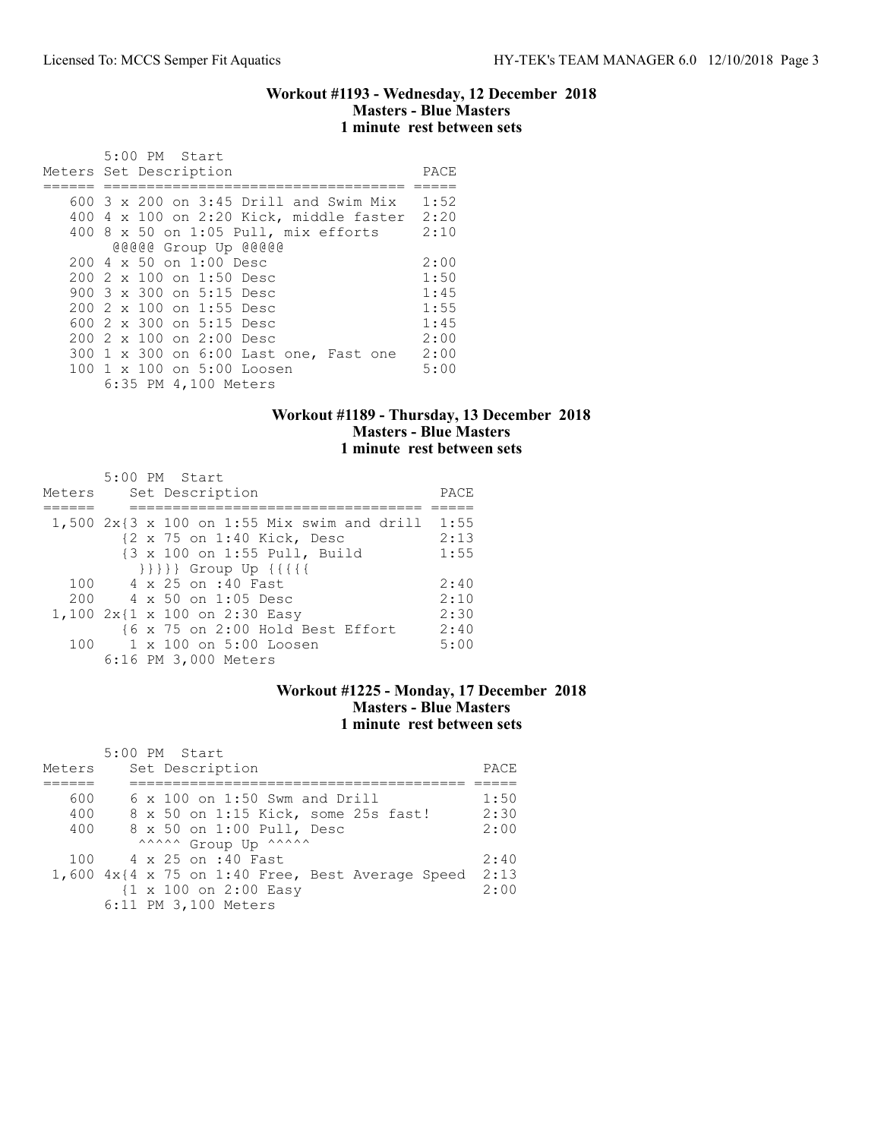### Workout #1193 - Wednesday, 12 December 2018 Masters - Blue Masters 1 minute rest between sets

|                        |  | 5:00 PM Start |                                 |                                         |                                                   |      |
|------------------------|--|---------------|---------------------------------|-----------------------------------------|---------------------------------------------------|------|
| Meters Set Description |  |               |                                 |                                         |                                                   | PACE |
|                        |  |               |                                 |                                         |                                                   |      |
|                        |  |               |                                 |                                         | $600\,$ 3 $\times$ 200 on 3:45 Drill and Swim Mix | 1:52 |
|                        |  |               |                                 |                                         | 400 4 x 100 on 2:20 Kick, middle faster           | 2:20 |
|                        |  |               |                                 |                                         | $400$ 8 x 50 on 1:05 Pull, mix efforts            | 2:10 |
|                        |  |               |                                 | @@@@@ Group Up @@@@@                    |                                                   |      |
|                        |  |               | $2004 \times 50$ on $1:00$ Desc |                                         |                                                   | 2:00 |
|                        |  |               |                                 | $2002 \times 100$ on 1:50 Desc          |                                                   | 1:50 |
|                        |  |               |                                 | 900 3 x 300 on 5:15 Desc                |                                                   | 1:45 |
|                        |  |               |                                 | 200 2 x 100 on 1:55 Desc                |                                                   | 1:55 |
|                        |  |               |                                 | 600 $2 \times 300$ on $5:15$ Desc       |                                                   | 1:45 |
|                        |  |               |                                 | 200 2 x 100 on 2:00 Desc                |                                                   | 2:00 |
|                        |  |               |                                 |                                         | 300 1 x 300 on 6:00 Last one, Fast one            | 2:00 |
|                        |  |               |                                 | $100 \t 1 \t x \t 100$ on $5:00$ Loosen |                                                   | 5:00 |
|                        |  |               |                                 | 6:35 PM 4,100 Meters                    |                                                   |      |

## Workout #1189 - Thursday, 13 December 2018 Masters - Blue Masters 1 minute rest between sets

| Meters | 5:00 PM Start<br>Set Description                 | PACE |
|--------|--------------------------------------------------|------|
|        | $1,500$ 2x{3 x 100 on 1:55 Mix swim and drill    | 1:55 |
|        | {2 x 75 on 1:40 Kick, Desc                       | 2:13 |
|        | {3 x 100 on 1:55 Pull, Build                     | 1:55 |
|        | $\{\{\{\{\}\}\}\}$ Group Up $\{\{\{\{\{\}\}\}\}$ |      |
| 100    | 4 x 25 on :40 Fast                               | 2:40 |
| 200    | 4 x 50 on 1:05 Desc                              | 2:10 |
|        | 1,100 2x{1 x 100 on 2:30 Easy                    | 2:30 |
|        | {6 x 75 on 2:00 Hold Best Effort                 | 2:40 |
| 100    | 1 x 100 on 5:00 Loosen                           | 5:00 |
|        | 6:16 PM 3,000 Meters                             |      |

### Workout #1225 - Monday, 17 December 2018 Masters - Blue Masters 1 minute rest between sets

|        | 5:00 PM Start                                                 |      |
|--------|---------------------------------------------------------------|------|
| Meters | Set Description                                               | PACE |
|        |                                                               |      |
| 600    | $6 \times 100$ on 1:50 Swm and Drill                          | 1:50 |
| 400    | 8 x 50 on 1:15 Kick, some 25s fast!                           | 2:30 |
| 400    | 8 x 50 on 1:00 Pull, Desc                                     | 2:00 |
|        | ^^^^^^ Group Up ^^^^^^                                        |      |
|        | 100 4 x 25 on :40 Fast                                        | 2:40 |
|        | $1,600$ $4x$ { $4 \times 75$ on 1:40 Free, Best Average Speed | 2:13 |
|        | {1 x 100 on 2:00 Easy                                         | 2:00 |
|        | 6:11 PM 3,100 Meters                                          |      |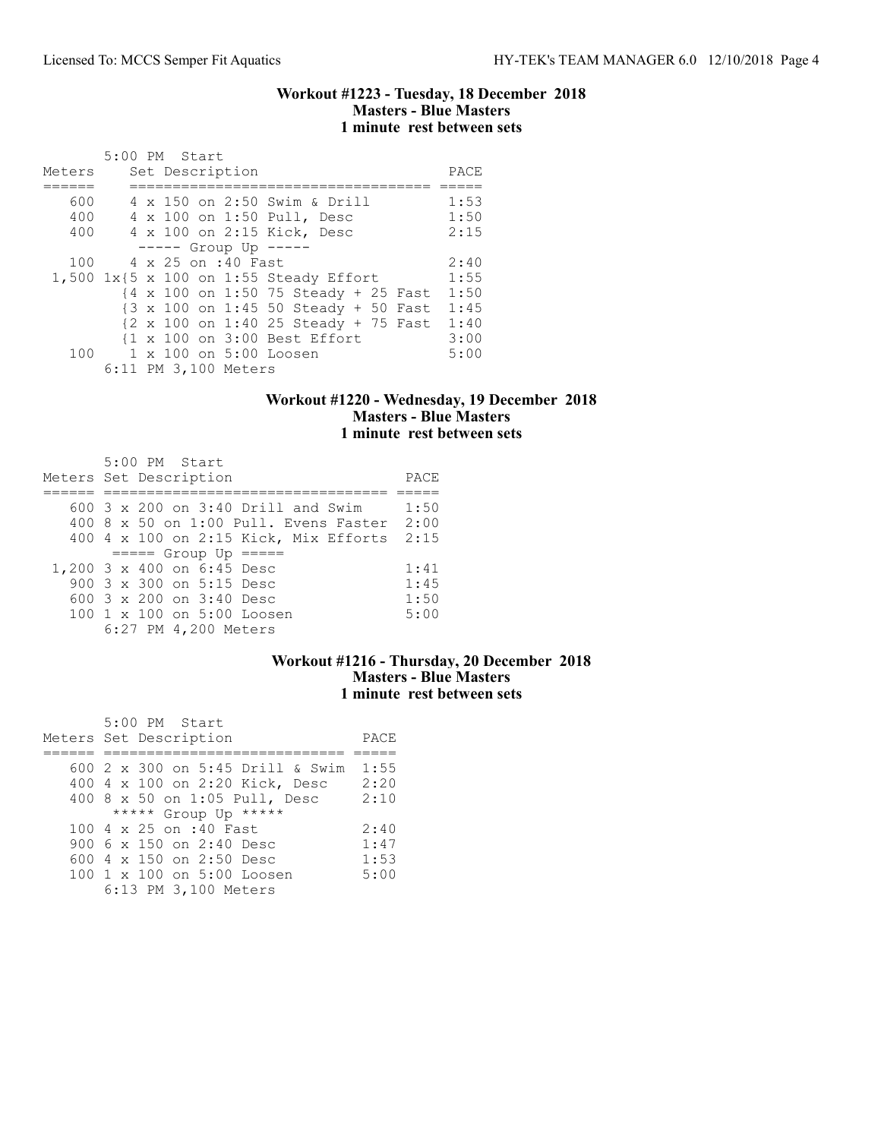#### Workout #1223 - Tuesday, 18 December 2018 Masters - Blue Masters 1 minute rest between sets

|        | 5:00 PM Start |  |                      |                                                                            |      |
|--------|---------------|--|----------------------|----------------------------------------------------------------------------|------|
| Meters |               |  | Set Description      |                                                                            | PACE |
|        |               |  |                      |                                                                            |      |
| 600    |               |  |                      | 4 x 150 on 2:50 Swim & Drill                                               | 1:53 |
| 400    |               |  |                      | 4 x 100 on 1:50 Pull, Desc                                                 | 1:50 |
| 400    |               |  |                      | 4 x 100 on 2:15 Kick, Desc                                                 | 2:15 |
|        |               |  |                      | $--- -$ Group Up $---$                                                     |      |
| 100    |               |  | 4 x 25 on :40 Fast   |                                                                            | 2:40 |
|        |               |  |                      | 1,500 1x{5 x 100 on 1:55 Steady Effort                                     | 1:55 |
|        |               |  |                      | $\{4 \times 100 \text{ on } 1:50\}$ 75 Steady + 25 Fast                    | 1:50 |
|        |               |  |                      | {3 x 100 on 1:45 50 Steady + 50 Fast                                       | 1:45 |
|        |               |  |                      | $\{2 \times 100 \text{ on } 1:40\ 25 \text{ Steadv } + 75 \text{ Fast} \}$ | 1:40 |
|        |               |  |                      | {1 x 100 on 3:00 Best Effort                                               | 3:00 |
| 100    |               |  |                      | 1 x 100 on 5:00 Loosen                                                     | 5:00 |
|        |               |  | 6:11 PM 3,100 Meters |                                                                            |      |

## Workout #1220 - Wednesday, 19 December 2018 Masters - Blue Masters 1 minute rest between sets

| 5:00 PM Start                               |      |
|---------------------------------------------|------|
| Meters Set Description                      | PACE |
|                                             |      |
| 600 $3 \times 200$ on $3:40$ Drill and Swim | 1:50 |
| 400 8 x 50 on 1:00 Pull. Evens Faster 2:00  |      |
| 400 4 x 100 on 2:15 Kick, Mix Efforts       | 2:15 |
| $====$ Group Up $====$                      |      |
| 1,200 3 x 400 on 6:45 Desc                  | 1:41 |
| 900 3 x 300 on 5:15 Desc                    | 1:45 |
| 600 $3 \times 200$ on $3:40$ Desc           | 1:50 |
| 100 1 x 100 on 5:00 Loosen                  | 5:00 |
| 6:27 PM 4,200 Meters                        |      |

## Workout #1216 - Thursday, 20 December 2018 Masters - Blue Masters 1 minute rest between sets

| 5:00 PM Start                    |      |
|----------------------------------|------|
| Meters Set Description           | PACE |
|                                  |      |
| 600 2 x 300 on 5:45 Drill & Swim | 1:55 |
| 400 4 x 100 on 2:20 Kick, Desc   | 2:20 |
| 400 8 x 50 on 1:05 Pull, Desc    | 2:10 |
| ***** Group Up *****             |      |
| 100 4 x 25 on :40 Fast           | 2:40 |
| 900 6 x 150 on 2:40 Desc         | 1:47 |
| 600 4 x 150 on 2:50 Desc         | 1:53 |
| 100 1 x 100 on 5:00 Loosen       | 5:00 |
| 6:13 PM 3,100 Meters             |      |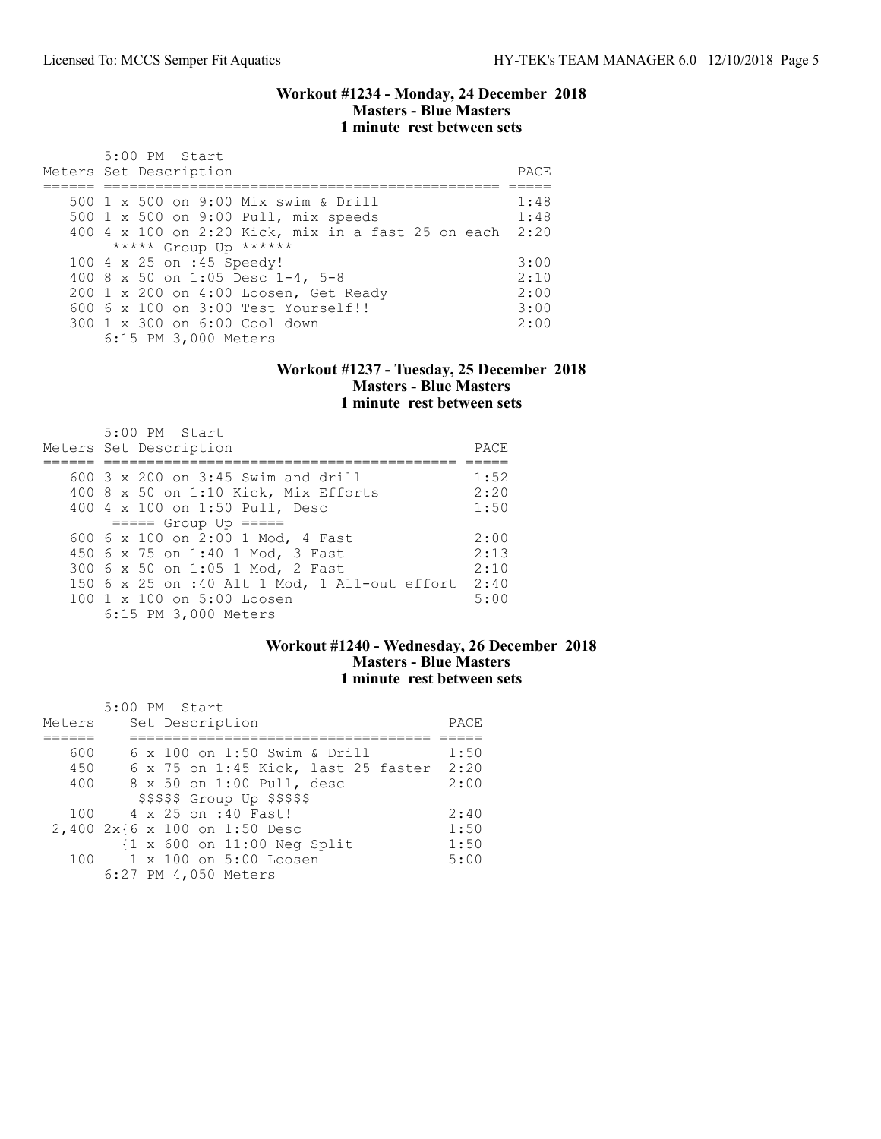#### Workout #1234 - Monday, 24 December 2018 Masters - Blue Masters 1 minute rest between sets

| $5:00$ PM Start<br>Meters Set Description               | PACE. |
|---------------------------------------------------------|-------|
| 500 1 x 500 on 9:00 Mix swim & Drill                    | 1:48  |
| 500 1 x 500 on 9:00 Pull, mix speeds                    | 1:48  |
| 400 4 x 100 on 2:20 Kick, mix in a fast 25 on each 2:20 |       |
| ***** Group Up ******                                   |       |
| 100 4 x 25 on :45 Speedy!                               | 3:00  |
| 400 8 x 50 on 1:05 Desc 1-4, 5-8                        | 2:10  |
| 200 1 x 200 on 4:00 Loosen, Get Ready                   | 2:00  |
| 600 6 x 100 on 3:00 Test Yourself!!                     | 3:00  |
| 300 1 x 300 on 6:00 Cool down                           | 2:00  |
| 6:15 PM 3,000 Meters                                    |       |

#### Workout #1237 - Tuesday, 25 December 2018 Masters - Blue Masters 1 minute rest between sets

| $5:00$ PM Start<br>Meters Set Description            | PACE |
|------------------------------------------------------|------|
| $600$ 3 x 200 on 3:45 Swim and drill                 | 1:52 |
|                                                      |      |
| 400 8 x 50 on 1:10 Kick, Mix Efforts                 | 2:20 |
| 400 4 x 100 on 1:50 Pull, Desc                       | 1:50 |
| $====$ Group Up $====$                               |      |
| 600 6 x 100 on 2:00 1 Mod, 4 Fast                    | 2:00 |
| 450 6 x 75 on 1:40 1 Mod, 3 Fast                     | 2:13 |
| 300 6 x 50 on 1:05 1 Mod, 2 Fast                     | 2:10 |
| 150 $6 \times 25$ on :40 Alt 1 Mod, 1 All-out effort | 2:40 |
| 100 1 x 100 on 5:00 Loosen                           | 5:00 |
| 6:15 PM 3,000 Meters                                 |      |

## Workout #1240 - Wednesday, 26 December 2018 Masters - Blue Masters 1 minute rest between sets

| Meters | $5:00$ PM Start<br>Set Description         | PACE |
|--------|--------------------------------------------|------|
|        |                                            |      |
| 600    | 6 x 100 on 1:50 Swim & Drill               | 1:50 |
| 450    | $6 \times 75$ on 1:45 Kick, last 25 faster | 2:20 |
| 400    | 8 x 50 on 1:00 Pull, desc                  | 2:00 |
|        | $$$ \$\$\$\$\$ Group Up \$\$\$\$\$         |      |
| 100    | 4 x 25 on :40 Fast!                        | 2:40 |
|        | 2,400 2x{6 x 100 on 1:50 Desc              | 1:50 |
|        | $\{1 \times 600$ on $11:00$ Neg Split      | 1:50 |
| 100    | 1 x 100 on 5:00 Loosen                     | 5:00 |
|        | 6:27 PM 4,050 Meters                       |      |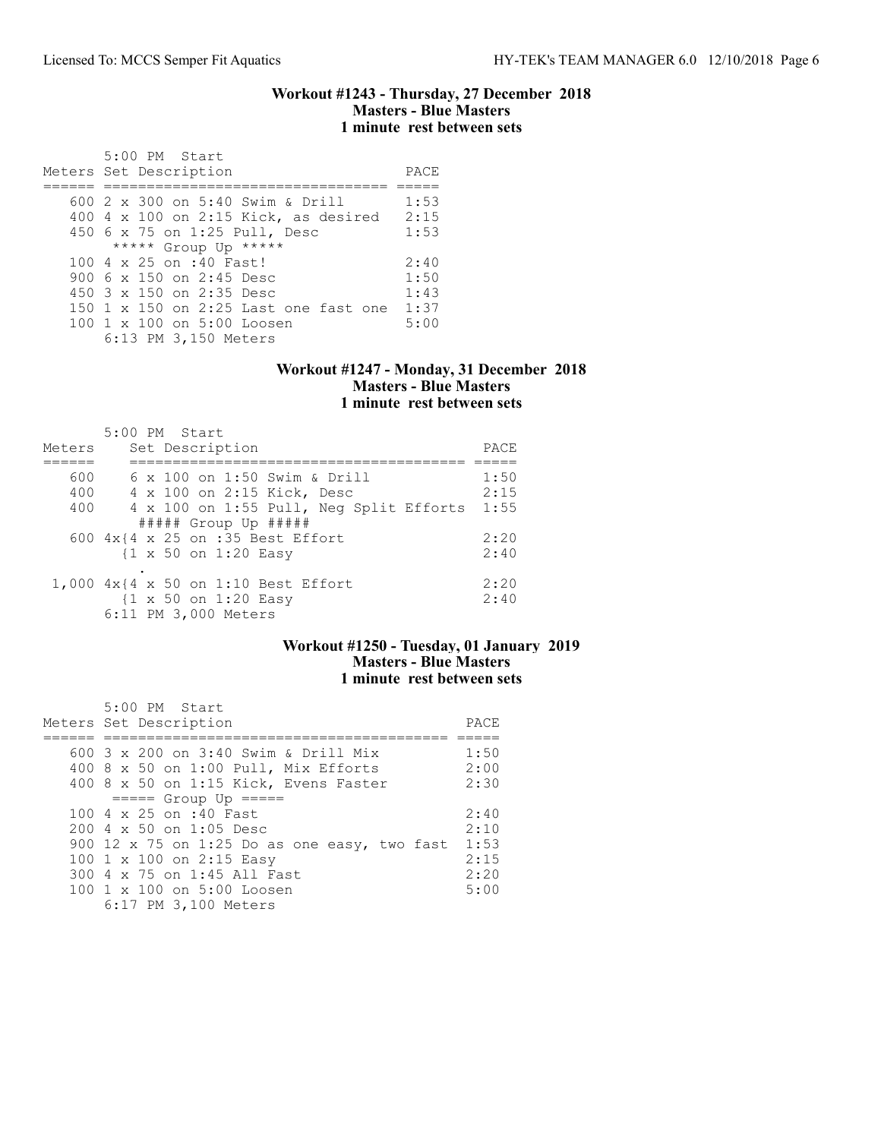### Workout #1243 - Thursday, 27 December 2018 Masters - Blue Masters 1 minute rest between sets

| 5:00 PM Start<br>Meters Set Description                                                                                                                                                                                     | PACE                                 |
|-----------------------------------------------------------------------------------------------------------------------------------------------------------------------------------------------------------------------------|--------------------------------------|
| 600 2 x 300 on 5:40 Swim & Drill<br>400 4 x 100 on 2:15 Kick, as desired<br>450 6 x 75 on 1:25 Pull, Desc                                                                                                                   | 1:53<br>2:15<br>1:53                 |
| ***** Group Up *****<br>$100.4 \times 25$ on :40 Fast!<br>900 6 x 150 on 2:45 Desc<br>450 $3 \times 150$ on 2:35 Desc<br>150 $1 \times 150$ on 2:25 Last one fast one<br>100 1 x 100 on 5:00 Loosen<br>6:13 PM 3,150 Meters | 2:40<br>1:50<br>1:43<br>1:37<br>5:00 |

#### Workout #1247 - Monday, 31 December 2018 Masters - Blue Masters 1 minute rest between sets

| Meters | $5:00$ PM Start<br>Set Description              | PACE |
|--------|-------------------------------------------------|------|
|        |                                                 |      |
| 600    | 6 x 100 on 1:50 Swim & Drill                    | 1:50 |
| 400    | 4 x 100 on 2:15 Kick, Desc                      | 2:15 |
| 400    | 4 x 100 on 1:55 Pull, Neg Split Efforts         | 1:55 |
|        | $\#$ #### Group Up $\#$ ####                    |      |
|        | 600 4x{4 x 25 on :35 Best Effort                | 2:20 |
|        | $\{1 \times 50 \text{ on } 1:20 \text{ Easy}\}$ | 2:40 |
|        |                                                 |      |
|        | 1,000 4x{4 x 50 on 1:10 Best Effort             | 2:20 |
|        | $\{1 \times 50 \text{ on } 1:20 \text{ Easy}\}$ | 2:40 |
|        | 6:11 PM 3,000 Meters                            |      |

## Workout #1250 - Tuesday, 01 January 2019 Masters - Blue Masters 1 minute rest between sets

| 5:00 PM Start                                    |      |
|--------------------------------------------------|------|
| Meters Set Description                           | PACE |
|                                                  |      |
| 600 3 x 200 on 3:40 Swim & Drill Mix             | 1:50 |
| 400 8 x 50 on 1:00 Pull, Mix Efforts             | 2:00 |
| 400 8 x 50 on 1:15 Kick, Evens Faster            | 2:30 |
| $====$ Group Up $====$                           |      |
| 100 4 x 25 on :40 Fast                           | 2:40 |
| $200 \text{ } 4 \text{ } \times 50$ on 1:05 Desc | 2:10 |
| 900 12 x 75 on 1:25 Do as one easy, two fast     | 1:53 |
| 100 1 x 100 on 2:15 Easy                         | 2:15 |
| 300 4 x 75 on 1:45 All Fast                      | 2:20 |
| 100 1 x 100 on 5:00 Loosen                       | 5:00 |
| 6:17 PM 3,100 Meters                             |      |